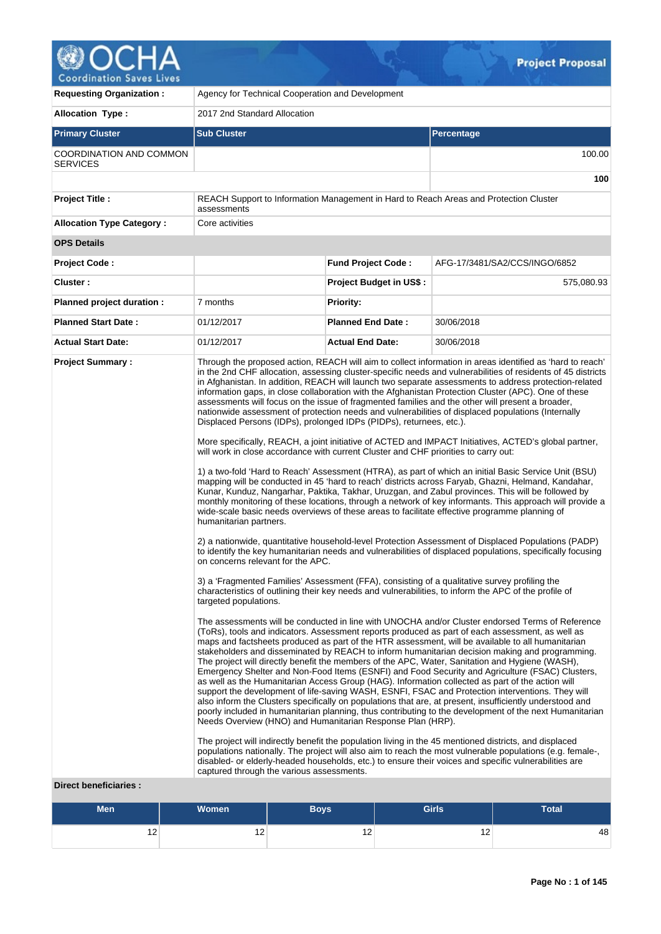

| <b>Requesting Organization:</b>                         | Agency for Technical Cooperation and Development                                                                                                                                                                                                                                                                                                              |                                |                                                                                                                                                                                                                                                                                                                                                                                                                                                                                                                                                                                                                                                                                                                                                                                                                                                                                                                                                                                                                                                                                                                                                                                                                                                                                                                                                                                                                                                                                                                                                                                                                                                                                                                                                                                                                                                                                                                                                                                                                                                                                                                                                                                                                                                                                                                                                                                                                                                                                                                                                                                                                                                                                                                                                                                                                                                                                                                                                                                                                                                                                                                    |  |  |  |  |  |
|---------------------------------------------------------|---------------------------------------------------------------------------------------------------------------------------------------------------------------------------------------------------------------------------------------------------------------------------------------------------------------------------------------------------------------|--------------------------------|--------------------------------------------------------------------------------------------------------------------------------------------------------------------------------------------------------------------------------------------------------------------------------------------------------------------------------------------------------------------------------------------------------------------------------------------------------------------------------------------------------------------------------------------------------------------------------------------------------------------------------------------------------------------------------------------------------------------------------------------------------------------------------------------------------------------------------------------------------------------------------------------------------------------------------------------------------------------------------------------------------------------------------------------------------------------------------------------------------------------------------------------------------------------------------------------------------------------------------------------------------------------------------------------------------------------------------------------------------------------------------------------------------------------------------------------------------------------------------------------------------------------------------------------------------------------------------------------------------------------------------------------------------------------------------------------------------------------------------------------------------------------------------------------------------------------------------------------------------------------------------------------------------------------------------------------------------------------------------------------------------------------------------------------------------------------------------------------------------------------------------------------------------------------------------------------------------------------------------------------------------------------------------------------------------------------------------------------------------------------------------------------------------------------------------------------------------------------------------------------------------------------------------------------------------------------------------------------------------------------------------------------------------------------------------------------------------------------------------------------------------------------------------------------------------------------------------------------------------------------------------------------------------------------------------------------------------------------------------------------------------------------------------------------------------------------------------------------------------------------|--|--|--|--|--|
| <b>Allocation Type:</b>                                 | 2017 2nd Standard Allocation                                                                                                                                                                                                                                                                                                                                  |                                |                                                                                                                                                                                                                                                                                                                                                                                                                                                                                                                                                                                                                                                                                                                                                                                                                                                                                                                                                                                                                                                                                                                                                                                                                                                                                                                                                                                                                                                                                                                                                                                                                                                                                                                                                                                                                                                                                                                                                                                                                                                                                                                                                                                                                                                                                                                                                                                                                                                                                                                                                                                                                                                                                                                                                                                                                                                                                                                                                                                                                                                                                                                    |  |  |  |  |  |
| <b>Primary Cluster</b>                                  | <b>Sub Cluster</b><br><b>Percentage</b>                                                                                                                                                                                                                                                                                                                       |                                |                                                                                                                                                                                                                                                                                                                                                                                                                                                                                                                                                                                                                                                                                                                                                                                                                                                                                                                                                                                                                                                                                                                                                                                                                                                                                                                                                                                                                                                                                                                                                                                                                                                                                                                                                                                                                                                                                                                                                                                                                                                                                                                                                                                                                                                                                                                                                                                                                                                                                                                                                                                                                                                                                                                                                                                                                                                                                                                                                                                                                                                                                                                    |  |  |  |  |  |
| COORDINATION AND COMMON<br><b>SERVICES</b>              |                                                                                                                                                                                                                                                                                                                                                               |                                | 100.00                                                                                                                                                                                                                                                                                                                                                                                                                                                                                                                                                                                                                                                                                                                                                                                                                                                                                                                                                                                                                                                                                                                                                                                                                                                                                                                                                                                                                                                                                                                                                                                                                                                                                                                                                                                                                                                                                                                                                                                                                                                                                                                                                                                                                                                                                                                                                                                                                                                                                                                                                                                                                                                                                                                                                                                                                                                                                                                                                                                                                                                                                                             |  |  |  |  |  |
|                                                         |                                                                                                                                                                                                                                                                                                                                                               |                                | 100                                                                                                                                                                                                                                                                                                                                                                                                                                                                                                                                                                                                                                                                                                                                                                                                                                                                                                                                                                                                                                                                                                                                                                                                                                                                                                                                                                                                                                                                                                                                                                                                                                                                                                                                                                                                                                                                                                                                                                                                                                                                                                                                                                                                                                                                                                                                                                                                                                                                                                                                                                                                                                                                                                                                                                                                                                                                                                                                                                                                                                                                                                                |  |  |  |  |  |
| <b>Project Title:</b>                                   | assessments                                                                                                                                                                                                                                                                                                                                                   |                                | REACH Support to Information Management in Hard to Reach Areas and Protection Cluster                                                                                                                                                                                                                                                                                                                                                                                                                                                                                                                                                                                                                                                                                                                                                                                                                                                                                                                                                                                                                                                                                                                                                                                                                                                                                                                                                                                                                                                                                                                                                                                                                                                                                                                                                                                                                                                                                                                                                                                                                                                                                                                                                                                                                                                                                                                                                                                                                                                                                                                                                                                                                                                                                                                                                                                                                                                                                                                                                                                                                              |  |  |  |  |  |
| <b>Allocation Type Category:</b>                        | Core activities                                                                                                                                                                                                                                                                                                                                               |                                |                                                                                                                                                                                                                                                                                                                                                                                                                                                                                                                                                                                                                                                                                                                                                                                                                                                                                                                                                                                                                                                                                                                                                                                                                                                                                                                                                                                                                                                                                                                                                                                                                                                                                                                                                                                                                                                                                                                                                                                                                                                                                                                                                                                                                                                                                                                                                                                                                                                                                                                                                                                                                                                                                                                                                                                                                                                                                                                                                                                                                                                                                                                    |  |  |  |  |  |
| <b>OPS Details</b>                                      |                                                                                                                                                                                                                                                                                                                                                               |                                |                                                                                                                                                                                                                                                                                                                                                                                                                                                                                                                                                                                                                                                                                                                                                                                                                                                                                                                                                                                                                                                                                                                                                                                                                                                                                                                                                                                                                                                                                                                                                                                                                                                                                                                                                                                                                                                                                                                                                                                                                                                                                                                                                                                                                                                                                                                                                                                                                                                                                                                                                                                                                                                                                                                                                                                                                                                                                                                                                                                                                                                                                                                    |  |  |  |  |  |
| <b>Project Code:</b>                                    |                                                                                                                                                                                                                                                                                                                                                               | <b>Fund Project Code:</b>      | AFG-17/3481/SA2/CCS/INGO/6852                                                                                                                                                                                                                                                                                                                                                                                                                                                                                                                                                                                                                                                                                                                                                                                                                                                                                                                                                                                                                                                                                                                                                                                                                                                                                                                                                                                                                                                                                                                                                                                                                                                                                                                                                                                                                                                                                                                                                                                                                                                                                                                                                                                                                                                                                                                                                                                                                                                                                                                                                                                                                                                                                                                                                                                                                                                                                                                                                                                                                                                                                      |  |  |  |  |  |
| Cluster:                                                |                                                                                                                                                                                                                                                                                                                                                               | <b>Project Budget in US\$:</b> | 575,080.93                                                                                                                                                                                                                                                                                                                                                                                                                                                                                                                                                                                                                                                                                                                                                                                                                                                                                                                                                                                                                                                                                                                                                                                                                                                                                                                                                                                                                                                                                                                                                                                                                                                                                                                                                                                                                                                                                                                                                                                                                                                                                                                                                                                                                                                                                                                                                                                                                                                                                                                                                                                                                                                                                                                                                                                                                                                                                                                                                                                                                                                                                                         |  |  |  |  |  |
| Planned project duration :                              | 7 months                                                                                                                                                                                                                                                                                                                                                      | <b>Priority:</b>               |                                                                                                                                                                                                                                                                                                                                                                                                                                                                                                                                                                                                                                                                                                                                                                                                                                                                                                                                                                                                                                                                                                                                                                                                                                                                                                                                                                                                                                                                                                                                                                                                                                                                                                                                                                                                                                                                                                                                                                                                                                                                                                                                                                                                                                                                                                                                                                                                                                                                                                                                                                                                                                                                                                                                                                                                                                                                                                                                                                                                                                                                                                                    |  |  |  |  |  |
| <b>Planned Start Date:</b>                              | 01/12/2017                                                                                                                                                                                                                                                                                                                                                    | <b>Planned End Date:</b>       | 30/06/2018                                                                                                                                                                                                                                                                                                                                                                                                                                                                                                                                                                                                                                                                                                                                                                                                                                                                                                                                                                                                                                                                                                                                                                                                                                                                                                                                                                                                                                                                                                                                                                                                                                                                                                                                                                                                                                                                                                                                                                                                                                                                                                                                                                                                                                                                                                                                                                                                                                                                                                                                                                                                                                                                                                                                                                                                                                                                                                                                                                                                                                                                                                         |  |  |  |  |  |
| <b>Actual Start Date:</b>                               | 01/12/2017                                                                                                                                                                                                                                                                                                                                                    | <b>Actual End Date:</b>        | 30/06/2018                                                                                                                                                                                                                                                                                                                                                                                                                                                                                                                                                                                                                                                                                                                                                                                                                                                                                                                                                                                                                                                                                                                                                                                                                                                                                                                                                                                                                                                                                                                                                                                                                                                                                                                                                                                                                                                                                                                                                                                                                                                                                                                                                                                                                                                                                                                                                                                                                                                                                                                                                                                                                                                                                                                                                                                                                                                                                                                                                                                                                                                                                                         |  |  |  |  |  |
| <b>Project Summary:</b><br><b>Direct beneficiaries:</b> | Displaced Persons (IDPs), prolonged IDPs (PIDPs), returnees, etc.).<br>will work in close accordance with current Cluster and CHF priorities to carry out:<br>humanitarian partners.<br>on concerns relevant for the APC.<br>targeted populations.<br>Needs Overview (HNO) and Humanitarian Response Plan (HRP).<br>captured through the various assessments. |                                | Through the proposed action, REACH will aim to collect information in areas identified as 'hard to reach'<br>in the 2nd CHF allocation, assessing cluster-specific needs and vulnerabilities of residents of 45 districts<br>in Afghanistan. In addition, REACH will launch two separate assessments to address protection-related<br>information gaps, in close collaboration with the Afghanistan Protection Cluster (APC). One of these<br>assessments will focus on the issue of fragmented families and the other will present a broader,<br>nationwide assessment of protection needs and vulnerabilities of displaced populations (Internally<br>More specifically, REACH, a joint initiative of ACTED and IMPACT Initiatives, ACTED's global partner,<br>1) a two-fold 'Hard to Reach' Assessment (HTRA), as part of which an initial Basic Service Unit (BSU)<br>mapping will be conducted in 45 'hard to reach' districts across Faryab, Ghazni, Helmand, Kandahar,<br>Kunar, Kunduz, Nangarhar, Paktika, Takhar, Uruzgan, and Zabul provinces. This will be followed by<br>monthly monitoring of these locations, through a network of key informants. This approach will provide a<br>wide-scale basic needs overviews of these areas to facilitate effective programme planning of<br>2) a nationwide, quantitative household-level Protection Assessment of Displaced Populations (PADP)<br>to identify the key humanitarian needs and vulnerabilities of displaced populations, specifically focusing<br>3) a 'Fragmented Families' Assessment (FFA), consisting of a qualitative survey profiling the<br>characteristics of outlining their key needs and vulnerabilities, to inform the APC of the profile of<br>The assessments will be conducted in line with UNOCHA and/or Cluster endorsed Terms of Reference<br>(ToRs), tools and indicators. Assessment reports produced as part of each assessment, as well as<br>maps and factsheets produced as part of the HTR assessment, will be available to all humanitarian<br>stakeholders and disseminated by REACH to inform humanitarian decision making and programming.<br>The project will directly benefit the members of the APC, Water, Sanitation and Hygiene (WASH),<br>Emergency Shelter and Non-Food Items (ESNFI) and Food Security and Agriculture (FSAC) Clusters,<br>as well as the Humanitarian Access Group (HAG). Information collected as part of the action will<br>support the development of life-saving WASH, ESNFI, FSAC and Protection interventions. They will<br>also inform the Clusters specifically on populations that are, at present, insufficiently understood and<br>poorly included in humanitarian planning, thus contributing to the development of the next Humanitarian<br>The project will indirectly benefit the population living in the 45 mentioned districts, and displaced<br>populations nationally. The project will also aim to reach the most vulnerable populations (e.g. female-,<br>disabled- or elderly-headed households, etc.) to ensure their voices and specific vulnerabilities are |  |  |  |  |  |

# **Men Women Boys Girls Total** 12  $12$  12  $12$  12 12 12 12 12 12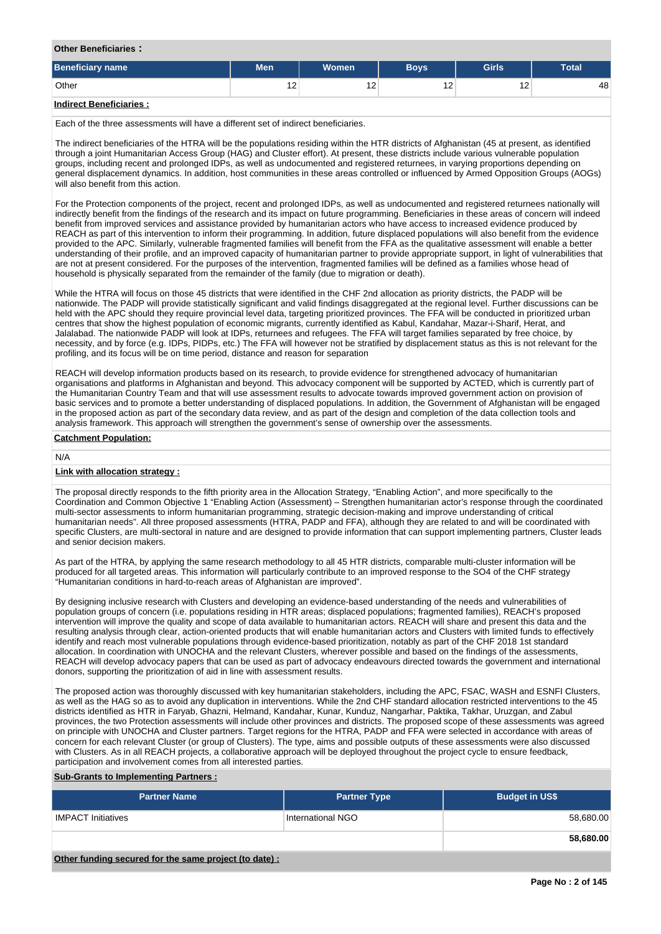#### **Other Beneficiaries :**

| Beneficiary name                          | <b>Men</b> | <b>Women</b> | <b>Boys</b> | <b>Girls</b> | <b>Total</b> |  |
|-------------------------------------------|------------|--------------|-------------|--------------|--------------|--|
| Other                                     | 12         | ' -          | 12          | 12<br>$\sim$ | 48           |  |
| the attack of the condition of a standard |            |              |             |              |              |  |

## **Indirect Beneficiaries :**

Each of the three assessments will have a different set of indirect beneficiaries.

The indirect beneficiaries of the HTRA will be the populations residing within the HTR districts of Afghanistan (45 at present, as identified through a joint Humanitarian Access Group (HAG) and Cluster effort). At present, these districts include various vulnerable population groups, including recent and prolonged IDPs, as well as undocumented and registered returnees, in varying proportions depending on general displacement dynamics. In addition, host communities in these areas controlled or influenced by Armed Opposition Groups (AOGs) will also benefit from this action.

For the Protection components of the project, recent and prolonged IDPs, as well as undocumented and registered returnees nationally will indirectly benefit from the findings of the research and its impact on future programming. Beneficiaries in these areas of concern will indeed benefit from improved services and assistance provided by humanitarian actors who have access to increased evidence produced by REACH as part of this intervention to inform their programming. In addition, future displaced populations will also benefit from the evidence provided to the APC. Similarly, vulnerable fragmented families will benefit from the FFA as the qualitative assessment will enable a better understanding of their profile, and an improved capacity of humanitarian partner to provide appropriate support, in light of vulnerabilities that are not at present considered. For the purposes of the intervention, fragmented families will be defined as a families whose head of household is physically separated from the remainder of the family (due to migration or death).

While the HTRA will focus on those 45 districts that were identified in the CHF 2nd allocation as priority districts, the PADP will be nationwide. The PADP will provide statistically significant and valid findings disaggregated at the regional level. Further discussions can be held with the APC should they require provincial level data, targeting prioritized provinces. The FFA will be conducted in prioritized urban centres that show the highest population of economic migrants, currently identified as Kabul, Kandahar, Mazar-i-Sharif, Herat, and Jalalabad. The nationwide PADP will look at IDPs, returnees and refugees. The FFA will target families separated by free choice, by necessity, and by force (e.g. IDPs, PIDPs, etc.) The FFA will however not be stratified by displacement status as this is not relevant for the profiling, and its focus will be on time period, distance and reason for separation

REACH will develop information products based on its research, to provide evidence for strengthened advocacy of humanitarian organisations and platforms in Afghanistan and beyond. This advocacy component will be supported by ACTED, which is currently part of the Humanitarian Country Team and that will use assessment results to advocate towards improved government action on provision of basic services and to promote a better understanding of displaced populations. In addition, the Government of Afghanistan will be engaged in the proposed action as part of the secondary data review, and as part of the design and completion of the data collection tools and analysis framework. This approach will strengthen the government's sense of ownership over the assessments.

#### **Catchment Population:**

# N/A

## **Link with allocation strategy :**

The proposal directly responds to the fifth priority area in the Allocation Strategy, "Enabling Action", and more specifically to the Coordination and Common Objective 1 "Enabling Action (Assessment) – Strengthen humanitarian actor's response through the coordinated multi-sector assessments to inform humanitarian programming, strategic decision-making and improve understanding of critical humanitarian needs". All three proposed assessments (HTRA, PADP and FFA), although they are related to and will be coordinated with specific Clusters, are multi-sectoral in nature and are designed to provide information that can support implementing partners, Cluster leads and senior decision makers.

As part of the HTRA, by applying the same research methodology to all 45 HTR districts, comparable multi-cluster information will be produced for all targeted areas. This information will particularly contribute to an improved response to the SO4 of the CHF strategy "Humanitarian conditions in hard-to-reach areas of Afghanistan are improved".

By designing inclusive research with Clusters and developing an evidence-based understanding of the needs and vulnerabilities of population groups of concern (i.e. populations residing in HTR areas; displaced populations; fragmented families), REACH's proposed intervention will improve the quality and scope of data available to humanitarian actors. REACH will share and present this data and the resulting analysis through clear, action-oriented products that will enable humanitarian actors and Clusters with limited funds to effectively identify and reach most vulnerable populations through evidence-based prioritization, notably as part of the CHF 2018 1st standard allocation. In coordination with UNOCHA and the relevant Clusters, wherever possible and based on the findings of the assessments, REACH will develop advocacy papers that can be used as part of advocacy endeavours directed towards the government and international donors, supporting the prioritization of aid in line with assessment results.

The proposed action was thoroughly discussed with key humanitarian stakeholders, including the APC, FSAC, WASH and ESNFI Clusters, as well as the HAG so as to avoid any duplication in interventions. While the 2nd CHF standard allocation restricted interventions to the 45 districts identified as HTR in Faryab, Ghazni, Helmand, Kandahar, Kunar, Kunduz, Nangarhar, Paktika, Takhar, Uruzgan, and Zabul provinces, the two Protection assessments will include other provinces and districts. The proposed scope of these assessments was agreed on principle with UNOCHA and Cluster partners. Target regions for the HTRA, PADP and FFA were selected in accordance with areas of concern for each relevant Cluster (or group of Clusters). The type, aims and possible outputs of these assessments were also discussed with Clusters. As in all REACH projects, a collaborative approach will be deployed throughout the project cycle to ensure feedback, participation and involvement comes from all interested parties.

## **Sub-Grants to Implementing Partners :**

| <b>Partner Name</b>       | <b>Partner Type</b> | <b>Budget in US\$</b> |
|---------------------------|---------------------|-----------------------|
| <b>IMPACT Initiatives</b> | International NGO   | 58,680.00             |
|                           |                     | 58,680.00             |

**Other funding secured for the same project (to date) :**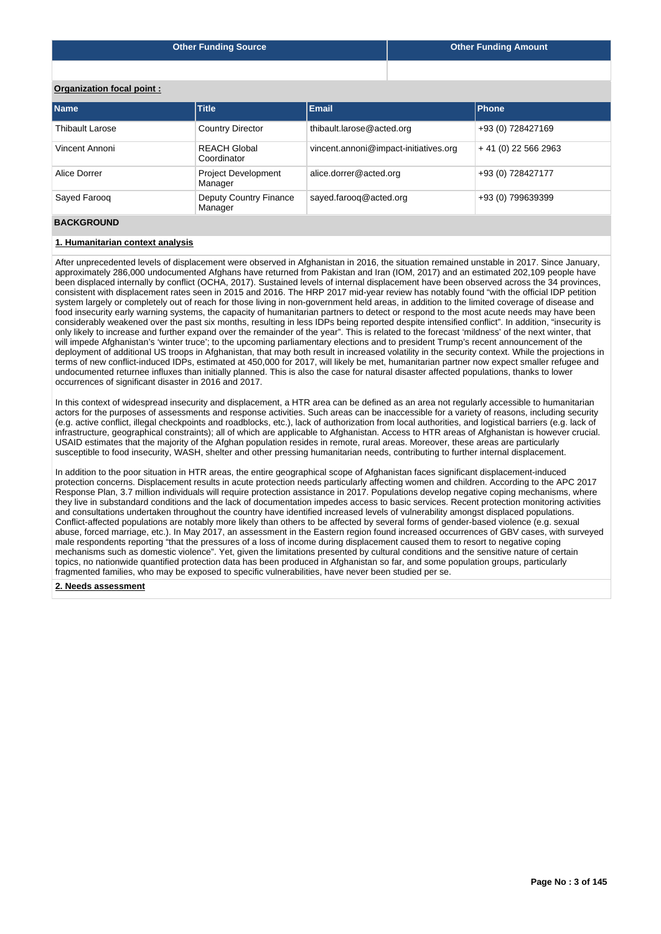|  | <b>Other Funding Source</b> |
|--|-----------------------------|
|--|-----------------------------|

# **Organization focal point :**

| <b>Name</b>            | <b>Title</b>                             | <b>Email</b>                          | <b>Phone</b>         |
|------------------------|------------------------------------------|---------------------------------------|----------------------|
| <b>Thibault Larose</b> | <b>Country Director</b>                  | thibault.larose@acted.org             | +93 (0) 728427169    |
| Vincent Annoni         | <b>REACH Global</b><br>Coordinator       | vincent.annoni@impact-initiatives.org | $+41(0)$ 22 566 2963 |
| Alice Dorrer           | <b>Project Development</b><br>Manager    | alice.dorrer@acted.org                | +93 (0) 728427177    |
| Sayed Faroog           | <b>Deputy Country Finance</b><br>Manager | sayed.farooq@acted.org                | +93 (0) 799639399    |

# **BACKGROUND**

# **1. Humanitarian context analysis**

After unprecedented levels of displacement were observed in Afghanistan in 2016, the situation remained unstable in 2017. Since January, approximately 286,000 undocumented Afghans have returned from Pakistan and Iran (IOM, 2017) and an estimated 202,109 people have been displaced internally by conflict (OCHA, 2017). Sustained levels of internal displacement have been observed across the 34 provinces, consistent with displacement rates seen in 2015 and 2016. The HRP 2017 mid-year review has notably found "with the official IDP petition system largely or completely out of reach for those living in non-government held areas, in addition to the limited coverage of disease and food insecurity early warning systems, the capacity of humanitarian partners to detect or respond to the most acute needs may have been considerably weakened over the past six months, resulting in less IDPs being reported despite intensified conflict". In addition, "insecurity is only likely to increase and further expand over the remainder of the year". This is related to the forecast 'mildness' of the next winter, that will impede Afghanistan's 'winter truce'; to the upcoming parliamentary elections and to president Trump's recent announcement of the deployment of additional US troops in Afghanistan, that may both result in increased volatility in the security context. While the projections in terms of new conflict-induced IDPs, estimated at 450,000 for 2017, will likely be met, humanitarian partner now expect smaller refugee and undocumented returnee influxes than initially planned. This is also the case for natural disaster affected populations, thanks to lower occurrences of significant disaster in 2016 and 2017.

In this context of widespread insecurity and displacement, a HTR area can be defined as an area not regularly accessible to humanitarian actors for the purposes of assessments and response activities. Such areas can be inaccessible for a variety of reasons, including security (e.g. active conflict, illegal checkpoints and roadblocks, etc.), lack of authorization from local authorities, and logistical barriers (e.g. lack of infrastructure, geographical constraints); all of which are applicable to Afghanistan. Access to HTR areas of Afghanistan is however crucial. USAID estimates that the majority of the Afghan population resides in remote, rural areas. Moreover, these areas are particularly susceptible to food insecurity, WASH, shelter and other pressing humanitarian needs, contributing to further internal displacement.

In addition to the poor situation in HTR areas, the entire geographical scope of Afghanistan faces significant displacement-induced protection concerns. Displacement results in acute protection needs particularly affecting women and children. According to the APC 2017 Response Plan, 3.7 million individuals will require protection assistance in 2017. Populations develop negative coping mechanisms, where they live in substandard conditions and the lack of documentation impedes access to basic services. Recent protection monitoring activities and consultations undertaken throughout the country have identified increased levels of vulnerability amongst displaced populations. Conflict-affected populations are notably more likely than others to be affected by several forms of gender-based violence (e.g. sexual abuse, forced marriage, etc.). In May 2017, an assessment in the Eastern region found increased occurrences of GBV cases, with surveyed male respondents reporting "that the pressures of a loss of income during displacement caused them to resort to negative coping mechanisms such as domestic violence". Yet, given the limitations presented by cultural conditions and the sensitive nature of certain topics, no nationwide quantified protection data has been produced in Afghanistan so far, and some population groups, particularly fragmented families, who may be exposed to specific vulnerabilities, have never been studied per se.

# **2. Needs assessment**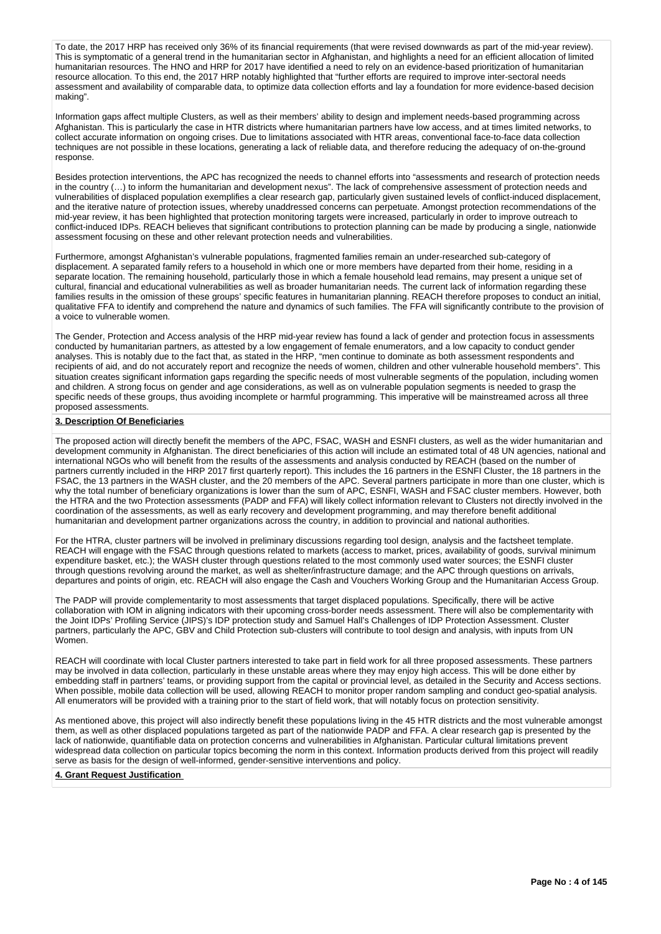To date, the 2017 HRP has received only 36% of its financial requirements (that were revised downwards as part of the mid-year review). This is symptomatic of a general trend in the humanitarian sector in Afghanistan, and highlights a need for an efficient allocation of limited humanitarian resources. The HNO and HRP for 2017 have identified a need to rely on an evidence-based prioritization of humanitarian resource allocation. To this end, the 2017 HRP notably highlighted that "further efforts are required to improve inter-sectoral needs assessment and availability of comparable data, to optimize data collection efforts and lay a foundation for more evidence-based decision making".

Information gaps affect multiple Clusters, as well as their members' ability to design and implement needs-based programming across Afghanistan. This is particularly the case in HTR districts where humanitarian partners have low access, and at times limited networks, to collect accurate information on ongoing crises. Due to limitations associated with HTR areas, conventional face-to-face data collection techniques are not possible in these locations, generating a lack of reliable data, and therefore reducing the adequacy of on-the-ground response.

Besides protection interventions, the APC has recognized the needs to channel efforts into "assessments and research of protection needs in the country (…) to inform the humanitarian and development nexus". The lack of comprehensive assessment of protection needs and vulnerabilities of displaced population exemplifies a clear research gap, particularly given sustained levels of conflict-induced displacement, and the iterative nature of protection issues, whereby unaddressed concerns can perpetuate. Amongst protection recommendations of the mid-year review, it has been highlighted that protection monitoring targets were increased, particularly in order to improve outreach to conflict-induced IDPs. REACH believes that significant contributions to protection planning can be made by producing a single, nationwide assessment focusing on these and other relevant protection needs and vulnerabilities.

Furthermore, amongst Afghanistan's vulnerable populations, fragmented families remain an under-researched sub-category of displacement. A separated family refers to a household in which one or more members have departed from their home, residing in a separate location. The remaining household, particularly those in which a female household lead remains, may present a unique set of cultural, financial and educational vulnerabilities as well as broader humanitarian needs. The current lack of information regarding these families results in the omission of these groups' specific features in humanitarian planning. REACH therefore proposes to conduct an initial, qualitative FFA to identify and comprehend the nature and dynamics of such families. The FFA will significantly contribute to the provision of a voice to vulnerable women.

The Gender, Protection and Access analysis of the HRP mid-year review has found a lack of gender and protection focus in assessments conducted by humanitarian partners, as attested by a low engagement of female enumerators, and a low capacity to conduct gender analyses. This is notably due to the fact that, as stated in the HRP, "men continue to dominate as both assessment respondents and recipients of aid, and do not accurately report and recognize the needs of women, children and other vulnerable household members". This situation creates significant information gaps regarding the specific needs of most vulnerable segments of the population, including women and children. A strong focus on gender and age considerations, as well as on vulnerable population segments is needed to grasp the specific needs of these groups, thus avoiding incomplete or harmful programming. This imperative will be mainstreamed across all three proposed assessments.

# **3. Description Of Beneficiaries**

The proposed action will directly benefit the members of the APC, FSAC, WASH and ESNFI clusters, as well as the wider humanitarian and development community in Afghanistan. The direct beneficiaries of this action will include an estimated total of 48 UN agencies, national and international NGOs who will benefit from the results of the assessments and analysis conducted by REACH (based on the number of partners currently included in the HRP 2017 first quarterly report). This includes the 16 partners in the ESNFI Cluster, the 18 partners in the FSAC, the 13 partners in the WASH cluster, and the 20 members of the APC. Several partners participate in more than one cluster, which is why the total number of beneficiary organizations is lower than the sum of APC, ESNFI, WASH and FSAC cluster members. However, both the HTRA and the two Protection assessments (PADP and FFA) will likely collect information relevant to Clusters not directly involved in the coordination of the assessments, as well as early recovery and development programming, and may therefore benefit additional humanitarian and development partner organizations across the country, in addition to provincial and national authorities.

For the HTRA, cluster partners will be involved in preliminary discussions regarding tool design, analysis and the factsheet template. REACH will engage with the FSAC through questions related to markets (access to market, prices, availability of goods, survival minimum expenditure basket, etc.); the WASH cluster through questions related to the most commonly used water sources; the ESNFI cluster through questions revolving around the market, as well as shelter/infrastructure damage; and the APC through questions on arrivals, departures and points of origin, etc. REACH will also engage the Cash and Vouchers Working Group and the Humanitarian Access Group.

The PADP will provide complementarity to most assessments that target displaced populations. Specifically, there will be active collaboration with IOM in aligning indicators with their upcoming cross-border needs assessment. There will also be complementarity with the Joint IDPs' Profiling Service (JIPS)'s IDP protection study and Samuel Hall's Challenges of IDP Protection Assessment. Cluster partners, particularly the APC, GBV and Child Protection sub-clusters will contribute to tool design and analysis, with inputs from UN Women.

REACH will coordinate with local Cluster partners interested to take part in field work for all three proposed assessments. These partners may be involved in data collection, particularly in these unstable areas where they may enjoy high access. This will be done either by embedding staff in partners' teams, or providing support from the capital or provincial level, as detailed in the Security and Access sections. When possible, mobile data collection will be used, allowing REACH to monitor proper random sampling and conduct geo-spatial analysis. All enumerators will be provided with a training prior to the start of field work, that will notably focus on protection sensitivity.

As mentioned above, this project will also indirectly benefit these populations living in the 45 HTR districts and the most vulnerable amongst them, as well as other displaced populations targeted as part of the nationwide PADP and FFA. A clear research gap is presented by the lack of nationwide, quantifiable data on protection concerns and vulnerabilities in Afghanistan. Particular cultural limitations prevent widespread data collection on particular topics becoming the norm in this context. Information products derived from this project will readily serve as basis for the design of well-informed, gender-sensitive interventions and policy.

#### **4. Grant Request Justification**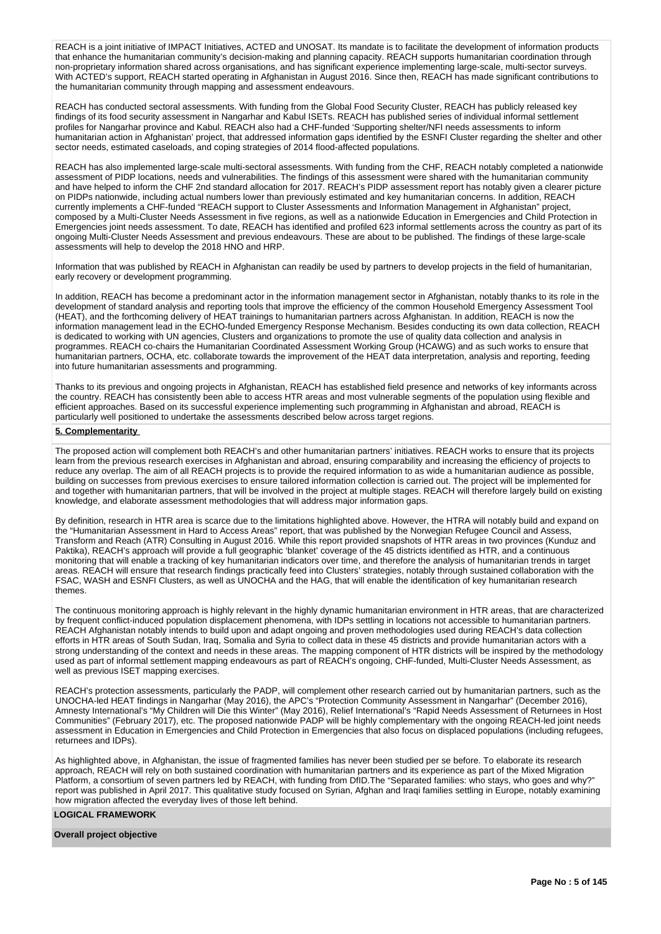REACH is a joint initiative of IMPACT Initiatives, ACTED and UNOSAT. Its mandate is to facilitate the development of information products that enhance the humanitarian community's decision-making and planning capacity. REACH supports humanitarian coordination through non-proprietary information shared across organisations, and has significant experience implementing large-scale, multi-sector surveys. With ACTED's support, REACH started operating in Afghanistan in August 2016. Since then, REACH has made significant contributions to the humanitarian community through mapping and assessment endeavours.

REACH has conducted sectoral assessments. With funding from the Global Food Security Cluster, REACH has publicly released key findings of its food security assessment in Nangarhar and Kabul ISETs. REACH has published series of individual informal settlement profiles for Nangarhar province and Kabul. REACH also had a CHF-funded 'Supporting shelter/NFI needs assessments to inform humanitarian action in Afghanistan' project, that addressed information gaps identified by the ESNFI Cluster regarding the shelter and other sector needs, estimated caseloads, and coping strategies of 2014 flood-affected populations.

REACH has also implemented large-scale multi-sectoral assessments. With funding from the CHF, REACH notably completed a nationwide assessment of PIDP locations, needs and vulnerabilities. The findings of this assessment were shared with the humanitarian community and have helped to inform the CHF 2nd standard allocation for 2017. REACH's PIDP assessment report has notably given a clearer picture on PIDPs nationwide, including actual numbers lower than previously estimated and key humanitarian concerns. In addition, REACH currently implements a CHF-funded "REACH support to Cluster Assessments and Information Management in Afghanistan" project, composed by a Multi-Cluster Needs Assessment in five regions, as well as a nationwide Education in Emergencies and Child Protection in Emergencies joint needs assessment. To date, REACH has identified and profiled 623 informal settlements across the country as part of its ongoing Multi-Cluster Needs Assessment and previous endeavours. These are about to be published. The findings of these large-scale assessments will help to develop the 2018 HNO and HRP.

Information that was published by REACH in Afghanistan can readily be used by partners to develop projects in the field of humanitarian, early recovery or development programming.

In addition, REACH has become a predominant actor in the information management sector in Afghanistan, notably thanks to its role in the development of standard analysis and reporting tools that improve the efficiency of the common Household Emergency Assessment Tool (HEAT), and the forthcoming delivery of HEAT trainings to humanitarian partners across Afghanistan. In addition, REACH is now the information management lead in the ECHO-funded Emergency Response Mechanism. Besides conducting its own data collection, REACH is dedicated to working with UN agencies, Clusters and organizations to promote the use of quality data collection and analysis in programmes. REACH co-chairs the Humanitarian Coordinated Assessment Working Group (HCAWG) and as such works to ensure that humanitarian partners, OCHA, etc. collaborate towards the improvement of the HEAT data interpretation, analysis and reporting, feeding into future humanitarian assessments and programming.

Thanks to its previous and ongoing projects in Afghanistan, REACH has established field presence and networks of key informants across the country. REACH has consistently been able to access HTR areas and most vulnerable segments of the population using flexible and efficient approaches. Based on its successful experience implementing such programming in Afghanistan and abroad, REACH is particularly well positioned to undertake the assessments described below across target regions.

# **5. Complementarity**

The proposed action will complement both REACH's and other humanitarian partners' initiatives. REACH works to ensure that its projects learn from the previous research exercises in Afghanistan and abroad, ensuring comparability and increasing the efficiency of projects to reduce any overlap. The aim of all REACH projects is to provide the required information to as wide a humanitarian audience as possible, building on successes from previous exercises to ensure tailored information collection is carried out. The project will be implemented for and together with humanitarian partners, that will be involved in the project at multiple stages. REACH will therefore largely build on existing knowledge, and elaborate assessment methodologies that will address major information gaps.

By definition, research in HTR area is scarce due to the limitations highlighted above. However, the HTRA will notably build and expand on the "Humanitarian Assessment in Hard to Access Areas" report, that was published by the Norwegian Refugee Council and Assess, Transform and Reach (ATR) Consulting in August 2016. While this report provided snapshots of HTR areas in two provinces (Kunduz and Paktika), REACH's approach will provide a full geographic 'blanket' coverage of the 45 districts identified as HTR, and a continuous monitoring that will enable a tracking of key humanitarian indicators over time, and therefore the analysis of humanitarian trends in target areas. REACH will ensure that research findings practically feed into Clusters' strategies, notably through sustained collaboration with the FSAC, WASH and ESNFI Clusters, as well as UNOCHA and the HAG, that will enable the identification of key humanitarian research themes.

The continuous monitoring approach is highly relevant in the highly dynamic humanitarian environment in HTR areas, that are characterized by frequent conflict-induced population displacement phenomena, with IDPs settling in locations not accessible to humanitarian partners. REACH Afghanistan notably intends to build upon and adapt ongoing and proven methodologies used during REACH's data collection efforts in HTR areas of South Sudan, Iraq, Somalia and Syria to collect data in these 45 districts and provide humanitarian actors with a strong understanding of the context and needs in these areas. The mapping component of HTR districts will be inspired by the methodology used as part of informal settlement mapping endeavours as part of REACH's ongoing, CHF-funded, Multi-Cluster Needs Assessment, as well as previous ISET mapping exercises.

REACH's protection assessments, particularly the PADP, will complement other research carried out by humanitarian partners, such as the UNOCHA-led HEAT findings in Nangarhar (May 2016), the APC's "Protection Community Assessment in Nangarhar" (December 2016), Amnesty International's "My Children will Die this Winter" (May 2016), Relief International's "Rapid Needs Assessment of Returnees in Host Communities" (February 2017), etc. The proposed nationwide PADP will be highly complementary with the ongoing REACH-led joint needs assessment in Education in Emergencies and Child Protection in Emergencies that also focus on displaced populations (including refugees, returnees and IDPs).

As highlighted above, in Afghanistan, the issue of fragmented families has never been studied per se before. To elaborate its research approach, REACH will rely on both sustained coordination with humanitarian partners and its experience as part of the Mixed Migration Platform, a consortium of seven partners led by REACH, with funding from DfID.The "Separated families: who stays, who goes and why?" report was published in April 2017. This qualitative study focused on Syrian, Afghan and Iraqi families settling in Europe, notably examining how migration affected the everyday lives of those left behind.

#### **LOGICAL FRAMEWORK**

## **Overall project objective**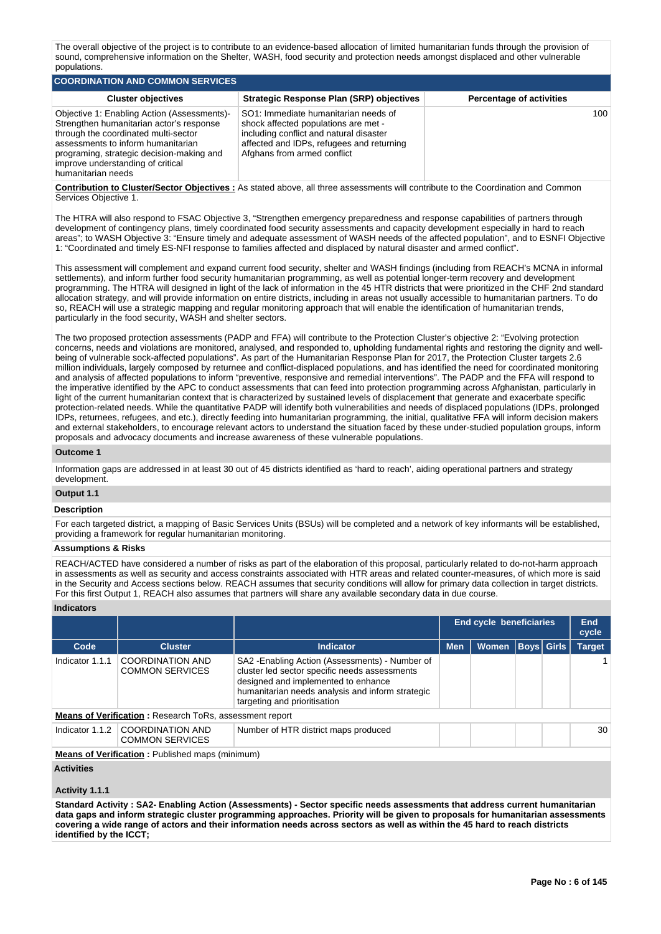The overall objective of the project is to contribute to an evidence-based allocation of limited humanitarian funds through the provision of sound, comprehensive information on the Shelter, WASH, food security and protection needs amongst displaced and other vulnerable populations.

| COORDINATION AND COMMON SERVICES                                                                                                                                                                                                                                              |                                                                                                                                                                                                     |                                 |  |  |  |  |  |  |  |  |
|-------------------------------------------------------------------------------------------------------------------------------------------------------------------------------------------------------------------------------------------------------------------------------|-----------------------------------------------------------------------------------------------------------------------------------------------------------------------------------------------------|---------------------------------|--|--|--|--|--|--|--|--|
| <b>Cluster objectives</b>                                                                                                                                                                                                                                                     | Strategic Response Plan (SRP) objectives                                                                                                                                                            | <b>Percentage of activities</b> |  |  |  |  |  |  |  |  |
| Objective 1: Enabling Action (Assessments)-<br>Strengthen humanitarian actor's response<br>through the coordinated multi-sector<br>assessments to inform humanitarian<br>programing, strategic decision-making and<br>improve understanding of critical<br>humanitarian needs | SO1: Immediate humanitarian needs of<br>shock affected populations are met -<br>including conflict and natural disaster<br>affected and IDPs, refugees and returning<br>Afghans from armed conflict | 100 <sup>1</sup>                |  |  |  |  |  |  |  |  |

**Contribution to Cluster/Sector Objectives :** As stated above, all three assessments will contribute to the Coordination and Common Services Objective 1.

The HTRA will also respond to FSAC Objective 3, "Strengthen emergency preparedness and response capabilities of partners through development of contingency plans, timely coordinated food security assessments and capacity development especially in hard to reach areas"; to WASH Objective 3: "Ensure timely and adequate assessment of WASH needs of the affected population", and to ESNFI Objective 1: "Coordinated and timely ES-NFI response to families affected and displaced by natural disaster and armed conflict".

This assessment will complement and expand current food security, shelter and WASH findings (including from REACH's MCNA in informal settlements), and inform further food security humanitarian programming, as well as potential longer-term recovery and development programming. The HTRA will designed in light of the lack of information in the 45 HTR districts that were prioritized in the CHF 2nd standard allocation strategy, and will provide information on entire districts, including in areas not usually accessible to humanitarian partners. To do so, REACH will use a strategic mapping and regular monitoring approach that will enable the identification of humanitarian trends, particularly in the food security, WASH and shelter sectors.

The two proposed protection assessments (PADP and FFA) will contribute to the Protection Cluster's objective 2: "Evolving protection concerns, needs and violations are monitored, analysed, and responded to, upholding fundamental rights and restoring the dignity and wellbeing of vulnerable sock-affected populations". As part of the Humanitarian Response Plan for 2017, the Protection Cluster targets 2.6 million individuals, largely composed by returnee and conflict-displaced populations, and has identified the need for coordinated monitoring and analysis of affected populations to inform "preventive, responsive and remedial interventions". The PADP and the FFA will respond to the imperative identified by the APC to conduct assessments that can feed into protection programming across Afghanistan, particularly in light of the current humanitarian context that is characterized by sustained levels of displacement that generate and exacerbate specific protection-related needs. While the quantitative PADP will identify both vulnerabilities and needs of displaced populations (IDPs, prolonged IDPs, returnees, refugees, and etc.), directly feeding into humanitarian programming, the initial, qualitative FFA will inform decision makers and external stakeholders, to encourage relevant actors to understand the situation faced by these under-studied population groups, inform proposals and advocacy documents and increase awareness of these vulnerable populations.

#### **Outcome 1**

Information gaps are addressed in at least 30 out of 45 districts identified as 'hard to reach', aiding operational partners and strategy development.

# **Output 1.1**

# **Description**

For each targeted district, a mapping of Basic Services Units (BSUs) will be completed and a network of key informants will be established, providing a framework for regular humanitarian monitoring.

# **Assumptions & Risks**

REACH/ACTED have considered a number of risks as part of the elaboration of this proposal, particularly related to do-not-harm approach in assessments as well as security and access constraints associated with HTR areas and related counter-measures, of which more is said in the Security and Access sections below. REACH assumes that security conditions will allow for primary data collection in target districts. For this first Output 1, REACH also assumes that partners will share any available secondary data in due course.

#### **Indicators**

|                 |                                                                |                                                                                                                                                                                                                             | End cycle beneficiaries |              |                   | End<br>cycle |               |
|-----------------|----------------------------------------------------------------|-----------------------------------------------------------------------------------------------------------------------------------------------------------------------------------------------------------------------------|-------------------------|--------------|-------------------|--------------|---------------|
| Code            | <b>Cluster</b>                                                 | <b>Indicator</b>                                                                                                                                                                                                            | <b>Men</b>              | <b>Women</b> | <b>Boys</b> Girls |              | <b>Target</b> |
| Indicator 1.1.1 | <b>COORDINATION AND</b><br><b>COMMON SERVICES</b>              | SA2 - Enabling Action (Assessments) - Number of<br>cluster led sector specific needs assessments<br>designed and implemented to enhance<br>humanitarian needs analysis and inform strategic<br>targeting and prioritisation |                         |              |                   |              |               |
|                 | <b>Means of Verification:</b> Research ToRs, assessment report |                                                                                                                                                                                                                             |                         |              |                   |              |               |
| Indicator 1.1.2 | COORDINATION AND<br><b>COMMON SERVICES</b>                     | Number of HTR district maps produced                                                                                                                                                                                        |                         |              |                   |              | 30            |
|                 | <b>Means of Verification:</b> Published maps (minimum)         |                                                                                                                                                                                                                             |                         |              |                   |              |               |
|                 |                                                                |                                                                                                                                                                                                                             |                         |              |                   |              |               |

# **Activities**

#### **Activity 1.1.1**

**Standard Activity : SA2- Enabling Action (Assessments) - Sector specific needs assessments that address current humanitarian data gaps and inform strategic cluster programming approaches. Priority will be given to proposals for humanitarian assessments covering a wide range of actors and their information needs across sectors as well as within the 45 hard to reach districts identified by the ICCT;**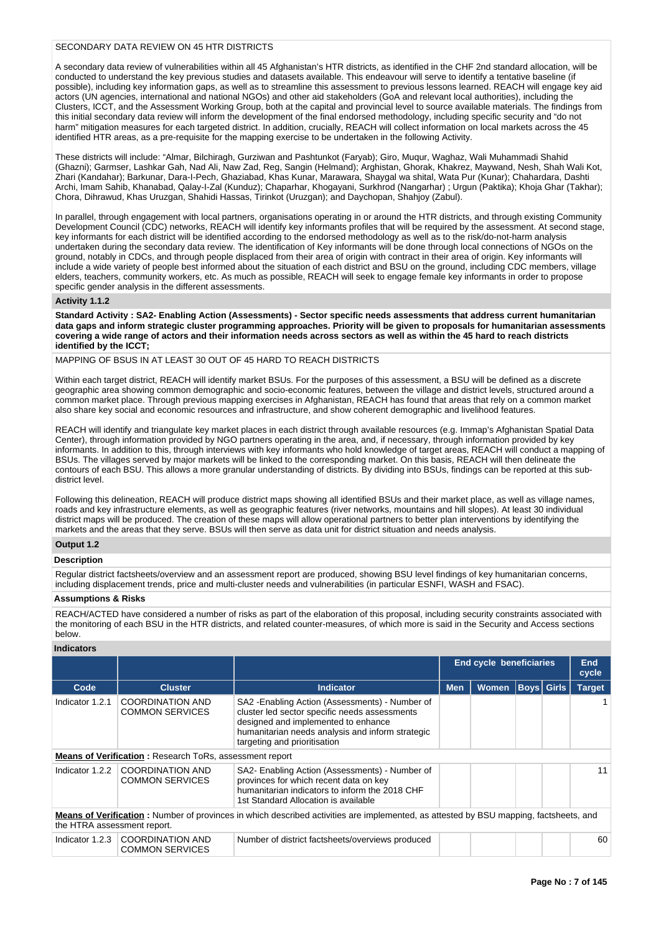# SECONDARY DATA REVIEW ON 45 HTR DISTRICTS

A secondary data review of vulnerabilities within all 45 Afghanistan's HTR districts, as identified in the CHF 2nd standard allocation, will be conducted to understand the key previous studies and datasets available. This endeavour will serve to identify a tentative baseline (if possible), including key information gaps, as well as to streamline this assessment to previous lessons learned. REACH will engage key aid actors (UN agencies, international and national NGOs) and other aid stakeholders (GoA and relevant local authorities), including the Clusters, ICCT, and the Assessment Working Group, both at the capital and provincial level to source available materials. The findings from this initial secondary data review will inform the development of the final endorsed methodology, including specific security and "do not harm" mitigation measures for each targeted district. In addition, crucially, REACH will collect information on local markets across the 45 identified HTR areas, as a pre-requisite for the mapping exercise to be undertaken in the following Activity.

These districts will include: "Almar, Bilchiragh, Gurziwan and Pashtunkot (Faryab); Giro, Muqur, Waghaz, Wali Muhammadi Shahid (Ghazni); Garmser, Lashkar Gah, Nad Ali, Naw Zad, Reg, Sangin (Helmand); Arghistan, Ghorak, Khakrez, Maywand, Nesh, Shah Wali Kot, Zhari (Kandahar); Barkunar, Dara-I-Pech, Ghaziabad, Khas Kunar, Marawara, Shaygal wa shital, Wata Pur (Kunar); Chahardara, Dashti Archi, Imam Sahib, Khanabad, Qalay-I-Zal (Kunduz); Chaparhar, Khogayani, Surkhrod (Nangarhar) ; Urgun (Paktika); Khoja Ghar (Takhar); Chora, Dihrawud, Khas Uruzgan, Shahidi Hassas, Tirinkot (Uruzgan); and Daychopan, Shahjoy (Zabul).

In parallel, through engagement with local partners, organisations operating in or around the HTR districts, and through existing Community Development Council (CDC) networks, REACH will identify key informants profiles that will be required by the assessment. At second stage, key informants for each district will be identified according to the endorsed methodology as well as to the risk/do-not-harm analysis undertaken during the secondary data review. The identification of Key informants will be done through local connections of NGOs on the ground, notably in CDCs, and through people displaced from their area of origin with contract in their area of origin. Key informants will include a wide variety of people best informed about the situation of each district and BSU on the ground, including CDC members, village elders, teachers, community workers, etc. As much as possible, REACH will seek to engage female key informants in order to propose specific gender analysis in the different assessments.

#### **Activity 1.1.2**

**Standard Activity : SA2- Enabling Action (Assessments) - Sector specific needs assessments that address current humanitarian data gaps and inform strategic cluster programming approaches. Priority will be given to proposals for humanitarian assessments covering a wide range of actors and their information needs across sectors as well as within the 45 hard to reach districts identified by the ICCT;**

# MAPPING OF BSUS IN AT LEAST 30 OUT OF 45 HARD TO REACH DISTRICTS

Within each target district, REACH will identify market BSUs. For the purposes of this assessment, a BSU will be defined as a discrete geographic area showing common demographic and socio-economic features, between the village and district levels, structured around a common market place. Through previous mapping exercises in Afghanistan, REACH has found that areas that rely on a common market also share key social and economic resources and infrastructure, and show coherent demographic and livelihood features.

REACH will identify and triangulate key market places in each district through available resources (e.g. Immap's Afghanistan Spatial Data Center), through information provided by NGO partners operating in the area, and, if necessary, through information provided by key informants. In addition to this, through interviews with key informants who hold knowledge of target areas, REACH will conduct a mapping of BSUs. The villages served by major markets will be linked to the corresponding market. On this basis, REACH will then delineate the contours of each BSU. This allows a more granular understanding of districts. By dividing into BSUs, findings can be reported at this subdistrict level.

Following this delineation, REACH will produce district maps showing all identified BSUs and their market place, as well as village names, roads and key infrastructure elements, as well as geographic features (river networks, mountains and hill slopes). At least 30 individual district maps will be produced. The creation of these maps will allow operational partners to better plan interventions by identifying the markets and the areas that they serve. BSUs will then serve as data unit for district situation and needs analysis.

#### **Output 1.2**

# **Description**

Regular district factsheets/overview and an assessment report are produced, showing BSU level findings of key humanitarian concerns, including displacement trends, price and multi-cluster needs and vulnerabilities (in particular ESNFI, WASH and FSAC).

# **Assumptions & Risks**

REACH/ACTED have considered a number of risks as part of the elaboration of this proposal, including security constraints associated with the monitoring of each BSU in the HTR districts, and related counter-measures, of which more is said in the Security and Access sections below.

# **Indicators**

|                 |                                                                                                                                                                      |                                                                                                                                                                                                                             | <b>End cycle beneficiaries</b> |              |                   |  | End<br>cycle  |  |  |
|-----------------|----------------------------------------------------------------------------------------------------------------------------------------------------------------------|-----------------------------------------------------------------------------------------------------------------------------------------------------------------------------------------------------------------------------|--------------------------------|--------------|-------------------|--|---------------|--|--|
| Code            | <b>Cluster</b>                                                                                                                                                       | <b>Indicator</b>                                                                                                                                                                                                            | <b>Men</b>                     | <b>Women</b> | <b>Boys</b> Girls |  | <b>Target</b> |  |  |
| Indicator 1.2.1 | <b>COORDINATION AND</b><br><b>COMMON SERVICES</b>                                                                                                                    | SA2 - Enabling Action (Assessments) - Number of<br>cluster led sector specific needs assessments<br>designed and implemented to enhance<br>humanitarian needs analysis and inform strategic<br>targeting and prioritisation |                                |              |                   |  |               |  |  |
|                 | <b>Means of Verification: Research ToRs, assessment report</b>                                                                                                       |                                                                                                                                                                                                                             |                                |              |                   |  |               |  |  |
|                 | Indicator 1.2.2 COORDINATION AND<br><b>COMMON SERVICES</b>                                                                                                           | SA2- Enabling Action (Assessments) - Number of<br>provinces for which recent data on key<br>humanitarian indicators to inform the 2018 CHF<br>1st Standard Allocation is available                                          |                                |              |                   |  | 11            |  |  |
|                 | Means of Verification: Number of provinces in which described activities are implemented, as attested by BSU mapping, factsheets, and<br>the HTRA assessment report. |                                                                                                                                                                                                                             |                                |              |                   |  |               |  |  |
| Indicator 1.2.3 | COORDINATION AND<br><b>COMMON SERVICES</b>                                                                                                                           | Number of district factsheets/overviews produced                                                                                                                                                                            |                                |              |                   |  | 60            |  |  |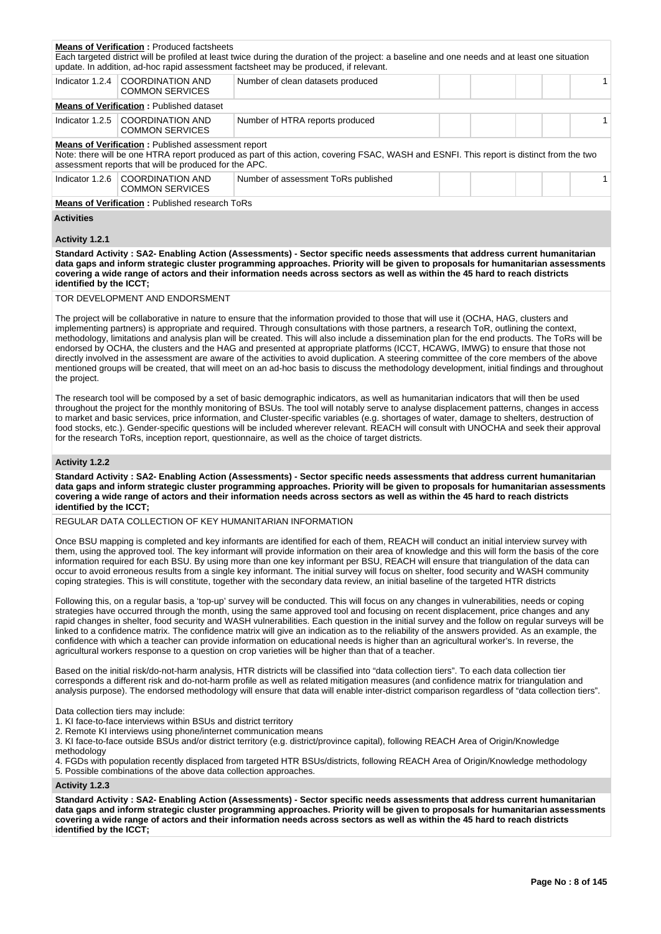|                                                                                                                                                                                                                                                                                                                                                                                                                                                                                                                                                                                                                                                                                                                                                                                                                                          | <b>Means of Verification: Produced factsheets</b>                                                                                                                                                                                                                                                                                                                                                                                         | Each targeted district will be profiled at least twice during the duration of the project: a baseline and one needs and at least one situation                                                                                                                                                                                                                                                                                                                                                                                                                                                                                                                                                                                                                                                                                                                    |  |  |  |  |              |  |
|------------------------------------------------------------------------------------------------------------------------------------------------------------------------------------------------------------------------------------------------------------------------------------------------------------------------------------------------------------------------------------------------------------------------------------------------------------------------------------------------------------------------------------------------------------------------------------------------------------------------------------------------------------------------------------------------------------------------------------------------------------------------------------------------------------------------------------------|-------------------------------------------------------------------------------------------------------------------------------------------------------------------------------------------------------------------------------------------------------------------------------------------------------------------------------------------------------------------------------------------------------------------------------------------|-------------------------------------------------------------------------------------------------------------------------------------------------------------------------------------------------------------------------------------------------------------------------------------------------------------------------------------------------------------------------------------------------------------------------------------------------------------------------------------------------------------------------------------------------------------------------------------------------------------------------------------------------------------------------------------------------------------------------------------------------------------------------------------------------------------------------------------------------------------------|--|--|--|--|--------------|--|
| Indicator $1.2.4$                                                                                                                                                                                                                                                                                                                                                                                                                                                                                                                                                                                                                                                                                                                                                                                                                        | <b>COORDINATION AND</b>                                                                                                                                                                                                                                                                                                                                                                                                                   | update. In addition, ad-hoc rapid assessment factsheet may be produced, if relevant.<br>Number of clean datasets produced                                                                                                                                                                                                                                                                                                                                                                                                                                                                                                                                                                                                                                                                                                                                         |  |  |  |  | $\mathbf{1}$ |  |
|                                                                                                                                                                                                                                                                                                                                                                                                                                                                                                                                                                                                                                                                                                                                                                                                                                          | <b>COMMON SERVICES</b>                                                                                                                                                                                                                                                                                                                                                                                                                    |                                                                                                                                                                                                                                                                                                                                                                                                                                                                                                                                                                                                                                                                                                                                                                                                                                                                   |  |  |  |  |              |  |
|                                                                                                                                                                                                                                                                                                                                                                                                                                                                                                                                                                                                                                                                                                                                                                                                                                          | <b>Means of Verification: Published dataset</b>                                                                                                                                                                                                                                                                                                                                                                                           |                                                                                                                                                                                                                                                                                                                                                                                                                                                                                                                                                                                                                                                                                                                                                                                                                                                                   |  |  |  |  |              |  |
| Indicator $1.2.5$                                                                                                                                                                                                                                                                                                                                                                                                                                                                                                                                                                                                                                                                                                                                                                                                                        | <b>COORDINATION AND</b><br><b>COMMON SERVICES</b>                                                                                                                                                                                                                                                                                                                                                                                         | Number of HTRA reports produced                                                                                                                                                                                                                                                                                                                                                                                                                                                                                                                                                                                                                                                                                                                                                                                                                                   |  |  |  |  | $\mathbf{1}$ |  |
|                                                                                                                                                                                                                                                                                                                                                                                                                                                                                                                                                                                                                                                                                                                                                                                                                                          | Means of Verification: Published assessment report<br>assessment reports that will be produced for the APC.                                                                                                                                                                                                                                                                                                                               | Note: there will be one HTRA report produced as part of this action, covering FSAC, WASH and ESNFI. This report is distinct from the two                                                                                                                                                                                                                                                                                                                                                                                                                                                                                                                                                                                                                                                                                                                          |  |  |  |  |              |  |
| Indicator 1.2.6                                                                                                                                                                                                                                                                                                                                                                                                                                                                                                                                                                                                                                                                                                                                                                                                                          | <b>COORDINATION AND</b><br><b>COMMON SERVICES</b>                                                                                                                                                                                                                                                                                                                                                                                         | Number of assessment ToRs published                                                                                                                                                                                                                                                                                                                                                                                                                                                                                                                                                                                                                                                                                                                                                                                                                               |  |  |  |  | $\mathbf{1}$ |  |
|                                                                                                                                                                                                                                                                                                                                                                                                                                                                                                                                                                                                                                                                                                                                                                                                                                          | <b>Means of Verification: Published research ToRs</b>                                                                                                                                                                                                                                                                                                                                                                                     |                                                                                                                                                                                                                                                                                                                                                                                                                                                                                                                                                                                                                                                                                                                                                                                                                                                                   |  |  |  |  |              |  |
| <b>Activities</b>                                                                                                                                                                                                                                                                                                                                                                                                                                                                                                                                                                                                                                                                                                                                                                                                                        |                                                                                                                                                                                                                                                                                                                                                                                                                                           |                                                                                                                                                                                                                                                                                                                                                                                                                                                                                                                                                                                                                                                                                                                                                                                                                                                                   |  |  |  |  |              |  |
| Activity 1.2.1                                                                                                                                                                                                                                                                                                                                                                                                                                                                                                                                                                                                                                                                                                                                                                                                                           |                                                                                                                                                                                                                                                                                                                                                                                                                                           |                                                                                                                                                                                                                                                                                                                                                                                                                                                                                                                                                                                                                                                                                                                                                                                                                                                                   |  |  |  |  |              |  |
| identified by the ICCT;                                                                                                                                                                                                                                                                                                                                                                                                                                                                                                                                                                                                                                                                                                                                                                                                                  |                                                                                                                                                                                                                                                                                                                                                                                                                                           | Standard Activity: SA2- Enabling Action (Assessments) - Sector specific needs assessments that address current humanitarian<br>data gaps and inform strategic cluster programming approaches. Priority will be given to proposals for humanitarian assessments<br>covering a wide range of actors and their information needs across sectors as well as within the 45 hard to reach districts                                                                                                                                                                                                                                                                                                                                                                                                                                                                     |  |  |  |  |              |  |
|                                                                                                                                                                                                                                                                                                                                                                                                                                                                                                                                                                                                                                                                                                                                                                                                                                          | TOR DEVELOPMENT AND ENDORSMENT                                                                                                                                                                                                                                                                                                                                                                                                            |                                                                                                                                                                                                                                                                                                                                                                                                                                                                                                                                                                                                                                                                                                                                                                                                                                                                   |  |  |  |  |              |  |
| the project.                                                                                                                                                                                                                                                                                                                                                                                                                                                                                                                                                                                                                                                                                                                                                                                                                             |                                                                                                                                                                                                                                                                                                                                                                                                                                           | The project will be collaborative in nature to ensure that the information provided to those that will use it (OCHA, HAG, clusters and<br>implementing partners) is appropriate and required. Through consultations with those partners, a research ToR, outlining the context,<br>methodology, limitations and analysis plan will be created. This will also include a dissemination plan for the end products. The ToRs will be<br>endorsed by OCHA, the clusters and the HAG and presented at appropriate platforms (ICCT, HCAWG, IMWG) to ensure that those not<br>directly involved in the assessment are aware of the activities to avoid duplication. A steering committee of the core members of the above<br>mentioned groups will be created, that will meet on an ad-hoc basis to discuss the methodology development, initial findings and throughout |  |  |  |  |              |  |
|                                                                                                                                                                                                                                                                                                                                                                                                                                                                                                                                                                                                                                                                                                                                                                                                                                          |                                                                                                                                                                                                                                                                                                                                                                                                                                           | The research tool will be composed by a set of basic demographic indicators, as well as humanitarian indicators that will then be used<br>throughout the project for the monthly monitoring of BSUs. The tool will notably serve to analyse displacement patterns, changes in access<br>to market and basic services, price information, and Cluster-specific variables (e.g. shortages of water, damage to shelters, destruction of<br>food stocks, etc.). Gender-specific questions will be included wherever relevant. REACH will consult with UNOCHA and seek their approval<br>for the research ToRs, inception report, questionnaire, as well as the choice of target districts.                                                                                                                                                                            |  |  |  |  |              |  |
| Activity 1.2.2                                                                                                                                                                                                                                                                                                                                                                                                                                                                                                                                                                                                                                                                                                                                                                                                                           |                                                                                                                                                                                                                                                                                                                                                                                                                                           |                                                                                                                                                                                                                                                                                                                                                                                                                                                                                                                                                                                                                                                                                                                                                                                                                                                                   |  |  |  |  |              |  |
| identified by the ICCT;                                                                                                                                                                                                                                                                                                                                                                                                                                                                                                                                                                                                                                                                                                                                                                                                                  |                                                                                                                                                                                                                                                                                                                                                                                                                                           | Standard Activity: SA2- Enabling Action (Assessments) - Sector specific needs assessments that address current humanitarian<br>data gaps and inform strategic cluster programming approaches. Priority will be given to proposals for humanitarian assessments<br>covering a wide range of actors and their information needs across sectors as well as within the 45 hard to reach districts                                                                                                                                                                                                                                                                                                                                                                                                                                                                     |  |  |  |  |              |  |
|                                                                                                                                                                                                                                                                                                                                                                                                                                                                                                                                                                                                                                                                                                                                                                                                                                          |                                                                                                                                                                                                                                                                                                                                                                                                                                           | REGULAR DATA COLLECTION OF KEY HUMANITARIAN INFORMATION                                                                                                                                                                                                                                                                                                                                                                                                                                                                                                                                                                                                                                                                                                                                                                                                           |  |  |  |  |              |  |
|                                                                                                                                                                                                                                                                                                                                                                                                                                                                                                                                                                                                                                                                                                                                                                                                                                          |                                                                                                                                                                                                                                                                                                                                                                                                                                           | Once BSU mapping is completed and key informants are identified for each of them, REACH will conduct an initial interview survey with<br>them, using the approved tool. The key informant will provide information on their area of knowledge and this will form the basis of the core<br>information required for each BSU. By using more than one key informant per BSU, REACH will ensure that triangulation of the data can<br>occur to avoid erroneous results from a single key informant. The initial survey will focus on shelter, food security and WASH community<br>coping strategies. This is will constitute, together with the secondary data review, an initial baseline of the targeted HTR districts                                                                                                                                             |  |  |  |  |              |  |
| Following this, on a regular basis, a 'top-up' survey will be conducted. This will focus on any changes in vulnerabilities, needs or coping<br>strategies have occurred through the month, using the same approved tool and focusing on recent displacement, price changes and any<br>rapid changes in shelter, food security and WASH vulnerabilities. Each question in the initial survey and the follow on regular surveys will be<br>linked to a confidence matrix. The confidence matrix will give an indication as to the reliability of the answers provided. As an example, the<br>confidence with which a teacher can provide information on educational needs is higher than an agricultural worker's. In reverse, the<br>agricultural workers response to a question on crop varieties will be higher than that of a teacher. |                                                                                                                                                                                                                                                                                                                                                                                                                                           |                                                                                                                                                                                                                                                                                                                                                                                                                                                                                                                                                                                                                                                                                                                                                                                                                                                                   |  |  |  |  |              |  |
|                                                                                                                                                                                                                                                                                                                                                                                                                                                                                                                                                                                                                                                                                                                                                                                                                                          | Based on the initial risk/do-not-harm analysis, HTR districts will be classified into "data collection tiers". To each data collection tier<br>corresponds a different risk and do-not-harm profile as well as related mitigation measures (and confidence matrix for triangulation and<br>analysis purpose). The endorsed methodology will ensure that data will enable inter-district comparison regardless of "data collection tiers". |                                                                                                                                                                                                                                                                                                                                                                                                                                                                                                                                                                                                                                                                                                                                                                                                                                                                   |  |  |  |  |              |  |
| methodology                                                                                                                                                                                                                                                                                                                                                                                                                                                                                                                                                                                                                                                                                                                                                                                                                              | Data collection tiers may include:<br>1. KI face-to-face interviews within BSUs and district territory<br>2. Remote KI interviews using phone/internet communication means<br>5. Possible combinations of the above data collection approaches.                                                                                                                                                                                           | 3. KI face-to-face outside BSUs and/or district territory (e.g. district/province capital), following REACH Area of Origin/Knowledge<br>4. FGDs with population recently displaced from targeted HTR BSUs/districts, following REACH Area of Origin/Knowledge methodology                                                                                                                                                                                                                                                                                                                                                                                                                                                                                                                                                                                         |  |  |  |  |              |  |
| Activity 1.2.3                                                                                                                                                                                                                                                                                                                                                                                                                                                                                                                                                                                                                                                                                                                                                                                                                           |                                                                                                                                                                                                                                                                                                                                                                                                                                           |                                                                                                                                                                                                                                                                                                                                                                                                                                                                                                                                                                                                                                                                                                                                                                                                                                                                   |  |  |  |  |              |  |
|                                                                                                                                                                                                                                                                                                                                                                                                                                                                                                                                                                                                                                                                                                                                                                                                                                          |                                                                                                                                                                                                                                                                                                                                                                                                                                           | Standard Activity: SA2- Enabling Action (Assessments) - Sector specific needs assessments that address current humanitarian<br>data gans and inform strategic cluster programming approaches. Priority will be given to proposals for humanitarian assessments                                                                                                                                                                                                                                                                                                                                                                                                                                                                                                                                                                                                    |  |  |  |  |              |  |

**data gaps and inform strategic cluster programming approaches. Priority will be given to proposals for humanitarian assessments covering a wide range of actors and their information needs across sectors as well as within the 45 hard to reach districts identified by the ICCT;**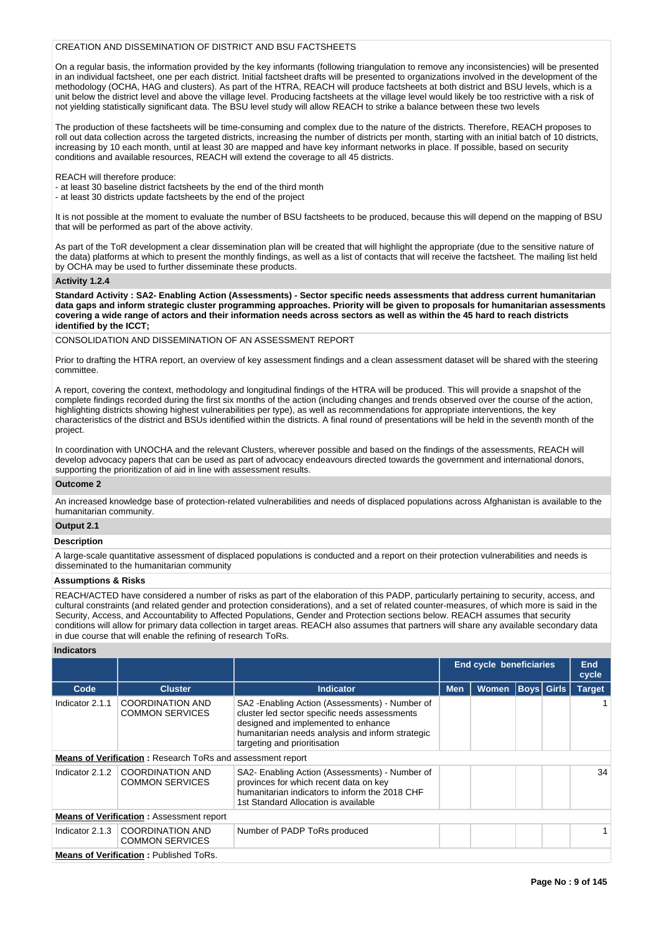# CREATION AND DISSEMINATION OF DISTRICT AND BSU FACTSHEETS

On a regular basis, the information provided by the key informants (following triangulation to remove any inconsistencies) will be presented in an individual factsheet, one per each district. Initial factsheet drafts will be presented to organizations involved in the development of the methodology (OCHA, HAG and clusters). As part of the HTRA, REACH will produce factsheets at both district and BSU levels, which is a unit below the district level and above the village level. Producing factsheets at the village level would likely be too restrictive with a risk of not yielding statistically significant data. The BSU level study will allow REACH to strike a balance between these two levels

The production of these factsheets will be time-consuming and complex due to the nature of the districts. Therefore, REACH proposes to roll out data collection across the targeted districts, increasing the number of districts per month, starting with an initial batch of 10 districts, increasing by 10 each month, until at least 30 are mapped and have key informant networks in place. If possible, based on security conditions and available resources, REACH will extend the coverage to all 45 districts.

REACH will therefore produce:

- at least 30 baseline district factsheets by the end of the third month

- at least 30 districts update factsheets by the end of the project

It is not possible at the moment to evaluate the number of BSU factsheets to be produced, because this will depend on the mapping of BSU that will be performed as part of the above activity.

As part of the ToR development a clear dissemination plan will be created that will highlight the appropriate (due to the sensitive nature of the data) platforms at which to present the monthly findings, as well as a list of contacts that will receive the factsheet. The mailing list held by OCHA may be used to further disseminate these products.

#### **Activity 1.2.4**

**Standard Activity : SA2- Enabling Action (Assessments) - Sector specific needs assessments that address current humanitarian data gaps and inform strategic cluster programming approaches. Priority will be given to proposals for humanitarian assessments covering a wide range of actors and their information needs across sectors as well as within the 45 hard to reach districts identified by the ICCT;**

CONSOLIDATION AND DISSEMINATION OF AN ASSESSMENT REPORT

Prior to drafting the HTRA report, an overview of key assessment findings and a clean assessment dataset will be shared with the steering committee.

A report, covering the context, methodology and longitudinal findings of the HTRA will be produced. This will provide a snapshot of the complete findings recorded during the first six months of the action (including changes and trends observed over the course of the action, highlighting districts showing highest vulnerabilities per type), as well as recommendations for appropriate interventions, the key characteristics of the district and BSUs identified within the districts. A final round of presentations will be held in the seventh month of the project.

In coordination with UNOCHA and the relevant Clusters, wherever possible and based on the findings of the assessments, REACH will develop advocacy papers that can be used as part of advocacy endeavours directed towards the government and international donors, supporting the prioritization of aid in line with assessment results.

# **Outcome 2**

An increased knowledge base of protection-related vulnerabilities and needs of displaced populations across Afghanistan is available to the humanitarian community.

# **Output 2.1**

# **Description**

A large-scale quantitative assessment of displaced populations is conducted and a report on their protection vulnerabilities and needs is disseminated to the humanitarian community

# **Assumptions & Risks**

REACH/ACTED have considered a number of risks as part of the elaboration of this PADP, particularly pertaining to security, access, and cultural constraints (and related gender and protection considerations), and a set of related counter-measures, of which more is said in the Security, Access, and Accountability to Affected Populations, Gender and Protection sections below. REACH assumes that security conditions will allow for primary data collection in target areas. REACH also assumes that partners will share any available secondary data in due course that will enable the refining of research ToRs.

# **Indicators**

|                 |                                                                   |                                                                                                                                                                                                                             | <b>End cycle beneficiaries</b> |              |                   |  | End<br>cycle  |
|-----------------|-------------------------------------------------------------------|-----------------------------------------------------------------------------------------------------------------------------------------------------------------------------------------------------------------------------|--------------------------------|--------------|-------------------|--|---------------|
| Code            | <b>Cluster</b>                                                    | <b>Indicator</b>                                                                                                                                                                                                            | <b>Men</b>                     | <b>Women</b> | <b>Boys Girls</b> |  | <b>Target</b> |
| Indicator 2.1.1 | <b>COORDINATION AND</b><br><b>COMMON SERVICES</b>                 | SA2 - Enabling Action (Assessments) - Number of<br>cluster led sector specific needs assessments<br>designed and implemented to enhance<br>humanitarian needs analysis and inform strategic<br>targeting and prioritisation |                                |              |                   |  |               |
|                 | <b>Means of Verification: Research ToRs and assessment report</b> |                                                                                                                                                                                                                             |                                |              |                   |  |               |
| Indicator 2.1.2 | <b>COORDINATION AND</b><br><b>COMMON SERVICES</b>                 | SA2- Enabling Action (Assessments) - Number of<br>provinces for which recent data on key<br>humanitarian indicators to inform the 2018 CHF<br>1st Standard Allocation is available                                          |                                |              |                   |  | 34            |
|                 | <b>Means of Verification: Assessment report</b>                   |                                                                                                                                                                                                                             |                                |              |                   |  |               |
| Indicator 2.1.3 | COORDINATION AND<br><b>COMMON SERVICES</b>                        | Number of PADP ToRs produced                                                                                                                                                                                                |                                |              |                   |  |               |
|                 | <b>Means of Verification: Published ToRs.</b>                     |                                                                                                                                                                                                                             |                                |              |                   |  |               |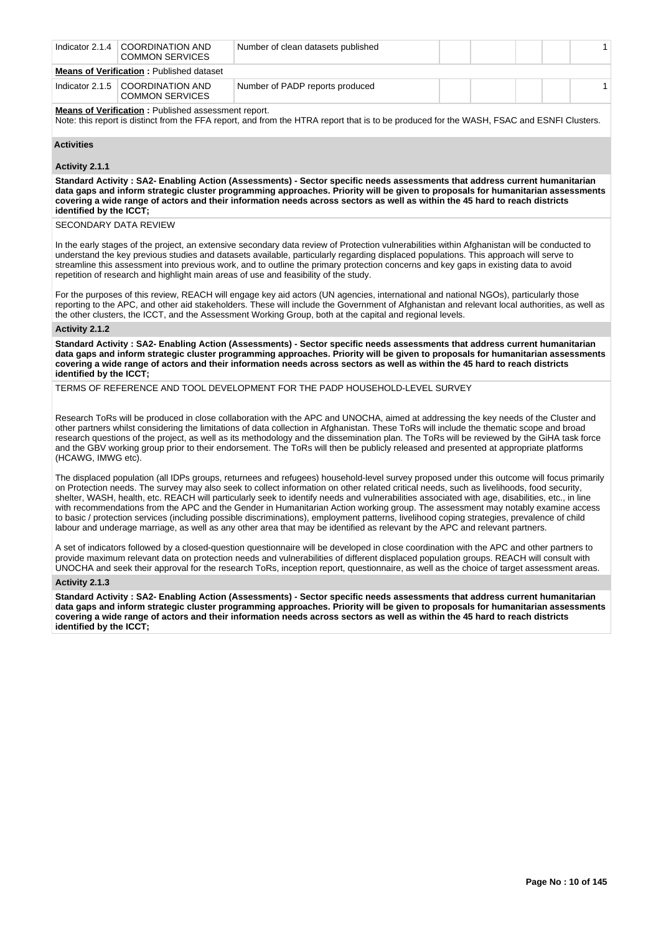| Indicator $2.1.4$                               | COORDINATION AND<br><b>COMMON SERVICES</b>                          | Number of clean datasets published |  |  |  |  |  |  |
|-------------------------------------------------|---------------------------------------------------------------------|------------------------------------|--|--|--|--|--|--|
| <b>Means of Verification: Published dataset</b> |                                                                     |                                    |  |  |  |  |  |  |
|                                                 | Indicator $2.1.5$ $\mid$ COORDINATION AND<br><b>COMMON SERVICES</b> | Number of PADP reports produced    |  |  |  |  |  |  |

**Means of Verification : Published assessment report.** 

Note: this report is distinct from the FFA report, and from the HTRA report that is to be produced for the WASH, FSAC and ESNFI Clusters.

# **Activities**

# **Activity 2.1.1**

**Standard Activity : SA2- Enabling Action (Assessments) - Sector specific needs assessments that address current humanitarian data gaps and inform strategic cluster programming approaches. Priority will be given to proposals for humanitarian assessments covering a wide range of actors and their information needs across sectors as well as within the 45 hard to reach districts identified by the ICCT;**

SECONDARY DATA REVIEW

In the early stages of the project, an extensive secondary data review of Protection vulnerabilities within Afghanistan will be conducted to understand the key previous studies and datasets available, particularly regarding displaced populations. This approach will serve to streamline this assessment into previous work, and to outline the primary protection concerns and key gaps in existing data to avoid repetition of research and highlight main areas of use and feasibility of the study.

For the purposes of this review, REACH will engage key aid actors (UN agencies, international and national NGOs), particularly those reporting to the APC, and other aid stakeholders. These will include the Government of Afghanistan and relevant local authorities, as well as the other clusters, the ICCT, and the Assessment Working Group, both at the capital and regional levels.

#### **Activity 2.1.2**

**Standard Activity : SA2- Enabling Action (Assessments) - Sector specific needs assessments that address current humanitarian data gaps and inform strategic cluster programming approaches. Priority will be given to proposals for humanitarian assessments covering a wide range of actors and their information needs across sectors as well as within the 45 hard to reach districts identified by the ICCT;**

TERMS OF REFERENCE AND TOOL DEVELOPMENT FOR THE PADP HOUSEHOLD-LEVEL SURVEY

Research ToRs will be produced in close collaboration with the APC and UNOCHA, aimed at addressing the key needs of the Cluster and other partners whilst considering the limitations of data collection in Afghanistan. These ToRs will include the thematic scope and broad research questions of the project, as well as its methodology and the dissemination plan. The ToRs will be reviewed by the GiHA task force and the GBV working group prior to their endorsement. The ToRs will then be publicly released and presented at appropriate platforms (HCAWG, IMWG etc).

The displaced population (all IDPs groups, returnees and refugees) household-level survey proposed under this outcome will focus primarily on Protection needs. The survey may also seek to collect information on other related critical needs, such as livelihoods, food security, shelter, WASH, health, etc. REACH will particularly seek to identify needs and vulnerabilities associated with age, disabilities, etc., in line with recommendations from the APC and the Gender in Humanitarian Action working group. The assessment may notably examine access to basic / protection services (including possible discriminations), employment patterns, livelihood coping strategies, prevalence of child labour and underage marriage, as well as any other area that may be identified as relevant by the APC and relevant partners.

A set of indicators followed by a closed-question questionnaire will be developed in close coordination with the APC and other partners to provide maximum relevant data on protection needs and vulnerabilities of different displaced population groups. REACH will consult with UNOCHA and seek their approval for the research ToRs, inception report, questionnaire, as well as the choice of target assessment areas.

#### **Activity 2.1.3**

**Standard Activity : SA2- Enabling Action (Assessments) - Sector specific needs assessments that address current humanitarian data gaps and inform strategic cluster programming approaches. Priority will be given to proposals for humanitarian assessments covering a wide range of actors and their information needs across sectors as well as within the 45 hard to reach districts identified by the ICCT;**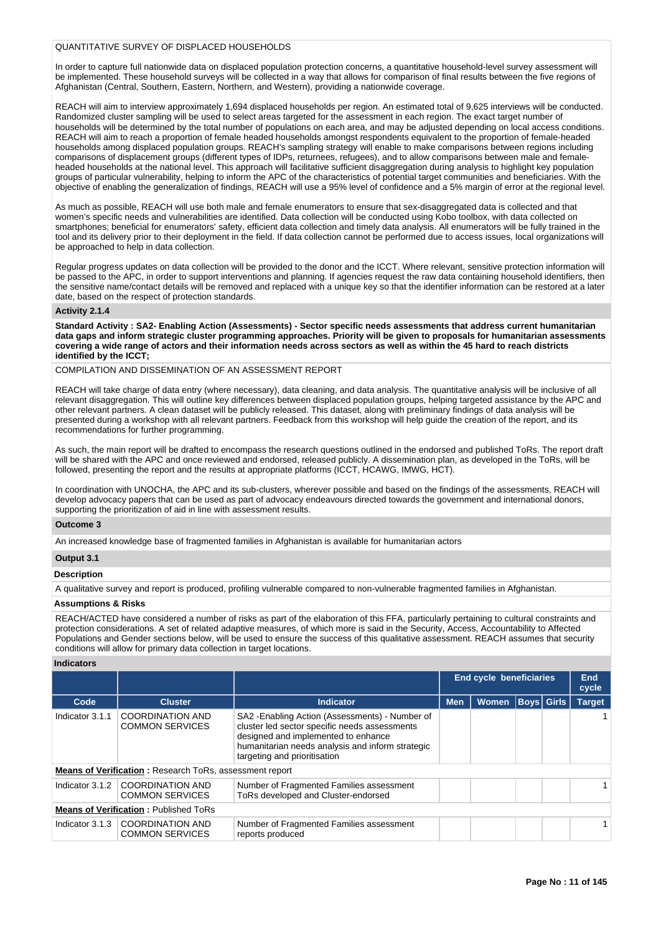# QUANTITATIVE SURVEY OF DISPLACED HOUSEHOLDS

In order to capture full nationwide data on displaced population protection concerns, a quantitative household-level survey assessment will be implemented. These household surveys will be collected in a way that allows for comparison of final results between the five regions of Afghanistan (Central, Southern, Eastern, Northern, and Western), providing a nationwide coverage.

REACH will aim to interview approximately 1,694 displaced households per region. An estimated total of 9,625 interviews will be conducted. Randomized cluster sampling will be used to select areas targeted for the assessment in each region. The exact target number of households will be determined by the total number of populations on each area, and may be adjusted depending on local access conditions. REACH will aim to reach a proportion of female headed households amongst respondents equivalent to the proportion of female-headed households among displaced population groups. REACH's sampling strategy will enable to make comparisons between regions including comparisons of displacement groups (different types of IDPs, returnees, refugees), and to allow comparisons between male and femaleheaded households at the national level. This approach will facilitative sufficient disaggregation during analysis to highlight key population groups of particular vulnerability, helping to inform the APC of the characteristics of potential target communities and beneficiaries. With the objective of enabling the generalization of findings, REACH will use a 95% level of confidence and a 5% margin of error at the regional level.

As much as possible, REACH will use both male and female enumerators to ensure that sex-disaggregated data is collected and that women's specific needs and vulnerabilities are identified. Data collection will be conducted using Kobo toolbox, with data collected on smartphones; beneficial for enumerators' safety, efficient data collection and timely data analysis. All enumerators will be fully trained in the tool and its delivery prior to their deployment in the field. If data collection cannot be performed due to access issues, local organizations will be approached to help in data collection.

Regular progress updates on data collection will be provided to the donor and the ICCT. Where relevant, sensitive protection information will be passed to the APC, in order to support interventions and planning. If agencies request the raw data containing household identifiers, then the sensitive name/contact details will be removed and replaced with a unique key so that the identifier information can be restored at a later date, based on the respect of protection standards.

## **Activity 2.1.4**

**Standard Activity : SA2- Enabling Action (Assessments) - Sector specific needs assessments that address current humanitarian data gaps and inform strategic cluster programming approaches. Priority will be given to proposals for humanitarian assessments covering a wide range of actors and their information needs across sectors as well as within the 45 hard to reach districts identified by the ICCT;**

COMPILATION AND DISSEMINATION OF AN ASSESSMENT REPORT

REACH will take charge of data entry (where necessary), data cleaning, and data analysis. The quantitative analysis will be inclusive of all relevant disaggregation. This will outline key differences between displaced population groups, helping targeted assistance by the APC and other relevant partners. A clean dataset will be publicly released. This dataset, along with preliminary findings of data analysis will be presented during a workshop with all relevant partners. Feedback from this workshop will help guide the creation of the report, and its recommendations for further programming.

As such, the main report will be drafted to encompass the research questions outlined in the endorsed and published ToRs. The report draft will be shared with the APC and once reviewed and endorsed, released publicly. A dissemination plan, as developed in the ToRs, will be followed, presenting the report and the results at appropriate platforms (ICCT, HCAWG, IMWG, HCT).

In coordination with UNOCHA, the APC and its sub-clusters, wherever possible and based on the findings of the assessments, REACH will develop advocacy papers that can be used as part of advocacy endeavours directed towards the government and international donors, supporting the prioritization of aid in line with assessment results.

#### **Outcome 3**

An increased knowledge base of fragmented families in Afghanistan is available for humanitarian actors

#### **Output 3.1**

#### **Description**

A qualitative survey and report is produced, profiling vulnerable compared to non-vulnerable fragmented families in Afghanistan.

#### **Assumptions & Risks**

REACH/ACTED have considered a number of risks as part of the elaboration of this FFA, particularly pertaining to cultural constraints and protection considerations. A set of related adaptive measures, of which more is said in the Security, Access, Accountability to Affected Populations and Gender sections below, will be used to ensure the success of this qualitative assessment. REACH assumes that security conditions will allow for primary data collection in target locations.

# **Indicators**

|                                              |                                                                |                                                                                                                                                                                                                             | <b>End cycle beneficiaries</b> |              |  | <b>End</b><br>cycle |               |
|----------------------------------------------|----------------------------------------------------------------|-----------------------------------------------------------------------------------------------------------------------------------------------------------------------------------------------------------------------------|--------------------------------|--------------|--|---------------------|---------------|
| Code                                         | <b>Cluster</b>                                                 | Indicator                                                                                                                                                                                                                   | <b>Men</b>                     | <b>Women</b> |  | <b>Boys</b> Girls   | <b>Target</b> |
| Indicator 3.1.1                              | <b>COORDINATION AND</b><br><b>COMMON SERVICES</b>              | SA2 - Enabling Action (Assessments) - Number of<br>cluster led sector specific needs assessments<br>designed and implemented to enhance<br>humanitarian needs analysis and inform strategic<br>targeting and prioritisation |                                |              |  |                     |               |
|                                              | <b>Means of Verification:</b> Research ToRs, assessment report |                                                                                                                                                                                                                             |                                |              |  |                     |               |
| Indicator 3.1.2                              | <b>COORDINATION AND</b><br><b>COMMON SERVICES</b>              | Number of Fragmented Families assessment<br>ToRs developed and Cluster-endorsed                                                                                                                                             |                                |              |  |                     |               |
| <b>Means of Verification: Published ToRs</b> |                                                                |                                                                                                                                                                                                                             |                                |              |  |                     |               |
| Indicator 3.1.3                              | <b>COORDINATION AND</b><br><b>COMMON SERVICES</b>              | Number of Fragmented Families assessment<br>reports produced                                                                                                                                                                |                                |              |  |                     |               |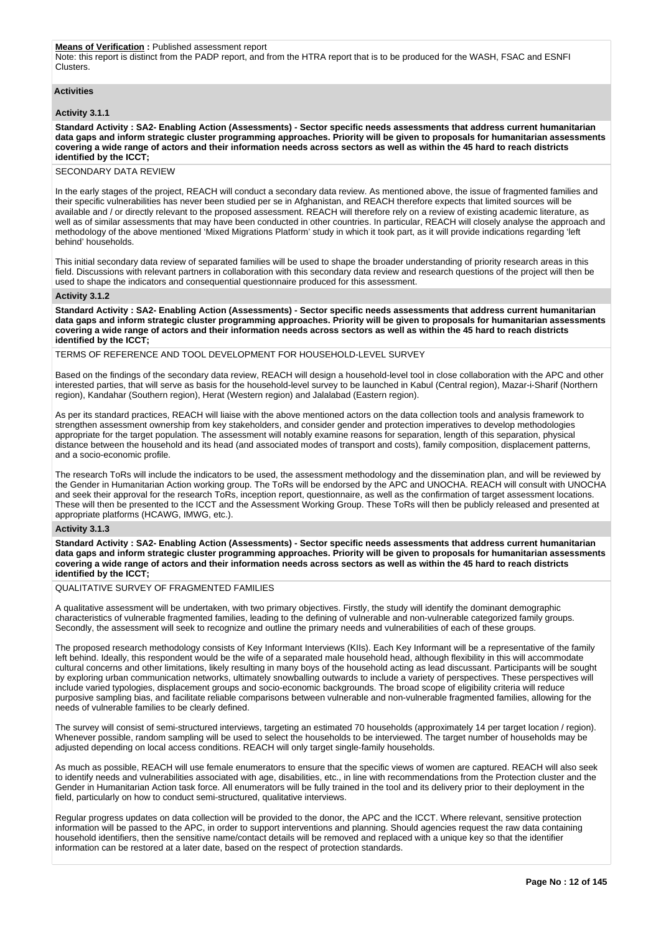#### **Means of Verification :** Published assessment report

Note: this report is distinct from the PADP report, and from the HTRA report that is to be produced for the WASH, FSAC and ESNFI Clusters.

# **Activities**

#### **Activity 3.1.1**

**Standard Activity : SA2- Enabling Action (Assessments) - Sector specific needs assessments that address current humanitarian data gaps and inform strategic cluster programming approaches. Priority will be given to proposals for humanitarian assessments covering a wide range of actors and their information needs across sectors as well as within the 45 hard to reach districts identified by the ICCT;**

#### SECONDARY DATA REVIEW

In the early stages of the project, REACH will conduct a secondary data review. As mentioned above, the issue of fragmented families and their specific vulnerabilities has never been studied per se in Afghanistan, and REACH therefore expects that limited sources will be available and / or directly relevant to the proposed assessment. REACH will therefore rely on a review of existing academic literature, as well as of similar assessments that may have been conducted in other countries. In particular, REACH will closely analyse the approach and methodology of the above mentioned 'Mixed Migrations Platform' study in which it took part, as it will provide indications regarding 'left behind' households.

This initial secondary data review of separated families will be used to shape the broader understanding of priority research areas in this field. Discussions with relevant partners in collaboration with this secondary data review and research questions of the project will then be used to shape the indicators and consequential questionnaire produced for this assessment.

#### **Activity 3.1.2**

**Standard Activity : SA2- Enabling Action (Assessments) - Sector specific needs assessments that address current humanitarian data gaps and inform strategic cluster programming approaches. Priority will be given to proposals for humanitarian assessments covering a wide range of actors and their information needs across sectors as well as within the 45 hard to reach districts identified by the ICCT;**

#### TERMS OF REFERENCE AND TOOL DEVELOPMENT FOR HOUSEHOLD-LEVEL SURVEY

Based on the findings of the secondary data review, REACH will design a household-level tool in close collaboration with the APC and other interested parties, that will serve as basis for the household-level survey to be launched in Kabul (Central region), Mazar-i-Sharif (Northern region), Kandahar (Southern region), Herat (Western region) and Jalalabad (Eastern region).

As per its standard practices, REACH will liaise with the above mentioned actors on the data collection tools and analysis framework to strengthen assessment ownership from key stakeholders, and consider gender and protection imperatives to develop methodologies appropriate for the target population. The assessment will notably examine reasons for separation, length of this separation, physical distance between the household and its head (and associated modes of transport and costs), family composition, displacement patterns, and a socio-economic profile.

The research ToRs will include the indicators to be used, the assessment methodology and the dissemination plan, and will be reviewed by the Gender in Humanitarian Action working group. The ToRs will be endorsed by the APC and UNOCHA. REACH will consult with UNOCHA and seek their approval for the research ToRs, inception report, questionnaire, as well as the confirmation of target assessment locations. These will then be presented to the ICCT and the Assessment Working Group. These ToRs will then be publicly released and presented at appropriate platforms (HCAWG, IMWG, etc.).

# **Activity 3.1.3**

**Standard Activity : SA2- Enabling Action (Assessments) - Sector specific needs assessments that address current humanitarian data gaps and inform strategic cluster programming approaches. Priority will be given to proposals for humanitarian assessments covering a wide range of actors and their information needs across sectors as well as within the 45 hard to reach districts identified by the ICCT;**

## QUALITATIVE SURVEY OF FRAGMENTED FAMILIES

A qualitative assessment will be undertaken, with two primary objectives. Firstly, the study will identify the dominant demographic characteristics of vulnerable fragmented families, leading to the defining of vulnerable and non-vulnerable categorized family groups. Secondly, the assessment will seek to recognize and outline the primary needs and vulnerabilities of each of these groups.

The proposed research methodology consists of Key Informant Interviews (KIIs). Each Key Informant will be a representative of the family left behind. Ideally, this respondent would be the wife of a separated male household head, although flexibility in this will accommodate cultural concerns and other limitations, likely resulting in many boys of the household acting as lead discussant. Participants will be sought by exploring urban communication networks, ultimately snowballing outwards to include a variety of perspectives. These perspectives will include varied typologies, displacement groups and socio-economic backgrounds. The broad scope of eligibility criteria will reduce purposive sampling bias, and facilitate reliable comparisons between vulnerable and non-vulnerable fragmented families, allowing for the needs of vulnerable families to be clearly defined.

The survey will consist of semi-structured interviews, targeting an estimated 70 households (approximately 14 per target location / region). Whenever possible, random sampling will be used to select the households to be interviewed. The target number of households may be adjusted depending on local access conditions. REACH will only target single-family households.

As much as possible, REACH will use female enumerators to ensure that the specific views of women are captured. REACH will also seek to identify needs and vulnerabilities associated with age, disabilities, etc., in line with recommendations from the Protection cluster and the Gender in Humanitarian Action task force. All enumerators will be fully trained in the tool and its delivery prior to their deployment in the field, particularly on how to conduct semi-structured, qualitative interviews.

Regular progress updates on data collection will be provided to the donor, the APC and the ICCT. Where relevant, sensitive protection information will be passed to the APC, in order to support interventions and planning. Should agencies request the raw data containing household identifiers, then the sensitive name/contact details will be removed and replaced with a unique key so that the identifier information can be restored at a later date, based on the respect of protection standards.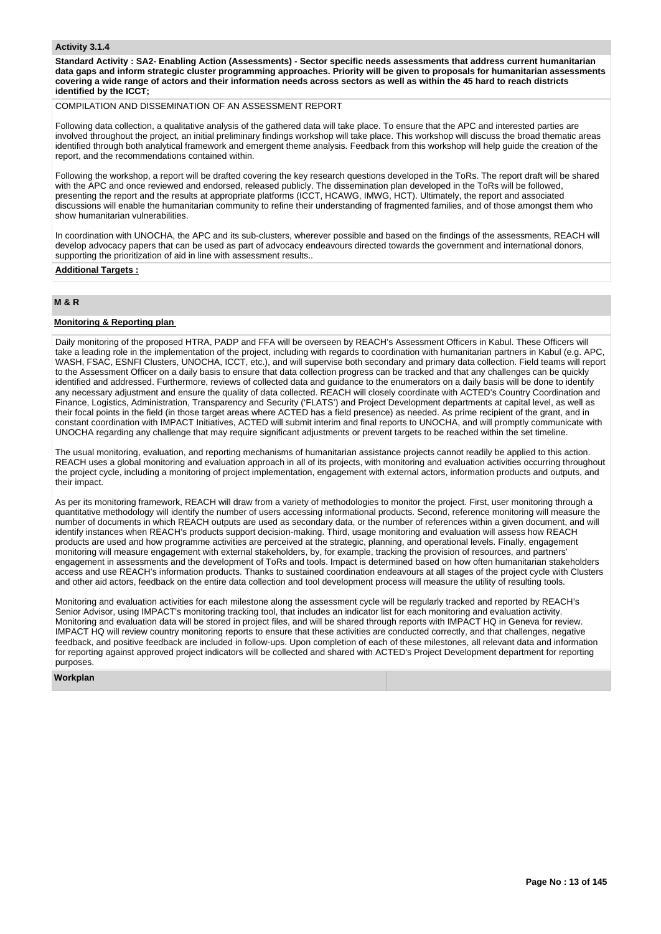## **Activity 3.1.4**

**Standard Activity : SA2- Enabling Action (Assessments) - Sector specific needs assessments that address current humanitarian data gaps and inform strategic cluster programming approaches. Priority will be given to proposals for humanitarian assessments covering a wide range of actors and their information needs across sectors as well as within the 45 hard to reach districts identified by the ICCT;**

# COMPILATION AND DISSEMINATION OF AN ASSESSMENT REPORT

Following data collection, a qualitative analysis of the gathered data will take place. To ensure that the APC and interested parties are involved throughout the project, an initial preliminary findings workshop will take place. This workshop will discuss the broad thematic areas identified through both analytical framework and emergent theme analysis. Feedback from this workshop will help guide the creation of the report, and the recommendations contained within.

Following the workshop, a report will be drafted covering the key research questions developed in the ToRs. The report draft will be shared with the APC and once reviewed and endorsed, released publicly. The dissemination plan developed in the ToRs will be followed, presenting the report and the results at appropriate platforms (ICCT, HCAWG, IMWG, HCT). Ultimately, the report and associated discussions will enable the humanitarian community to refine their understanding of fragmented families, and of those amongst them who show humanitarian vulnerabilities.

In coordination with UNOCHA, the APC and its sub-clusters, wherever possible and based on the findings of the assessments, REACH will develop advocacy papers that can be used as part of advocacy endeavours directed towards the government and international donors, supporting the prioritization of aid in line with assessment results..

## **Additional Targets :**

# **M & R**

# **Monitoring & Reporting plan**

Daily monitoring of the proposed HTRA, PADP and FFA will be overseen by REACH's Assessment Officers in Kabul. These Officers will take a leading role in the implementation of the project, including with regards to coordination with humanitarian partners in Kabul (e.g. APC, WASH, FSAC, ESNFI Clusters, UNOCHA, ICCT, etc.), and will supervise both secondary and primary data collection. Field teams will report to the Assessment Officer on a daily basis to ensure that data collection progress can be tracked and that any challenges can be quickly identified and addressed. Furthermore, reviews of collected data and guidance to the enumerators on a daily basis will be done to identify any necessary adjustment and ensure the quality of data collected. REACH will closely coordinate with ACTED's Country Coordination and Finance, Logistics, Administration, Transparency and Security ('FLATS') and Project Development departments at capital level, as well as their focal points in the field (in those target areas where ACTED has a field presence) as needed. As prime recipient of the grant, and in constant coordination with IMPACT Initiatives, ACTED will submit interim and final reports to UNOCHA, and will promptly communicate with UNOCHA regarding any challenge that may require significant adjustments or prevent targets to be reached within the set timeline.

The usual monitoring, evaluation, and reporting mechanisms of humanitarian assistance projects cannot readily be applied to this action. REACH uses a global monitoring and evaluation approach in all of its projects, with monitoring and evaluation activities occurring throughout the project cycle, including a monitoring of project implementation, engagement with external actors, information products and outputs, and their impact.

As per its monitoring framework, REACH will draw from a variety of methodologies to monitor the project. First, user monitoring through a quantitative methodology will identify the number of users accessing informational products. Second, reference monitoring will measure the number of documents in which REACH outputs are used as secondary data, or the number of references within a given document, and will identify instances when REACH's products support decision-making. Third, usage monitoring and evaluation will assess how REACH products are used and how programme activities are perceived at the strategic, planning, and operational levels. Finally, engagement monitoring will measure engagement with external stakeholders, by, for example, tracking the provision of resources, and partners' engagement in assessments and the development of ToRs and tools. Impact is determined based on how often humanitarian stakeholders access and use REACH's information products. Thanks to sustained coordination endeavours at all stages of the project cycle with Clusters and other aid actors, feedback on the entire data collection and tool development process will measure the utility of resulting tools.

Monitoring and evaluation activities for each milestone along the assessment cycle will be regularly tracked and reported by REACH's Senior Advisor, using IMPACT's monitoring tracking tool, that includes an indicator list for each monitoring and evaluation activity. Monitoring and evaluation data will be stored in project files, and will be shared through reports with IMPACT HQ in Geneva for review. IMPACT HQ will review country monitoring reports to ensure that these activities are conducted correctly, and that challenges, negative feedback, and positive feedback are included in follow-ups. Upon completion of each of these milestones, all relevant data and information for reporting against approved project indicators will be collected and shared with ACTED's Project Development department for reporting purposes.

## **Workplan**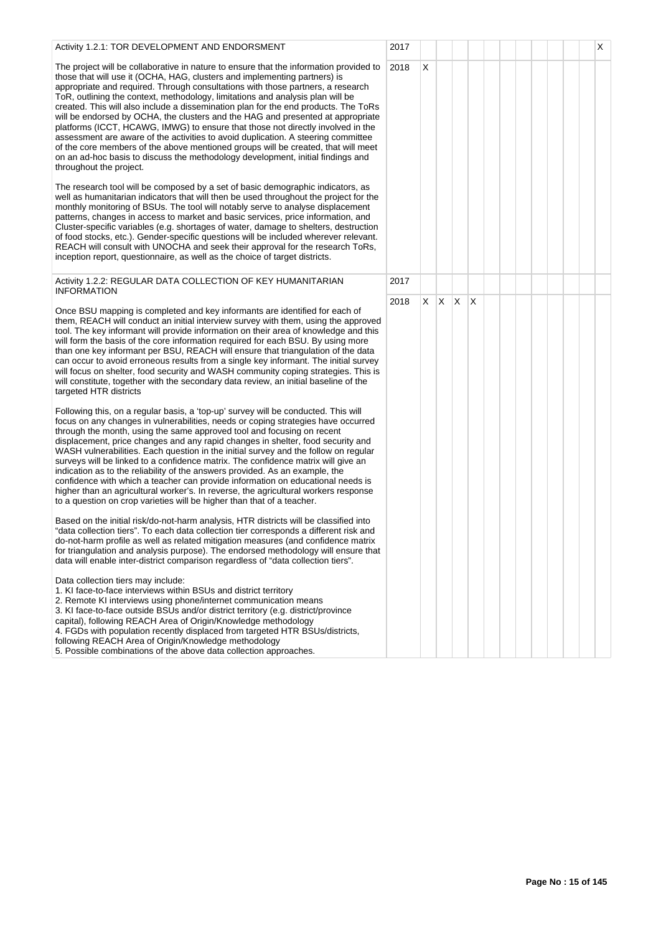| Activity 1.2.1: TOR DEVELOPMENT AND ENDORSMENT                                                                                                                                                                                                                                                                                                                                                                                                                                                                                                                                                                                                                                                                                                                                                                                                                                                | 2017 |    |              |              |   |  |  |  | X |
|-----------------------------------------------------------------------------------------------------------------------------------------------------------------------------------------------------------------------------------------------------------------------------------------------------------------------------------------------------------------------------------------------------------------------------------------------------------------------------------------------------------------------------------------------------------------------------------------------------------------------------------------------------------------------------------------------------------------------------------------------------------------------------------------------------------------------------------------------------------------------------------------------|------|----|--------------|--------------|---|--|--|--|---|
| The project will be collaborative in nature to ensure that the information provided to<br>those that will use it (OCHA, HAG, clusters and implementing partners) is<br>appropriate and required. Through consultations with those partners, a research<br>ToR, outlining the context, methodology, limitations and analysis plan will be<br>created. This will also include a dissemination plan for the end products. The ToRs<br>will be endorsed by OCHA, the clusters and the HAG and presented at appropriate<br>platforms (ICCT, HCAWG, IMWG) to ensure that those not directly involved in the<br>assessment are aware of the activities to avoid duplication. A steering committee<br>of the core members of the above mentioned groups will be created, that will meet<br>on an ad-hoc basis to discuss the methodology development, initial findings and<br>throughout the project. | 2018 | X  |              |              |   |  |  |  |   |
| The research tool will be composed by a set of basic demographic indicators, as<br>well as humanitarian indicators that will then be used throughout the project for the<br>monthly monitoring of BSUs. The tool will notably serve to analyse displacement<br>patterns, changes in access to market and basic services, price information, and<br>Cluster-specific variables (e.g. shortages of water, damage to shelters, destruction<br>of food stocks, etc.). Gender-specific questions will be included wherever relevant.<br>REACH will consult with UNOCHA and seek their approval for the research ToRs,<br>inception report, questionnaire, as well as the choice of target districts.                                                                                                                                                                                               |      |    |              |              |   |  |  |  |   |
| Activity 1.2.2: REGULAR DATA COLLECTION OF KEY HUMANITARIAN<br><b>INFORMATION</b>                                                                                                                                                                                                                                                                                                                                                                                                                                                                                                                                                                                                                                                                                                                                                                                                             | 2017 |    |              |              |   |  |  |  |   |
| Once BSU mapping is completed and key informants are identified for each of<br>them, REACH will conduct an initial interview survey with them, using the approved<br>tool. The key informant will provide information on their area of knowledge and this<br>will form the basis of the core information required for each BSU. By using more<br>than one key informant per BSU, REACH will ensure that triangulation of the data<br>can occur to avoid erroneous results from a single key informant. The initial survey<br>will focus on shelter, food security and WASH community coping strategies. This is<br>will constitute, together with the secondary data review, an initial baseline of the<br>targeted HTR districts                                                                                                                                                             | 2018 | X. | $\mathsf{X}$ | $\mathsf{X}$ | X |  |  |  |   |
| Following this, on a regular basis, a 'top-up' survey will be conducted. This will<br>focus on any changes in vulnerabilities, needs or coping strategies have occurred<br>through the month, using the same approved tool and focusing on recent<br>displacement, price changes and any rapid changes in shelter, food security and<br>WASH vulnerabilities. Each question in the initial survey and the follow on regular<br>surveys will be linked to a confidence matrix. The confidence matrix will give an<br>indication as to the reliability of the answers provided. As an example, the<br>confidence with which a teacher can provide information on educational needs is<br>higher than an agricultural worker's. In reverse, the agricultural workers response<br>to a question on crop varieties will be higher than that of a teacher.                                          |      |    |              |              |   |  |  |  |   |
| Based on the initial risk/do-not-harm analysis, HTR districts will be classified into<br>"data collection tiers". To each data collection tier corresponds a different risk and<br>do-not-harm profile as well as related mitigation measures (and confidence matrix<br>for triangulation and analysis purpose). The endorsed methodology will ensure that<br>data will enable inter-district comparison regardless of "data collection tiers".                                                                                                                                                                                                                                                                                                                                                                                                                                               |      |    |              |              |   |  |  |  |   |
| Data collection tiers may include:<br>1. KI face-to-face interviews within BSUs and district territory<br>2. Remote KI interviews using phone/internet communication means<br>3. KI face-to-face outside BSUs and/or district territory (e.g. district/province<br>capital), following REACH Area of Origin/Knowledge methodology<br>4. FGDs with population recently displaced from targeted HTR BSUs/districts,<br>following REACH Area of Origin/Knowledge methodology<br>5. Possible combinations of the above data collection approaches.                                                                                                                                                                                                                                                                                                                                                |      |    |              |              |   |  |  |  |   |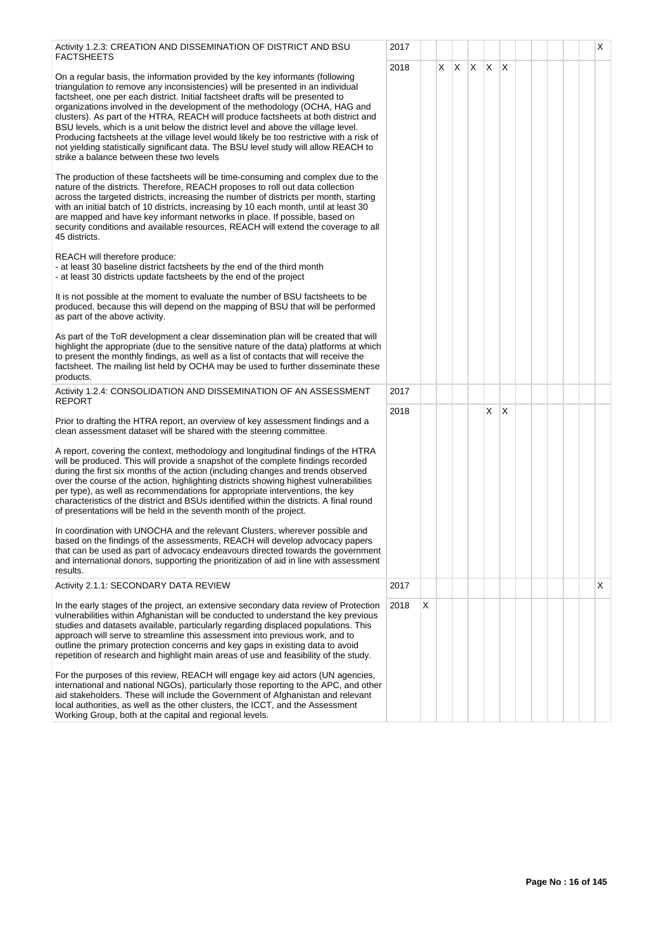| Activity 1.2.3: CREATION AND DISSEMINATION OF DISTRICT AND BSU<br>FACTSHEETS                                                                                                                                                                                                                                                                                                                                                                                                                                                                                                                                                                                                                                                                   | 2017 |   |    |              |   | $\mathsf{X}$ |          |  |  | Х |
|------------------------------------------------------------------------------------------------------------------------------------------------------------------------------------------------------------------------------------------------------------------------------------------------------------------------------------------------------------------------------------------------------------------------------------------------------------------------------------------------------------------------------------------------------------------------------------------------------------------------------------------------------------------------------------------------------------------------------------------------|------|---|----|--------------|---|--------------|----------|--|--|---|
| On a regular basis, the information provided by the key informants (following<br>triangulation to remove any inconsistencies) will be presented in an individual<br>factsheet, one per each district. Initial factsheet drafts will be presented to<br>organizations involved in the development of the methodology (OCHA, HAG and<br>clusters). As part of the HTRA, REACH will produce factsheets at both district and<br>BSU levels, which is a unit below the district level and above the village level.<br>Producing factsheets at the village level would likely be too restrictive with a risk of<br>not yielding statistically significant data. The BSU level study will allow REACH to<br>strike a balance between these two levels | 2018 |   | X. | $\mathsf{X}$ | X |              | $\times$ |  |  |   |
| The production of these factsheets will be time-consuming and complex due to the<br>nature of the districts. Therefore, REACH proposes to roll out data collection<br>across the targeted districts, increasing the number of districts per month, starting<br>with an initial batch of 10 districts, increasing by 10 each month, until at least 30<br>are mapped and have key informant networks in place. If possible, based on<br>security conditions and available resources, REACH will extend the coverage to all<br>45 districts.                                                                                                                                                                                                      |      |   |    |              |   |              |          |  |  |   |
| REACH will therefore produce:<br>- at least 30 baseline district factsheets by the end of the third month<br>- at least 30 districts update factsheets by the end of the project                                                                                                                                                                                                                                                                                                                                                                                                                                                                                                                                                               |      |   |    |              |   |              |          |  |  |   |
| It is not possible at the moment to evaluate the number of BSU factsheets to be<br>produced, because this will depend on the mapping of BSU that will be performed<br>as part of the above activity.                                                                                                                                                                                                                                                                                                                                                                                                                                                                                                                                           |      |   |    |              |   |              |          |  |  |   |
| As part of the ToR development a clear dissemination plan will be created that will<br>highlight the appropriate (due to the sensitive nature of the data) platforms at which<br>to present the monthly findings, as well as a list of contacts that will receive the<br>factsheet. The mailing list held by OCHA may be used to further disseminate these<br>products.                                                                                                                                                                                                                                                                                                                                                                        |      |   |    |              |   |              |          |  |  |   |
| Activity 1.2.4: CONSOLIDATION AND DISSEMINATION OF AN ASSESSMENT<br><b>REPORT</b>                                                                                                                                                                                                                                                                                                                                                                                                                                                                                                                                                                                                                                                              | 2017 |   |    |              |   |              |          |  |  |   |
| Prior to drafting the HTRA report, an overview of key assessment findings and a<br>clean assessment dataset will be shared with the steering committee.                                                                                                                                                                                                                                                                                                                                                                                                                                                                                                                                                                                        | 2018 |   |    |              |   | X.           | $\times$ |  |  |   |
| A report, covering the context, methodology and longitudinal findings of the HTRA<br>will be produced. This will provide a snapshot of the complete findings recorded<br>during the first six months of the action (including changes and trends observed<br>over the course of the action, highlighting districts showing highest vulnerabilities<br>per type), as well as recommendations for appropriate interventions, the key<br>characteristics of the district and BSUs identified within the districts. A final round<br>of presentations will be held in the seventh month of the project.                                                                                                                                            |      |   |    |              |   |              |          |  |  |   |
| In coordination with UNOCHA and the relevant Clusters, wherever possible and<br>based on the findings of the assessments, REACH will develop advocacy papers<br>that can be used as part of advocacy endeavours directed towards the government<br>and international donors, supporting the prioritization of aid in line with assessment<br>results.                                                                                                                                                                                                                                                                                                                                                                                          |      |   |    |              |   |              |          |  |  |   |
| Activity 2.1.1: SECONDARY DATA REVIEW                                                                                                                                                                                                                                                                                                                                                                                                                                                                                                                                                                                                                                                                                                          | 2017 |   |    |              |   |              |          |  |  | X |
| In the early stages of the project, an extensive secondary data review of Protection<br>vulnerabilities within Afghanistan will be conducted to understand the key previous<br>studies and datasets available, particularly regarding displaced populations. This<br>approach will serve to streamline this assessment into previous work, and to<br>outline the primary protection concerns and key gaps in existing data to avoid<br>repetition of research and highlight main areas of use and feasibility of the study.                                                                                                                                                                                                                    | 2018 | X |    |              |   |              |          |  |  |   |
| For the purposes of this review, REACH will engage key aid actors (UN agencies,<br>international and national NGOs), particularly those reporting to the APC, and other<br>aid stakeholders. These will include the Government of Afghanistan and relevant<br>local authorities, as well as the other clusters, the ICCT, and the Assessment<br>Working Group, both at the capital and regional levels.                                                                                                                                                                                                                                                                                                                                        |      |   |    |              |   |              |          |  |  |   |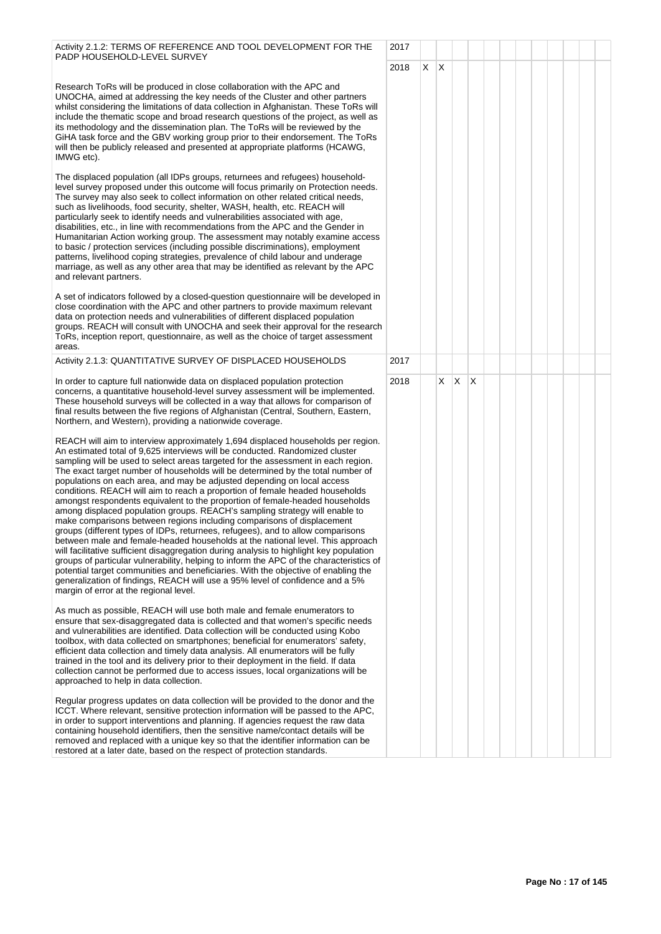| Activity 2.1.2: TERMS OF REFERENCE AND TOOL DEVELOPMENT FOR THE<br>PADP HOUSEHOLD-LEVEL SURVEY                                                                                                                                                                                                                                                                                                                                                                                                                                                                                                                                                                                                                                                                                                                                                                                                                                                                                                                                                                                                                                                                                                                                                                                                                                                                                                                                                                                                                                                                                                                                                                                                                                   | 2017 |    |              |                         |  |  |  |  |
|----------------------------------------------------------------------------------------------------------------------------------------------------------------------------------------------------------------------------------------------------------------------------------------------------------------------------------------------------------------------------------------------------------------------------------------------------------------------------------------------------------------------------------------------------------------------------------------------------------------------------------------------------------------------------------------------------------------------------------------------------------------------------------------------------------------------------------------------------------------------------------------------------------------------------------------------------------------------------------------------------------------------------------------------------------------------------------------------------------------------------------------------------------------------------------------------------------------------------------------------------------------------------------------------------------------------------------------------------------------------------------------------------------------------------------------------------------------------------------------------------------------------------------------------------------------------------------------------------------------------------------------------------------------------------------------------------------------------------------|------|----|--------------|-------------------------|--|--|--|--|
|                                                                                                                                                                                                                                                                                                                                                                                                                                                                                                                                                                                                                                                                                                                                                                                                                                                                                                                                                                                                                                                                                                                                                                                                                                                                                                                                                                                                                                                                                                                                                                                                                                                                                                                                  | 2018 | X. | $\mathsf{X}$ |                         |  |  |  |  |
| Research ToRs will be produced in close collaboration with the APC and<br>UNOCHA, aimed at addressing the key needs of the Cluster and other partners<br>whilst considering the limitations of data collection in Afghanistan. These ToRs will<br>include the thematic scope and broad research questions of the project, as well as<br>its methodology and the dissemination plan. The ToRs will be reviewed by the<br>GiHA task force and the GBV working group prior to their endorsement. The ToRs<br>will then be publicly released and presented at appropriate platforms (HCAWG,<br>IMWG etc).                                                                                                                                                                                                                                                                                                                                                                                                                                                                                                                                                                                                                                                                                                                                                                                                                                                                                                                                                                                                                                                                                                                            |      |    |              |                         |  |  |  |  |
| The displaced population (all IDPs groups, returnees and refugees) household-<br>level survey proposed under this outcome will focus primarily on Protection needs.<br>The survey may also seek to collect information on other related critical needs,<br>such as livelihoods, food security, shelter, WASH, health, etc. REACH will<br>particularly seek to identify needs and vulnerabilities associated with age,<br>disabilities, etc., in line with recommendations from the APC and the Gender in<br>Humanitarian Action working group. The assessment may notably examine access<br>to basic / protection services (including possible discriminations), employment<br>patterns, livelihood coping strategies, prevalence of child labour and underage<br>marriage, as well as any other area that may be identified as relevant by the APC<br>and relevant partners.                                                                                                                                                                                                                                                                                                                                                                                                                                                                                                                                                                                                                                                                                                                                                                                                                                                    |      |    |              |                         |  |  |  |  |
| A set of indicators followed by a closed-question questionnaire will be developed in<br>close coordination with the APC and other partners to provide maximum relevant<br>data on protection needs and vulnerabilities of different displaced population<br>groups. REACH will consult with UNOCHA and seek their approval for the research<br>ToRs, inception report, questionnaire, as well as the choice of target assessment<br>areas.                                                                                                                                                                                                                                                                                                                                                                                                                                                                                                                                                                                                                                                                                                                                                                                                                                                                                                                                                                                                                                                                                                                                                                                                                                                                                       |      |    |              |                         |  |  |  |  |
| Activity 2.1.3: QUANTITATIVE SURVEY OF DISPLACED HOUSEHOLDS                                                                                                                                                                                                                                                                                                                                                                                                                                                                                                                                                                                                                                                                                                                                                                                                                                                                                                                                                                                                                                                                                                                                                                                                                                                                                                                                                                                                                                                                                                                                                                                                                                                                      | 2017 |    |              |                         |  |  |  |  |
| In order to capture full nationwide data on displaced population protection<br>concerns, a quantitative household-level survey assessment will be implemented.<br>These household surveys will be collected in a way that allows for comparison of<br>final results between the five regions of Afghanistan (Central, Southern, Eastern,<br>Northern, and Western), providing a nationwide coverage.<br>REACH will aim to interview approximately 1,694 displaced households per region.<br>An estimated total of 9,625 interviews will be conducted. Randomized cluster<br>sampling will be used to select areas targeted for the assessment in each region.<br>The exact target number of households will be determined by the total number of<br>populations on each area, and may be adjusted depending on local access<br>conditions. REACH will aim to reach a proportion of female headed households<br>amongst respondents equivalent to the proportion of female-headed households<br>among displaced population groups. REACH's sampling strategy will enable to<br>make comparisons between regions including comparisons of displacement<br>groups (different types of IDPs, returnees, refugees), and to allow comparisons<br>between male and female-headed households at the national level. This approach<br>will facilitative sufficient disaggregation during analysis to highlight key population<br>groups of particular vulnerability, helping to inform the APC of the characteristics of<br>potential target communities and beneficiaries. With the objective of enabling the<br>generalization of findings, REACH will use a 95% level of confidence and a 5%<br>margin of error at the regional level. | 2018 |    | $X \mid X$   | $\mathsf{I} \mathsf{X}$ |  |  |  |  |
| As much as possible, REACH will use both male and female enumerators to<br>ensure that sex-disaggregated data is collected and that women's specific needs<br>and vulnerabilities are identified. Data collection will be conducted using Kobo<br>toolbox, with data collected on smartphones; beneficial for enumerators' safety,<br>efficient data collection and timely data analysis. All enumerators will be fully<br>trained in the tool and its delivery prior to their deployment in the field. If data<br>collection cannot be performed due to access issues, local organizations will be<br>approached to help in data collection.                                                                                                                                                                                                                                                                                                                                                                                                                                                                                                                                                                                                                                                                                                                                                                                                                                                                                                                                                                                                                                                                                    |      |    |              |                         |  |  |  |  |
| Regular progress updates on data collection will be provided to the donor and the<br>ICCT. Where relevant, sensitive protection information will be passed to the APC,<br>in order to support interventions and planning. If agencies request the raw data<br>containing household identifiers, then the sensitive name/contact details will be<br>removed and replaced with a unique key so that the identifier information can be<br>restored at a later date, based on the respect of protection standards.                                                                                                                                                                                                                                                                                                                                                                                                                                                                                                                                                                                                                                                                                                                                                                                                                                                                                                                                                                                                                                                                                                                                                                                                                   |      |    |              |                         |  |  |  |  |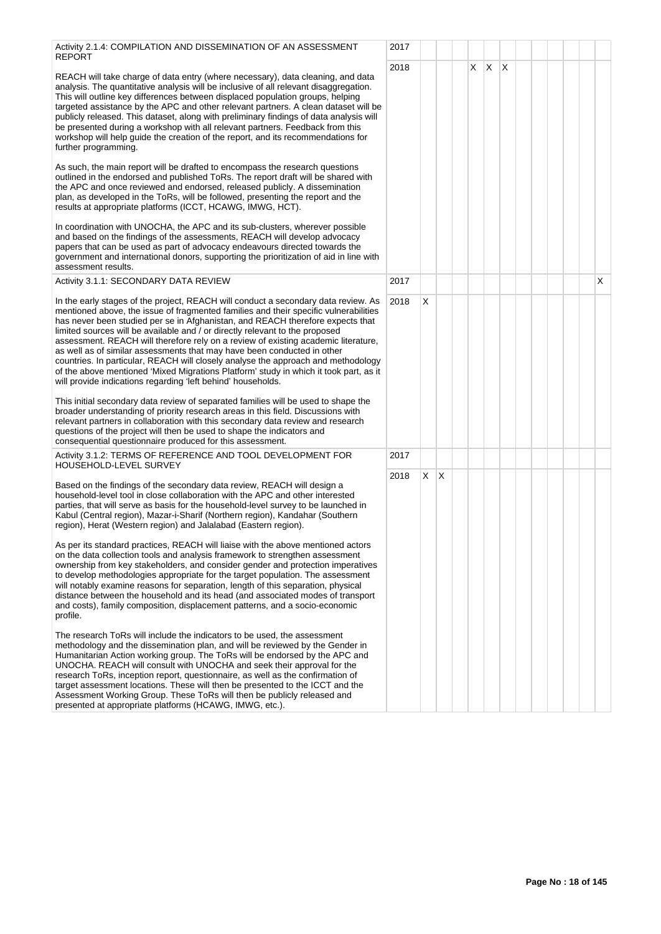| Activity 2.1.4: COMPILATION AND DISSEMINATION OF AN ASSESSMENT<br><b>REPORT</b>                                                                                                                                                                                                                                                                                                                                                                                                                                                                                                                                                                                                                                                                             | 2017 |    |   |   |    |     |  |  |   |
|-------------------------------------------------------------------------------------------------------------------------------------------------------------------------------------------------------------------------------------------------------------------------------------------------------------------------------------------------------------------------------------------------------------------------------------------------------------------------------------------------------------------------------------------------------------------------------------------------------------------------------------------------------------------------------------------------------------------------------------------------------------|------|----|---|---|----|-----|--|--|---|
| REACH will take charge of data entry (where necessary), data cleaning, and data<br>analysis. The quantitative analysis will be inclusive of all relevant disaggregation.<br>This will outline key differences between displaced population groups, helping<br>targeted assistance by the APC and other relevant partners. A clean dataset will be<br>publicly released. This dataset, along with preliminary findings of data analysis will<br>be presented during a workshop with all relevant partners. Feedback from this<br>workshop will help guide the creation of the report, and its recommendations for<br>further programming.                                                                                                                    | 2018 |    |   | X | X. | ΙX. |  |  |   |
| As such, the main report will be drafted to encompass the research questions<br>outlined in the endorsed and published ToRs. The report draft will be shared with<br>the APC and once reviewed and endorsed, released publicly. A dissemination<br>plan, as developed in the ToRs, will be followed, presenting the report and the<br>results at appropriate platforms (ICCT, HCAWG, IMWG, HCT).                                                                                                                                                                                                                                                                                                                                                            |      |    |   |   |    |     |  |  |   |
| In coordination with UNOCHA, the APC and its sub-clusters, wherever possible<br>and based on the findings of the assessments, REACH will develop advocacy<br>papers that can be used as part of advocacy endeavours directed towards the<br>government and international donors, supporting the prioritization of aid in line with<br>assessment results.                                                                                                                                                                                                                                                                                                                                                                                                   |      |    |   |   |    |     |  |  |   |
| Activity 3.1.1: SECONDARY DATA REVIEW                                                                                                                                                                                                                                                                                                                                                                                                                                                                                                                                                                                                                                                                                                                       | 2017 |    |   |   |    |     |  |  | X |
| In the early stages of the project, REACH will conduct a secondary data review. As<br>mentioned above, the issue of fragmented families and their specific vulnerabilities<br>has never been studied per se in Afghanistan, and REACH therefore expects that<br>limited sources will be available and / or directly relevant to the proposed<br>assessment. REACH will therefore rely on a review of existing academic literature,<br>as well as of similar assessments that may have been conducted in other<br>countries. In particular, REACH will closely analyse the approach and methodology<br>of the above mentioned 'Mixed Migrations Platform' study in which it took part, as it<br>will provide indications regarding 'left behind' households. | 2018 | X  |   |   |    |     |  |  |   |
| This initial secondary data review of separated families will be used to shape the<br>broader understanding of priority research areas in this field. Discussions with<br>relevant partners in collaboration with this secondary data review and research<br>questions of the project will then be used to shape the indicators and<br>consequential questionnaire produced for this assessment.                                                                                                                                                                                                                                                                                                                                                            |      |    |   |   |    |     |  |  |   |
| Activity 3.1.2: TERMS OF REFERENCE AND TOOL DEVELOPMENT FOR<br>HOUSEHOLD-LEVEL SURVEY                                                                                                                                                                                                                                                                                                                                                                                                                                                                                                                                                                                                                                                                       | 2017 |    |   |   |    |     |  |  |   |
| Based on the findings of the secondary data review, REACH will design a<br>household-level tool in close collaboration with the APC and other interested<br>parties, that will serve as basis for the household-level survey to be launched in<br>Kabul (Central region), Mazar-i-Sharif (Northern region), Kandahar (Southern<br>region), Herat (Western region) and Jalalabad (Eastern region).                                                                                                                                                                                                                                                                                                                                                           | 2018 | X. | X |   |    |     |  |  |   |
| As per its standard practices, REACH will liaise with the above mentioned actors<br>on the data collection tools and analysis framework to strengthen assessment<br>ownership from key stakeholders, and consider gender and protection imperatives<br>to develop methodologies appropriate for the target population. The assessment<br>will notably examine reasons for separation, length of this separation, physical<br>distance between the household and its head (and associated modes of transport<br>and costs), family composition, displacement patterns, and a socio-economic<br>profile.                                                                                                                                                      |      |    |   |   |    |     |  |  |   |
| The research ToRs will include the indicators to be used, the assessment<br>methodology and the dissemination plan, and will be reviewed by the Gender in<br>Humanitarian Action working group. The ToRs will be endorsed by the APC and<br>UNOCHA. REACH will consult with UNOCHA and seek their approval for the<br>research ToRs, inception report, questionnaire, as well as the confirmation of<br>target assessment locations. These will then be presented to the ICCT and the<br>Assessment Working Group. These ToRs will then be publicly released and<br>presented at appropriate platforms (HCAWG, IMWG, etc.).                                                                                                                                 |      |    |   |   |    |     |  |  |   |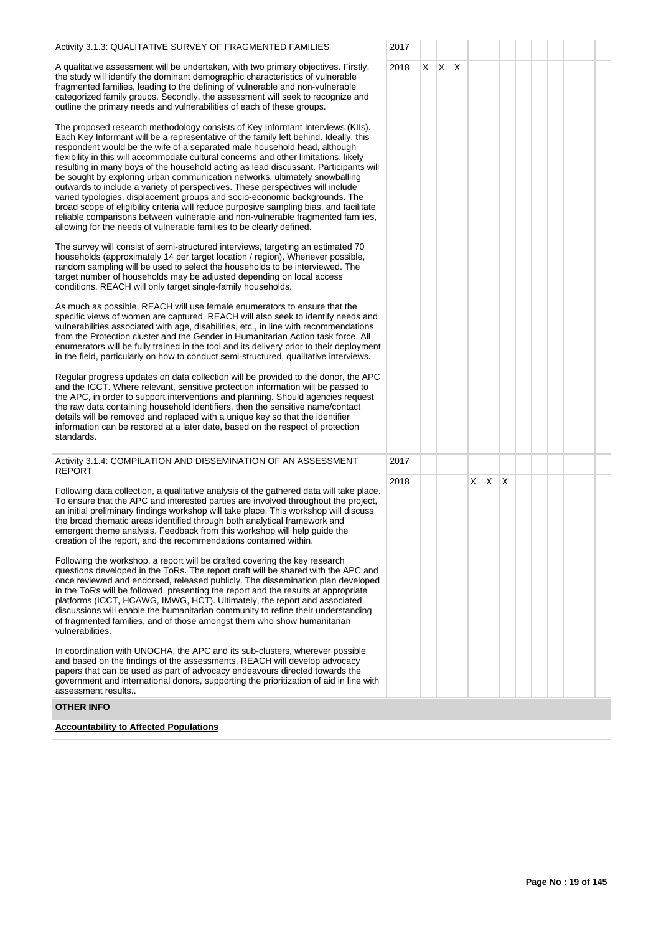| Activity 3.1.3: QUALITATIVE SURVEY OF FRAGMENTED FAMILIES                                                                                                                                                                                                                                                                                                                                                                                                                                                                                                                                                                                                                                                                                                                                                                                                                                                                               | 2017 |    |    |              |    |              |   |  |  |  |
|-----------------------------------------------------------------------------------------------------------------------------------------------------------------------------------------------------------------------------------------------------------------------------------------------------------------------------------------------------------------------------------------------------------------------------------------------------------------------------------------------------------------------------------------------------------------------------------------------------------------------------------------------------------------------------------------------------------------------------------------------------------------------------------------------------------------------------------------------------------------------------------------------------------------------------------------|------|----|----|--------------|----|--------------|---|--|--|--|
| A qualitative assessment will be undertaken, with two primary objectives. Firstly,<br>the study will identify the dominant demographic characteristics of vulnerable<br>fragmented families, leading to the defining of vulnerable and non-vulnerable<br>categorized family groups. Secondly, the assessment will seek to recognize and<br>outline the primary needs and vulnerabilities of each of these groups.<br>The proposed research methodology consists of Key Informant Interviews (KIIs).<br>Each Key Informant will be a representative of the family left behind. Ideally, this<br>respondent would be the wife of a separated male household head, although<br>flexibility in this will accommodate cultural concerns and other limitations, likely<br>resulting in many boys of the household acting as lead discussant. Participants will<br>be sought by exploring urban communication networks, ultimately snowballing | 2018 | X. | X. | $\mathsf{X}$ |    |              |   |  |  |  |
| outwards to include a variety of perspectives. These perspectives will include<br>varied typologies, displacement groups and socio-economic backgrounds. The<br>broad scope of eligibility criteria will reduce purposive sampling bias, and facilitate<br>reliable comparisons between vulnerable and non-vulnerable fragmented families,<br>allowing for the needs of vulnerable families to be clearly defined.                                                                                                                                                                                                                                                                                                                                                                                                                                                                                                                      |      |    |    |              |    |              |   |  |  |  |
| The survey will consist of semi-structured interviews, targeting an estimated 70<br>households (approximately 14 per target location / region). Whenever possible,<br>random sampling will be used to select the households to be interviewed. The<br>target number of households may be adjusted depending on local access<br>conditions. REACH will only target single-family households.                                                                                                                                                                                                                                                                                                                                                                                                                                                                                                                                             |      |    |    |              |    |              |   |  |  |  |
| As much as possible, REACH will use female enumerators to ensure that the<br>specific views of women are captured. REACH will also seek to identify needs and<br>vulnerabilities associated with age, disabilities, etc., in line with recommendations<br>from the Protection cluster and the Gender in Humanitarian Action task force. All<br>enumerators will be fully trained in the tool and its delivery prior to their deployment<br>in the field, particularly on how to conduct semi-structured, qualitative interviews.                                                                                                                                                                                                                                                                                                                                                                                                        |      |    |    |              |    |              |   |  |  |  |
| Regular progress updates on data collection will be provided to the donor, the APC<br>and the ICCT. Where relevant, sensitive protection information will be passed to<br>the APC, in order to support interventions and planning. Should agencies request<br>the raw data containing household identifiers, then the sensitive name/contact<br>details will be removed and replaced with a unique key so that the identifier<br>information can be restored at a later date, based on the respect of protection<br>standards.                                                                                                                                                                                                                                                                                                                                                                                                          |      |    |    |              |    |              |   |  |  |  |
| Activity 3.1.4: COMPILATION AND DISSEMINATION OF AN ASSESSMENT<br><b>REPORT</b>                                                                                                                                                                                                                                                                                                                                                                                                                                                                                                                                                                                                                                                                                                                                                                                                                                                         | 2017 |    |    |              |    |              |   |  |  |  |
| Following data collection, a qualitative analysis of the gathered data will take place.<br>To ensure that the APC and interested parties are involved throughout the project,<br>an initial preliminary findings workshop will take place. This workshop will discuss<br>the broad thematic areas identified through both analytical framework and<br>emergent theme analysis. Feedback from this workshop will help guide the<br>creation of the report, and the recommendations contained within.                                                                                                                                                                                                                                                                                                                                                                                                                                     | 2018 |    |    |              | X. | $\mathsf{X}$ | X |  |  |  |
| Following the workshop, a report will be drafted covering the key research<br>questions developed in the ToRs. The report draft will be shared with the APC and<br>once reviewed and endorsed, released publicly. The dissemination plan developed<br>in the ToRs will be followed, presenting the report and the results at appropriate<br>platforms (ICCT, HCAWG, IMWG, HCT). Ultimately, the report and associated<br>discussions will enable the humanitarian community to refine their understanding<br>of fragmented families, and of those amongst them who show humanitarian<br>vulnerabilities.                                                                                                                                                                                                                                                                                                                                |      |    |    |              |    |              |   |  |  |  |
| In coordination with UNOCHA, the APC and its sub-clusters, wherever possible<br>and based on the findings of the assessments, REACH will develop advocacy<br>papers that can be used as part of advocacy endeavours directed towards the<br>government and international donors, supporting the prioritization of aid in line with<br>assessment results                                                                                                                                                                                                                                                                                                                                                                                                                                                                                                                                                                                |      |    |    |              |    |              |   |  |  |  |
| <b>OTHER INFO</b>                                                                                                                                                                                                                                                                                                                                                                                                                                                                                                                                                                                                                                                                                                                                                                                                                                                                                                                       |      |    |    |              |    |              |   |  |  |  |
| <b>Accountability to Affected Populations</b>                                                                                                                                                                                                                                                                                                                                                                                                                                                                                                                                                                                                                                                                                                                                                                                                                                                                                           |      |    |    |              |    |              |   |  |  |  |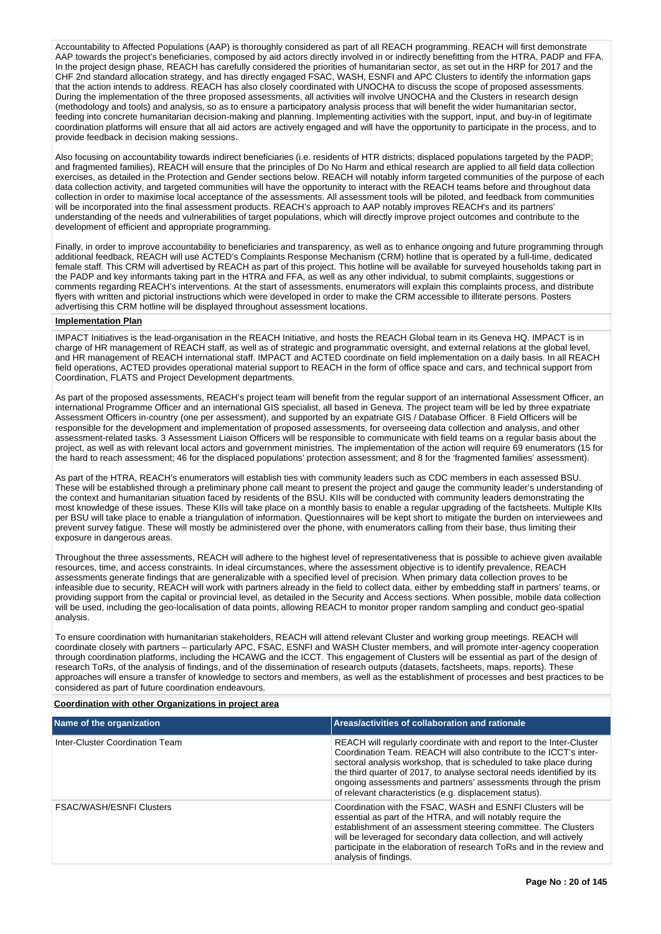Accountability to Affected Populations (AAP) is thoroughly considered as part of all REACH programming. REACH will first demonstrate AAP towards the project's beneficiaries, composed by aid actors directly involved in or indirectly benefitting from the HTRA, PADP and FFA. In the project design phase, REACH has carefully considered the priorities of humanitarian sector, as set out in the HRP for 2017 and the CHF 2nd standard allocation strategy, and has directly engaged FSAC, WASH, ESNFI and APC Clusters to identify the information gaps that the action intends to address. REACH has also closely coordinated with UNOCHA to discuss the scope of proposed assessments. During the implementation of the three proposed assessments, all activities will involve UNOCHA and the Clusters in research design (methodology and tools) and analysis, so as to ensure a participatory analysis process that will benefit the wider humanitarian sector, feeding into concrete humanitarian decision-making and planning. Implementing activities with the support, input, and buy-in of legitimate coordination platforms will ensure that all aid actors are actively engaged and will have the opportunity to participate in the process, and to provide feedback in decision making sessions.

Also focusing on accountability towards indirect beneficiaries (i.e. residents of HTR districts; displaced populations targeted by the PADP; and fragmented families), REACH will ensure that the principles of Do No Harm and ethical research are applied to all field data collection exercises, as detailed in the Protection and Gender sections below. REACH will notably inform targeted communities of the purpose of each data collection activity, and targeted communities will have the opportunity to interact with the REACH teams before and throughout data collection in order to maximise local acceptance of the assessments. All assessment tools will be piloted, and feedback from communities will be incorporated into the final assessment products. REACH's approach to AAP notably improves REACH's and its partners' understanding of the needs and vulnerabilities of target populations, which will directly improve project outcomes and contribute to the development of efficient and appropriate programming.

Finally, in order to improve accountability to beneficiaries and transparency, as well as to enhance ongoing and future programming through additional feedback, REACH will use ACTED's Complaints Response Mechanism (CRM) hotline that is operated by a full-time, dedicated female staff. This CRM will advertised by REACH as part of this project. This hotline will be available for surveyed households taking part in the PADP and key informants taking part in the HTRA and FFA, as well as any other individual, to submit complaints, suggestions or comments regarding REACH's interventions. At the start of assessments, enumerators will explain this complaints process, and distribute flyers with written and pictorial instructions which were developed in order to make the CRM accessible to illiterate persons. Posters advertising this CRM hotline will be displayed throughout assessment locations.

# **Implementation Plan**

IMPACT Initiatives is the lead-organisation in the REACH Initiative, and hosts the REACH Global team in its Geneva HQ. IMPACT is in charge of HR management of REACH staff, as well as of strategic and programmatic oversight, and external relations at the global level, and HR management of REACH international staff. IMPACT and ACTED coordinate on field implementation on a daily basis. In all REACH field operations, ACTED provides operational material support to REACH in the form of office space and cars, and technical support from Coordination, FLATS and Project Development departments.

As part of the proposed assessments, REACH's project team will benefit from the regular support of an international Assessment Officer, an international Programme Officer and an international GIS specialist, all based in Geneva. The project team will be led by three expatriate Assessment Officers in-country (one per assessment), and supported by an expatriate GIS / Database Officer. 8 Field Officers will be responsible for the development and implementation of proposed assessments, for overseeing data collection and analysis, and other assessment-related tasks. 3 Assessment Liaison Officers will be responsible to communicate with field teams on a regular basis about the project, as well as with relevant local actors and government ministries. The implementation of the action will require 69 enumerators (15 for the hard to reach assessment; 46 for the displaced populations' protection assessment; and 8 for the 'fragmented families' assessment).

As part of the HTRA, REACH's enumerators will establish ties with community leaders such as CDC members in each assessed BSU. These will be established through a preliminary phone call meant to present the project and gauge the community leader's understanding of the context and humanitarian situation faced by residents of the BSU. KIIs will be conducted with community leaders demonstrating the most knowledge of these issues. These KIIs will take place on a monthly basis to enable a regular upgrading of the factsheets. Multiple KIIs per BSU will take place to enable a triangulation of information. Questionnaires will be kept short to mitigate the burden on interviewees and prevent survey fatigue. These will mostly be administered over the phone, with enumerators calling from their base, thus limiting their exposure in dangerous areas.

Throughout the three assessments, REACH will adhere to the highest level of representativeness that is possible to achieve given available resources, time, and access constraints. In ideal circumstances, where the assessment objective is to identify prevalence, REACH assessments generate findings that are generalizable with a specified level of precision. When primary data collection proves to be infeasible due to security, REACH will work with partners already in the field to collect data, either by embedding staff in partners' teams, or providing support from the capital or provincial level, as detailed in the Security and Access sections. When possible, mobile data collection will be used, including the geo-localisation of data points, allowing REACH to monitor proper random sampling and conduct geo-spatial analysis.

To ensure coordination with humanitarian stakeholders, REACH will attend relevant Cluster and working group meetings. REACH will coordinate closely with partners – particularly APC, FSAC, ESNFI and WASH Cluster members, and will promote inter-agency cooperation through coordination platforms, including the HCAWG and the ICCT. This engagement of Clusters will be essential as part of the design of research ToRs, of the analysis of findings, and of the dissemination of research outputs (datasets, factsheets, maps, reports). These approaches will ensure a transfer of knowledge to sectors and members, as well as the establishment of processes and best practices to be considered as part of future coordination endeavours.

#### **Coordination with other Organizations in project area**

| Name of the organization        | Areas/activities of collaboration and rationale                                                                                                                                                                                                                                                                                                                                                                          |
|---------------------------------|--------------------------------------------------------------------------------------------------------------------------------------------------------------------------------------------------------------------------------------------------------------------------------------------------------------------------------------------------------------------------------------------------------------------------|
| Inter-Cluster Coordination Team | REACH will regularly coordinate with and report to the Inter-Cluster<br>Coordination Team. REACH will also contribute to the ICCT's inter-<br>sectoral analysis workshop, that is scheduled to take place during<br>the third quarter of 2017, to analyse sectoral needs identified by its<br>ongoing assessments and partners' assessments through the prism<br>of relevant characteristics (e.g. displacement status). |
| <b>FSAC/WASH/ESNFI Clusters</b> | Coordination with the FSAC, WASH and ESNFI Clusters will be<br>essential as part of the HTRA, and will notably require the<br>establishment of an assessment steering committee. The Clusters<br>will be leveraged for secondary data collection, and will actively<br>participate in the elaboration of research ToRs and in the review and<br>analysis of findings.                                                    |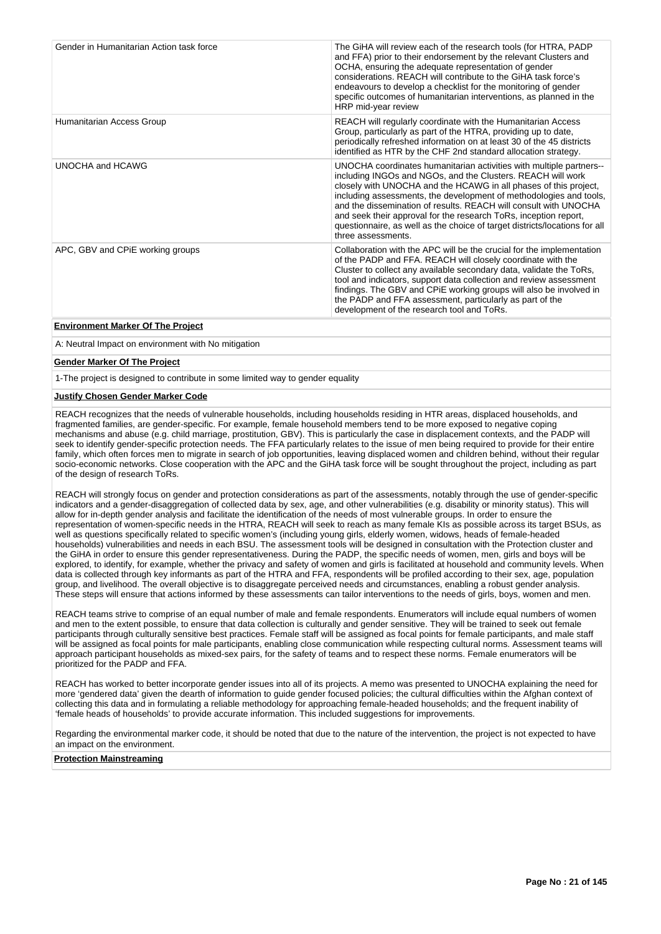| Gender in Humanitarian Action task force | The GiHA will review each of the research tools (for HTRA, PADP<br>and FFA) prior to their endorsement by the relevant Clusters and<br>OCHA, ensuring the adequate representation of gender<br>considerations. REACH will contribute to the GiHA task force's<br>endeavours to develop a checklist for the monitoring of gender<br>specific outcomes of humanitarian interventions, as planned in the<br>HRP mid-year review                                                                                             |
|------------------------------------------|--------------------------------------------------------------------------------------------------------------------------------------------------------------------------------------------------------------------------------------------------------------------------------------------------------------------------------------------------------------------------------------------------------------------------------------------------------------------------------------------------------------------------|
| Humanitarian Access Group                | REACH will regularly coordinate with the Humanitarian Access<br>Group, particularly as part of the HTRA, providing up to date,<br>periodically refreshed information on at least 30 of the 45 districts<br>identified as HTR by the CHF 2nd standard allocation strategy.                                                                                                                                                                                                                                                |
| <b>UNOCHA and HCAWG</b>                  | UNOCHA coordinates humanitarian activities with multiple partners--<br>including INGOs and NGOs, and the Clusters. REACH will work<br>closely with UNOCHA and the HCAWG in all phases of this project,<br>including assessments, the development of methodologies and tools,<br>and the dissemination of results. REACH will consult with UNOCHA<br>and seek their approval for the research ToRs, inception report,<br>questionnaire, as well as the choice of target districts/locations for all<br>three assessments. |
| APC, GBV and CPIE working groups         | Collaboration with the APC will be the crucial for the implementation<br>of the PADP and FFA. REACH will closely coordinate with the<br>Cluster to collect any available secondary data, validate the ToRs,<br>tool and indicators, support data collection and review assessment<br>findings. The GBV and CPiE working groups will also be involved in<br>the PADP and FFA assessment, particularly as part of the<br>development of the research tool and ToRs.                                                        |
| <b>Environment Marker Of The Project</b> |                                                                                                                                                                                                                                                                                                                                                                                                                                                                                                                          |

# **Environment Marker Of The Project**

A: Neutral Impact on environment with No mitigation

#### **Gender Marker Of The Project**

1-The project is designed to contribute in some limited way to gender equality

# **Justify Chosen Gender Marker Code**

REACH recognizes that the needs of vulnerable households, including households residing in HTR areas, displaced households, and fragmented families, are gender-specific. For example, female household members tend to be more exposed to negative coping mechanisms and abuse (e.g. child marriage, prostitution, GBV). This is particularly the case in displacement contexts, and the PADP will seek to identify gender-specific protection needs. The FFA particularly relates to the issue of men being required to provide for their entire family, which often forces men to migrate in search of job opportunities, leaving displaced women and children behind, without their regular socio-economic networks. Close cooperation with the APC and the GiHA task force will be sought throughout the project, including as part of the design of research ToRs.

REACH will strongly focus on gender and protection considerations as part of the assessments, notably through the use of gender-specific indicators and a gender-disaggregation of collected data by sex, age, and other vulnerabilities (e.g. disability or minority status). This will allow for in-depth gender analysis and facilitate the identification of the needs of most vulnerable groups. In order to ensure the representation of women-specific needs in the HTRA, REACH will seek to reach as many female KIs as possible across its target BSUs, as well as questions specifically related to specific women's (including young girls, elderly women, widows, heads of female-headed households) vulnerabilities and needs in each BSU. The assessment tools will be designed in consultation with the Protection cluster and the GiHA in order to ensure this gender representativeness. During the PADP, the specific needs of women, men, girls and boys will be explored, to identify, for example, whether the privacy and safety of women and girls is facilitated at household and community levels. When data is collected through key informants as part of the HTRA and FFA, respondents will be profiled according to their sex, age, population group, and livelihood. The overall objective is to disaggregate perceived needs and circumstances, enabling a robust gender analysis. These steps will ensure that actions informed by these assessments can tailor interventions to the needs of girls, boys, women and men.

REACH teams strive to comprise of an equal number of male and female respondents. Enumerators will include equal numbers of women and men to the extent possible, to ensure that data collection is culturally and gender sensitive. They will be trained to seek out female participants through culturally sensitive best practices. Female staff will be assigned as focal points for female participants, and male staff will be assigned as focal points for male participants, enabling close communication while respecting cultural norms. Assessment teams will approach participant households as mixed-sex pairs, for the safety of teams and to respect these norms. Female enumerators will be prioritized for the PADP and FFA.

REACH has worked to better incorporate gender issues into all of its projects. A memo was presented to UNOCHA explaining the need for more 'gendered data' given the dearth of information to guide gender focused policies; the cultural difficulties within the Afghan context of collecting this data and in formulating a reliable methodology for approaching female-headed households; and the frequent inability of 'female heads of households' to provide accurate information. This included suggestions for improvements.

Regarding the environmental marker code, it should be noted that due to the nature of the intervention, the project is not expected to have an impact on the environment.

**Protection Mainstreaming**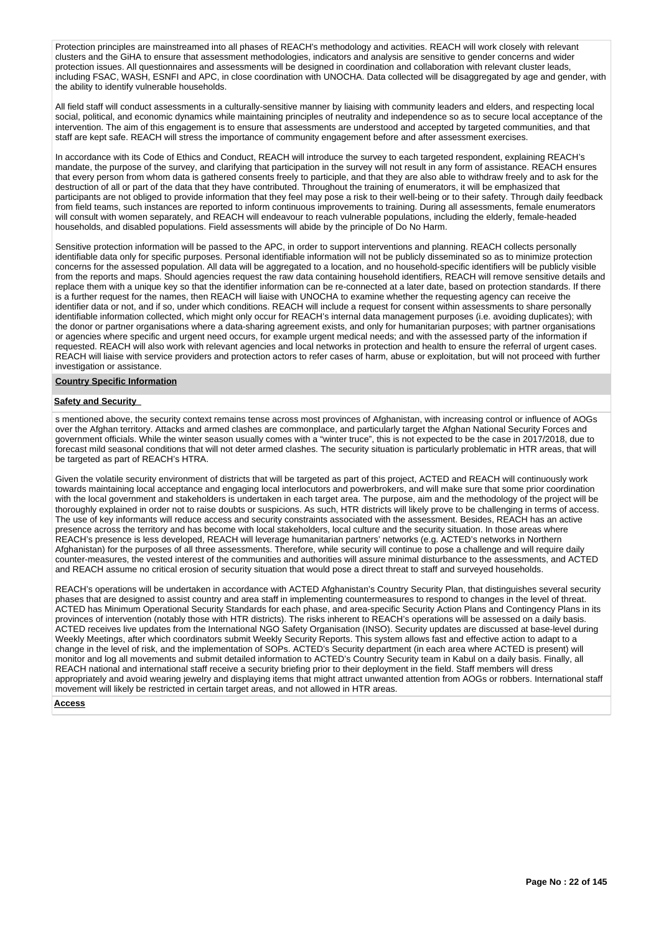Protection principles are mainstreamed into all phases of REACH's methodology and activities. REACH will work closely with relevant clusters and the GiHA to ensure that assessment methodologies, indicators and analysis are sensitive to gender concerns and wider protection issues. All questionnaires and assessments will be designed in coordination and collaboration with relevant cluster leads, including FSAC, WASH, ESNFI and APC, in close coordination with UNOCHA. Data collected will be disaggregated by age and gender, with the ability to identify vulnerable households.

All field staff will conduct assessments in a culturally-sensitive manner by liaising with community leaders and elders, and respecting local social, political, and economic dynamics while maintaining principles of neutrality and independence so as to secure local acceptance of the intervention. The aim of this engagement is to ensure that assessments are understood and accepted by targeted communities, and that staff are kept safe. REACH will stress the importance of community engagement before and after assessment exercises.

In accordance with its Code of Ethics and Conduct, REACH will introduce the survey to each targeted respondent, explaining REACH's mandate, the purpose of the survey, and clarifying that participation in the survey will not result in any form of assistance. REACH ensures that every person from whom data is gathered consents freely to participle, and that they are also able to withdraw freely and to ask for the destruction of all or part of the data that they have contributed. Throughout the training of enumerators, it will be emphasized that participants are not obliged to provide information that they feel may pose a risk to their well-being or to their safety. Through daily feedback from field teams, such instances are reported to inform continuous improvements to training. During all assessments, female enumerators will consult with women separately, and REACH will endeavour to reach vulnerable populations, including the elderly, female-headed households, and disabled populations. Field assessments will abide by the principle of Do No Harm.

Sensitive protection information will be passed to the APC, in order to support interventions and planning. REACH collects personally identifiable data only for specific purposes. Personal identifiable information will not be publicly disseminated so as to minimize protection concerns for the assessed population. All data will be aggregated to a location, and no household-specific identifiers will be publicly visible from the reports and maps. Should agencies request the raw data containing household identifiers, REACH will remove sensitive details and replace them with a unique key so that the identifier information can be re-connected at a later date, based on protection standards. If there is a further request for the names, then REACH will liaise with UNOCHA to examine whether the requesting agency can receive the identifier data or not, and if so, under which conditions. REACH will include a request for consent within assessments to share personally identifiable information collected, which might only occur for REACH's internal data management purposes (i.e. avoiding duplicates); with the donor or partner organisations where a data-sharing agreement exists, and only for humanitarian purposes; with partner organisations or agencies where specific and urgent need occurs, for example urgent medical needs; and with the assessed party of the information if requested. REACH will also work with relevant agencies and local networks in protection and health to ensure the referral of urgent cases. REACH will liaise with service providers and protection actors to refer cases of harm, abuse or exploitation, but will not proceed with further investigation or assistance.

# **Country Specific Information**

#### **Safety and Security**

s mentioned above, the security context remains tense across most provinces of Afghanistan, with increasing control or influence of AOGs over the Afghan territory. Attacks and armed clashes are commonplace, and particularly target the Afghan National Security Forces and government officials. While the winter season usually comes with a "winter truce", this is not expected to be the case in 2017/2018, due to forecast mild seasonal conditions that will not deter armed clashes. The security situation is particularly problematic in HTR areas, that will be targeted as part of REACH's HTRA.

Given the volatile security environment of districts that will be targeted as part of this project, ACTED and REACH will continuously work towards maintaining local acceptance and engaging local interlocutors and powerbrokers, and will make sure that some prior coordination with the local government and stakeholders is undertaken in each target area. The purpose, aim and the methodology of the project will be thoroughly explained in order not to raise doubts or suspicions. As such, HTR districts will likely prove to be challenging in terms of access. The use of key informants will reduce access and security constraints associated with the assessment. Besides, REACH has an active presence across the territory and has become with local stakeholders, local culture and the security situation. In those areas where REACH's presence is less developed, REACH will leverage humanitarian partners' networks (e.g. ACTED's networks in Northern Afghanistan) for the purposes of all three assessments. Therefore, while security will continue to pose a challenge and will require daily counter-measures, the vested interest of the communities and authorities will assure minimal disturbance to the assessments, and ACTED and REACH assume no critical erosion of security situation that would pose a direct threat to staff and surveyed households.

REACH's operations will be undertaken in accordance with ACTED Afghanistan's Country Security Plan, that distinguishes several security phases that are designed to assist country and area staff in implementing countermeasures to respond to changes in the level of threat. ACTED has Minimum Operational Security Standards for each phase, and area-specific Security Action Plans and Contingency Plans in its provinces of intervention (notably those with HTR districts). The risks inherent to REACH's operations will be assessed on a daily basis. ACTED receives live updates from the International NGO Safety Organisation (INSO). Security updates are discussed at base-level during Weekly Meetings, after which coordinators submit Weekly Security Reports. This system allows fast and effective action to adapt to a change in the level of risk, and the implementation of SOPs. ACTED's Security department (in each area where ACTED is present) will monitor and log all movements and submit detailed information to ACTED's Country Security team in Kabul on a daily basis. Finally, all REACH national and international staff receive a security briefing prior to their deployment in the field. Staff members will dress appropriately and avoid wearing jewelry and displaying items that might attract unwanted attention from AOGs or robbers. International staff movement will likely be restricted in certain target areas, and not allowed in HTR areas.

#### **Access**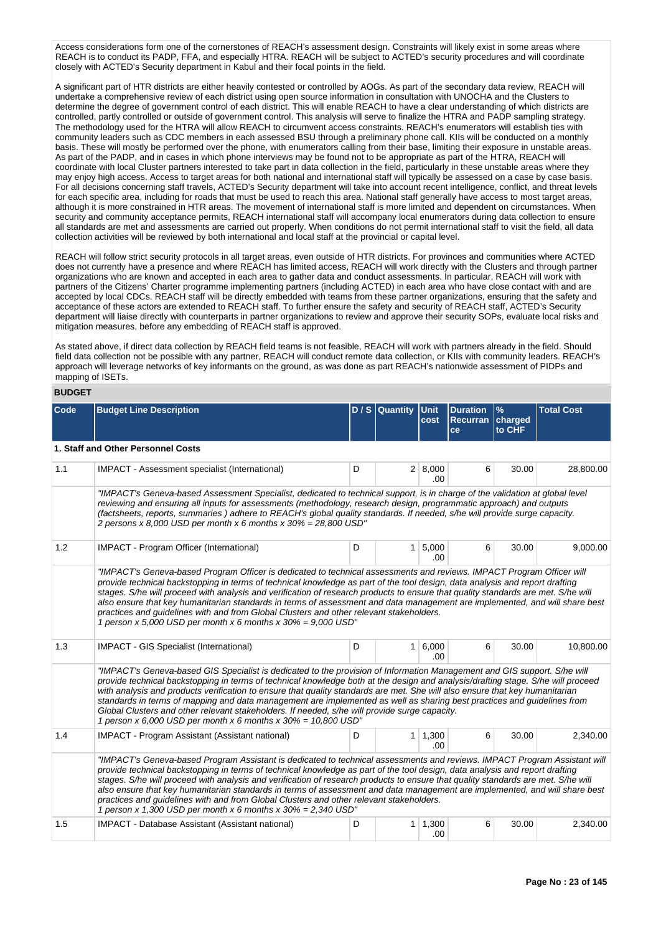Access considerations form one of the cornerstones of REACH's assessment design. Constraints will likely exist in some areas where REACH is to conduct its PADP, FFA, and especially HTRA. REACH will be subject to ACTED's security procedures and will coordinate closely with ACTED's Security department in Kabul and their focal points in the field.

A significant part of HTR districts are either heavily contested or controlled by AOGs. As part of the secondary data review, REACH will undertake a comprehensive review of each district using open source information in consultation with UNOCHA and the Clusters to determine the degree of government control of each district. This will enable REACH to have a clear understanding of which districts are controlled, partly controlled or outside of government control. This analysis will serve to finalize the HTRA and PADP sampling strategy. The methodology used for the HTRA will allow REACH to circumvent access constraints. REACH's enumerators will establish ties with community leaders such as CDC members in each assessed BSU through a preliminary phone call. KIIs will be conducted on a monthly basis. These will mostly be performed over the phone, with enumerators calling from their base, limiting their exposure in unstable areas. As part of the PADP, and in cases in which phone interviews may be found not to be appropriate as part of the HTRA, REACH will coordinate with local Cluster partners interested to take part in data collection in the field, particularly in these unstable areas where they may enjoy high access. Access to target areas for both national and international staff will typically be assessed on a case by case basis. For all decisions concerning staff travels, ACTED's Security department will take into account recent intelligence, conflict, and threat levels for each specific area, including for roads that must be used to reach this area. National staff generally have access to most target areas, although it is more constrained in HTR areas. The movement of international staff is more limited and dependent on circumstances. When security and community acceptance permits, REACH international staff will accompany local enumerators during data collection to ensure all standards are met and assessments are carried out properly. When conditions do not permit international staff to visit the field, all data collection activities will be reviewed by both international and local staff at the provincial or capital level.

REACH will follow strict security protocols in all target areas, even outside of HTR districts. For provinces and communities where ACTED does not currently have a presence and where REACH has limited access, REACH will work directly with the Clusters and through partner organizations who are known and accepted in each area to gather data and conduct assessments. In particular, REACH will work with partners of the Citizens' Charter programme implementing partners (including ACTED) in each area who have close contact with and are accepted by local CDCs. REACH staff will be directly embedded with teams from these partner organizations, ensuring that the safety and acceptance of these actors are extended to REACH staff. To further ensure the safety and security of REACH staff, ACTED's Security department will liaise directly with counterparts in partner organizations to review and approve their security SOPs, evaluate local risks and mitigation measures, before any embedding of REACH staff is approved.

As stated above, if direct data collection by REACH field teams is not feasible, REACH will work with partners already in the field. Should field data collection not be possible with any partner, REACH will conduct remote data collection, or KIIs with community leaders. REACH's approach will leverage networks of key informants on the ground, as was done as part REACH's nationwide assessment of PIDPs and mapping of ISETs.

# **BUDGET**

| <b>Code</b> | <b>Budget Line Description</b>                                                                                                                                                                                                                                                                                                                                                                                                                                                                                                                                                                                                                                                               |   | $D / S$ Quantity | <b>Unit</b><br>cost    | <b>Duration</b><br>Recurran charged | $\frac{9}{6}$<br>to CHF | <b>Total Cost</b> |
|-------------|----------------------------------------------------------------------------------------------------------------------------------------------------------------------------------------------------------------------------------------------------------------------------------------------------------------------------------------------------------------------------------------------------------------------------------------------------------------------------------------------------------------------------------------------------------------------------------------------------------------------------------------------------------------------------------------------|---|------------------|------------------------|-------------------------------------|-------------------------|-------------------|
|             |                                                                                                                                                                                                                                                                                                                                                                                                                                                                                                                                                                                                                                                                                              |   |                  |                        | ce                                  |                         |                   |
|             | 1. Staff and Other Personnel Costs                                                                                                                                                                                                                                                                                                                                                                                                                                                                                                                                                                                                                                                           |   |                  |                        |                                     |                         |                   |
| 1.1         | IMPACT - Assessment specialist (International)                                                                                                                                                                                                                                                                                                                                                                                                                                                                                                                                                                                                                                               | D |                  | 2 8,000<br>.00         | 6                                   | 30.00                   | 28,800.00         |
|             | "IMPACT's Geneva-based Assessment Specialist, dedicated to technical support, is in charge of the validation at global level<br>reviewing and ensuring all inputs for assessments (methodology, research design, programmatic approach) and outputs<br>(factsheets, reports, summaries) adhere to REACH's global quality standards. If needed, s/he will provide surge capacity.<br>2 persons x 8,000 USD per month x 6 months x $30\% = 28,800$ USD"                                                                                                                                                                                                                                        |   |                  |                        |                                     |                         |                   |
| 1.2         | IMPACT - Program Officer (International)                                                                                                                                                                                                                                                                                                                                                                                                                                                                                                                                                                                                                                                     | D |                  | $1 \, 5,000$<br>.00    | 6                                   | 30.00                   | 9,000.00          |
|             | provide technical backstopping in terms of technical knowledge as part of the tool design, data analysis and report drafting<br>stages. S/he will proceed with analysis and verification of research products to ensure that quality standards are met. S/he will<br>also ensure that key humanitarian standards in terms of assessment and data management are implemented, and will share best<br>practices and guidelines with and from Global Clusters and other relevant stakeholders.<br>1 person x 5,000 USD per month x 6 months x $30\% = 9,000$ USD"                                                                                                                               |   |                  |                        |                                     |                         |                   |
| 1.3         | IMPACT - GIS Specialist (International)                                                                                                                                                                                                                                                                                                                                                                                                                                                                                                                                                                                                                                                      | D |                  | 1 6,000<br>.00.        | 6                                   | 30.00                   | 10,800.00         |
|             | "IMPACT's Geneva-based GIS Specialist is dedicated to the provision of Information Management and GIS support. S/he will<br>provide technical backstopping in terms of technical knowledge both at the design and analysis/drafting stage. S/he will proceed<br>with analysis and products verification to ensure that quality standards are met. She will also ensure that key humanitarian<br>standards in terms of mapping and data management are implemented as well as sharing best practices and guidelines from<br>Global Clusters and other relevant stakeholders. If needed, s/he will provide surge capacity.<br>1 person x 6,000 USD per month x 6 months x $30\% = 10,800$ USD" |   |                  |                        |                                     |                         |                   |
| 1.4         | IMPACT - Program Assistant (Assistant national)                                                                                                                                                                                                                                                                                                                                                                                                                                                                                                                                                                                                                                              | D |                  | $1 \mid 1,300$<br>.00. | 6                                   | 30.00                   | 2,340.00          |
|             | "IMPACT's Geneva-based Program Assistant is dedicated to technical assessments and reviews. IMPACT Program Assistant will<br>provide technical backstopping in terms of technical knowledge as part of the tool design, data analysis and report drafting<br>stages. S/he will proceed with analysis and verification of research products to ensure that quality standards are met. S/he will<br>also ensure that key humanitarian standards in terms of assessment and data management are implemented, and will share best<br>practices and guidelines with and from Global Clusters and other relevant stakeholders.<br>1 person x 1,300 USD per month x 6 months x $30\% = 2,340$ USD"  |   |                  |                        |                                     |                         |                   |
| 1.5         | IMPACT - Database Assistant (Assistant national)                                                                                                                                                                                                                                                                                                                                                                                                                                                                                                                                                                                                                                             | D |                  | $1 \mid 1,300$<br>.00. | 6                                   | 30.00                   | 2,340.00          |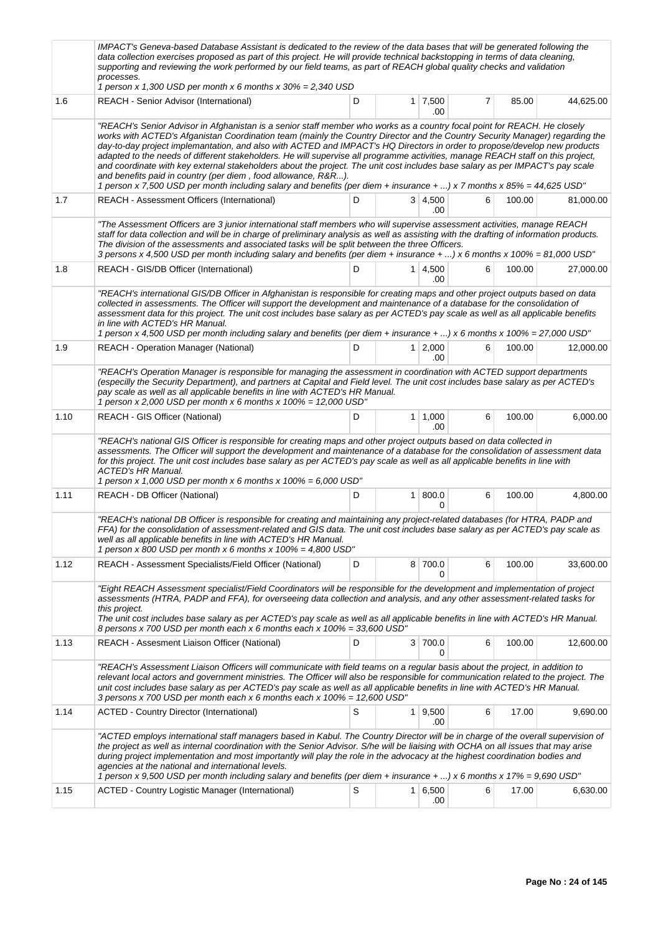|      | IMPACT's Geneva-based Database Assistant is dedicated to the review of the data bases that will be generated following the<br>data collection exercises proposed as part of this project. He will provide technical backstopping in terms of data cleaning,<br>supporting and reviewing the work performed by our field teams, as part of REACH global quality checks and validation<br>processes.<br>1 person x 1,300 USD per month x 6 months x $30\% = 2,340$ USD                                                                                                                                                                                                                                                                                                                                                                                |   |                |                       |   |        |           |
|------|-----------------------------------------------------------------------------------------------------------------------------------------------------------------------------------------------------------------------------------------------------------------------------------------------------------------------------------------------------------------------------------------------------------------------------------------------------------------------------------------------------------------------------------------------------------------------------------------------------------------------------------------------------------------------------------------------------------------------------------------------------------------------------------------------------------------------------------------------------|---|----------------|-----------------------|---|--------|-----------|
| 1.6  | REACH - Senior Advisor (International)                                                                                                                                                                                                                                                                                                                                                                                                                                                                                                                                                                                                                                                                                                                                                                                                              | D |                | $1 \mid 7,500$<br>.00 | 7 | 85.00  | 44,625.00 |
|      | "REACH's Senior Advisor in Afghanistan is a senior staff member who works as a country focal point for REACH. He closely<br>works with ACTED's Afganistan Coordination team (mainly the Country Director and the Country Security Manager) regarding the<br>day-to-day project implemantation, and also with ACTED and IMPACT's HQ Directors in order to propose/develop new products<br>adapted to the needs of different stakeholders. He will supervise all programme activities, manage REACH staff on this project,<br>and coordinate with key external stakeholders about the project. The unit cost includes base salary as per IMPACT's pay scale<br>and benefits paid in country (per diem, food allowance, R&R).<br>1 person x 7,500 USD per month including salary and benefits (per diem + insurance + ) x 7 months x 85% = 44,625 USD" |   |                |                       |   |        |           |
| 1.7  | REACH - Assessment Officers (International)                                                                                                                                                                                                                                                                                                                                                                                                                                                                                                                                                                                                                                                                                                                                                                                                         | D |                | 3   4,500<br>.00      | 6 | 100.00 | 81,000.00 |
|      | "The Assessment Officers are 3 junior international staff members who will supervise assessment activities, manage REACH<br>staff for data collection and will be in charge of preliminary analysis as well as assisting with the drafting of information products.<br>The division of the assessments and associated tasks will be split between the three Officers.<br>3 persons x 4,500 USD per month including salary and benefits (per diem + insurance + ) x 6 months x 100% = 81,000 USD"                                                                                                                                                                                                                                                                                                                                                    |   |                |                       |   |        |           |
| 1.8  | REACH - GIS/DB Officer (International)                                                                                                                                                                                                                                                                                                                                                                                                                                                                                                                                                                                                                                                                                                                                                                                                              | D | 1 <sup>1</sup> | 4,500<br>.00          | 6 | 100.00 | 27,000.00 |
|      | "REACH's international GIS/DB Officer in Afghanistan is responsible for creating maps and other project outputs based on data<br>collected in assessments. The Officer will support the development and maintenance of a database for the consolidation of<br>assessment data for this project. The unit cost includes base salary as per ACTED's pay scale as well as all applicable benefits<br>in line with ACTED's HR Manual.<br>1 person x 4,500 USD per month including salary and benefits (per diem + insurance + ) x 6 months x 100% = 27,000 USD"                                                                                                                                                                                                                                                                                         |   |                |                       |   |        |           |
| 1.9  | <b>REACH - Operation Manager (National)</b>                                                                                                                                                                                                                                                                                                                                                                                                                                                                                                                                                                                                                                                                                                                                                                                                         | D |                | $1 \mid 2,000$<br>.00 | 6 | 100.00 | 12,000.00 |
|      | "REACH's Operation Manager is responsible for managing the assessment in coordination with ACTED support departments<br>(especilly the Security Department), and partners at Capital and Field level. The unit cost includes base salary as per ACTED's<br>pay scale as well as all applicable benefits in line with ACTED's HR Manual.<br>1 person x 2,000 USD per month x 6 months x $100\% = 12,000$ USD"                                                                                                                                                                                                                                                                                                                                                                                                                                        |   |                |                       |   |        |           |
| 1.10 | REACH - GIS Officer (National)                                                                                                                                                                                                                                                                                                                                                                                                                                                                                                                                                                                                                                                                                                                                                                                                                      | D |                | $1 \mid 1,000$<br>.00 | 6 | 100.00 | 6,000.00  |
|      | "REACH's national GIS Officer is responsible for creating maps and other project outputs based on data collected in<br>assessments. The Officer will support the development and maintenance of a database for the consolidation of assessment data<br>for this project. The unit cost includes base salary as per ACTED's pay scale as well as all applicable benefits in line with<br>ACTED's HR Manual.<br>1 person x 1,000 USD per month x 6 months x $100\% = 6,000$ USD"                                                                                                                                                                                                                                                                                                                                                                      |   |                |                       |   |        |           |
| 1.11 | REACH - DB Officer (National)                                                                                                                                                                                                                                                                                                                                                                                                                                                                                                                                                                                                                                                                                                                                                                                                                       | D | 1 <sup>1</sup> | 800.0<br>0            | 6 | 100.00 | 4,800.00  |
|      | "REACH's national DB Officer is responsible for creating and maintaining any project-related databases (for HTRA, PADP and<br>FFA) for the consolidation of assessment-related and GIS data. The unit cost includes base salary as per ACTED's pay scale as<br>well as all applicable benefits in line with ACTED's HR Manual.<br>1 person x 800 USD per month x 6 months x $100\% = 4,800 \text{ USD}$ "                                                                                                                                                                                                                                                                                                                                                                                                                                           |   |                |                       |   |        |           |
| 1.12 | REACH - Assessment Specialists/Field Officer (National)                                                                                                                                                                                                                                                                                                                                                                                                                                                                                                                                                                                                                                                                                                                                                                                             | D |                | 8 700.0<br>n          | 6 | 100.00 | 33,600.00 |
|      | "Eight REACH Assessment specialist/Field Coordinators will be responsible for the development and implementation of project<br>assessments (HTRA, PADP and FFA), for overseeing data collection and analysis, and any other assessment-related tasks for<br>this project.<br>The unit cost includes base salary as per ACTED's pay scale as well as all applicable benefits in line with ACTED's HR Manual.<br>8 persons x 700 USD per month each x 6 months each x 100% = 33,600 USD"                                                                                                                                                                                                                                                                                                                                                              |   |                |                       |   |        |           |
| 1.13 | REACH - Assesment Liaison Officer (National)                                                                                                                                                                                                                                                                                                                                                                                                                                                                                                                                                                                                                                                                                                                                                                                                        | D | 3 <sup>1</sup> | 700.0                 | 6 | 100.00 | 12,600.00 |
|      | "REACH's Assessment Liaison Officers will communicate with field teams on a regular basis about the project, in addition to<br>relevant local actors and government ministries. The Officer will also be responsible for communication related to the project. The<br>unit cost includes base salary as per ACTED's pay scale as well as all applicable benefits in line with ACTED's HR Manual.<br>3 persons x 700 USD per month each x 6 months each x 100% = 12,600 USD"                                                                                                                                                                                                                                                                                                                                                                         |   |                |                       |   |        |           |
| 1.14 | <b>ACTED - Country Director (International)</b>                                                                                                                                                                                                                                                                                                                                                                                                                                                                                                                                                                                                                                                                                                                                                                                                     | S |                | $1 \mid 9,500$<br>.00 | 6 | 17.00  | 9,690.00  |
|      | "ACTED employs international staff managers based in Kabul. The Country Director will be in charge of the overall supervision of<br>the project as well as internal coordination with the Senior Advisor. S/he will be liaising with OCHA on all issues that may arise<br>during project implementation and most importantly will play the role in the advocacy at the highest coordination bodies and<br>agencies at the national and international levels.<br>1 person x 9,500 USD per month including salary and benefits (per diem + insurance + ) x 6 months x 17% = 9,690 USD"                                                                                                                                                                                                                                                                |   |                |                       |   |        |           |
| 1.15 | ACTED - Country Logistic Manager (International)                                                                                                                                                                                                                                                                                                                                                                                                                                                                                                                                                                                                                                                                                                                                                                                                    | S | 1 <sup>1</sup> | 6,500<br>.00          | 6 | 17.00  | 6,630.00  |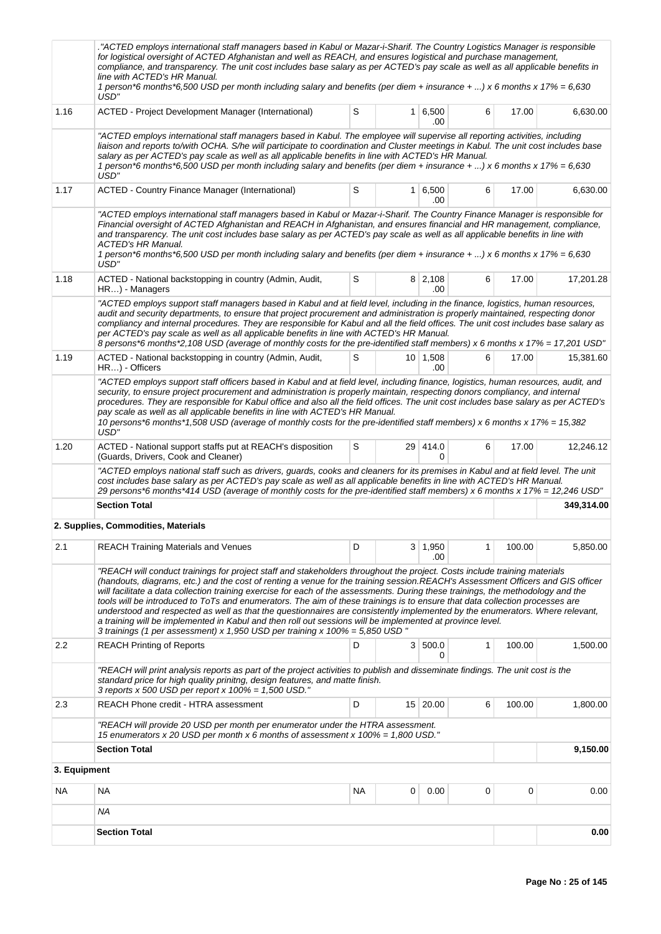|              | ACTED employs international staff managers based in Kabul or Mazar-i-Sharif. The Country Logistics Manager is responsible."<br>for logistical oversight of ACTED Afghanistan and well as REACH, and ensures logistical and purchase management,<br>compliance, and transparency. The unit cost includes base salary as per ACTED's pay scale as well as all applicable benefits in<br>line with ACTED's HR Manual.<br>1 person*6 months*6,500 USD per month including salary and benefits (per diem + insurance + ) x 6 months x 17% = 6,630<br>USD"                                                                                                                                                                                                                                                                                                          |    |   |                         |   |        |            |
|--------------|---------------------------------------------------------------------------------------------------------------------------------------------------------------------------------------------------------------------------------------------------------------------------------------------------------------------------------------------------------------------------------------------------------------------------------------------------------------------------------------------------------------------------------------------------------------------------------------------------------------------------------------------------------------------------------------------------------------------------------------------------------------------------------------------------------------------------------------------------------------|----|---|-------------------------|---|--------|------------|
| 1.16         | ACTED - Project Development Manager (International)                                                                                                                                                                                                                                                                                                                                                                                                                                                                                                                                                                                                                                                                                                                                                                                                           | S  |   | $1 \, 6,500$<br>.00     | 6 | 17.00  | 6,630.00   |
|              | "ACTED employs international staff managers based in Kabul. The employee will supervise all reporting activities, including<br>liaison and reports to/with OCHA. S/he will participate to coordination and Cluster meetings in Kabul. The unit cost includes base<br>salary as per ACTED's pay scale as well as all applicable benefits in line with ACTED's HR Manual.<br>1 person*6 months*6,500 USD per month including salary and benefits (per diem + insurance + ) x 6 months x 17% = 6,630<br>USD"                                                                                                                                                                                                                                                                                                                                                     |    |   |                         |   |        |            |
| 1.17         | ACTED - Country Finance Manager (International)                                                                                                                                                                                                                                                                                                                                                                                                                                                                                                                                                                                                                                                                                                                                                                                                               | S  | 1 | 6,500<br>.00            | 6 | 17.00  | 6,630.00   |
|              | "ACTED employs international staff managers based in Kabul or Mazar-i-Sharif. The Country Finance Manager is responsible for<br>Financial oversight of ACTED Afghanistan and REACH in Afghanistan, and ensures financial and HR management, compliance,<br>and transparency. The unit cost includes base salary as per ACTED's pay scale as well as all applicable benefits in line with<br><b>ACTED's HR Manual.</b><br>1 person*6 months*6,500 USD per month including salary and benefits (per diem + insurance + ) x 6 months x 17% = 6,630<br>USD"                                                                                                                                                                                                                                                                                                       |    |   |                         |   |        |            |
| 1.18         | ACTED - National backstopping in country (Admin, Audit,<br>HR) - Managers                                                                                                                                                                                                                                                                                                                                                                                                                                                                                                                                                                                                                                                                                                                                                                                     | S  |   | 8 2,108<br>.00          | 6 | 17.00  | 17,201.28  |
|              | "ACTED employs support staff managers based in Kabul and at field level, including in the finance, logistics, human resources,<br>audit and security departments, to ensure that project procurement and administration is properly maintained, respecting donor<br>compliancy and internal procedures. They are responsible for Kabul and all the field offices. The unit cost includes base salary as<br>per ACTED's pay scale as well as all applicable benefits in line with ACTED's HR Manual.<br>8 persons*6 months*2,108 USD (average of monthly costs for the pre-identified staff members) x 6 months x 17% = 17,201 USD"                                                                                                                                                                                                                            |    |   |                         |   |        |            |
| 1.19         | ACTED - National backstopping in country (Admin, Audit,<br>HR) - Officers                                                                                                                                                                                                                                                                                                                                                                                                                                                                                                                                                                                                                                                                                                                                                                                     | S  |   | $10 \mid 1,508$<br>.00. | 6 | 17.00  | 15,381.60  |
|              | "ACTED employs support staff officers based in Kabul and at field level, including finance, logistics, human resources, audit, and<br>security, to ensure project procurement and administration is properly maintain, respecting donors compliancy, and internal<br>procedures. They are responsible for Kabul office and also all the field offices. The unit cost includes base salary as per ACTED's<br>pay scale as well as all applicable benefits in line with ACTED's HR Manual.<br>10 persons*6 months*1,508 USD (average of monthly costs for the pre-identified staff members) x 6 months x 17% = 15,382<br>USD"                                                                                                                                                                                                                                   |    |   |                         |   |        |            |
| 1.20         | ACTED - National support staffs put at REACH's disposition<br>(Guards, Drivers, Cook and Cleaner)                                                                                                                                                                                                                                                                                                                                                                                                                                                                                                                                                                                                                                                                                                                                                             | S  |   | 29 414.0<br>0           | 6 | 17.00  | 12,246.12  |
|              | "ACTED employs national staff such as drivers, guards, cooks and cleaners for its premises in Kabul and at field level. The unit<br>cost includes base salary as per ACTED's pay scale as well as all applicable benefits in line with ACTED's HR Manual.<br>29 persons*6 months*414 USD (average of monthly costs for the pre-identified staff members) x 6 months x 17% = 12,246 USD"                                                                                                                                                                                                                                                                                                                                                                                                                                                                       |    |   |                         |   |        |            |
|              | <b>Section Total</b>                                                                                                                                                                                                                                                                                                                                                                                                                                                                                                                                                                                                                                                                                                                                                                                                                                          |    |   |                         |   |        | 349,314.00 |
|              | 2. Supplies, Commodities, Materials                                                                                                                                                                                                                                                                                                                                                                                                                                                                                                                                                                                                                                                                                                                                                                                                                           |    |   |                         |   |        |            |
| 2.1          | <b>REACH Training Materials and Venues</b>                                                                                                                                                                                                                                                                                                                                                                                                                                                                                                                                                                                                                                                                                                                                                                                                                    | D  |   | $3 \mid 1,950$<br>.00   | 1 | 100.00 | 5,850.00   |
|              | "REACH will conduct trainings for project staff and stakeholders throughout the project. Costs include training materials<br>(handouts, diagrams, etc.) and the cost of renting a venue for the training session.REACH's Assessment Officers and GIS officer<br>will facilitate a data collection training exercise for each of the assessments. During these trainings, the methodology and the<br>tools will be introduced to ToTs and enumerators. The aim of these trainings is to ensure that data collection processes are<br>understood and respected as well as that the questionnaires are consistently implemented by the enumerators. Where relevant,<br>a training will be implemented in Kabul and then roll out sessions will be implemented at province level.<br>3 trainings (1 per assessment) x 1,950 USD per training x 100% = 5,850 USD " |    |   |                         |   |        |            |
| 2.2          | <b>REACH Printing of Reports</b>                                                                                                                                                                                                                                                                                                                                                                                                                                                                                                                                                                                                                                                                                                                                                                                                                              | D  |   | 3 500.0<br>0            | 1 | 100.00 | 1,500.00   |
|              | "REACH will print analysis reports as part of the project activities to publish and disseminate findings. The unit cost is the<br>standard price for high quality prinitng, design features, and matte finish.<br>3 reports x 500 USD per report x $100\% = 1,500$ USD."                                                                                                                                                                                                                                                                                                                                                                                                                                                                                                                                                                                      |    |   |                         |   |        |            |
| 2.3          | <b>REACH Phone credit - HTRA assessment</b>                                                                                                                                                                                                                                                                                                                                                                                                                                                                                                                                                                                                                                                                                                                                                                                                                   | D  |   | 15 20.00                | 6 | 100.00 | 1,800.00   |
|              | "REACH will provide 20 USD per month per enumerator under the HTRA assessment.<br>15 enumerators x 20 USD per month x 6 months of assessment x $100\% = 1,800$ USD."                                                                                                                                                                                                                                                                                                                                                                                                                                                                                                                                                                                                                                                                                          |    |   |                         |   |        |            |
|              | <b>Section Total</b>                                                                                                                                                                                                                                                                                                                                                                                                                                                                                                                                                                                                                                                                                                                                                                                                                                          |    |   |                         |   |        | 9,150.00   |
| 3. Equipment |                                                                                                                                                                                                                                                                                                                                                                                                                                                                                                                                                                                                                                                                                                                                                                                                                                                               |    |   |                         |   |        |            |
| NA           | NA                                                                                                                                                                                                                                                                                                                                                                                                                                                                                                                                                                                                                                                                                                                                                                                                                                                            | ΝA | 0 | 0.00                    | 0 | 0      | 0.00       |
|              | ΝA                                                                                                                                                                                                                                                                                                                                                                                                                                                                                                                                                                                                                                                                                                                                                                                                                                                            |    |   |                         |   |        |            |
|              | <b>Section Total</b>                                                                                                                                                                                                                                                                                                                                                                                                                                                                                                                                                                                                                                                                                                                                                                                                                                          |    |   |                         |   |        | 0.00       |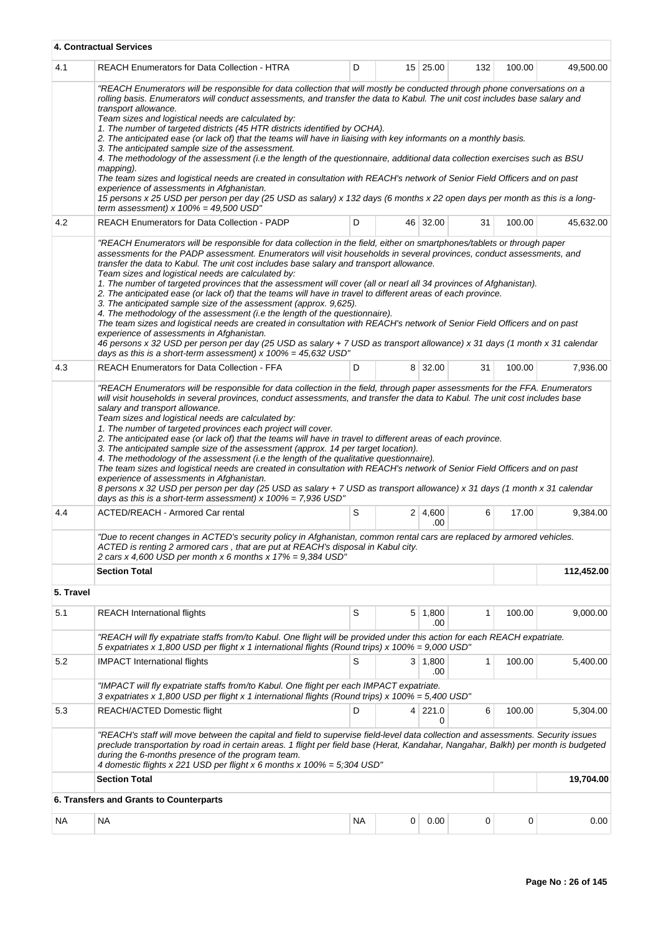|           | 4. Contractual Services                                                                                                                                                                                                                                                                                                                                                                                                                                                                                                                                                                                                                                                                                                                                                                                                                                                                                                                                                                                                                                                                                                                                                |           |   |                       |              |        |            |
|-----------|------------------------------------------------------------------------------------------------------------------------------------------------------------------------------------------------------------------------------------------------------------------------------------------------------------------------------------------------------------------------------------------------------------------------------------------------------------------------------------------------------------------------------------------------------------------------------------------------------------------------------------------------------------------------------------------------------------------------------------------------------------------------------------------------------------------------------------------------------------------------------------------------------------------------------------------------------------------------------------------------------------------------------------------------------------------------------------------------------------------------------------------------------------------------|-----------|---|-----------------------|--------------|--------|------------|
| 4.1       | <b>REACH Enumerators for Data Collection - HTRA</b>                                                                                                                                                                                                                                                                                                                                                                                                                                                                                                                                                                                                                                                                                                                                                                                                                                                                                                                                                                                                                                                                                                                    | D         |   | 15 25.00              | 132          | 100.00 | 49,500.00  |
|           | "REACH Enumerators will be responsible for data collection that will mostly be conducted through phone conversations on a<br>rolling basis. Enumerators will conduct assessments, and transfer the data to Kabul. The unit cost includes base salary and<br>transport allowance.<br>Team sizes and logistical needs are calculated by:<br>1. The number of targeted districts (45 HTR districts identified by OCHA).<br>2. The anticipated ease (or lack of) that the teams will have in liaising with key informants on a monthly basis.<br>3. The anticipated sample size of the assessment.<br>4. The methodology of the assessment (i.e the length of the questionnaire, additional data collection exercises such as BSU<br>mapping).<br>The team sizes and logistical needs are created in consultation with REACH's network of Senior Field Officers and on past<br>experience of assessments in Afghanistan.<br>15 persons x 25 USD per person per day (25 USD as salary) x 132 days (6 months x 22 open days per month as this is a long-<br>term assessment) $x$ 100% = 49,500 USD"                                                                          |           |   |                       |              |        |            |
| 4.2       | <b>REACH Enumerators for Data Collection - PADP</b>                                                                                                                                                                                                                                                                                                                                                                                                                                                                                                                                                                                                                                                                                                                                                                                                                                                                                                                                                                                                                                                                                                                    | D         |   | 46 32.00              | 31           | 100.00 | 45,632.00  |
|           | "REACH Enumerators will be responsible for data collection in the field, either on smartphones/tablets or through paper<br>assessments for the PADP assessment. Enumerators will visit households in several provinces, conduct assessments, and<br>transfer the data to Kabul. The unit cost includes base salary and transport allowance.<br>Team sizes and logistical needs are calculated by:<br>1. The number of targeted provinces that the assessment will cover (all or nearl all 34 provinces of Afghanistan).<br>2. The anticipated ease (or lack of) that the teams will have in travel to different areas of each province.<br>3. The anticipated sample size of the assessment (approx. 9,625).<br>4. The methodology of the assessment (i.e the length of the questionnaire).<br>The team sizes and logistical needs are created in consultation with REACH's network of Senior Field Officers and on past<br>experience of assessments in Afghanistan.<br>46 persons x 32 USD per person per day (25 USD as salary + 7 USD as transport allowance) x 31 days (1 month x 31 calendar<br>days as this is a short-term assessment) x $100\% = 45,632$ USD" |           |   |                       |              |        |            |
| 4.3       | <b>REACH Enumerators for Data Collection - FFA</b>                                                                                                                                                                                                                                                                                                                                                                                                                                                                                                                                                                                                                                                                                                                                                                                                                                                                                                                                                                                                                                                                                                                     | D         |   | 8 32.00               | 31           | 100.00 | 7,936.00   |
| 4.4       | salary and transport allowance.<br>Team sizes and logistical needs are calculated by:<br>1. The number of targeted provinces each project will cover.<br>2. The anticipated ease (or lack of) that the teams will have in travel to different areas of each province.<br>3. The anticipated sample size of the assessment (approx. 14 per target location).<br>4. The methodology of the assessment (i.e the length of the qualitative questionnaire).<br>The team sizes and logistical needs are created in consultation with REACH's network of Senior Field Officers and on past<br>experience of assessments in Afghanistan.<br>8 persons x 32 USD per person per day (25 USD as salary + 7 USD as transport allowance) x 31 days (1 month x 31 calendar<br>days as this is a short-term assessment) $x$ 100% = 7,936 USD"<br>ACTED/REACH - Armored Car rental                                                                                                                                                                                                                                                                                                     | S         |   | 2 4,600               | 6            | 17.00  | 9.384.00   |
|           | "Due to recent changes in ACTED's security policy in Afghanistan, common rental cars are replaced by armored vehicles.<br>ACTED is renting 2 armored cars, that are put at REACH's disposal in Kabul city.                                                                                                                                                                                                                                                                                                                                                                                                                                                                                                                                                                                                                                                                                                                                                                                                                                                                                                                                                             |           |   | .00                   |              |        |            |
|           | 2 cars x 4,600 USD per month x 6 months x $17\% = 9,384$ USD"<br><b>Section Total</b>                                                                                                                                                                                                                                                                                                                                                                                                                                                                                                                                                                                                                                                                                                                                                                                                                                                                                                                                                                                                                                                                                  |           |   |                       |              |        | 112,452.00 |
| 5. Travel |                                                                                                                                                                                                                                                                                                                                                                                                                                                                                                                                                                                                                                                                                                                                                                                                                                                                                                                                                                                                                                                                                                                                                                        |           |   |                       |              |        |            |
| 5.1       | <b>REACH International flights</b>                                                                                                                                                                                                                                                                                                                                                                                                                                                                                                                                                                                                                                                                                                                                                                                                                                                                                                                                                                                                                                                                                                                                     | S         |   | $5 \mid 1,800$<br>.00 | $\mathbf{1}$ | 100.00 | 9,000.00   |
|           | "REACH will fly expatriate staffs from/to Kabul. One flight will be provided under this action for each REACH expatriate.<br>5 expatriates x 1,800 USD per flight x 1 international flights (Round trips) x 100% = 9,000 USD"                                                                                                                                                                                                                                                                                                                                                                                                                                                                                                                                                                                                                                                                                                                                                                                                                                                                                                                                          |           |   |                       |              |        |            |
| 5.2       | <b>IMPACT</b> International flights                                                                                                                                                                                                                                                                                                                                                                                                                                                                                                                                                                                                                                                                                                                                                                                                                                                                                                                                                                                                                                                                                                                                    | S         |   | 3   1,800<br>.00      | 1            | 100.00 | 5,400.00   |
|           | "IMPACT will fly expatriate staffs from/to Kabul. One flight per each IMPACT expatriate.<br>3 expatriates x 1,800 USD per flight x 1 international flights (Round trips) x 100% = 5,400 USD"                                                                                                                                                                                                                                                                                                                                                                                                                                                                                                                                                                                                                                                                                                                                                                                                                                                                                                                                                                           |           |   |                       |              |        |            |
| 5.3       | REACH/ACTED Domestic flight                                                                                                                                                                                                                                                                                                                                                                                                                                                                                                                                                                                                                                                                                                                                                                                                                                                                                                                                                                                                                                                                                                                                            | D         |   | $4$ 221.0<br>0        | 6            | 100.00 | 5,304.00   |
|           | "REACH's staff will move between the capital and field to supervise field-level data collection and assessments. Security issues<br>preclude transportation by road in certain areas. 1 flight per field base (Herat, Kandahar, Nangahar, Balkh) per month is budgeted<br>during the 6-months presence of the program team.<br>4 domestic flights x 221 USD per flight x 6 months x 100% = 5;304 USD"                                                                                                                                                                                                                                                                                                                                                                                                                                                                                                                                                                                                                                                                                                                                                                  |           |   |                       |              |        |            |
|           | <b>Section Total</b>                                                                                                                                                                                                                                                                                                                                                                                                                                                                                                                                                                                                                                                                                                                                                                                                                                                                                                                                                                                                                                                                                                                                                   |           |   |                       |              |        | 19,704.00  |
|           | 6. Transfers and Grants to Counterparts                                                                                                                                                                                                                                                                                                                                                                                                                                                                                                                                                                                                                                                                                                                                                                                                                                                                                                                                                                                                                                                                                                                                |           |   |                       |              |        |            |
| NA        | NA                                                                                                                                                                                                                                                                                                                                                                                                                                                                                                                                                                                                                                                                                                                                                                                                                                                                                                                                                                                                                                                                                                                                                                     | <b>NA</b> | 0 | 0.00                  | 0            | 0      | 0.00       |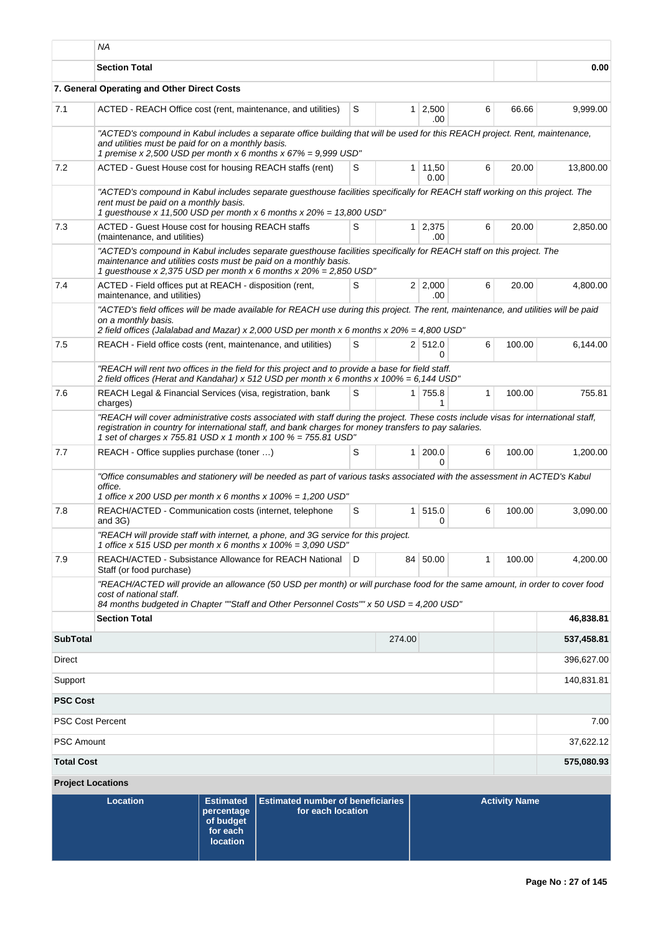|                          | ΝA                                                                                                                                                                                                                                                                                                             |                                                                            |                                                               |   |                |                       |              |                      |            |  |  |
|--------------------------|----------------------------------------------------------------------------------------------------------------------------------------------------------------------------------------------------------------------------------------------------------------------------------------------------------------|----------------------------------------------------------------------------|---------------------------------------------------------------|---|----------------|-----------------------|--------------|----------------------|------------|--|--|
|                          | <b>Section Total</b>                                                                                                                                                                                                                                                                                           |                                                                            |                                                               |   |                |                       |              |                      | 0.00       |  |  |
|                          | 7. General Operating and Other Direct Costs                                                                                                                                                                                                                                                                    |                                                                            |                                                               |   |                |                       |              |                      |            |  |  |
| 7.1                      | ACTED - REACH Office cost (rent, maintenance, and utilities)                                                                                                                                                                                                                                                   |                                                                            |                                                               | S |                | $1 \mid 2,500$<br>.00 | 6            | 66.66                | 9,999.00   |  |  |
|                          | "ACTED's compound in Kabul includes a separate office building that will be used for this REACH project. Rent, maintenance,<br>and utilities must be paid for on a monthly basis.<br>1 premise x 2,500 USD per month x 6 months x $67\% = 9,999$ USD"                                                          |                                                                            |                                                               |   |                |                       |              |                      |            |  |  |
| 7.2                      | ACTED - Guest House cost for housing REACH staffs (rent)                                                                                                                                                                                                                                                       |                                                                            |                                                               | S | 1 <sup>1</sup> | 11,50<br>0.00         | 6            | 20.00                | 13,800.00  |  |  |
|                          | "ACTED's compound in Kabul includes separate guesthouse facilities specifically for REACH staff working on this project. The<br>rent must be paid on a monthly basis.<br>1 guesthouse x 11,500 USD per month x 6 months x $20\% = 13,800$ USD"                                                                 |                                                                            |                                                               |   |                |                       |              |                      |            |  |  |
| 7.3                      | ACTED - Guest House cost for housing REACH staffs<br>(maintenance, and utilities)                                                                                                                                                                                                                              |                                                                            |                                                               | S |                | $1 \mid 2,375$<br>.00 | 6            | 20.00                | 2,850.00   |  |  |
|                          | "ACTED's compound in Kabul includes separate guesthouse facilities specifically for REACH staff on this project. The<br>maintenance and utilities costs must be paid on a monthly basis.<br>1 guesthouse x 2,375 USD per month x 6 months x 20% = 2,850 USD"                                                   |                                                                            |                                                               |   |                |                       |              |                      |            |  |  |
| 7.4                      | ACTED - Field offices put at REACH - disposition (rent,<br>maintenance, and utilities)                                                                                                                                                                                                                         |                                                                            |                                                               | S |                | 2 2,000<br>.00        | 6            | 20.00                | 4,800.00   |  |  |
|                          | "ACTED's field offices will be made available for REACH use during this project. The rent, maintenance, and utilities will be paid<br>on a monthly basis.<br>2 field offices (Jalalabad and Mazar) x 2,000 USD per month x 6 months x 20% = 4,800 USD"                                                         |                                                                            |                                                               |   |                |                       |              |                      |            |  |  |
| 7.5                      | REACH - Field office costs (rent, maintenance, and utilities)                                                                                                                                                                                                                                                  |                                                                            |                                                               | S |                | 2 512.0<br>0          | 6            | 100.00               | 6,144.00   |  |  |
|                          | "REACH will rent two offices in the field for this project and to provide a base for field staff.<br>2 field offices (Herat and Kandahar) x 512 USD per month x 6 months x 100% = 6,144 USD"                                                                                                                   |                                                                            |                                                               |   |                |                       |              |                      |            |  |  |
| 7.6                      | REACH Legal & Financial Services (visa, registration, bank<br>charges)                                                                                                                                                                                                                                         |                                                                            |                                                               | S |                | 1 755.8<br>1          | $\mathbf{1}$ | 100.00               | 755.81     |  |  |
|                          | "REACH will cover administrative costs associated with staff during the project. These costs include visas for international staff,<br>registration in country for international staff, and bank charges for money transfers to pay salaries.<br>1 set of charges x 755.81 USD x 1 month x 100 % = 755.81 USD" |                                                                            |                                                               |   |                |                       |              |                      |            |  |  |
| 7.7                      | REACH - Office supplies purchase (toner )                                                                                                                                                                                                                                                                      |                                                                            |                                                               | S | 1              | 200.0<br>0            | 6            | 100.00               | 1,200.00   |  |  |
|                          | "Office consumables and stationery will be needed as part of various tasks associated with the assessment in ACTED's Kabul<br>office.<br>1 office x 200 USD per month x 6 months x $100\% = 1,200$ USD"                                                                                                        |                                                                            |                                                               |   |                |                       |              |                      |            |  |  |
| 7.8                      | and 3G)                                                                                                                                                                                                                                                                                                        | REACH/ACTED - Communication costs (internet, telephone                     |                                                               |   | 1              | 515.0<br>0            | 6            | 100.00               | 3.090.00   |  |  |
|                          | "REACH will provide staff with internet, a phone, and 3G service for this project.<br>1 office x 515 USD per month x 6 months x $100\% = 3,090$ USD"                                                                                                                                                           |                                                                            |                                                               |   |                |                       |              |                      |            |  |  |
| 7.9                      | Staff (or food purchase)                                                                                                                                                                                                                                                                                       | REACH/ACTED - Subsistance Allowance for REACH National                     |                                                               |   |                | 84 50.00              | $\mathbf{1}$ | 100.00               | 4,200.00   |  |  |
|                          | "REACH/ACTED will provide an allowance (50 USD per month) or will purchase food for the same amount, in order to cover food<br>cost of national staff.<br>84 months budgeted in Chapter ""Staff and Other Personnel Costs"" x 50 USD = 4,200 USD"                                                              |                                                                            |                                                               |   |                |                       |              |                      |            |  |  |
|                          | <b>Section Total</b>                                                                                                                                                                                                                                                                                           |                                                                            |                                                               |   |                |                       |              |                      | 46,838.81  |  |  |
| <b>SubTotal</b>          |                                                                                                                                                                                                                                                                                                                |                                                                            |                                                               |   | 274.00         |                       |              |                      | 537,458.81 |  |  |
| Direct                   |                                                                                                                                                                                                                                                                                                                |                                                                            |                                                               |   |                |                       |              |                      | 396,627.00 |  |  |
| Support                  |                                                                                                                                                                                                                                                                                                                |                                                                            |                                                               |   |                |                       |              |                      | 140,831.81 |  |  |
| <b>PSC Cost</b>          |                                                                                                                                                                                                                                                                                                                |                                                                            |                                                               |   |                |                       |              |                      |            |  |  |
| <b>PSC Cost Percent</b>  |                                                                                                                                                                                                                                                                                                                |                                                                            |                                                               |   |                |                       |              |                      | 7.00       |  |  |
| <b>PSC Amount</b>        |                                                                                                                                                                                                                                                                                                                |                                                                            |                                                               |   |                |                       |              |                      | 37,622.12  |  |  |
| <b>Total Cost</b>        |                                                                                                                                                                                                                                                                                                                |                                                                            |                                                               |   |                |                       |              |                      | 575,080.93 |  |  |
| <b>Project Locations</b> |                                                                                                                                                                                                                                                                                                                |                                                                            |                                                               |   |                |                       |              |                      |            |  |  |
|                          | <b>Location</b>                                                                                                                                                                                                                                                                                                | <b>Estimated</b><br>percentage<br>of budget<br>for each<br><b>location</b> | <b>Estimated number of beneficiaries</b><br>for each location |   |                |                       |              | <b>Activity Name</b> |            |  |  |

Т.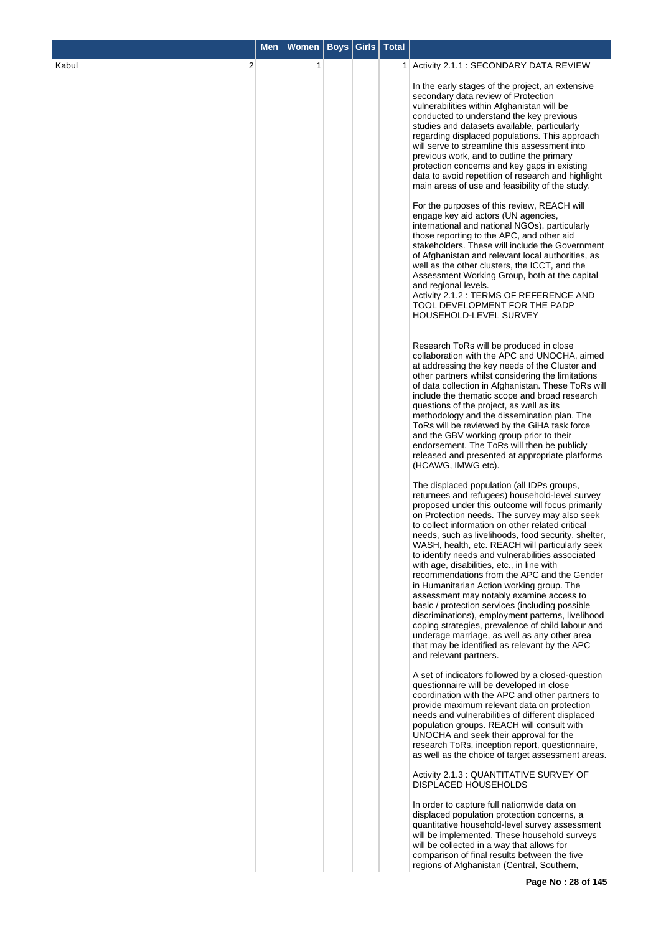|       |   | <b>Men</b> | <b>Women</b> | Boys | Girls | <b>Total</b> |                                                                                                                                                                                                                                                                                                                                                                                                                                                                                                                                                                                                                                                                                                                                                                                                                                                                                                   |
|-------|---|------------|--------------|------|-------|--------------|---------------------------------------------------------------------------------------------------------------------------------------------------------------------------------------------------------------------------------------------------------------------------------------------------------------------------------------------------------------------------------------------------------------------------------------------------------------------------------------------------------------------------------------------------------------------------------------------------------------------------------------------------------------------------------------------------------------------------------------------------------------------------------------------------------------------------------------------------------------------------------------------------|
| Kabul | 2 |            | 1            |      |       |              | 1 Activity 2.1.1 : SECONDARY DATA REVIEW                                                                                                                                                                                                                                                                                                                                                                                                                                                                                                                                                                                                                                                                                                                                                                                                                                                          |
|       |   |            |              |      |       |              | In the early stages of the project, an extensive<br>secondary data review of Protection<br>vulnerabilities within Afghanistan will be<br>conducted to understand the key previous<br>studies and datasets available, particularly<br>regarding displaced populations. This approach<br>will serve to streamline this assessment into<br>previous work, and to outline the primary<br>protection concerns and key gaps in existing<br>data to avoid repetition of research and highlight<br>main areas of use and feasibility of the study.                                                                                                                                                                                                                                                                                                                                                        |
|       |   |            |              |      |       |              | For the purposes of this review, REACH will<br>engage key aid actors (UN agencies,<br>international and national NGOs), particularly<br>those reporting to the APC, and other aid<br>stakeholders. These will include the Government<br>of Afghanistan and relevant local authorities, as<br>well as the other clusters, the ICCT, and the<br>Assessment Working Group, both at the capital<br>and regional levels.<br>Activity 2.1.2 : TERMS OF REFERENCE AND<br>TOOL DEVELOPMENT FOR THE PADP<br>HOUSEHOLD-LEVEL SURVEY                                                                                                                                                                                                                                                                                                                                                                         |
|       |   |            |              |      |       |              | Research ToRs will be produced in close<br>collaboration with the APC and UNOCHA, aimed<br>at addressing the key needs of the Cluster and<br>other partners whilst considering the limitations<br>of data collection in Afghanistan. These ToRs will<br>include the thematic scope and broad research<br>questions of the project, as well as its<br>methodology and the dissemination plan. The<br>ToRs will be reviewed by the GiHA task force<br>and the GBV working group prior to their<br>endorsement. The ToRs will then be publicly<br>released and presented at appropriate platforms<br>(HCAWG, IMWG etc).                                                                                                                                                                                                                                                                              |
|       |   |            |              |      |       |              | The displaced population (all IDPs groups,<br>returnees and refugees) household-level survey<br>proposed under this outcome will focus primarily<br>on Protection needs. The survey may also seek<br>to collect information on other related critical<br>needs, such as livelihoods, food security, shelter,<br>WASH, health, etc. REACH will particularly seek<br>to identify needs and vulnerabilities associated<br>with age, disabilities, etc., in line with<br>recommendations from the APC and the Gender<br>in Humanitarian Action working group. The<br>assessment may notably examine access to<br>basic / protection services (including possible<br>discriminations), employment patterns, livelihood<br>coping strategies, prevalence of child labour and<br>underage marriage, as well as any other area<br>that may be identified as relevant by the APC<br>and relevant partners. |
|       |   |            |              |      |       |              | A set of indicators followed by a closed-question<br>questionnaire will be developed in close<br>coordination with the APC and other partners to<br>provide maximum relevant data on protection<br>needs and vulnerabilities of different displaced<br>population groups. REACH will consult with<br>UNOCHA and seek their approval for the<br>research ToRs, inception report, questionnaire,<br>as well as the choice of target assessment areas.                                                                                                                                                                                                                                                                                                                                                                                                                                               |
|       |   |            |              |      |       |              | Activity 2.1.3 : QUANTITATIVE SURVEY OF<br><b>DISPLACED HOUSEHOLDS</b>                                                                                                                                                                                                                                                                                                                                                                                                                                                                                                                                                                                                                                                                                                                                                                                                                            |
|       |   |            |              |      |       |              | In order to capture full nationwide data on<br>displaced population protection concerns, a<br>quantitative household-level survey assessment<br>will be implemented. These household surveys<br>will be collected in a way that allows for<br>comparison of final results between the five<br>regions of Afghanistan (Central, Southern,                                                                                                                                                                                                                                                                                                                                                                                                                                                                                                                                                          |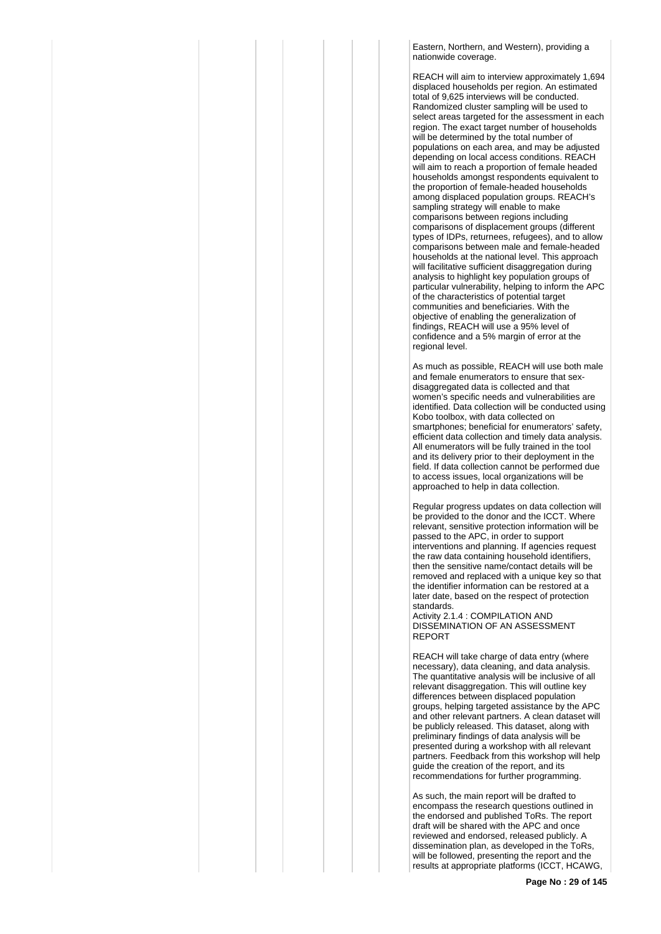Eastern, Northern, and Western), providing a nationwide coverage.

REACH will aim to interview approximately 1,694 displaced households per region. An estimated total of 9,625 interviews will be conducted. Randomized cluster sampling will be used to select areas targeted for the assessment in each region. The exact target number of households will be determined by the total number of populations on each area, and may be adjusted depending on local access conditions. REACH will aim to reach a proportion of female headed households amongst respondents equivalent to the proportion of female-headed households among displaced population groups. REACH's sampling strategy will enable to make comparisons between regions including comparisons of displacement groups (different types of IDPs, returnees, refugees), and to allow comparisons between male and female-headed households at the national level. This approach will facilitative sufficient disaggregation during analysis to highlight key population groups of particular vulnerability, helping to inform the APC of the characteristics of potential target communities and beneficiaries. With the objective of enabling the generalization of findings, REACH will use a 95% level of confidence and a 5% margin of error at the regional level.

As much as possible, REACH will use both male and female enumerators to ensure that sexdisaggregated data is collected and that women's specific needs and vulnerabilities are identified. Data collection will be conducted using Kobo toolbox, with data collected on smartphones; beneficial for enumerators' safety, efficient data collection and timely data analysis. All enumerators will be fully trained in the tool and its delivery prior to their deployment in the field. If data collection cannot be performed due to access issues, local organizations will be approached to help in data collection.

Regular progress updates on data collection will be provided to the donor and the ICCT. Where relevant, sensitive protection information will be passed to the APC, in order to support interventions and planning. If agencies request the raw data containing household identifiers, then the sensitive name/contact details will be removed and replaced with a unique key so that the identifier information can be restored at a later date, based on the respect of protection standards.

Activity 2.1.4 : COMPILATION AND DISSEMINATION OF AN ASSESSMENT REPORT

REACH will take charge of data entry (where necessary), data cleaning, and data analysis. The quantitative analysis will be inclusive of all relevant disaggregation. This will outline key differences between displaced population groups, helping targeted assistance by the APC and other relevant partners. A clean dataset will be publicly released. This dataset, along with preliminary findings of data analysis will be presented during a workshop with all relevant partners. Feedback from this workshop will help guide the creation of the report, and its recommendations for further programming.

As such, the main report will be drafted to encompass the research questions outlined in the endorsed and published ToRs. The report draft will be shared with the APC and once reviewed and endorsed, released publicly. A dissemination plan, as developed in the ToRs, will be followed, presenting the report and the results at appropriate platforms (ICCT, HCAWG,

**Page No : 29 of 145**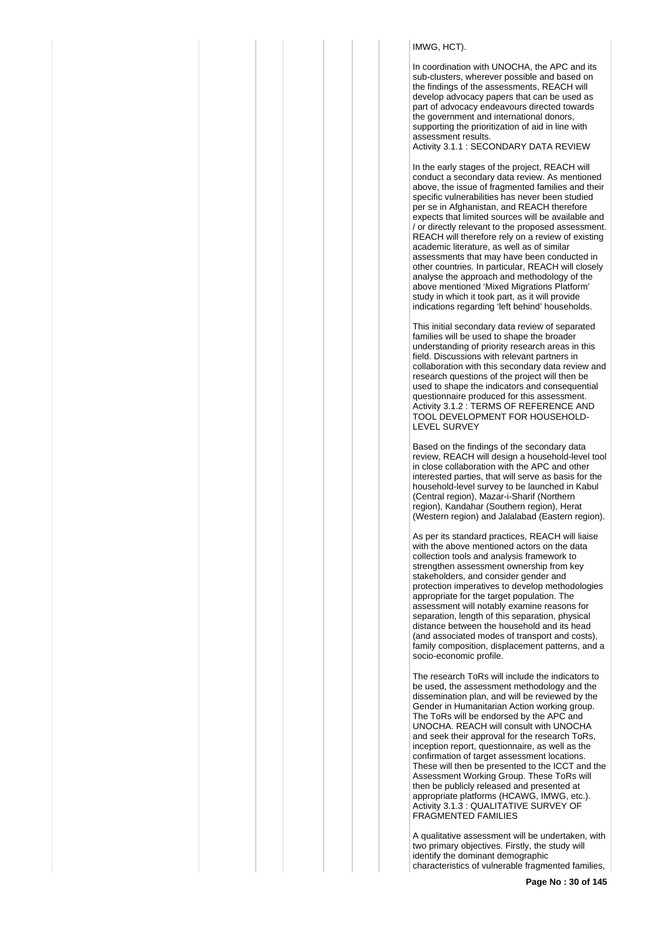# IMWG, HCT).

In coordination with UNOCHA, the APC and its sub-clusters, wherever possible and based on the findings of the assessments, REACH will develop advocacy papers that can be used as part of advocacy endeavours directed towards the government and international donors, supporting the prioritization of aid in line with assessment results. Activity 3.1.1 : SECONDARY DATA REVIEW

In the early stages of the project, REACH will conduct a secondary data review. As mentioned above, the issue of fragmented families and their specific vulnerabilities has never been studied per se in Afghanistan, and REACH therefore expects that limited sources will be available and / or directly relevant to the proposed assessment. REACH will therefore rely on a review of existing academic literature, as well as of similar assessments that may have been conducted in other countries. In particular, REACH will closely analyse the approach and methodology of the above mentioned 'Mixed Migrations Platform' study in which it took part, as it will provide indications regarding 'left behind' households.

This initial secondary data review of separated families will be used to shape the broader understanding of priority research areas in this field. Discussions with relevant partners in collaboration with this secondary data review and research questions of the project will then be used to shape the indicators and consequential questionnaire produced for this assessment. Activity 3.1.2 : TERMS OF REFERENCE AND TOOL DEVELOPMENT FOR HOUSEHOLD-LEVEL SURVEY

Based on the findings of the secondary data review, REACH will design a household-level tool in close collaboration with the APC and other interested parties, that will serve as basis for the household-level survey to be launched in Kabul (Central region), Mazar-i-Sharif (Northern region), Kandahar (Southern region), Herat (Western region) and Jalalabad (Eastern region).

As per its standard practices, REACH will liaise with the above mentioned actors on the data collection tools and analysis framework to strengthen assessment ownership from key stakeholders, and consider gender and protection imperatives to develop methodologies appropriate for the target population. The assessment will notably examine reasons for separation, length of this separation, physical distance between the household and its head (and associated modes of transport and costs), family composition, displacement patterns, and a socio-economic profile.

The research ToRs will include the indicators to be used, the assessment methodology and the dissemination plan, and will be reviewed by the Gender in Humanitarian Action working group. The ToRs will be endorsed by the APC and UNOCHA. REACH will consult with UNOCHA and seek their approval for the research ToRs, inception report, questionnaire, as well as the confirmation of target assessment locations. These will then be presented to the ICCT and the Assessment Working Group. These ToRs will then be publicly released and presented at appropriate platforms (HCAWG, IMWG, etc.). Activity 3.1.3 : QUALITATIVE SURVEY OF FRAGMENTED FAMILIES

A qualitative assessment will be undertaken, with two primary objectives. Firstly, the study will identify the dominant demographic characteristics of vulnerable fragmented families,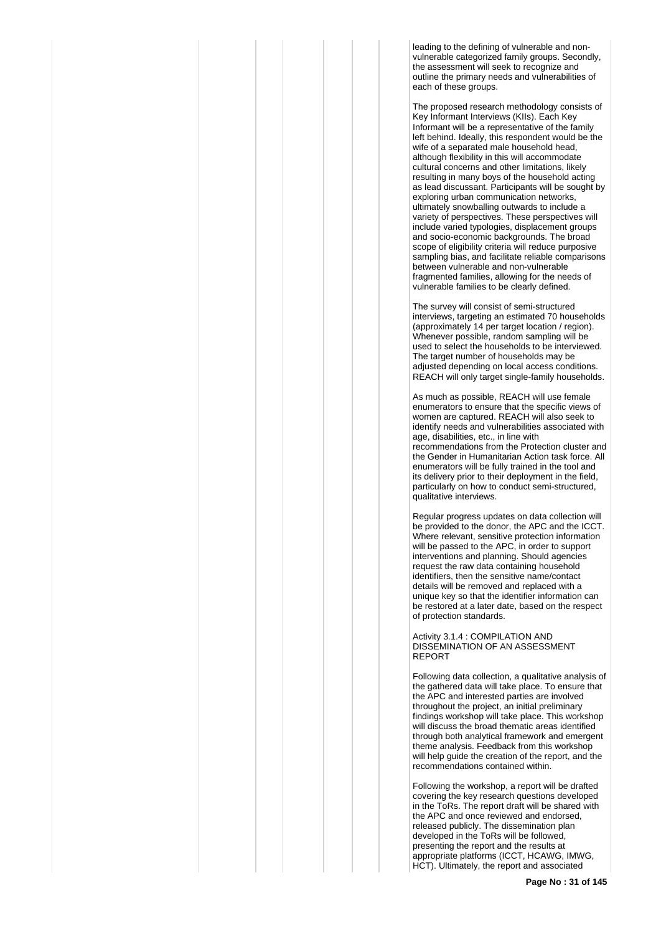leading to the defining of vulnerable and nonvulnerable categorized family groups. Secondly, the assessment will seek to recognize and outline the primary needs and vulnerabilities of each of these groups.

The proposed research methodology consists of Key Informant Interviews (KIIs). Each Key Informant will be a representative of the family left behind. Ideally, this respondent would be the wife of a separated male household head, although flexibility in this will accommodate cultural concerns and other limitations, likely resulting in many boys of the household acting as lead discussant. Participants will be sought by exploring urban communication networks, ultimately snowballing outwards to include a variety of perspectives. These perspectives will include varied typologies, displacement groups and socio-economic backgrounds. The broad scope of eligibility criteria will reduce purposive sampling bias, and facilitate reliable comparisons between vulnerable and non-vulnerable fragmented families, allowing for the needs of vulnerable families to be clearly defined.

The survey will consist of semi-structured interviews, targeting an estimated 70 households (approximately 14 per target location / region). Whenever possible, random sampling will be used to select the households to be interviewed. The target number of households may be adjusted depending on local access conditions. REACH will only target single-family households.

As much as possible, REACH will use female enumerators to ensure that the specific views of women are captured. REACH will also seek to identify needs and vulnerabilities associated with age, disabilities, etc., in line with recommendations from the Protection cluster and the Gender in Humanitarian Action task force. All enumerators will be fully trained in the tool and its delivery prior to their deployment in the field, particularly on how to conduct semi-structured, qualitative interviews.

Regular progress updates on data collection will be provided to the donor, the APC and the ICCT. Where relevant, sensitive protection information will be passed to the APC, in order to support interventions and planning. Should agencies request the raw data containing household identifiers, then the sensitive name/contact details will be removed and replaced with a unique key so that the identifier information can be restored at a later date, based on the respect of protection standards.

Activity 3.1.4 : COMPILATION AND DISSEMINATION OF AN ASSESSMENT REPORT

Following data collection, a qualitative analysis of the gathered data will take place. To ensure that the APC and interested parties are involved throughout the project, an initial preliminary findings workshop will take place. This workshop will discuss the broad thematic areas identified through both analytical framework and emergent theme analysis. Feedback from this workshop will help guide the creation of the report, and the recommendations contained within.

Following the workshop, a report will be drafted covering the key research questions developed in the ToRs. The report draft will be shared with the APC and once reviewed and endorsed, released publicly. The dissemination plan developed in the ToRs will be followed, presenting the report and the results at appropriate platforms (ICCT, HCAWG, IMWG, HCT). Ultimately, the report and associated

**Page No : 31 of 145**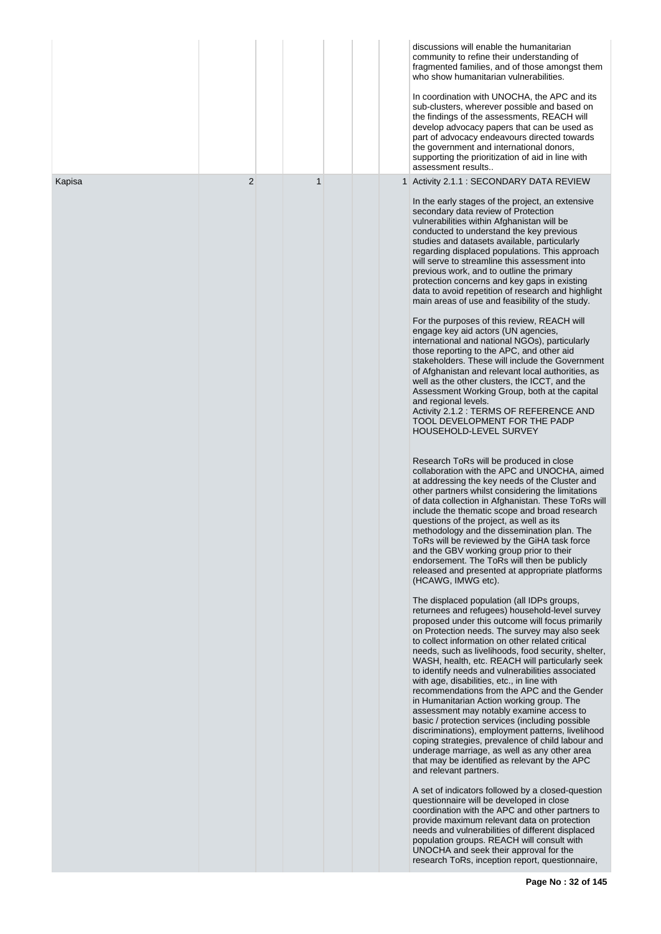|        |                |             |  | discussions will enable the humanitarian<br>community to refine their understanding of<br>fragmented families, and of those amongst them<br>who show humanitarian vulnerabilities.<br>In coordination with UNOCHA, the APC and its<br>sub-clusters, wherever possible and based on<br>the findings of the assessments, REACH will<br>develop advocacy papers that can be used as<br>part of advocacy endeavours directed towards<br>the government and international donors,<br>supporting the prioritization of aid in line with<br>assessment results                                                                                                                                                                                                                                                                                                                                                                                                                                                                                                                                                                                                                                                                                                                                                                                                                                                                                                                                                                                                                                                                                                                                                                                                                                                                                                                                                                                                                                                                                                                                                                                                                                                                                                                                                                                                                                                                                                                                                                                                                                                                                                                                                                                                                                                                                                                                                                                               |
|--------|----------------|-------------|--|-------------------------------------------------------------------------------------------------------------------------------------------------------------------------------------------------------------------------------------------------------------------------------------------------------------------------------------------------------------------------------------------------------------------------------------------------------------------------------------------------------------------------------------------------------------------------------------------------------------------------------------------------------------------------------------------------------------------------------------------------------------------------------------------------------------------------------------------------------------------------------------------------------------------------------------------------------------------------------------------------------------------------------------------------------------------------------------------------------------------------------------------------------------------------------------------------------------------------------------------------------------------------------------------------------------------------------------------------------------------------------------------------------------------------------------------------------------------------------------------------------------------------------------------------------------------------------------------------------------------------------------------------------------------------------------------------------------------------------------------------------------------------------------------------------------------------------------------------------------------------------------------------------------------------------------------------------------------------------------------------------------------------------------------------------------------------------------------------------------------------------------------------------------------------------------------------------------------------------------------------------------------------------------------------------------------------------------------------------------------------------------------------------------------------------------------------------------------------------------------------------------------------------------------------------------------------------------------------------------------------------------------------------------------------------------------------------------------------------------------------------------------------------------------------------------------------------------------------------------------------------------------------------------------------------------------------------|
| Kapisa | $\overline{2}$ | $\mathbf 1$ |  | 1 Activity 2.1.1 : SECONDARY DATA REVIEW<br>In the early stages of the project, an extensive<br>secondary data review of Protection<br>vulnerabilities within Afghanistan will be<br>conducted to understand the key previous<br>studies and datasets available, particularly<br>regarding displaced populations. This approach<br>will serve to streamline this assessment into<br>previous work, and to outline the primary<br>protection concerns and key gaps in existing<br>data to avoid repetition of research and highlight<br>main areas of use and feasibility of the study.<br>For the purposes of this review, REACH will<br>engage key aid actors (UN agencies,<br>international and national NGOs), particularly<br>those reporting to the APC, and other aid<br>stakeholders. These will include the Government<br>of Afghanistan and relevant local authorities, as<br>well as the other clusters, the ICCT, and the<br>Assessment Working Group, both at the capital<br>and regional levels.<br>Activity 2.1.2 : TERMS OF REFERENCE AND<br>TOOL DEVELOPMENT FOR THE PADP<br>HOUSEHOLD-LEVEL SURVEY<br>Research ToRs will be produced in close<br>collaboration with the APC and UNOCHA, aimed<br>at addressing the key needs of the Cluster and<br>other partners whilst considering the limitations<br>of data collection in Afghanistan. These ToRs will<br>include the thematic scope and broad research<br>questions of the project, as well as its<br>methodology and the dissemination plan. The<br>ToRs will be reviewed by the GiHA task force<br>and the GBV working group prior to their<br>endorsement. The ToRs will then be publicly<br>released and presented at appropriate platforms<br>(HCAWG, IMWG etc).<br>The displaced population (all IDPs groups,<br>returnees and refugees) household-level survey<br>proposed under this outcome will focus primarily<br>on Protection needs. The survey may also seek<br>to collect information on other related critical<br>needs, such as livelihoods, food security, shelter,<br>WASH, health, etc. REACH will particularly seek<br>to identify needs and vulnerabilities associated<br>with age, disabilities, etc., in line with<br>recommendations from the APC and the Gender<br>in Humanitarian Action working group. The<br>assessment may notably examine access to<br>basic / protection services (including possible<br>discriminations), employment patterns, livelihood<br>coping strategies, prevalence of child labour and<br>underage marriage, as well as any other area<br>that may be identified as relevant by the APC<br>and relevant partners.<br>A set of indicators followed by a closed-question<br>questionnaire will be developed in close<br>coordination with the APC and other partners to<br>provide maximum relevant data on protection<br>needs and vulnerabilities of different displaced<br>population groups. REACH will consult with |
|        |                |             |  | UNOCHA and seek their approval for the<br>research ToRs, inception report, questionnaire,                                                                                                                                                                                                                                                                                                                                                                                                                                                                                                                                                                                                                                                                                                                                                                                                                                                                                                                                                                                                                                                                                                                                                                                                                                                                                                                                                                                                                                                                                                                                                                                                                                                                                                                                                                                                                                                                                                                                                                                                                                                                                                                                                                                                                                                                                                                                                                                                                                                                                                                                                                                                                                                                                                                                                                                                                                                             |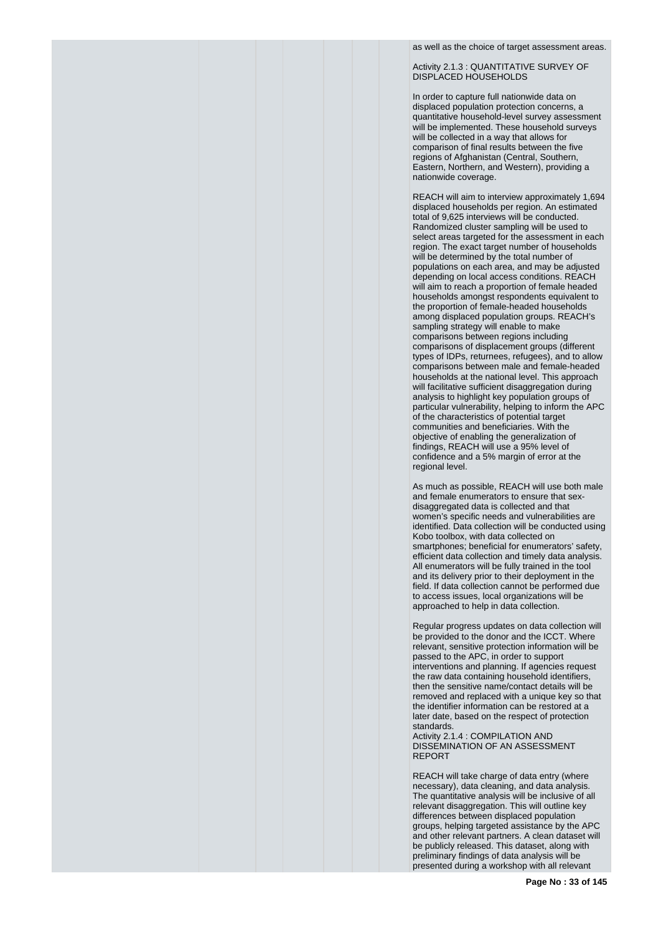as well as the choice of target assessment areas.

Activity 2.1.3 : QUANTITATIVE SURVEY OF DISPLACED HOUSEHOLDS

In order to capture full nationwide data on displaced population protection concerns, a quantitative household-level survey assessment will be implemented. These household surveys will be collected in a way that allows for comparison of final results between the five regions of Afghanistan (Central, Southern, Eastern, Northern, and Western), providing a nationwide coverage.

REACH will aim to interview approximately 1,694 displaced households per region. An estimated total of 9,625 interviews will be conducted. Randomized cluster sampling will be used to select areas targeted for the assessment in each region. The exact target number of households will be determined by the total number of populations on each area, and may be adjusted depending on local access conditions. REACH will aim to reach a proportion of female headed households amongst respondents equivalent to the proportion of female-headed households among displaced population groups. REACH's sampling strategy will enable to make comparisons between regions including comparisons of displacement groups (different types of IDPs, returnees, refugees), and to allow comparisons between male and female-headed households at the national level. This approach will facilitative sufficient disaggregation during analysis to highlight key population groups of particular vulnerability, helping to inform the APC of the characteristics of potential target communities and beneficiaries. With the objective of enabling the generalization of findings, REACH will use a 95% level of confidence and a 5% margin of error at the regional level.

As much as possible, REACH will use both male and female enumerators to ensure that sexdisaggregated data is collected and that women's specific needs and vulnerabilities are identified. Data collection will be conducted using Kobo toolbox, with data collected on smartphones; beneficial for enumerators' safety, efficient data collection and timely data analysis. All enumerators will be fully trained in the tool and its delivery prior to their deployment in the field. If data collection cannot be performed due to access issues, local organizations will be approached to help in data collection.

Regular progress updates on data collection will be provided to the donor and the ICCT. Where relevant, sensitive protection information will be passed to the APC, in order to support interventions and planning. If agencies request the raw data containing household identifiers, then the sensitive name/contact details will be removed and replaced with a unique key so that the identifier information can be restored at a later date, based on the respect of protection standards.

Activity 2.1.4 : COMPILATION AND DISSEMINATION OF AN ASSESSMENT REPORT

REACH will take charge of data entry (where necessary), data cleaning, and data analysis. The quantitative analysis will be inclusive of all relevant disaggregation. This will outline key differences between displaced population groups, helping targeted assistance by the APC and other relevant partners. A clean dataset will be publicly released. This dataset, along with preliminary findings of data analysis will be presented during a workshop with all relevant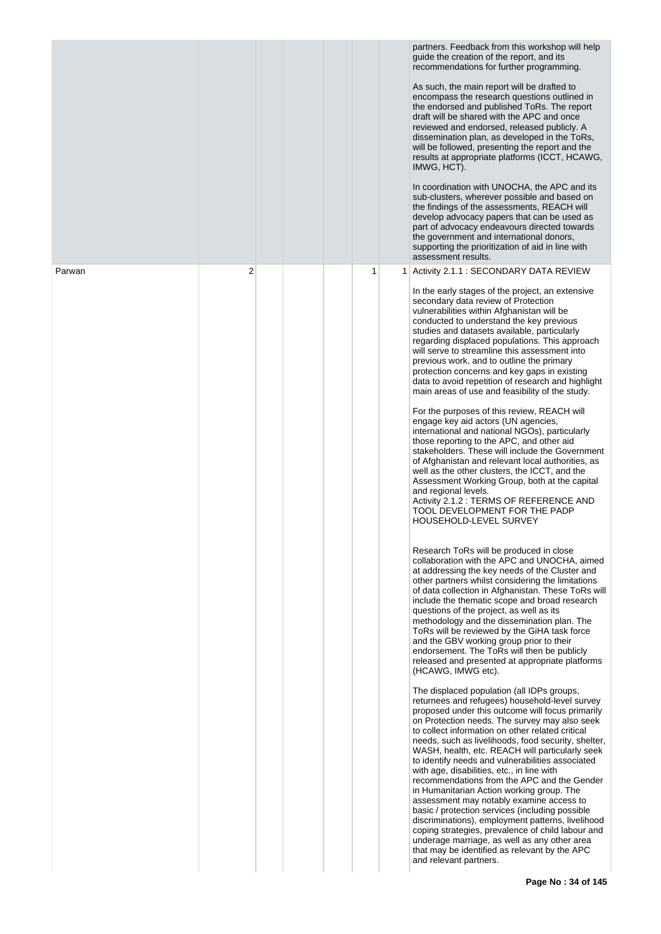|        |   |  |   |   | partners. Feedback from this workshop will help<br>guide the creation of the report, and its<br>recommendations for further programming.<br>As such, the main report will be drafted to<br>encompass the research questions outlined in<br>the endorsed and published ToRs. The report<br>draft will be shared with the APC and once<br>reviewed and endorsed, released publicly. A<br>dissemination plan, as developed in the ToRs,<br>will be followed, presenting the report and the<br>results at appropriate platforms (ICCT, HCAWG,<br>IMWG, HCT).<br>In coordination with UNOCHA, the APC and its<br>sub-clusters, wherever possible and based on<br>the findings of the assessments, REACH will<br>develop advocacy papers that can be used as<br>part of advocacy endeavours directed towards<br>the government and international donors,<br>supporting the prioritization of aid in line with<br>assessment results.                                                                                                                                                                                                                                                                                                                                                                                                                                                                                                                                                                                                                                                                                                                                                                                                                                                                                                                                                                                                                                                                                                                                                                                                                                                                                                                                                                                                                                                                                                                                                                                                                                                                                                                 |
|--------|---|--|---|---|------------------------------------------------------------------------------------------------------------------------------------------------------------------------------------------------------------------------------------------------------------------------------------------------------------------------------------------------------------------------------------------------------------------------------------------------------------------------------------------------------------------------------------------------------------------------------------------------------------------------------------------------------------------------------------------------------------------------------------------------------------------------------------------------------------------------------------------------------------------------------------------------------------------------------------------------------------------------------------------------------------------------------------------------------------------------------------------------------------------------------------------------------------------------------------------------------------------------------------------------------------------------------------------------------------------------------------------------------------------------------------------------------------------------------------------------------------------------------------------------------------------------------------------------------------------------------------------------------------------------------------------------------------------------------------------------------------------------------------------------------------------------------------------------------------------------------------------------------------------------------------------------------------------------------------------------------------------------------------------------------------------------------------------------------------------------------------------------------------------------------------------------------------------------------------------------------------------------------------------------------------------------------------------------------------------------------------------------------------------------------------------------------------------------------------------------------------------------------------------------------------------------------------------------------------------------------------------------------------------------------------------------|
| Parwan | 2 |  | 1 | 1 | Activity 2.1.1 : SECONDARY DATA REVIEW<br>In the early stages of the project, an extensive<br>secondary data review of Protection<br>vulnerabilities within Afghanistan will be<br>conducted to understand the key previous<br>studies and datasets available, particularly<br>regarding displaced populations. This approach<br>will serve to streamline this assessment into<br>previous work, and to outline the primary<br>protection concerns and key gaps in existing<br>data to avoid repetition of research and highlight<br>main areas of use and feasibility of the study.<br>For the purposes of this review, REACH will<br>engage key aid actors (UN agencies,<br>international and national NGOs), particularly<br>those reporting to the APC, and other aid<br>stakeholders. These will include the Government<br>of Afghanistan and relevant local authorities, as<br>well as the other clusters, the ICCT, and the<br>Assessment Working Group, both at the capital<br>and regional levels.<br>Activity 2.1.2 : TERMS OF REFERENCE AND<br>TOOL DEVELOPMENT FOR THE PADP<br>HOUSEHOLD-LEVEL SURVEY<br>Research ToRs will be produced in close<br>collaboration with the APC and UNOCHA, aimed<br>at addressing the key needs of the Cluster and<br>other partners whilst considering the limitations<br>of data collection in Afghanistan. These ToRs will<br>include the thematic scope and broad research<br>questions of the project, as well as its<br>methodology and the dissemination plan. The<br>ToRs will be reviewed by the GiHA task force<br>and the GBV working group prior to their<br>endorsement. The ToRs will then be publicly<br>released and presented at appropriate platforms<br>(HCAWG, IMWG etc).<br>The displaced population (all IDPs groups,<br>returnees and refugees) household-level survey<br>proposed under this outcome will focus primarily<br>on Protection needs. The survey may also seek<br>to collect information on other related critical<br>needs, such as livelihoods, food security, shelter,<br>WASH, health, etc. REACH will particularly seek<br>to identify needs and vulnerabilities associated<br>with age, disabilities, etc., in line with<br>recommendations from the APC and the Gender<br>in Humanitarian Action working group. The<br>assessment may notably examine access to<br>basic / protection services (including possible<br>discriminations), employment patterns, livelihood<br>coping strategies, prevalence of child labour and<br>underage marriage, as well as any other area<br>that may be identified as relevant by the APC<br>and relevant partners. |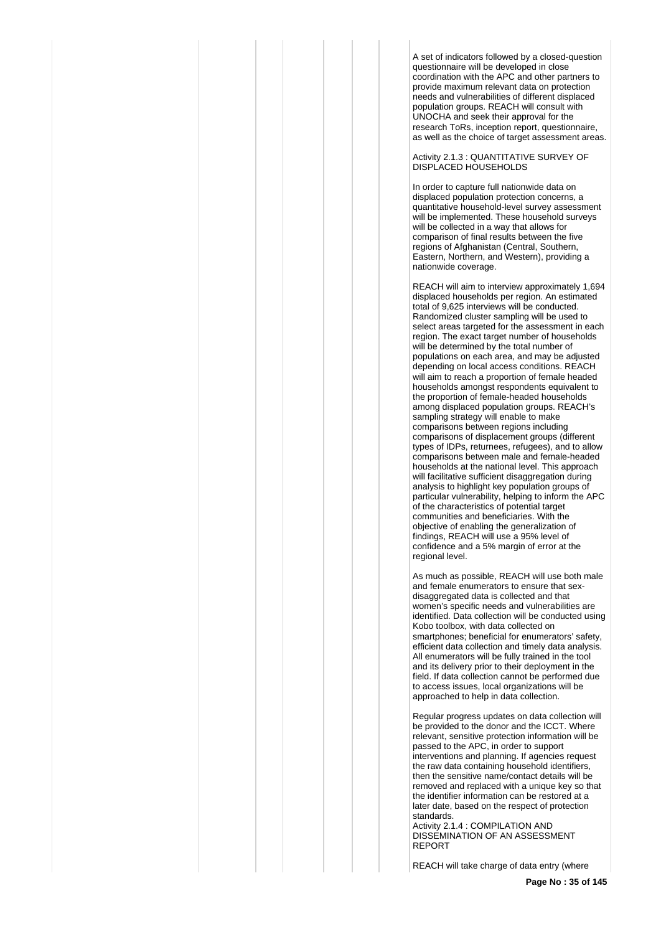A set of indicators followed by a closed-question questionnaire will be developed in close coordination with the APC and other partners to provide maximum relevant data on protection needs and vulnerabilities of different displaced population groups. REACH will consult with UNOCHA and seek their approval for the research ToRs, inception report, questionnaire, as well as the choice of target assessment areas.

Activity 2.1.3 : QUANTITATIVE SURVEY OF DISPLACED HOUSEHOLDS

In order to capture full nationwide data on displaced population protection concerns, a quantitative household-level survey assessment will be implemented. These household surveys will be collected in a way that allows for comparison of final results between the five regions of Afghanistan (Central, Southern, Eastern, Northern, and Western), providing a nationwide coverage.

REACH will aim to interview approximately 1,694 displaced households per region. An estimated total of 9,625 interviews will be conducted. Randomized cluster sampling will be used to select areas targeted for the assessment in each region. The exact target number of households will be determined by the total number of populations on each area, and may be adjusted depending on local access conditions. REACH will aim to reach a proportion of female headed households amongst respondents equivalent to the proportion of female-headed households among displaced population groups. REACH's sampling strategy will enable to make comparisons between regions including comparisons of displacement groups (different types of IDPs, returnees, refugees), and to allow comparisons between male and female-headed households at the national level. This approach will facilitative sufficient disaggregation during analysis to highlight key population groups of particular vulnerability, helping to inform the APC of the characteristics of potential target communities and beneficiaries. With the objective of enabling the generalization of findings, REACH will use a 95% level of confidence and a 5% margin of error at the regional level.

As much as possible, REACH will use both male and female enumerators to ensure that sexdisaggregated data is collected and that women's specific needs and vulnerabilities are identified. Data collection will be conducted using Kobo toolbox, with data collected on smartphones; beneficial for enumerators' safety, efficient data collection and timely data analysis. All enumerators will be fully trained in the tool and its delivery prior to their deployment in the field. If data collection cannot be performed due to access issues, local organizations will be approached to help in data collection.

Regular progress updates on data collection will be provided to the donor and the ICCT. Where relevant, sensitive protection information will be passed to the APC, in order to support interventions and planning. If agencies request the raw data containing household identifiers, then the sensitive name/contact details will be removed and replaced with a unique key so that the identifier information can be restored at a later date, based on the respect of protection standards.

Activity 2.1.4 : COMPILATION AND DISSEMINATION OF AN ASSESSMENT REPORT

REACH will take charge of data entry (where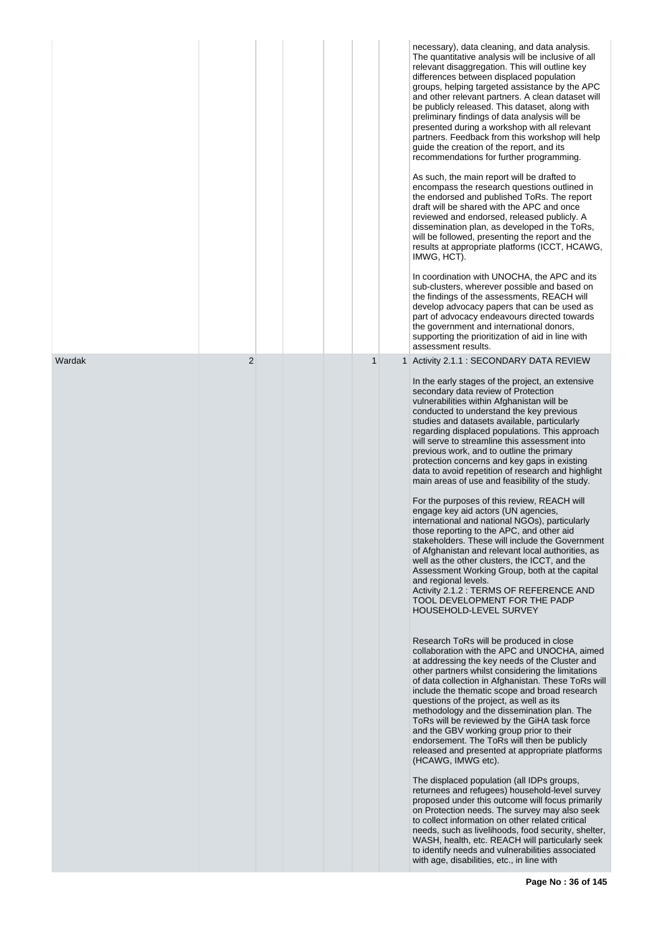|        |                |   | necessary), data cleaning, and data analysis.<br>The quantitative analysis will be inclusive of all<br>relevant disaggregation. This will outline key<br>differences between displaced population<br>groups, helping targeted assistance by the APC<br>and other relevant partners. A clean dataset will<br>be publicly released. This dataset, along with<br>preliminary findings of data analysis will be<br>presented during a workshop with all relevant<br>partners. Feedback from this workshop will help<br>guide the creation of the report, and its<br>recommendations for further programming.<br>As such, the main report will be drafted to<br>encompass the research questions outlined in<br>the endorsed and published ToRs. The report<br>draft will be shared with the APC and once<br>reviewed and endorsed, released publicly. A<br>dissemination plan, as developed in the ToRs,<br>will be followed, presenting the report and the<br>results at appropriate platforms (ICCT, HCAWG,<br>IMWG, HCT).<br>In coordination with UNOCHA, the APC and its<br>sub-clusters, wherever possible and based on<br>the findings of the assessments, REACH will<br>develop advocacy papers that can be used as<br>part of advocacy endeavours directed towards<br>the government and international donors,<br>supporting the prioritization of aid in line with<br>assessment results.                                                                                                                                                                                                                                                                                                                                                                                                                                                                                                                                                                                                                                                                                                                                                                                                                   |
|--------|----------------|---|------------------------------------------------------------------------------------------------------------------------------------------------------------------------------------------------------------------------------------------------------------------------------------------------------------------------------------------------------------------------------------------------------------------------------------------------------------------------------------------------------------------------------------------------------------------------------------------------------------------------------------------------------------------------------------------------------------------------------------------------------------------------------------------------------------------------------------------------------------------------------------------------------------------------------------------------------------------------------------------------------------------------------------------------------------------------------------------------------------------------------------------------------------------------------------------------------------------------------------------------------------------------------------------------------------------------------------------------------------------------------------------------------------------------------------------------------------------------------------------------------------------------------------------------------------------------------------------------------------------------------------------------------------------------------------------------------------------------------------------------------------------------------------------------------------------------------------------------------------------------------------------------------------------------------------------------------------------------------------------------------------------------------------------------------------------------------------------------------------------------------------------------------------------------------------------------------------------|
| Wardak | $\overline{2}$ | 1 | 1 Activity 2.1.1 : SECONDARY DATA REVIEW<br>In the early stages of the project, an extensive<br>secondary data review of Protection<br>vulnerabilities within Afghanistan will be<br>conducted to understand the key previous<br>studies and datasets available, particularly<br>regarding displaced populations. This approach<br>will serve to streamline this assessment into<br>previous work, and to outline the primary<br>protection concerns and key gaps in existing<br>data to avoid repetition of research and highlight<br>main areas of use and feasibility of the study.<br>For the purposes of this review, REACH will<br>engage key aid actors (UN agencies,<br>international and national NGOs), particularly<br>those reporting to the APC, and other aid<br>stakeholders. These will include the Government<br>of Afghanistan and relevant local authorities, as<br>well as the other clusters, the ICCT, and the<br>Assessment Working Group, both at the capital<br>and regional levels.<br>Activity 2.1.2 : TERMS OF REFERENCE AND<br>TOOL DEVELOPMENT FOR THE PADP<br>HOUSEHOLD-LEVEL SURVEY<br>Research ToRs will be produced in close<br>collaboration with the APC and UNOCHA, aimed<br>at addressing the key needs of the Cluster and<br>other partners whilst considering the limitations<br>of data collection in Afghanistan. These ToRs will<br>include the thematic scope and broad research<br>questions of the project, as well as its<br>methodology and the dissemination plan. The<br>ToRs will be reviewed by the GiHA task force<br>and the GBV working group prior to their<br>endorsement. The ToRs will then be publicly<br>released and presented at appropriate platforms<br>(HCAWG, IMWG etc).<br>The displaced population (all IDPs groups,<br>returnees and refugees) household-level survey<br>proposed under this outcome will focus primarily<br>on Protection needs. The survey may also seek<br>to collect information on other related critical<br>needs, such as livelihoods, food security, shelter,<br>WASH, health, etc. REACH will particularly seek<br>to identify needs and vulnerabilities associated<br>with age, disabilities, etc., in line with |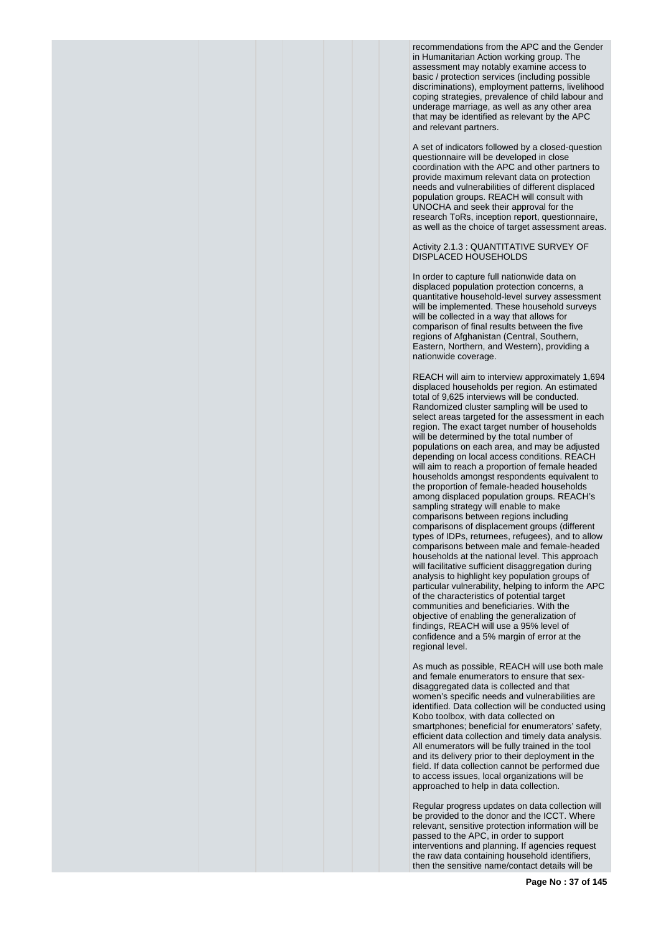recommendations from the APC and the Gender in Humanitarian Action working group. The assessment may notably examine access to basic / protection services (including possible discriminations), employment patterns, livelihood coping strategies, prevalence of child labour and underage marriage, as well as any other area that may be identified as relevant by the APC and relevant partners.

A set of indicators followed by a closed-question questionnaire will be developed in close coordination with the APC and other partners to provide maximum relevant data on protection needs and vulnerabilities of different displaced population groups. REACH will consult with UNOCHA and seek their approval for the research ToRs, inception report, questionnaire, as well as the choice of target assessment areas.

# Activity 2.1.3 : QUANTITATIVE SURVEY OF DISPLACED HOUSEHOLDS

In order to capture full nationwide data on displaced population protection concerns, a quantitative household-level survey assessment will be implemented. These household surveys will be collected in a way that allows for comparison of final results between the five regions of Afghanistan (Central, Southern, Eastern, Northern, and Western), providing a nationwide coverage.

REACH will aim to interview approximately 1,694 displaced households per region. An estimated total of 9,625 interviews will be conducted. Randomized cluster sampling will be used to select areas targeted for the assessment in each region. The exact target number of households will be determined by the total number of populations on each area, and may be adjusted depending on local access conditions. REACH will aim to reach a proportion of female headed households amongst respondents equivalent to the proportion of female-headed households among displaced population groups. REACH's sampling strategy will enable to make comparisons between regions including comparisons of displacement groups (different types of IDPs, returnees, refugees), and to allow comparisons between male and female-headed households at the national level. This approach will facilitative sufficient disaggregation during analysis to highlight key population groups of particular vulnerability, helping to inform the APC of the characteristics of potential target communities and beneficiaries. With the objective of enabling the generalization of findings, REACH will use a 95% level of confidence and a 5% margin of error at the regional level.

As much as possible, REACH will use both male and female enumerators to ensure that sexdisaggregated data is collected and that women's specific needs and vulnerabilities are identified. Data collection will be conducted using Kobo toolbox, with data collected on smartphones; beneficial for enumerators' safety. efficient data collection and timely data analysis. All enumerators will be fully trained in the tool and its delivery prior to their deployment in the field. If data collection cannot be performed due to access issues, local organizations will be approached to help in data collection.

Regular progress updates on data collection will be provided to the donor and the ICCT. Where relevant, sensitive protection information will be passed to the APC, in order to support interventions and planning. If agencies request the raw data containing household identifiers, then the sensitive name/contact details will be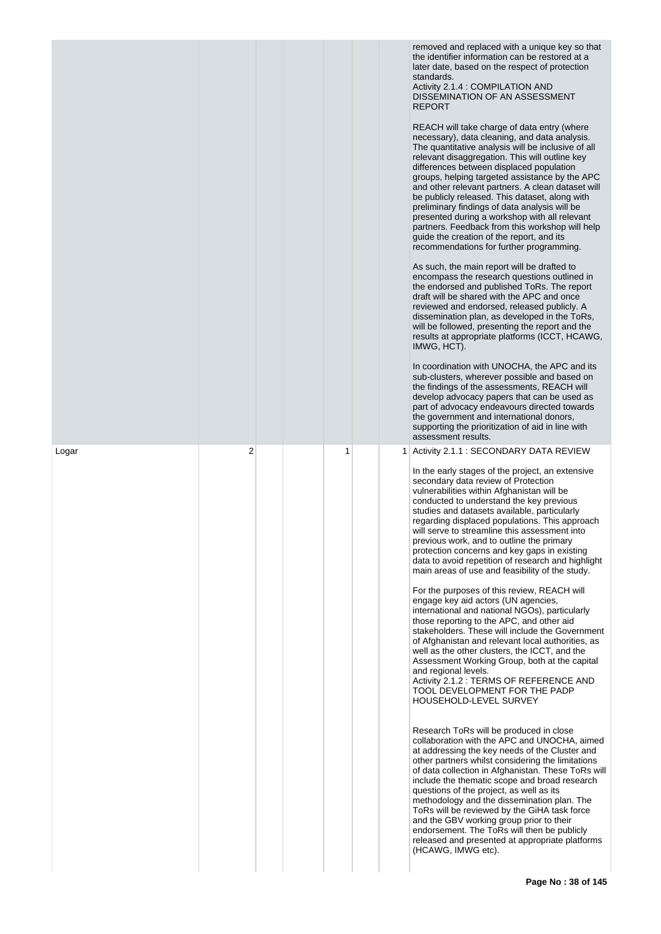|       |                |   |  | removed and replaced with a unique key so that<br>the identifier information can be restored at a<br>later date, based on the respect of protection<br>standards.<br>Activity 2.1.4 : COMPILATION AND<br>DISSEMINATION OF AN ASSESSMENT<br><b>REPORT</b><br>REACH will take charge of data entry (where<br>necessary), data cleaning, and data analysis.<br>The quantitative analysis will be inclusive of all<br>relevant disaggregation. This will outline key<br>differences between displaced population<br>groups, helping targeted assistance by the APC<br>and other relevant partners. A clean dataset will<br>be publicly released. This dataset, along with<br>preliminary findings of data analysis will be<br>presented during a workshop with all relevant<br>partners. Feedback from this workshop will help<br>guide the creation of the report, and its<br>recommendations for further programming.<br>As such, the main report will be drafted to<br>encompass the research questions outlined in<br>the endorsed and published ToRs. The report<br>draft will be shared with the APC and once<br>reviewed and endorsed, released publicly. A<br>dissemination plan, as developed in the ToRs,<br>will be followed, presenting the report and the<br>results at appropriate platforms (ICCT, HCAWG,<br>IMWG, HCT).<br>In coordination with UNOCHA, the APC and its<br>sub-clusters, wherever possible and based on<br>the findings of the assessments, REACH will<br>develop advocacy papers that can be used as<br>part of advocacy endeavours directed towards<br>the government and international donors,<br>supporting the prioritization of aid in line with<br>assessment results.                                   |
|-------|----------------|---|--|---------------------------------------------------------------------------------------------------------------------------------------------------------------------------------------------------------------------------------------------------------------------------------------------------------------------------------------------------------------------------------------------------------------------------------------------------------------------------------------------------------------------------------------------------------------------------------------------------------------------------------------------------------------------------------------------------------------------------------------------------------------------------------------------------------------------------------------------------------------------------------------------------------------------------------------------------------------------------------------------------------------------------------------------------------------------------------------------------------------------------------------------------------------------------------------------------------------------------------------------------------------------------------------------------------------------------------------------------------------------------------------------------------------------------------------------------------------------------------------------------------------------------------------------------------------------------------------------------------------------------------------------------------------------------------------------------------------------------------------------|
| Logar | $\overline{2}$ | 1 |  | 1 Activity 2.1.1 : SECONDARY DATA REVIEW<br>In the early stages of the project, an extensive<br>secondary data review of Protection<br>vulnerabilities within Afghanistan will be<br>conducted to understand the key previous<br>studies and datasets available, particularly<br>regarding displaced populations. This approach<br>will serve to streamline this assessment into<br>previous work, and to outline the primary<br>protection concerns and key gaps in existing<br>data to avoid repetition of research and highlight<br>main areas of use and feasibility of the study.<br>For the purposes of this review, REACH will<br>engage key aid actors (UN agencies,<br>international and national NGOs), particularly<br>those reporting to the APC, and other aid<br>stakeholders. These will include the Government<br>of Afghanistan and relevant local authorities, as<br>well as the other clusters, the ICCT, and the<br>Assessment Working Group, both at the capital<br>and regional levels.<br>Activity 2.1.2 : TERMS OF REFERENCE AND<br>TOOL DEVELOPMENT FOR THE PADP<br>HOUSEHOLD-LEVEL SURVEY<br>Research ToRs will be produced in close<br>collaboration with the APC and UNOCHA, aimed<br>at addressing the key needs of the Cluster and<br>other partners whilst considering the limitations<br>of data collection in Afghanistan. These ToRs will<br>include the thematic scope and broad research<br>questions of the project, as well as its<br>methodology and the dissemination plan. The<br>ToRs will be reviewed by the GiHA task force<br>and the GBV working group prior to their<br>endorsement. The ToRs will then be publicly<br>released and presented at appropriate platforms<br>(HCAWG, IMWG etc). |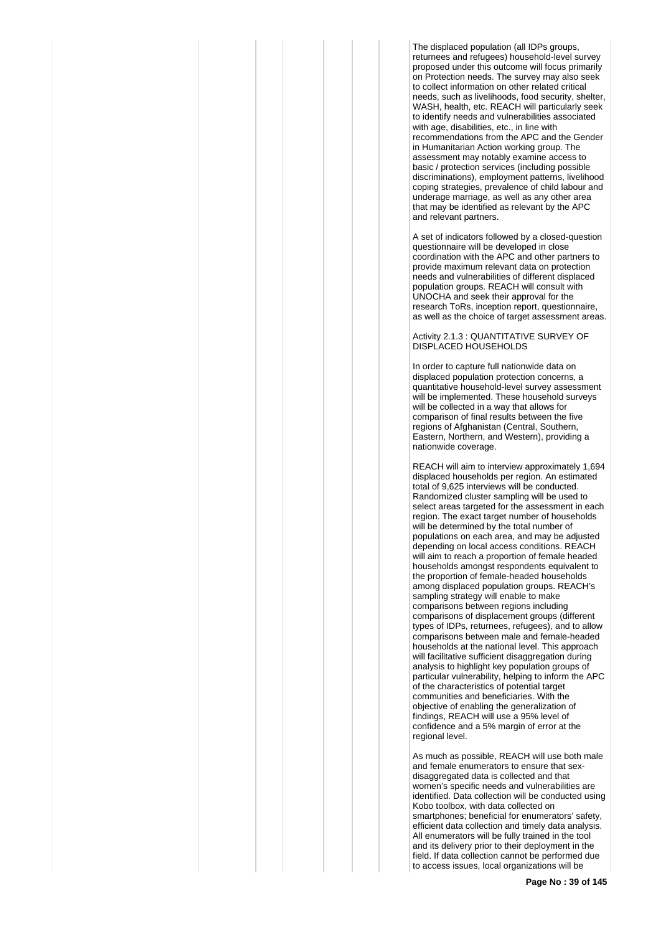The displaced population (all IDPs groups, returnees and refugees) household-level survey proposed under this outcome will focus primarily on Protection needs. The survey may also seek to collect information on other related critical needs, such as livelihoods, food security, shelter, WASH, health, etc. REACH will particularly seek to identify needs and vulnerabilities associated with age, disabilities, etc., in line with recommendations from the APC and the Gender in Humanitarian Action working group. The assessment may notably examine access to basic / protection services (including possible discriminations), employment patterns, livelihood coping strategies, prevalence of child labour and underage marriage, as well as any other area that may be identified as relevant by the APC and relevant partners.

A set of indicators followed by a closed-question questionnaire will be developed in close coordination with the APC and other partners to provide maximum relevant data on protection needs and vulnerabilities of different displaced population groups. REACH will consult with UNOCHA and seek their approval for the research ToRs, inception report, questionnaire, as well as the choice of target assessment areas.

#### Activity 2.1.3 : QUANTITATIVE SURVEY OF DISPLACED HOUSEHOLDS

In order to capture full nationwide data on displaced population protection concerns, a quantitative household-level survey assessment will be implemented. These household surveys will be collected in a way that allows for comparison of final results between the five regions of Afghanistan (Central, Southern, Eastern, Northern, and Western), providing a nationwide coverage.

REACH will aim to interview approximately 1,694 displaced households per region. An estimated total of 9,625 interviews will be conducted. Randomized cluster sampling will be used to select areas targeted for the assessment in each region. The exact target number of households will be determined by the total number of populations on each area, and may be adjusted depending on local access conditions. REACH will aim to reach a proportion of female headed households amongst respondents equivalent to the proportion of female-headed households among displaced population groups. REACH's sampling strategy will enable to make comparisons between regions including comparisons of displacement groups (different types of IDPs, returnees, refugees), and to allow comparisons between male and female-headed households at the national level. This approach will facilitative sufficient disaggregation during analysis to highlight key population groups of particular vulnerability, helping to inform the APC of the characteristics of potential target communities and beneficiaries. With the objective of enabling the generalization of findings, REACH will use a 95% level of confidence and a 5% margin of error at the regional level.

As much as possible, REACH will use both male and female enumerators to ensure that sexdisaggregated data is collected and that women's specific needs and vulnerabilities are identified. Data collection will be conducted using Kobo toolbox, with data collected on smartphones; beneficial for enumerators' safety, efficient data collection and timely data analysis. All enumerators will be fully trained in the tool and its delivery prior to their deployment in the field. If data collection cannot be performed due to access issues, local organizations will be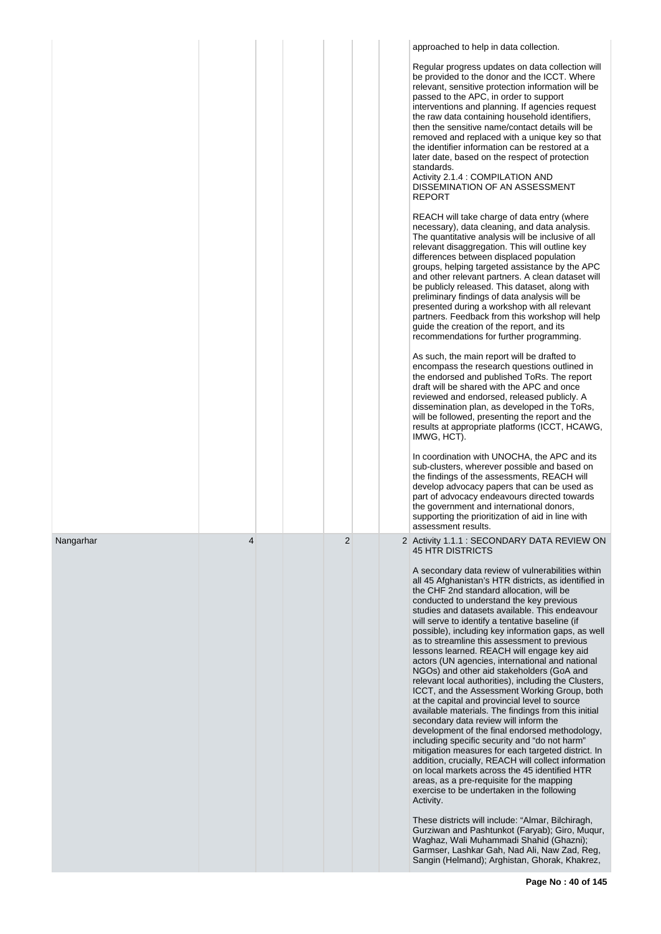|           |   |  |                |  | approached to help in data collection.                                                                                                                                                                                                                                                                                                                                                                                                                                                                                                                                                                                                                                                                                                                                                                                                                                                                                                                                                                                                                                                                                                                                                                                                            |
|-----------|---|--|----------------|--|---------------------------------------------------------------------------------------------------------------------------------------------------------------------------------------------------------------------------------------------------------------------------------------------------------------------------------------------------------------------------------------------------------------------------------------------------------------------------------------------------------------------------------------------------------------------------------------------------------------------------------------------------------------------------------------------------------------------------------------------------------------------------------------------------------------------------------------------------------------------------------------------------------------------------------------------------------------------------------------------------------------------------------------------------------------------------------------------------------------------------------------------------------------------------------------------------------------------------------------------------|
|           |   |  |                |  | Regular progress updates on data collection will<br>be provided to the donor and the ICCT. Where<br>relevant, sensitive protection information will be<br>passed to the APC, in order to support<br>interventions and planning. If agencies request<br>the raw data containing household identifiers,<br>then the sensitive name/contact details will be<br>removed and replaced with a unique key so that<br>the identifier information can be restored at a<br>later date, based on the respect of protection<br>standards.<br>Activity 2.1.4 : COMPILATION AND<br>DISSEMINATION OF AN ASSESSMENT<br><b>REPORT</b>                                                                                                                                                                                                                                                                                                                                                                                                                                                                                                                                                                                                                              |
|           |   |  |                |  | REACH will take charge of data entry (where<br>necessary), data cleaning, and data analysis.<br>The quantitative analysis will be inclusive of all<br>relevant disaggregation. This will outline key<br>differences between displaced population<br>groups, helping targeted assistance by the APC<br>and other relevant partners. A clean dataset will<br>be publicly released. This dataset, along with<br>preliminary findings of data analysis will be<br>presented during a workshop with all relevant<br>partners. Feedback from this workshop will help<br>quide the creation of the report, and its<br>recommendations for further programming.                                                                                                                                                                                                                                                                                                                                                                                                                                                                                                                                                                                           |
|           |   |  |                |  | As such, the main report will be drafted to<br>encompass the research questions outlined in<br>the endorsed and published ToRs. The report<br>draft will be shared with the APC and once<br>reviewed and endorsed, released publicly. A<br>dissemination plan, as developed in the ToRs,<br>will be followed, presenting the report and the<br>results at appropriate platforms (ICCT, HCAWG,<br>IMWG, HCT).                                                                                                                                                                                                                                                                                                                                                                                                                                                                                                                                                                                                                                                                                                                                                                                                                                      |
|           |   |  |                |  | In coordination with UNOCHA, the APC and its<br>sub-clusters, wherever possible and based on<br>the findings of the assessments, REACH will<br>develop advocacy papers that can be used as<br>part of advocacy endeavours directed towards<br>the government and international donors,<br>supporting the prioritization of aid in line with<br>assessment results.                                                                                                                                                                                                                                                                                                                                                                                                                                                                                                                                                                                                                                                                                                                                                                                                                                                                                |
| Nangarhar | 4 |  | $\overline{2}$ |  | 2 Activity 1.1.1 : SECONDARY DATA REVIEW ON<br>45 HTR DISTRICTS                                                                                                                                                                                                                                                                                                                                                                                                                                                                                                                                                                                                                                                                                                                                                                                                                                                                                                                                                                                                                                                                                                                                                                                   |
|           |   |  |                |  | A secondary data review of vulnerabilities within<br>all 45 Afghanistan's HTR districts, as identified in<br>the CHF 2nd standard allocation, will be<br>conducted to understand the key previous<br>studies and datasets available. This endeavour<br>will serve to identify a tentative baseline (if<br>possible), including key information gaps, as well<br>as to streamline this assessment to previous<br>lessons learned. REACH will engage key aid<br>actors (UN agencies, international and national<br>NGOs) and other aid stakeholders (GoA and<br>relevant local authorities), including the Clusters,<br>ICCT, and the Assessment Working Group, both<br>at the capital and provincial level to source<br>available materials. The findings from this initial<br>secondary data review will inform the<br>development of the final endorsed methodology,<br>including specific security and "do not harm"<br>mitigation measures for each targeted district. In<br>addition, crucially, REACH will collect information<br>on local markets across the 45 identified HTR<br>areas, as a pre-requisite for the mapping<br>exercise to be undertaken in the following<br>Activity.<br>These districts will include: "Almar, Bilchiragh, |
|           |   |  |                |  | Gurziwan and Pashtunkot (Faryab); Giro, Mugur,<br>Waghaz, Wali Muhammadi Shahid (Ghazni);<br>Garmser, Lashkar Gah, Nad Ali, Naw Zad, Reg,<br>Sangin (Helmand); Arghistan, Ghorak, Khakrez,                                                                                                                                                                                                                                                                                                                                                                                                                                                                                                                                                                                                                                                                                                                                                                                                                                                                                                                                                                                                                                                        |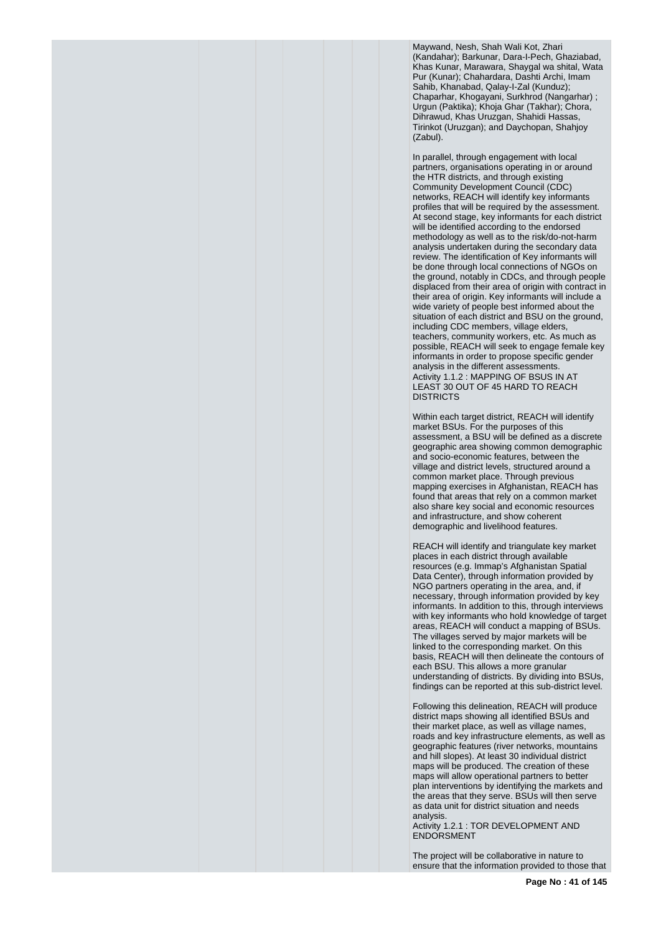Maywand, Nesh, Shah Wali Kot, Zhari (Kandahar); Barkunar, Dara-I-Pech, Ghaziabad, Khas Kunar, Marawara, Shaygal wa shital, Wata Pur (Kunar); Chahardara, Dashti Archi, Imam Sahib, Khanabad, Qalay-I-Zal (Kunduz); Chaparhar, Khogayani, Surkhrod (Nangarhar) ; Urgun (Paktika); Khoja Ghar (Takhar); Chora, Dihrawud, Khas Uruzgan, Shahidi Hassas, Tirinkot (Uruzgan); and Daychopan, Shahjoy (Zabul).

In parallel, through engagement with local partners, organisations operating in or around the HTR districts, and through existing Community Development Council (CDC) networks, REACH will identify key informants profiles that will be required by the assessment. At second stage, key informants for each district will be identified according to the endorsed methodology as well as to the risk/do-not-harm analysis undertaken during the secondary data review. The identification of Key informants will be done through local connections of NGOs on the ground, notably in CDCs, and through people displaced from their area of origin with contract in their area of origin. Key informants will include a wide variety of people best informed about the situation of each district and BSU on the ground, including CDC members, village elders, teachers, community workers, etc. As much as possible, REACH will seek to engage female key informants in order to propose specific gender analysis in the different assessments. Activity 1.1.2 : MAPPING OF BSUS IN AT LEAST 30 OUT OF 45 HARD TO REACH DISTRICTS

Within each target district, REACH will identify market BSUs. For the purposes of this assessment, a BSU will be defined as a discrete geographic area showing common demographic and socio-economic features, between the village and district levels, structured around a common market place. Through previous mapping exercises in Afghanistan, REACH has found that areas that rely on a common market also share key social and economic resources and infrastructure, and show coherent demographic and livelihood features.

REACH will identify and triangulate key market places in each district through available resources (e.g. Immap's Afghanistan Spatial Data Center), through information provided by NGO partners operating in the area, and, if necessary, through information provided by key informants. In addition to this, through interviews with key informants who hold knowledge of target areas, REACH will conduct a mapping of BSUs. The villages served by major markets will be linked to the corresponding market. On this basis, REACH will then delineate the contours of each BSU. This allows a more granular understanding of districts. By dividing into BSUs, findings can be reported at this sub-district level.

Following this delineation, REACH will produce district maps showing all identified BSUs and their market place, as well as village names, roads and key infrastructure elements, as well as geographic features (river networks, mountains and hill slopes). At least 30 individual district maps will be produced. The creation of these maps will allow operational partners to better plan interventions by identifying the markets and the areas that they serve. BSUs will then serve as data unit for district situation and needs analysis.

Activity 1.2.1 : TOR DEVELOPMENT AND ENDORSMENT

The project will be collaborative in nature to ensure that the information provided to those that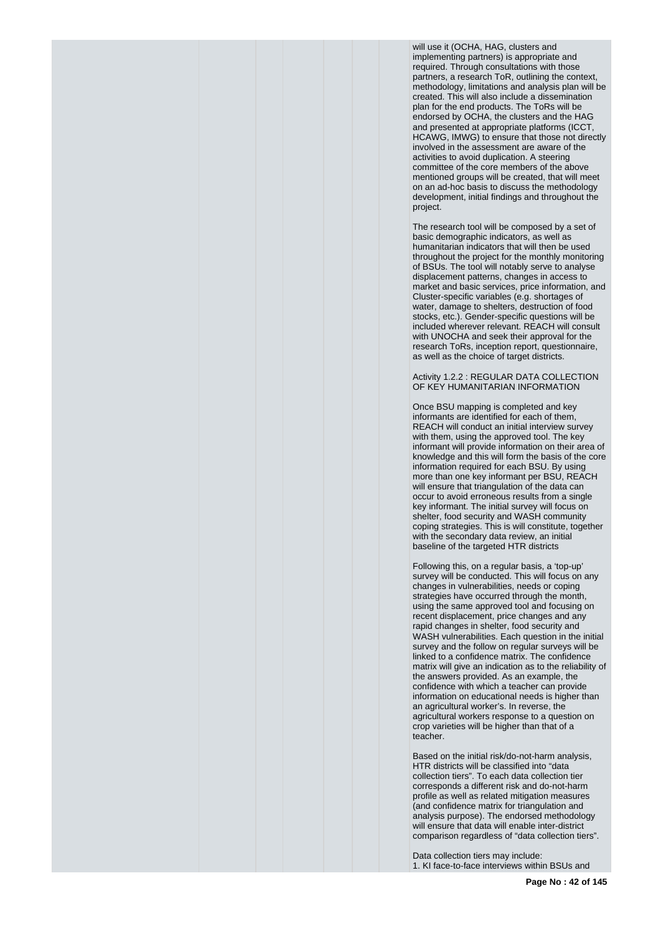will use it (OCHA, HAG, clusters and implementing partners) is appropriate and required. Through consultations with those partners, a research ToR, outlining the context, methodology, limitations and analysis plan will be created. This will also include a dissemination plan for the end products. The ToRs will be endorsed by OCHA, the clusters and the HAG and presented at appropriate platforms (ICCT, HCAWG, IMWG) to ensure that those not directly involved in the assessment are aware of the activities to avoid duplication. A steering committee of the core members of the above mentioned groups will be created, that will meet on an ad-hoc basis to discuss the methodology development, initial findings and throughout the project.

The research tool will be composed by a set of basic demographic indicators, as well as humanitarian indicators that will then be used throughout the project for the monthly monitoring of BSUs. The tool will notably serve to analyse displacement patterns, changes in access to market and basic services, price information, and Cluster-specific variables (e.g. shortages of water, damage to shelters, destruction of food stocks, etc.). Gender-specific questions will be included wherever relevant. REACH will consult with UNOCHA and seek their approval for the research ToRs, inception report, questionnaire, as well as the choice of target districts.

Activity 1.2.2 : REGULAR DATA COLLECTION OF KEY HUMANITARIAN INFORMATION

Once BSU mapping is completed and key informants are identified for each of them, REACH will conduct an initial interview survey with them, using the approved tool. The key informant will provide information on their area of knowledge and this will form the basis of the core information required for each BSU. By using more than one key informant per BSU, REACH will ensure that triangulation of the data can occur to avoid erroneous results from a single key informant. The initial survey will focus on shelter, food security and WASH community coping strategies. This is will constitute, together with the secondary data review, an initial baseline of the targeted HTR districts

Following this, on a regular basis, a 'top-up' survey will be conducted. This will focus on any changes in vulnerabilities, needs or coping strategies have occurred through the month, using the same approved tool and focusing on recent displacement, price changes and any rapid changes in shelter, food security and WASH vulnerabilities. Each question in the initial survey and the follow on regular surveys will be linked to a confidence matrix. The confidence matrix will give an indication as to the reliability of the answers provided. As an example, the confidence with which a teacher can provide information on educational needs is higher than an agricultural worker's. In reverse, the agricultural workers response to a question on crop varieties will be higher than that of a teacher.

Based on the initial risk/do-not-harm analysis, HTR districts will be classified into "data collection tiers". To each data collection tier corresponds a different risk and do-not-harm profile as well as related mitigation measures (and confidence matrix for triangulation and analysis purpose). The endorsed methodology will ensure that data will enable inter-district comparison regardless of "data collection tiers".

Data collection tiers may include: 1. KI face-to-face interviews within BSUs and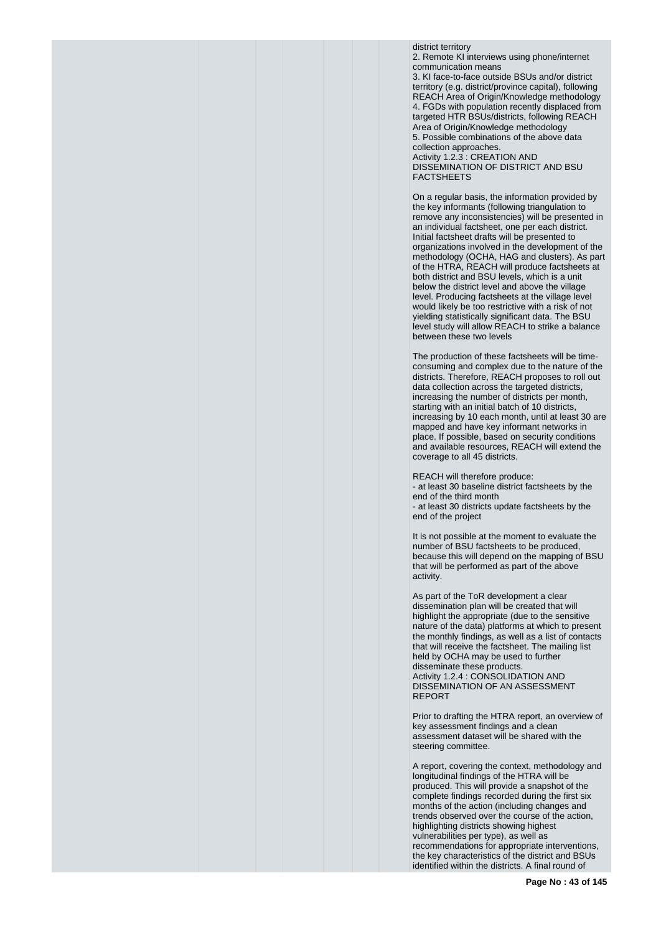district territory 2. Remote KI interviews using phone/internet communication means 3. KI face-to-face outside BSUs and/or district territory (e.g. district/province capital), following REACH Area of Origin/Knowledge methodology 4. FGDs with population recently displaced from targeted HTR BSUs/districts, following REACH Area of Origin/Knowledge methodology 5. Possible combinations of the above data collection approaches. Activity 1.2.3 : CREATION AND

DISSEMINATION OF DISTRICT AND BSU FACTSHEETS

On a regular basis, the information provided by the key informants (following triangulation to remove any inconsistencies) will be presented in an individual factsheet, one per each district. Initial factsheet drafts will be presented to organizations involved in the development of the methodology (OCHA, HAG and clusters). As part of the HTRA, REACH will produce factsheets at both district and BSU levels, which is a unit below the district level and above the village level. Producing factsheets at the village level would likely be too restrictive with a risk of not yielding statistically significant data. The BSU level study will allow REACH to strike a balance between these two levels

The production of these factsheets will be timeconsuming and complex due to the nature of the districts. Therefore, REACH proposes to roll out data collection across the targeted districts, increasing the number of districts per month, starting with an initial batch of 10 districts, increasing by 10 each month, until at least 30 are mapped and have key informant networks in place. If possible, based on security conditions and available resources, REACH will extend the coverage to all 45 districts.

REACH will therefore produce: - at least 30 baseline district factsheets by the end of the third month - at least 30 districts update factsheets by the end of the project

It is not possible at the moment to evaluate the number of BSU factsheets to be produced, because this will depend on the mapping of BSU that will be performed as part of the above activity.

As part of the ToR development a clear dissemination plan will be created that will highlight the appropriate (due to the sensitive nature of the data) platforms at which to present the monthly findings, as well as a list of contacts that will receive the factsheet. The mailing list held by OCHA may be used to further disseminate these products. Activity 1.2.4 : CONSOLIDATION AND DISSEMINATION OF AN ASSESSMENT REPORT

Prior to drafting the HTRA report, an overview of key assessment findings and a clean assessment dataset will be shared with the steering committee.

A report, covering the context, methodology and longitudinal findings of the HTRA will be produced. This will provide a snapshot of the complete findings recorded during the first six months of the action (including changes and trends observed over the course of the action, highlighting districts showing highest vulnerabilities per type), as well as recommendations for appropriate interventions, the key characteristics of the district and BSUs identified within the districts. A final round of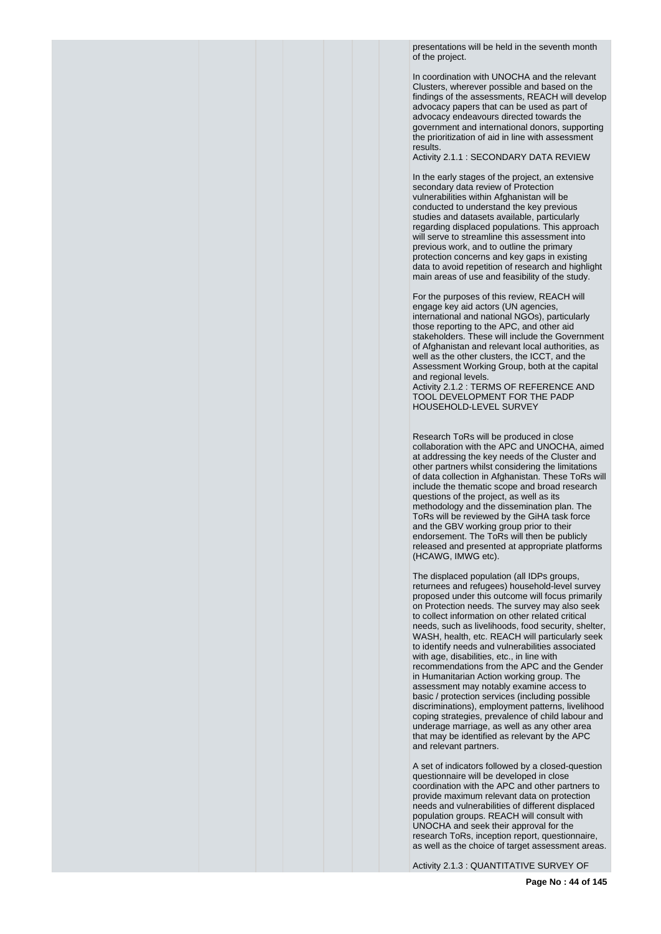presentations will be held in the seventh month of the project.

In coordination with UNOCHA and the relevant Clusters, wherever possible and based on the findings of the assessments, REACH will develop advocacy papers that can be used as part of advocacy endeavours directed towards the government and international donors, supporting the prioritization of aid in line with assessment results.

Activity 2.1.1 : SECONDARY DATA REVIEW

In the early stages of the project, an extensive secondary data review of Protection vulnerabilities within Afghanistan will be conducted to understand the key previous studies and datasets available, particularly regarding displaced populations. This approach will serve to streamline this assessment into previous work, and to outline the primary protection concerns and key gaps in existing data to avoid repetition of research and highlight main areas of use and feasibility of the study.

For the purposes of this review, REACH will engage key aid actors (UN agencies, international and national NGOs), particularly those reporting to the APC, and other aid stakeholders. These will include the Government of Afghanistan and relevant local authorities, as well as the other clusters, the ICCT, and the Assessment Working Group, both at the capital and regional levels.

Activity 2.1.2 : TERMS OF REFERENCE AND TOOL DEVELOPMENT FOR THE PADP HOUSEHOLD-LEVEL SURVEY

Research ToRs will be produced in close collaboration with the APC and UNOCHA, aimed at addressing the key needs of the Cluster and other partners whilst considering the limitations of data collection in Afghanistan. These ToRs will include the thematic scope and broad research questions of the project, as well as its methodology and the dissemination plan. The ToRs will be reviewed by the GiHA task force and the GBV working group prior to their endorsement. The ToRs will then be publicly released and presented at appropriate platforms (HCAWG, IMWG etc).

The displaced population (all IDPs groups, returnees and refugees) household-level survey proposed under this outcome will focus primarily on Protection needs. The survey may also seek to collect information on other related critical needs, such as livelihoods, food security, shelter, WASH, health, etc. REACH will particularly seek to identify needs and vulnerabilities associated with age, disabilities, etc., in line with recommendations from the APC and the Gender in Humanitarian Action working group. The assessment may notably examine access to basic / protection services (including possible discriminations), employment patterns, livelihood coping strategies, prevalence of child labour and underage marriage, as well as any other area that may be identified as relevant by the APC and relevant partners.

A set of indicators followed by a closed-question questionnaire will be developed in close coordination with the APC and other partners to provide maximum relevant data on protection needs and vulnerabilities of different displaced population groups. REACH will consult with UNOCHA and seek their approval for the research ToRs, inception report, questionnaire, as well as the choice of target assessment areas.

Activity 2.1.3 : QUANTITATIVE SURVEY OF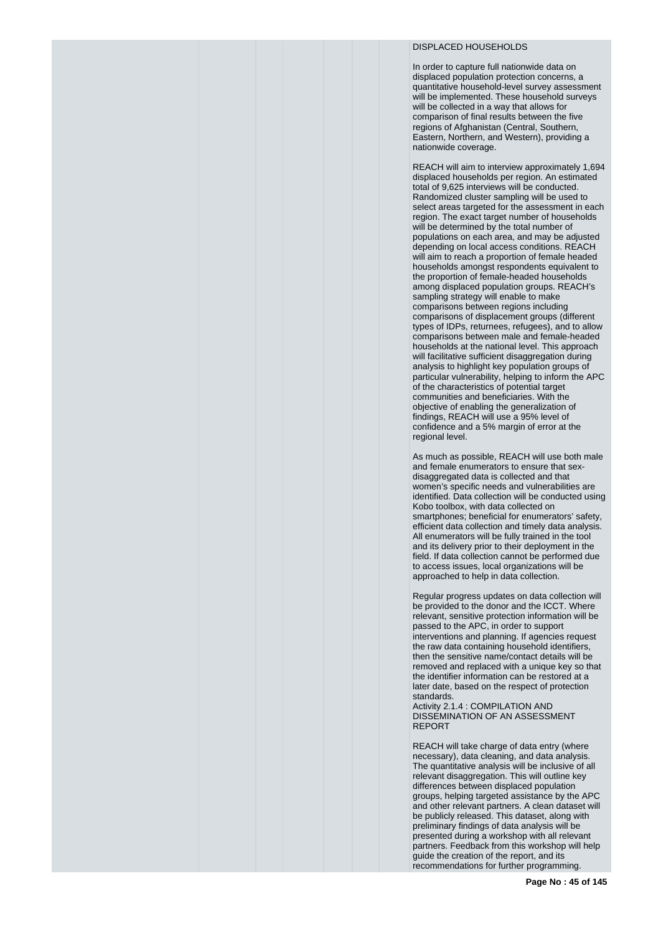# DISPLACED HOUSEHOLDS

In order to capture full nationwide data on displaced population protection concerns, a quantitative household-level survey assessment will be implemented. These household surveys will be collected in a way that allows for comparison of final results between the five regions of Afghanistan (Central, Southern, Eastern, Northern, and Western), providing a nationwide coverage.

REACH will aim to interview approximately 1,694 displaced households per region. An estimated total of 9,625 interviews will be conducted. Randomized cluster sampling will be used to select areas targeted for the assessment in each region. The exact target number of households will be determined by the total number of populations on each area, and may be adjusted depending on local access conditions. REACH will aim to reach a proportion of female headed households amongst respondents equivalent to the proportion of female-headed households among displaced population groups. REACH's sampling strategy will enable to make comparisons between regions including comparisons of displacement groups (different types of IDPs, returnees, refugees), and to allow comparisons between male and female-headed households at the national level. This approach will facilitative sufficient disaggregation during analysis to highlight key population groups of particular vulnerability, helping to inform the APC of the characteristics of potential target communities and beneficiaries. With the objective of enabling the generalization of findings, REACH will use a 95% level of confidence and a 5% margin of error at the regional level.

As much as possible, REACH will use both male and female enumerators to ensure that sexdisaggregated data is collected and that women's specific needs and vulnerabilities are identified. Data collection will be conducted using Kobo toolbox, with data collected on smartphones; beneficial for enumerators' safety, efficient data collection and timely data analysis. All enumerators will be fully trained in the tool and its delivery prior to their deployment in the field. If data collection cannot be performed due to access issues, local organizations will be approached to help in data collection.

Regular progress updates on data collection will be provided to the donor and the ICCT. Where relevant, sensitive protection information will be passed to the APC, in order to support interventions and planning. If agencies request the raw data containing household identifiers, then the sensitive name/contact details will be removed and replaced with a unique key so that the identifier information can be restored at a later date, based on the respect of protection standards.

Activity 2.1.4 : COMPILATION AND DISSEMINATION OF AN ASSESSMENT REPORT

REACH will take charge of data entry (where necessary), data cleaning, and data analysis. The quantitative analysis will be inclusive of all relevant disaggregation. This will outline key differences between displaced population groups, helping targeted assistance by the APC and other relevant partners. A clean dataset will be publicly released. This dataset, along with preliminary findings of data analysis will be presented during a workshop with all relevant partners. Feedback from this workshop will help guide the creation of the report, and its recommendations for further programming.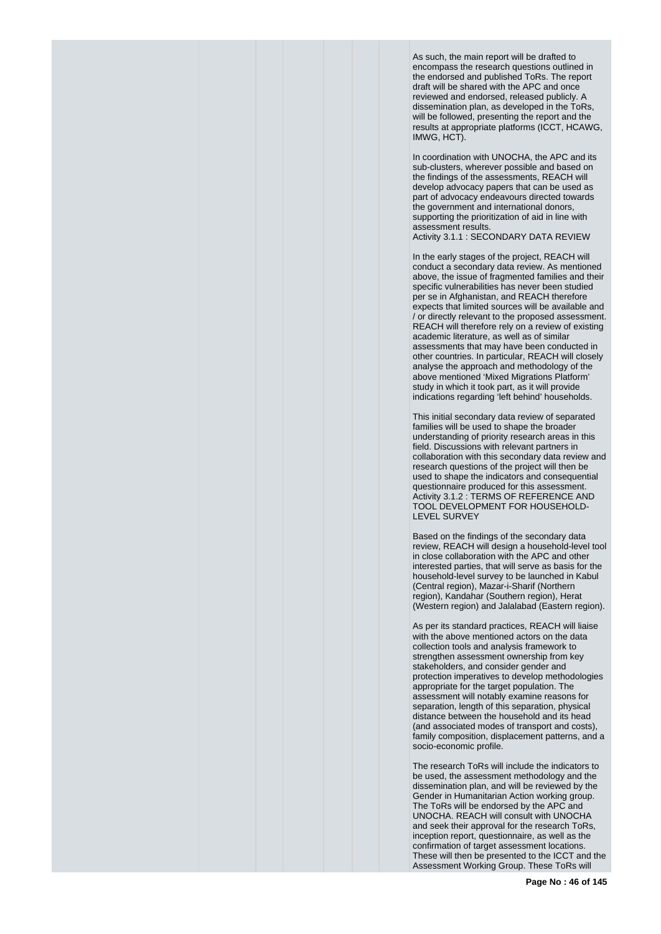As such, the main report will be drafted to encompass the research questions outlined in the endorsed and published ToRs. The report draft will be shared with the APC and once reviewed and endorsed, released publicly. A dissemination plan, as developed in the ToRs. will be followed, presenting the report and the results at appropriate platforms (ICCT, HCAWG, IMWG, HCT).

In coordination with UNOCHA, the APC and its sub-clusters, wherever possible and based on the findings of the assessments, REACH will develop advocacy papers that can be used as part of advocacy endeavours directed towards the government and international donors, supporting the prioritization of aid in line with assessment results. Activity 3.1.1 : SECONDARY DATA REVIEW

In the early stages of the project, REACH will conduct a secondary data review. As mentioned above, the issue of fragmented families and their specific vulnerabilities has never been studied per se in Afghanistan, and REACH therefore expects that limited sources will be available and / or directly relevant to the proposed assessment. REACH will therefore rely on a review of existing academic literature, as well as of similar assessments that may have been conducted in other countries. In particular, REACH will closely analyse the approach and methodology of the above mentioned 'Mixed Migrations Platform' study in which it took part, as it will provide indications regarding 'left behind' households.

This initial secondary data review of separated families will be used to shape the broader understanding of priority research areas in this field. Discussions with relevant partners in collaboration with this secondary data review and research questions of the project will then be used to shape the indicators and consequential questionnaire produced for this assessment. Activity 3.1.2 : TERMS OF REFERENCE AND TOOL DEVELOPMENT FOR HOUSEHOLD-LEVEL SURVEY

Based on the findings of the secondary data review, REACH will design a household-level tool in close collaboration with the APC and other interested parties, that will serve as basis for the household-level survey to be launched in Kabul (Central region), Mazar-i-Sharif (Northern region), Kandahar (Southern region), Herat (Western region) and Jalalabad (Eastern region).

As per its standard practices, REACH will liaise with the above mentioned actors on the data collection tools and analysis framework to strengthen assessment ownership from key stakeholders, and consider gender and protection imperatives to develop methodologies appropriate for the target population. The assessment will notably examine reasons for separation, length of this separation, physical distance between the household and its head (and associated modes of transport and costs), family composition, displacement patterns, and a socio-economic profile.

The research ToRs will include the indicators to be used, the assessment methodology and the dissemination plan, and will be reviewed by the Gender in Humanitarian Action working group. The ToRs will be endorsed by the APC and UNOCHA. REACH will consult with UNOCHA and seek their approval for the research ToRs, inception report, questionnaire, as well as the confirmation of target assessment locations. These will then be presented to the ICCT and the Assessment Working Group. These ToRs will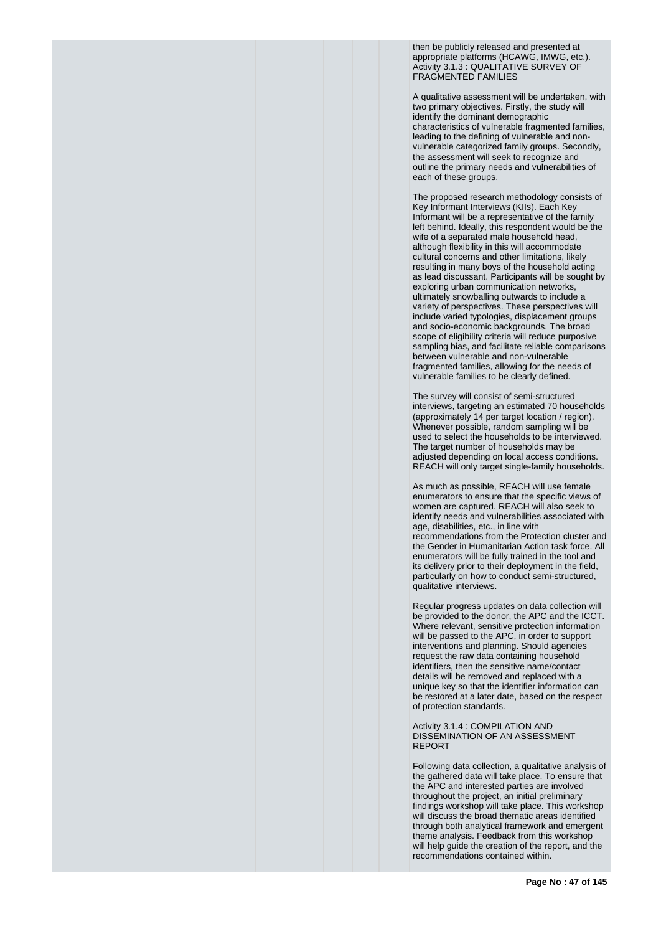then be publicly released and presented at appropriate platforms (HCAWG, IMWG, etc.). Activity 3.1.3 : QUALITATIVE SURVEY OF FRAGMENTED FAMILIES

A qualitative assessment will be undertaken, with two primary objectives. Firstly, the study will identify the dominant demographic characteristics of vulnerable fragmented families, leading to the defining of vulnerable and nonvulnerable categorized family groups. Secondly, the assessment will seek to recognize and outline the primary needs and vulnerabilities of each of these groups.

The proposed research methodology consists of Key Informant Interviews (KIIs). Each Key Informant will be a representative of the family left behind. Ideally, this respondent would be the wife of a separated male household head, although flexibility in this will accommodate cultural concerns and other limitations, likely resulting in many boys of the household acting as lead discussant. Participants will be sought by exploring urban communication networks, ultimately snowballing outwards to include a variety of perspectives. These perspectives will include varied typologies, displacement groups and socio-economic backgrounds. The broad scope of eligibility criteria will reduce purposive sampling bias, and facilitate reliable comparisons between vulnerable and non-vulnerable fragmented families, allowing for the needs of vulnerable families to be clearly defined.

The survey will consist of semi-structured interviews, targeting an estimated 70 households (approximately 14 per target location / region). Whenever possible, random sampling will be used to select the households to be interviewed. The target number of households may be adjusted depending on local access conditions. REACH will only target single-family households.

As much as possible, REACH will use female enumerators to ensure that the specific views of women are captured. REACH will also seek to identify needs and vulnerabilities associated with age, disabilities, etc., in line with recommendations from the Protection cluster and the Gender in Humanitarian Action task force. All enumerators will be fully trained in the tool and its delivery prior to their deployment in the field, particularly on how to conduct semi-structured, qualitative interviews.

Regular progress updates on data collection will be provided to the donor, the APC and the ICCT. Where relevant, sensitive protection information will be passed to the APC, in order to support interventions and planning. Should agencies request the raw data containing household identifiers, then the sensitive name/contact details will be removed and replaced with a unique key so that the identifier information can be restored at a later date, based on the respect of protection standards.

Activity 3.1.4 : COMPILATION AND DISSEMINATION OF AN ASSESSMENT REPORT

Following data collection, a qualitative analysis of the gathered data will take place. To ensure that the APC and interested parties are involved throughout the project, an initial preliminary findings workshop will take place. This workshop will discuss the broad thematic areas identified through both analytical framework and emergent theme analysis. Feedback from this workshop will help guide the creation of the report, and the recommendations contained within.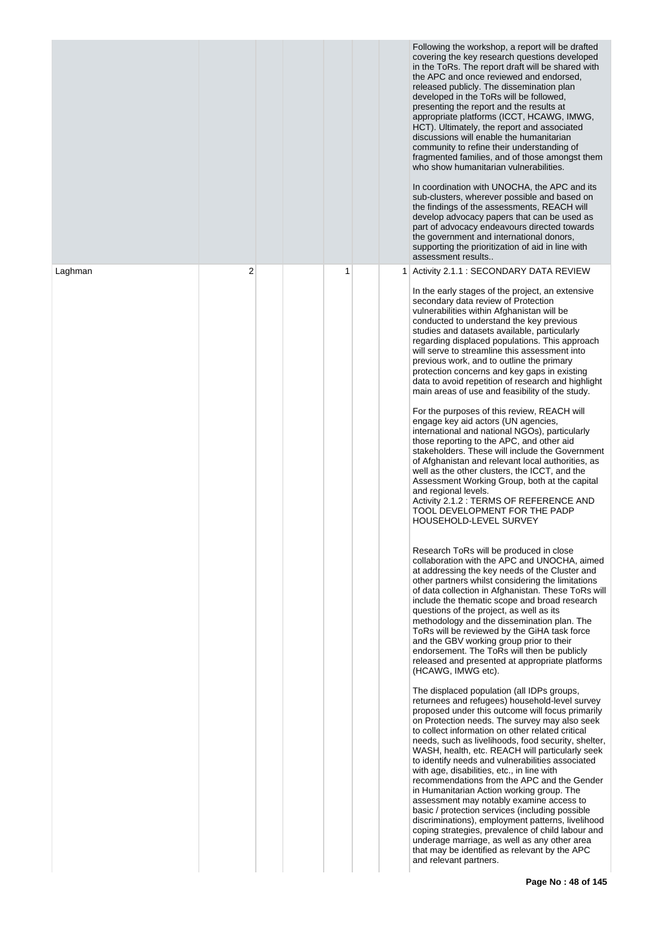|         |   |   |   | Following the workshop, a report will be drafted<br>covering the key research questions developed<br>in the ToRs. The report draft will be shared with<br>the APC and once reviewed and endorsed,<br>released publicly. The dissemination plan<br>developed in the ToRs will be followed,<br>presenting the report and the results at<br>appropriate platforms (ICCT, HCAWG, IMWG,<br>HCT). Ultimately, the report and associated<br>discussions will enable the humanitarian<br>community to refine their understanding of<br>fragmented families, and of those amongst them<br>who show humanitarian vulnerabilities.<br>In coordination with UNOCHA, the APC and its<br>sub-clusters, wherever possible and based on<br>the findings of the assessments, REACH will<br>develop advocacy papers that can be used as<br>part of advocacy endeavours directed towards<br>the government and international donors,<br>supporting the prioritization of aid in line with<br>assessment results                                                                                                                                                                                                                                                                                                                                                                                                                                                                                                                                                                                                                                                                                                                                                                                                                                                                                                                                                                                                                                                                                                                                                                                                                                                                                                                                                                                                                                                                                                                                                                                                                                                   |
|---------|---|---|---|------------------------------------------------------------------------------------------------------------------------------------------------------------------------------------------------------------------------------------------------------------------------------------------------------------------------------------------------------------------------------------------------------------------------------------------------------------------------------------------------------------------------------------------------------------------------------------------------------------------------------------------------------------------------------------------------------------------------------------------------------------------------------------------------------------------------------------------------------------------------------------------------------------------------------------------------------------------------------------------------------------------------------------------------------------------------------------------------------------------------------------------------------------------------------------------------------------------------------------------------------------------------------------------------------------------------------------------------------------------------------------------------------------------------------------------------------------------------------------------------------------------------------------------------------------------------------------------------------------------------------------------------------------------------------------------------------------------------------------------------------------------------------------------------------------------------------------------------------------------------------------------------------------------------------------------------------------------------------------------------------------------------------------------------------------------------------------------------------------------------------------------------------------------------------------------------------------------------------------------------------------------------------------------------------------------------------------------------------------------------------------------------------------------------------------------------------------------------------------------------------------------------------------------------------------------------------------------------------------------------------------------------|
| Laghman | 2 | 1 | 1 | Activity 2.1.1 : SECONDARY DATA REVIEW<br>In the early stages of the project, an extensive<br>secondary data review of Protection<br>vulnerabilities within Afghanistan will be<br>conducted to understand the key previous<br>studies and datasets available, particularly<br>regarding displaced populations. This approach<br>will serve to streamline this assessment into<br>previous work, and to outline the primary<br>protection concerns and key gaps in existing<br>data to avoid repetition of research and highlight<br>main areas of use and feasibility of the study.<br>For the purposes of this review, REACH will<br>engage key aid actors (UN agencies,<br>international and national NGOs), particularly<br>those reporting to the APC, and other aid<br>stakeholders. These will include the Government<br>of Afghanistan and relevant local authorities, as<br>well as the other clusters, the ICCT, and the<br>Assessment Working Group, both at the capital<br>and regional levels.<br>Activity 2.1.2 : TERMS OF REFERENCE AND<br>TOOL DEVELOPMENT FOR THE PADP<br>HOUSEHOLD-LEVEL SURVEY<br>Research ToRs will be produced in close<br>collaboration with the APC and UNOCHA, aimed<br>at addressing the key needs of the Cluster and<br>other partners whilst considering the limitations<br>of data collection in Afghanistan. These ToRs will<br>include the thematic scope and broad research<br>questions of the project, as well as its<br>methodology and the dissemination plan. The<br>ToRs will be reviewed by the GiHA task force<br>and the GBV working group prior to their<br>endorsement. The ToRs will then be publicly<br>released and presented at appropriate platforms<br>(HCAWG, IMWG etc).<br>The displaced population (all IDPs groups,<br>returnees and refugees) household-level survey<br>proposed under this outcome will focus primarily<br>on Protection needs. The survey may also seek<br>to collect information on other related critical<br>needs, such as livelihoods, food security, shelter,<br>WASH, health, etc. REACH will particularly seek<br>to identify needs and vulnerabilities associated<br>with age, disabilities, etc., in line with<br>recommendations from the APC and the Gender<br>in Humanitarian Action working group. The<br>assessment may notably examine access to<br>basic / protection services (including possible<br>discriminations), employment patterns, livelihood<br>coping strategies, prevalence of child labour and<br>underage marriage, as well as any other area<br>that may be identified as relevant by the APC<br>and relevant partners. |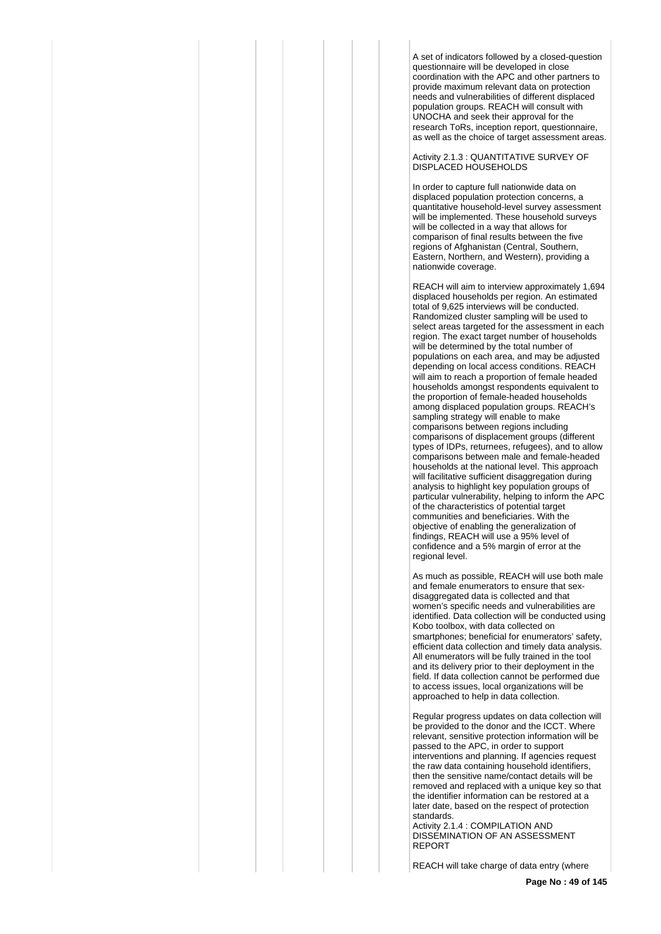A set of indicators followed by a closed-question questionnaire will be developed in close coordination with the APC and other partners to provide maximum relevant data on protection needs and vulnerabilities of different displaced population groups. REACH will consult with UNOCHA and seek their approval for the research ToRs, inception report, questionnaire, as well as the choice of target assessment areas.

Activity 2.1.3 : QUANTITATIVE SURVEY OF DISPLACED HOUSEHOLDS

In order to capture full nationwide data on displaced population protection concerns, a quantitative household-level survey assessment will be implemented. These household surveys will be collected in a way that allows for comparison of final results between the five regions of Afghanistan (Central, Southern, Eastern, Northern, and Western), providing a nationwide coverage.

REACH will aim to interview approximately 1,694 displaced households per region. An estimated total of 9,625 interviews will be conducted. Randomized cluster sampling will be used to select areas targeted for the assessment in each region. The exact target number of households will be determined by the total number of populations on each area, and may be adjusted depending on local access conditions. REACH will aim to reach a proportion of female headed households amongst respondents equivalent to the proportion of female-headed households among displaced population groups. REACH's sampling strategy will enable to make comparisons between regions including comparisons of displacement groups (different types of IDPs, returnees, refugees), and to allow comparisons between male and female-headed households at the national level. This approach will facilitative sufficient disaggregation during analysis to highlight key population groups of particular vulnerability, helping to inform the APC of the characteristics of potential target communities and beneficiaries. With the objective of enabling the generalization of findings, REACH will use a 95% level of confidence and a 5% margin of error at the regional level.

As much as possible, REACH will use both male and female enumerators to ensure that sexdisaggregated data is collected and that women's specific needs and vulnerabilities are identified. Data collection will be conducted using Kobo toolbox, with data collected on smartphones; beneficial for enumerators' safety, efficient data collection and timely data analysis. All enumerators will be fully trained in the tool and its delivery prior to their deployment in the field. If data collection cannot be performed due to access issues, local organizations will be approached to help in data collection.

Regular progress updates on data collection will be provided to the donor and the ICCT. Where relevant, sensitive protection information will be passed to the APC, in order to support interventions and planning. If agencies request the raw data containing household identifiers, then the sensitive name/contact details will be removed and replaced with a unique key so that the identifier information can be restored at a later date, based on the respect of protection standards.

Activity 2.1.4 : COMPILATION AND DISSEMINATION OF AN ASSESSMENT REPORT

REACH will take charge of data entry (where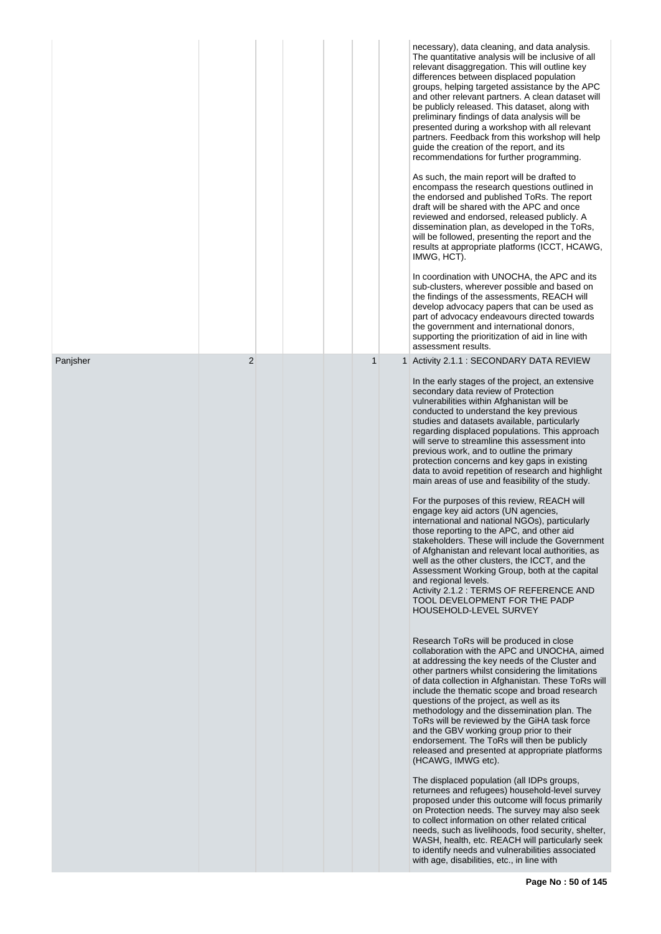|          |                |  |              | necessary), data cleaning, and data analysis.<br>The quantitative analysis will be inclusive of all<br>relevant disaggregation. This will outline key<br>differences between displaced population<br>groups, helping targeted assistance by the APC<br>and other relevant partners. A clean dataset will<br>be publicly released. This dataset, along with<br>preliminary findings of data analysis will be<br>presented during a workshop with all relevant<br>partners. Feedback from this workshop will help<br>guide the creation of the report, and its<br>recommendations for further programming.<br>As such, the main report will be drafted to<br>encompass the research questions outlined in<br>the endorsed and published ToRs. The report<br>draft will be shared with the APC and once<br>reviewed and endorsed, released publicly. A<br>dissemination plan, as developed in the ToRs,<br>will be followed, presenting the report and the<br>results at appropriate platforms (ICCT, HCAWG,<br>IMWG, HCT).<br>In coordination with UNOCHA, the APC and its<br>sub-clusters, wherever possible and based on<br>the findings of the assessments, REACH will<br>develop advocacy papers that can be used as<br>part of advocacy endeavours directed towards<br>the government and international donors,<br>supporting the prioritization of aid in line with<br>assessment results.                                                                                                                                                                                                                                                                                                                                                                                                                                                                                                                                                                                                                                                                                                                                                                                                                   |
|----------|----------------|--|--------------|------------------------------------------------------------------------------------------------------------------------------------------------------------------------------------------------------------------------------------------------------------------------------------------------------------------------------------------------------------------------------------------------------------------------------------------------------------------------------------------------------------------------------------------------------------------------------------------------------------------------------------------------------------------------------------------------------------------------------------------------------------------------------------------------------------------------------------------------------------------------------------------------------------------------------------------------------------------------------------------------------------------------------------------------------------------------------------------------------------------------------------------------------------------------------------------------------------------------------------------------------------------------------------------------------------------------------------------------------------------------------------------------------------------------------------------------------------------------------------------------------------------------------------------------------------------------------------------------------------------------------------------------------------------------------------------------------------------------------------------------------------------------------------------------------------------------------------------------------------------------------------------------------------------------------------------------------------------------------------------------------------------------------------------------------------------------------------------------------------------------------------------------------------------------------------------------------------------|
| Panjsher | $\overline{2}$ |  | $\mathbf{1}$ | 1 Activity 2.1.1 : SECONDARY DATA REVIEW<br>In the early stages of the project, an extensive<br>secondary data review of Protection<br>vulnerabilities within Afghanistan will be<br>conducted to understand the key previous<br>studies and datasets available, particularly<br>regarding displaced populations. This approach<br>will serve to streamline this assessment into<br>previous work, and to outline the primary<br>protection concerns and key gaps in existing<br>data to avoid repetition of research and highlight<br>main areas of use and feasibility of the study.<br>For the purposes of this review, REACH will<br>engage key aid actors (UN agencies,<br>international and national NGOs), particularly<br>those reporting to the APC, and other aid<br>stakeholders. These will include the Government<br>of Afghanistan and relevant local authorities, as<br>well as the other clusters, the ICCT, and the<br>Assessment Working Group, both at the capital<br>and regional levels.<br>Activity 2.1.2 : TERMS OF REFERENCE AND<br>TOOL DEVELOPMENT FOR THE PADP<br>HOUSEHOLD-LEVEL SURVEY<br>Research ToRs will be produced in close<br>collaboration with the APC and UNOCHA, aimed<br>at addressing the key needs of the Cluster and<br>other partners whilst considering the limitations<br>of data collection in Afghanistan. These ToRs will<br>include the thematic scope and broad research<br>questions of the project, as well as its<br>methodology and the dissemination plan. The<br>ToRs will be reviewed by the GiHA task force<br>and the GBV working group prior to their<br>endorsement. The ToRs will then be publicly<br>released and presented at appropriate platforms<br>(HCAWG, IMWG etc).<br>The displaced population (all IDPs groups,<br>returnees and refugees) household-level survey<br>proposed under this outcome will focus primarily<br>on Protection needs. The survey may also seek<br>to collect information on other related critical<br>needs, such as livelihoods, food security, shelter,<br>WASH, health, etc. REACH will particularly seek<br>to identify needs and vulnerabilities associated<br>with age, disabilities, etc., in line with |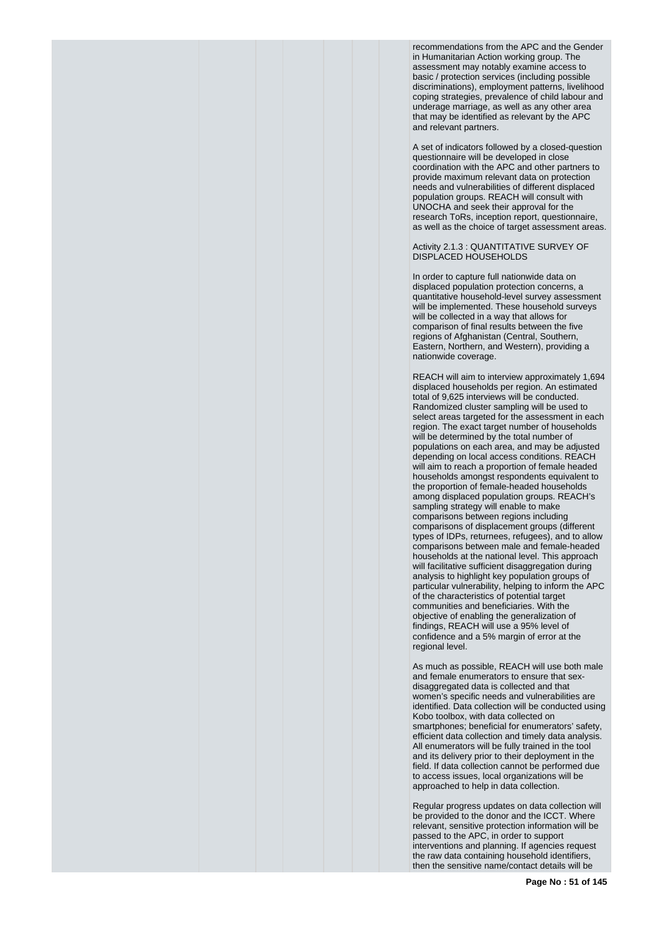recommendations from the APC and the Gender in Humanitarian Action working group. The assessment may notably examine access to basic / protection services (including possible discriminations), employment patterns, livelihood coping strategies, prevalence of child labour and underage marriage, as well as any other area that may be identified as relevant by the APC and relevant partners.

A set of indicators followed by a closed-question questionnaire will be developed in close coordination with the APC and other partners to provide maximum relevant data on protection needs and vulnerabilities of different displaced population groups. REACH will consult with UNOCHA and seek their approval for the research ToRs, inception report, questionnaire, as well as the choice of target assessment areas.

# Activity 2.1.3 : QUANTITATIVE SURVEY OF DISPLACED HOUSEHOLDS

In order to capture full nationwide data on displaced population protection concerns, a quantitative household-level survey assessment will be implemented. These household surveys will be collected in a way that allows for comparison of final results between the five regions of Afghanistan (Central, Southern, Eastern, Northern, and Western), providing a nationwide coverage.

REACH will aim to interview approximately 1,694 displaced households per region. An estimated total of 9,625 interviews will be conducted. Randomized cluster sampling will be used to select areas targeted for the assessment in each region. The exact target number of households will be determined by the total number of populations on each area, and may be adjusted depending on local access conditions. REACH will aim to reach a proportion of female headed households amongst respondents equivalent to the proportion of female-headed households among displaced population groups. REACH's sampling strategy will enable to make comparisons between regions including comparisons of displacement groups (different types of IDPs, returnees, refugees), and to allow comparisons between male and female-headed households at the national level. This approach will facilitative sufficient disaggregation during analysis to highlight key population groups of particular vulnerability, helping to inform the APC of the characteristics of potential target communities and beneficiaries. With the objective of enabling the generalization of findings, REACH will use a 95% level of confidence and a 5% margin of error at the regional level.

As much as possible, REACH will use both male and female enumerators to ensure that sexdisaggregated data is collected and that women's specific needs and vulnerabilities are identified. Data collection will be conducted using Kobo toolbox, with data collected on smartphones; beneficial for enumerators' safety. efficient data collection and timely data analysis. All enumerators will be fully trained in the tool and its delivery prior to their deployment in the field. If data collection cannot be performed due to access issues, local organizations will be approached to help in data collection.

Regular progress updates on data collection will be provided to the donor and the ICCT. Where relevant, sensitive protection information will be passed to the APC, in order to support interventions and planning. If agencies request the raw data containing household identifiers, then the sensitive name/contact details will be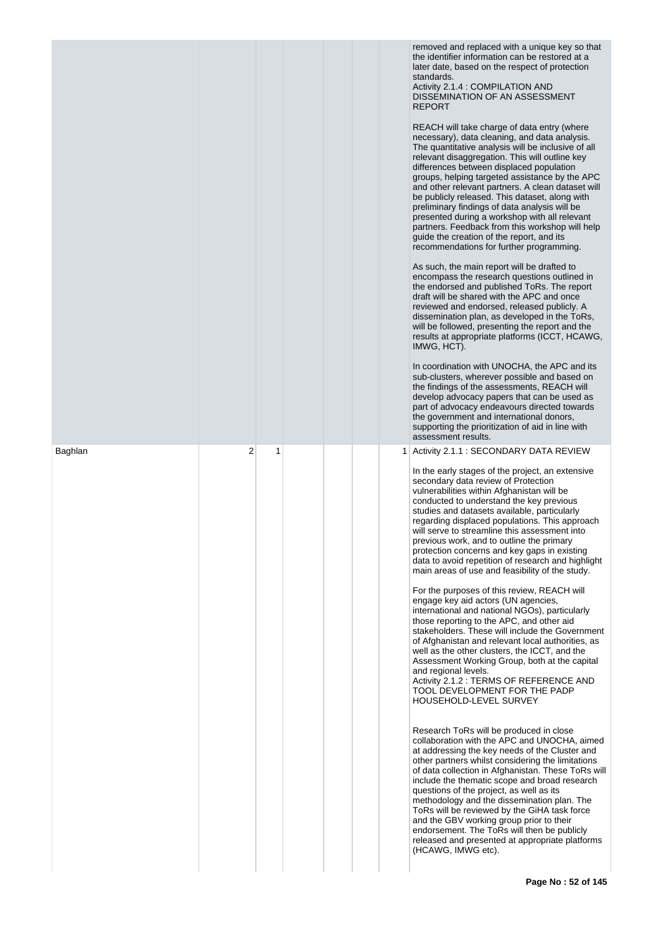|         |   |   |                | removed and replaced with a unique key so that<br>the identifier information can be restored at a<br>later date, based on the respect of protection<br>standards.<br>Activity 2.1.4 : COMPILATION AND<br>DISSEMINATION OF AN ASSESSMENT<br><b>REPORT</b><br>REACH will take charge of data entry (where<br>necessary), data cleaning, and data analysis.<br>The quantitative analysis will be inclusive of all<br>relevant disaggregation. This will outline key<br>differences between displaced population<br>groups, helping targeted assistance by the APC<br>and other relevant partners. A clean dataset will<br>be publicly released. This dataset, along with<br>preliminary findings of data analysis will be<br>presented during a workshop with all relevant<br>partners. Feedback from this workshop will help<br>guide the creation of the report, and its<br>recommendations for further programming.<br>As such, the main report will be drafted to<br>encompass the research questions outlined in<br>the endorsed and published ToRs. The report<br>draft will be shared with the APC and once<br>reviewed and endorsed, released publicly. A<br>dissemination plan, as developed in the ToRs,<br>will be followed, presenting the report and the<br>results at appropriate platforms (ICCT, HCAWG,<br>IMWG, HCT).<br>In coordination with UNOCHA, the APC and its<br>sub-clusters, wherever possible and based on<br>the findings of the assessments, REACH will<br>develop advocacy papers that can be used as<br>part of advocacy endeavours directed towards<br>the government and international donors,<br>supporting the prioritization of aid in line with<br>assessment results.                                |
|---------|---|---|----------------|------------------------------------------------------------------------------------------------------------------------------------------------------------------------------------------------------------------------------------------------------------------------------------------------------------------------------------------------------------------------------------------------------------------------------------------------------------------------------------------------------------------------------------------------------------------------------------------------------------------------------------------------------------------------------------------------------------------------------------------------------------------------------------------------------------------------------------------------------------------------------------------------------------------------------------------------------------------------------------------------------------------------------------------------------------------------------------------------------------------------------------------------------------------------------------------------------------------------------------------------------------------------------------------------------------------------------------------------------------------------------------------------------------------------------------------------------------------------------------------------------------------------------------------------------------------------------------------------------------------------------------------------------------------------------------------------------------------------------------------|
| Baghlan | 2 | 1 | 1 <sup>1</sup> | Activity 2.1.1: SECONDARY DATA REVIEW<br>In the early stages of the project, an extensive<br>secondary data review of Protection<br>vulnerabilities within Afghanistan will be<br>conducted to understand the key previous<br>studies and datasets available, particularly<br>regarding displaced populations. This approach<br>will serve to streamline this assessment into<br>previous work, and to outline the primary<br>protection concerns and key gaps in existing<br>data to avoid repetition of research and highlight<br>main areas of use and feasibility of the study.<br>For the purposes of this review, REACH will<br>engage key aid actors (UN agencies,<br>international and national NGOs), particularly<br>those reporting to the APC, and other aid<br>stakeholders. These will include the Government<br>of Afghanistan and relevant local authorities, as<br>well as the other clusters, the ICCT, and the<br>Assessment Working Group, both at the capital<br>and regional levels.<br>Activity 2.1.2 : TERMS OF REFERENCE AND<br>TOOL DEVELOPMENT FOR THE PADP<br>HOUSEHOLD-LEVEL SURVEY<br>Research ToRs will be produced in close<br>collaboration with the APC and UNOCHA, aimed<br>at addressing the key needs of the Cluster and<br>other partners whilst considering the limitations<br>of data collection in Afghanistan. These ToRs will<br>include the thematic scope and broad research<br>questions of the project, as well as its<br>methodology and the dissemination plan. The<br>ToRs will be reviewed by the GiHA task force<br>and the GBV working group prior to their<br>endorsement. The ToRs will then be publicly<br>released and presented at appropriate platforms<br>(HCAWG, IMWG etc). |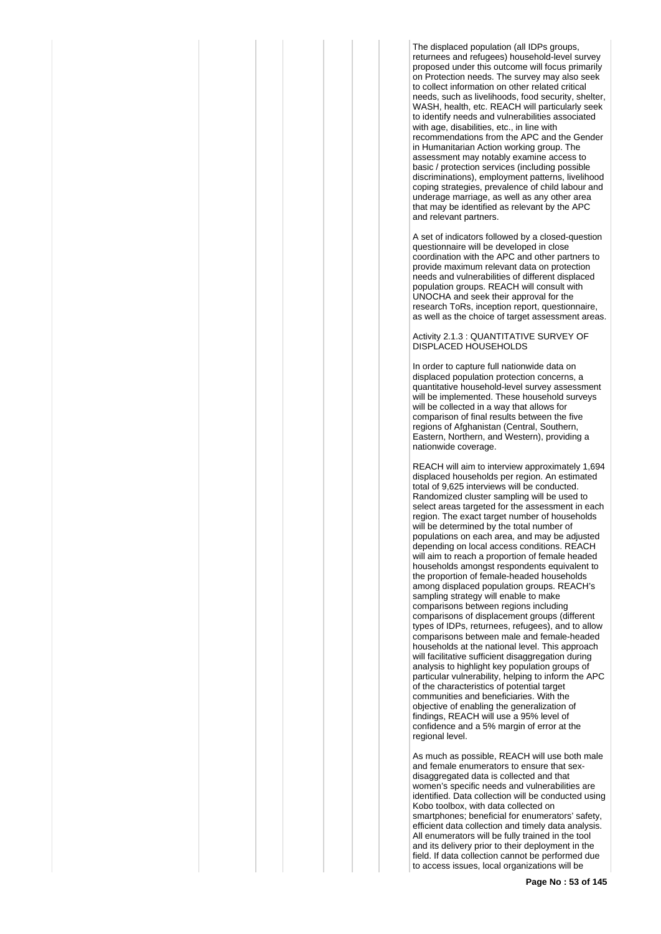The displaced population (all IDPs groups, returnees and refugees) household-level survey proposed under this outcome will focus primarily on Protection needs. The survey may also seek to collect information on other related critical needs, such as livelihoods, food security, shelter, WASH, health, etc. REACH will particularly seek to identify needs and vulnerabilities associated with age, disabilities, etc., in line with recommendations from the APC and the Gender in Humanitarian Action working group. The assessment may notably examine access to basic / protection services (including possible discriminations), employment patterns, livelihood coping strategies, prevalence of child labour and underage marriage, as well as any other area that may be identified as relevant by the APC and relevant partners.

A set of indicators followed by a closed-question questionnaire will be developed in close coordination with the APC and other partners to provide maximum relevant data on protection needs and vulnerabilities of different displaced population groups. REACH will consult with UNOCHA and seek their approval for the research ToRs, inception report, questionnaire, as well as the choice of target assessment areas.

#### Activity 2.1.3 : QUANTITATIVE SURVEY OF DISPLACED HOUSEHOLDS

In order to capture full nationwide data on displaced population protection concerns, a quantitative household-level survey assessment will be implemented. These household surveys will be collected in a way that allows for comparison of final results between the five regions of Afghanistan (Central, Southern, Eastern, Northern, and Western), providing a nationwide coverage.

REACH will aim to interview approximately 1,694 displaced households per region. An estimated total of 9,625 interviews will be conducted. Randomized cluster sampling will be used to select areas targeted for the assessment in each region. The exact target number of households will be determined by the total number of populations on each area, and may be adjusted depending on local access conditions. REACH will aim to reach a proportion of female headed households amongst respondents equivalent to the proportion of female-headed households among displaced population groups. REACH's sampling strategy will enable to make comparisons between regions including comparisons of displacement groups (different types of IDPs, returnees, refugees), and to allow comparisons between male and female-headed households at the national level. This approach will facilitative sufficient disaggregation during analysis to highlight key population groups of particular vulnerability, helping to inform the APC of the characteristics of potential target communities and beneficiaries. With the objective of enabling the generalization of findings, REACH will use a 95% level of confidence and a 5% margin of error at the regional level.

As much as possible, REACH will use both male and female enumerators to ensure that sexdisaggregated data is collected and that women's specific needs and vulnerabilities are identified. Data collection will be conducted using Kobo toolbox, with data collected on smartphones; beneficial for enumerators' safety, efficient data collection and timely data analysis. All enumerators will be fully trained in the tool and its delivery prior to their deployment in the field. If data collection cannot be performed due to access issues, local organizations will be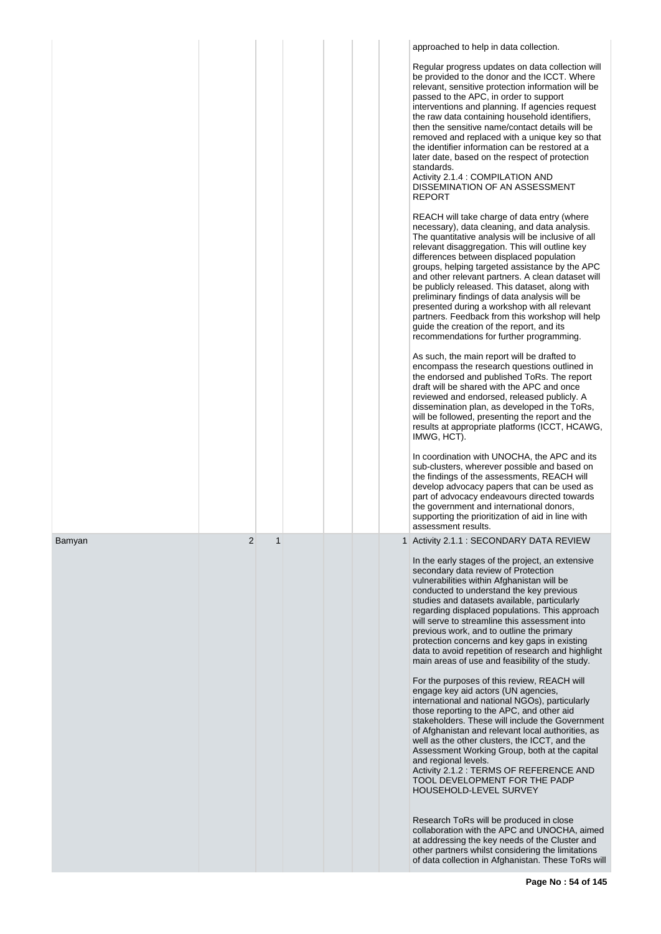|        |   |  | approached to help in data collection.                                                                                                                                                                                                                                                                                                                                                                                                                                                                                                                                                                                                                                                                                         |
|--------|---|--|--------------------------------------------------------------------------------------------------------------------------------------------------------------------------------------------------------------------------------------------------------------------------------------------------------------------------------------------------------------------------------------------------------------------------------------------------------------------------------------------------------------------------------------------------------------------------------------------------------------------------------------------------------------------------------------------------------------------------------|
|        |   |  | Regular progress updates on data collection will<br>be provided to the donor and the ICCT. Where<br>relevant, sensitive protection information will be<br>passed to the APC, in order to support<br>interventions and planning. If agencies request<br>the raw data containing household identifiers,<br>then the sensitive name/contact details will be<br>removed and replaced with a unique key so that<br>the identifier information can be restored at a<br>later date, based on the respect of protection<br>standards.<br>Activity 2.1.4 : COMPILATION AND<br>DISSEMINATION OF AN ASSESSMENT<br>REPORT                                                                                                                  |
|        |   |  | REACH will take charge of data entry (where<br>necessary), data cleaning, and data analysis.<br>The quantitative analysis will be inclusive of all<br>relevant disaggregation. This will outline key<br>differences between displaced population<br>groups, helping targeted assistance by the APC<br>and other relevant partners. A clean dataset will<br>be publicly released. This dataset, along with<br>preliminary findings of data analysis will be<br>presented during a workshop with all relevant<br>partners. Feedback from this workshop will help<br>guide the creation of the report, and its<br>recommendations for further programming.                                                                        |
|        |   |  | As such, the main report will be drafted to<br>encompass the research questions outlined in<br>the endorsed and published ToRs. The report<br>draft will be shared with the APC and once<br>reviewed and endorsed, released publicly. A<br>dissemination plan, as developed in the ToRs,<br>will be followed, presenting the report and the<br>results at appropriate platforms (ICCT, HCAWG,<br>IMWG, HCT).                                                                                                                                                                                                                                                                                                                   |
|        |   |  | In coordination with UNOCHA, the APC and its<br>sub-clusters, wherever possible and based on<br>the findings of the assessments, REACH will<br>develop advocacy papers that can be used as<br>part of advocacy endeavours directed towards<br>the government and international donors,<br>supporting the prioritization of aid in line with<br>assessment results.                                                                                                                                                                                                                                                                                                                                                             |
| Bamyan | 2 |  | 1 Activity 2.1.1 : SECONDARY DATA REVIEW<br>In the early stages of the project, an extensive<br>secondary data review of Protection<br>vulnerabilities within Afghanistan will be<br>conducted to understand the key previous<br>studies and datasets available, particularly<br>regarding displaced populations. This approach<br>will serve to streamline this assessment into<br>previous work, and to outline the primary<br>protection concerns and key gaps in existing<br>data to avoid repetition of research and highlight<br>main areas of use and feasibility of the study.<br>For the purposes of this review, REACH will<br>engage key aid actors (UN agencies,<br>international and national NGOs), particularly |
|        |   |  | those reporting to the APC, and other aid<br>stakeholders. These will include the Government<br>of Afghanistan and relevant local authorities, as<br>well as the other clusters, the ICCT, and the<br>Assessment Working Group, both at the capital<br>and regional levels.<br>Activity 2.1.2 : TERMS OF REFERENCE AND<br>TOOL DEVELOPMENT FOR THE PADP<br>HOUSEHOLD-LEVEL SURVEY                                                                                                                                                                                                                                                                                                                                              |
|        |   |  | Research ToRs will be produced in close<br>collaboration with the APC and UNOCHA, aimed<br>at addressing the key needs of the Cluster and<br>other partners whilst considering the limitations<br>of data collection in Afghanistan. These ToRs will                                                                                                                                                                                                                                                                                                                                                                                                                                                                           |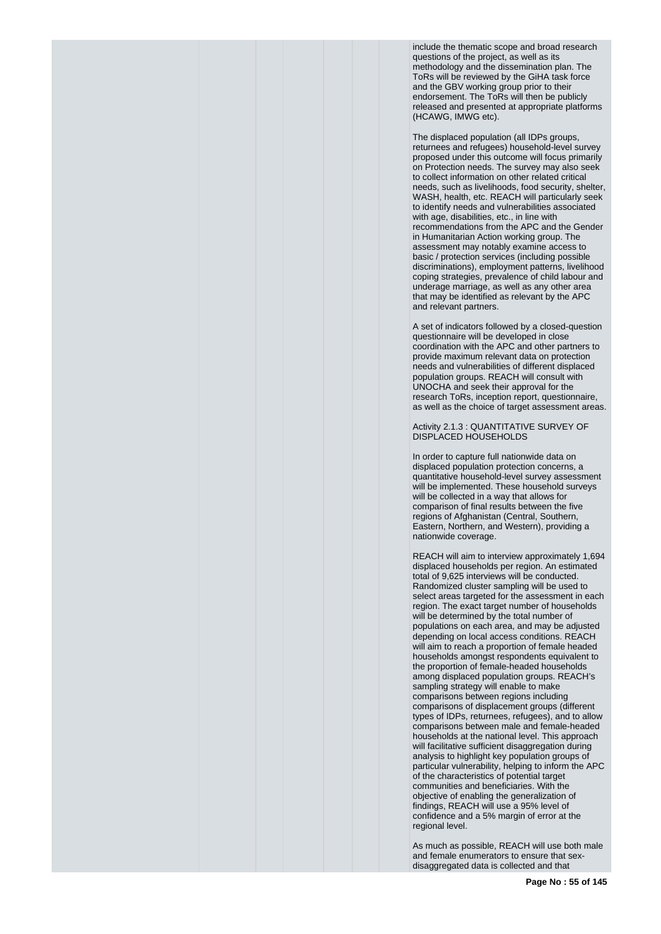include the thematic scope and broad research questions of the project, as well as its methodology and the dissemination plan. The ToRs will be reviewed by the GiHA task force and the GBV working group prior to their endorsement. The ToRs will then be publicly released and presented at appropriate platforms (HCAWG, IMWG etc).

The displaced population (all IDPs groups, returnees and refugees) household-level survey proposed under this outcome will focus primarily on Protection needs. The survey may also seek to collect information on other related critical needs, such as livelihoods, food security, shelter, WASH, health, etc. REACH will particularly seek to identify needs and vulnerabilities associated with age, disabilities, etc., in line with recommendations from the APC and the Gender in Humanitarian Action working group. The assessment may notably examine access to basic / protection services (including possible discriminations), employment patterns, livelihood coping strategies, prevalence of child labour and underage marriage, as well as any other area that may be identified as relevant by the APC and relevant partners.

A set of indicators followed by a closed-question questionnaire will be developed in close coordination with the APC and other partners to provide maximum relevant data on protection needs and vulnerabilities of different displaced population groups. REACH will consult with UNOCHA and seek their approval for the research ToRs, inception report, questionnaire, as well as the choice of target assessment areas.

Activity 2.1.3 : QUANTITATIVE SURVEY OF DISPLACED HOUSEHOLDS

In order to capture full nationwide data on displaced population protection concerns, a quantitative household-level survey assessment will be implemented. These household surveys will be collected in a way that allows for comparison of final results between the five regions of Afghanistan (Central, Southern, Eastern, Northern, and Western), providing a nationwide coverage.

REACH will aim to interview approximately 1,694 displaced households per region. An estimated total of 9,625 interviews will be conducted. Randomized cluster sampling will be used to select areas targeted for the assessment in each region. The exact target number of households will be determined by the total number of populations on each area, and may be adjusted depending on local access conditions. REACH will aim to reach a proportion of female headed households amongst respondents equivalent to the proportion of female-headed households among displaced population groups. REACH's sampling strategy will enable to make comparisons between regions including comparisons of displacement groups (different types of IDPs, returnees, refugees), and to allow comparisons between male and female-headed households at the national level. This approach will facilitative sufficient disaggregation during analysis to highlight key population groups of particular vulnerability, helping to inform the APC of the characteristics of potential target communities and beneficiaries. With the objective of enabling the generalization of findings, REACH will use a 95% level of confidence and a 5% margin of error at the regional level.

As much as possible, REACH will use both male and female enumerators to ensure that sexdisaggregated data is collected and that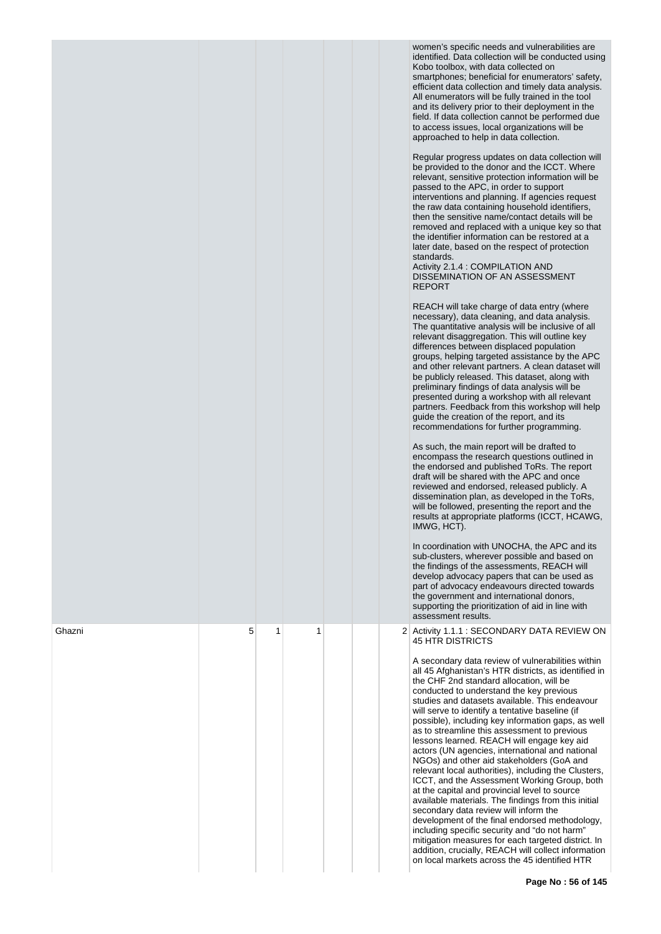|        |   |   |   |  | women's specific needs and vulnerabilities are<br>identified. Data collection will be conducted using<br>Kobo toolbox, with data collected on<br>smartphones; beneficial for enumerators' safety,<br>efficient data collection and timely data analysis.<br>All enumerators will be fully trained in the tool<br>and its delivery prior to their deployment in the<br>field. If data collection cannot be performed due<br>to access issues, local organizations will be<br>approached to help in data collection.<br>Regular progress updates on data collection will<br>be provided to the donor and the ICCT. Where<br>relevant, sensitive protection information will be<br>passed to the APC, in order to support<br>interventions and planning. If agencies request<br>the raw data containing household identifiers,<br>then the sensitive name/contact details will be<br>removed and replaced with a unique key so that<br>the identifier information can be restored at a<br>later date, based on the respect of protection<br>standards.<br>Activity 2.1.4 : COMPILATION AND<br>DISSEMINATION OF AN ASSESSMENT<br><b>REPORT</b><br>REACH will take charge of data entry (where<br>necessary), data cleaning, and data analysis.<br>The quantitative analysis will be inclusive of all<br>relevant disaggregation. This will outline key<br>differences between displaced population<br>groups, helping targeted assistance by the APC<br>and other relevant partners. A clean dataset will<br>be publicly released. This dataset, along with<br>preliminary findings of data analysis will be<br>presented during a workshop with all relevant<br>partners. Feedback from this workshop will help<br>guide the creation of the report, and its<br>recommendations for further programming.<br>As such, the main report will be drafted to<br>encompass the research questions outlined in<br>the endorsed and published ToRs. The report<br>draft will be shared with the APC and once<br>reviewed and endorsed, released publicly. A<br>dissemination plan, as developed in the ToRs,<br>will be followed, presenting the report and the<br>results at appropriate platforms (ICCT, HCAWG,<br>IMWG, HCT).<br>In coordination with UNOCHA, the APC and its<br>sub-clusters, wherever possible and based on<br>the findings of the assessments, REACH will<br>develop advocacy papers that can be used as<br>part of advocacy endeavours directed towards<br>the government and international donors, |
|--------|---|---|---|--|-----------------------------------------------------------------------------------------------------------------------------------------------------------------------------------------------------------------------------------------------------------------------------------------------------------------------------------------------------------------------------------------------------------------------------------------------------------------------------------------------------------------------------------------------------------------------------------------------------------------------------------------------------------------------------------------------------------------------------------------------------------------------------------------------------------------------------------------------------------------------------------------------------------------------------------------------------------------------------------------------------------------------------------------------------------------------------------------------------------------------------------------------------------------------------------------------------------------------------------------------------------------------------------------------------------------------------------------------------------------------------------------------------------------------------------------------------------------------------------------------------------------------------------------------------------------------------------------------------------------------------------------------------------------------------------------------------------------------------------------------------------------------------------------------------------------------------------------------------------------------------------------------------------------------------------------------------------------------------------------------------------------------------------------------------------------------------------------------------------------------------------------------------------------------------------------------------------------------------------------------------------------------------------------------------------------------------------------------------------------------------------------------------------------------------------------------------------------------------------------------------------------|
| Ghazni | 5 | 1 | 1 |  | supporting the prioritization of aid in line with<br>assessment results.<br>2 Activity 1.1.1 : SECONDARY DATA REVIEW ON<br><b>45 HTR DISTRICTS</b>                                                                                                                                                                                                                                                                                                                                                                                                                                                                                                                                                                                                                                                                                                                                                                                                                                                                                                                                                                                                                                                                                                                                                                                                                                                                                                                                                                                                                                                                                                                                                                                                                                                                                                                                                                                                                                                                                                                                                                                                                                                                                                                                                                                                                                                                                                                                                              |
|        |   |   |   |  | A secondary data review of vulnerabilities within<br>all 45 Afghanistan's HTR districts, as identified in<br>the CHF 2nd standard allocation, will be<br>conducted to understand the key previous<br>studies and datasets available. This endeavour<br>will serve to identify a tentative baseline (if<br>possible), including key information gaps, as well<br>as to streamline this assessment to previous<br>lessons learned. REACH will engage key aid<br>actors (UN agencies, international and national<br>NGOs) and other aid stakeholders (GoA and<br>relevant local authorities), including the Clusters,<br>ICCT, and the Assessment Working Group, both<br>at the capital and provincial level to source<br>available materials. The findings from this initial<br>secondary data review will inform the<br>development of the final endorsed methodology,<br>including specific security and "do not harm"<br>mitigation measures for each targeted district. In<br>addition, crucially, REACH will collect information<br>on local markets across the 45 identified HTR                                                                                                                                                                                                                                                                                                                                                                                                                                                                                                                                                                                                                                                                                                                                                                                                                                                                                                                                                                                                                                                                                                                                                                                                                                                                                                                                                                                                                            |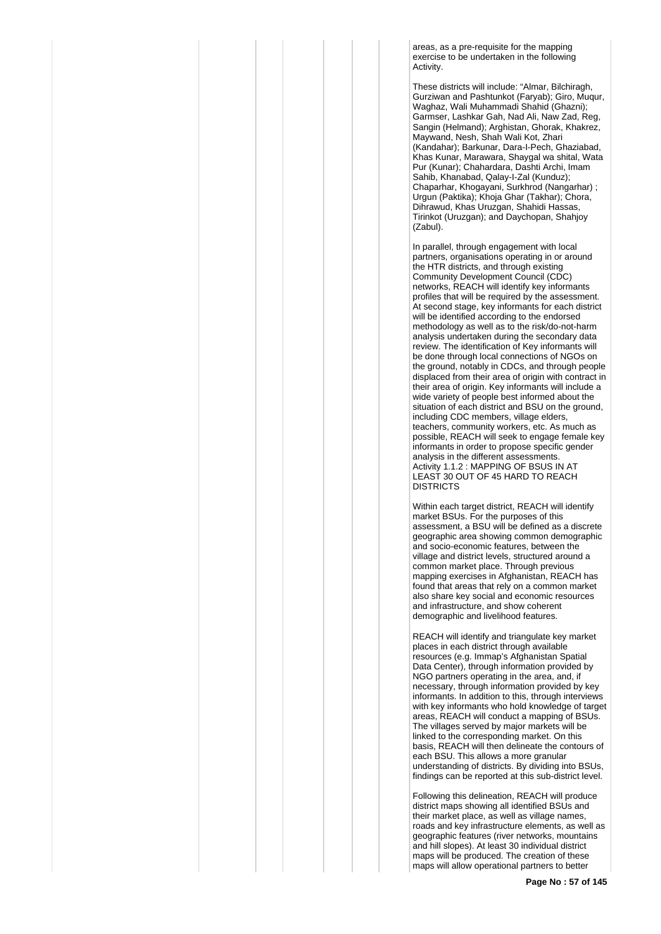areas, as a pre-requisite for the mapping exercise to be undertaken in the following **Activity** 

These districts will include: "Almar, Bilchiragh, Gurziwan and Pashtunkot (Faryab); Giro, Muqur, Waghaz, Wali Muhammadi Shahid (Ghazni); Garmser, Lashkar Gah, Nad Ali, Naw Zad, Reg, Sangin (Helmand); Arghistan, Ghorak, Khakrez, Maywand, Nesh, Shah Wali Kot, Zhari (Kandahar); Barkunar, Dara-I-Pech, Ghaziabad, Khas Kunar, Marawara, Shaygal wa shital, Wata Pur (Kunar); Chahardara, Dashti Archi, Imam Sahib, Khanabad, Qalay-I-Zal (Kunduz); Chaparhar, Khogayani, Surkhrod (Nangarhar) ; Urgun (Paktika); Khoja Ghar (Takhar); Chora, Dihrawud, Khas Uruzgan, Shahidi Hassas, Tirinkot (Uruzgan); and Daychopan, Shahjoy (Zabul).

In parallel, through engagement with local partners, organisations operating in or around the HTR districts, and through existing Community Development Council (CDC) networks, REACH will identify key informants profiles that will be required by the assessment. At second stage, key informants for each district will be identified according to the endorsed methodology as well as to the risk/do-not-harm analysis undertaken during the secondary data review. The identification of Key informants will be done through local connections of NGOs on the ground, notably in CDCs, and through people displaced from their area of origin with contract in their area of origin. Key informants will include a wide variety of people best informed about the situation of each district and BSU on the ground, including CDC members, village elders, teachers, community workers, etc. As much as possible, REACH will seek to engage female key informants in order to propose specific gender analysis in the different assessments. Activity 1.1.2 : MAPPING OF BSUS IN AT LEAST 30 OUT OF 45 HARD TO REACH DISTRICTS

Within each target district, REACH will identify market BSUs. For the purposes of this assessment, a BSU will be defined as a discrete geographic area showing common demographic and socio-economic features, between the village and district levels, structured around a common market place. Through previous mapping exercises in Afghanistan, REACH has found that areas that rely on a common market also share key social and economic resources and infrastructure, and show coherent demographic and livelihood features.

REACH will identify and triangulate key market places in each district through available resources (e.g. Immap's Afghanistan Spatial Data Center), through information provided by NGO partners operating in the area, and, if necessary, through information provided by key informants. In addition to this, through interviews with key informants who hold knowledge of target areas, REACH will conduct a mapping of BSUs. The villages served by major markets will be linked to the corresponding market. On this basis, REACH will then delineate the contours of each BSU. This allows a more granular understanding of districts. By dividing into BSUs, findings can be reported at this sub-district level.

Following this delineation, REACH will produce district maps showing all identified BSUs and their market place, as well as village names, roads and key infrastructure elements, as well as geographic features (river networks, mountains and hill slopes). At least 30 individual district maps will be produced. The creation of these maps will allow operational partners to better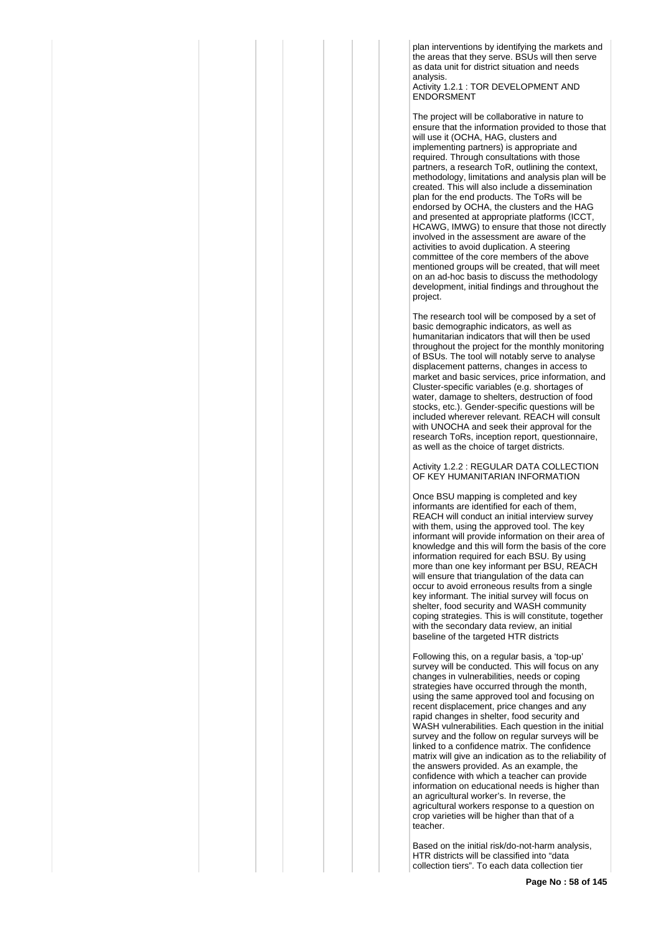plan interventions by identifying the markets and the areas that they serve. BSUs will then serve as data unit for district situation and needs analysis.

Activity 1.2.1 : TOR DEVELOPMENT AND **ENDORSMENT** 

The project will be collaborative in nature to ensure that the information provided to those that will use it (OCHA, HAG, clusters and implementing partners) is appropriate and required. Through consultations with those partners, a research ToR, outlining the context, methodology, limitations and analysis plan will be created. This will also include a dissemination plan for the end products. The ToRs will be endorsed by OCHA, the clusters and the HAG and presented at appropriate platforms (ICCT, HCAWG, IMWG) to ensure that those not directly involved in the assessment are aware of the activities to avoid duplication. A steering committee of the core members of the above mentioned groups will be created, that will meet on an ad-hoc basis to discuss the methodology development, initial findings and throughout the project.

The research tool will be composed by a set of basic demographic indicators, as well as humanitarian indicators that will then be used throughout the project for the monthly monitoring of BSUs. The tool will notably serve to analyse displacement patterns, changes in access to market and basic services, price information, and Cluster-specific variables (e.g. shortages of water, damage to shelters, destruction of food stocks, etc.). Gender-specific questions will be included wherever relevant. REACH will consult with UNOCHA and seek their approval for the research ToRs, inception report, questionnaire, as well as the choice of target districts.

Activity 1.2.2 : REGULAR DATA COLLECTION OF KEY HUMANITARIAN INFORMATION

Once BSU mapping is completed and key informants are identified for each of them, REACH will conduct an initial interview survey with them, using the approved tool. The key informant will provide information on their area of knowledge and this will form the basis of the core information required for each BSU. By using more than one key informant per BSU, REACH will ensure that triangulation of the data can occur to avoid erroneous results from a single key informant. The initial survey will focus on shelter, food security and WASH community coping strategies. This is will constitute, together with the secondary data review, an initial baseline of the targeted HTR districts

Following this, on a regular basis, a 'top-up' survey will be conducted. This will focus on any changes in vulnerabilities, needs or coping strategies have occurred through the month, using the same approved tool and focusing on recent displacement, price changes and any rapid changes in shelter, food security and WASH vulnerabilities. Fach question in the initial survey and the follow on regular surveys will be linked to a confidence matrix. The confidence matrix will give an indication as to the reliability of the answers provided. As an example, the confidence with which a teacher can provide information on educational needs is higher than an agricultural worker's. In reverse, the agricultural workers response to a question on crop varieties will be higher than that of a teacher.

Based on the initial risk/do-not-harm analysis, HTR districts will be classified into "data collection tiers". To each data collection tier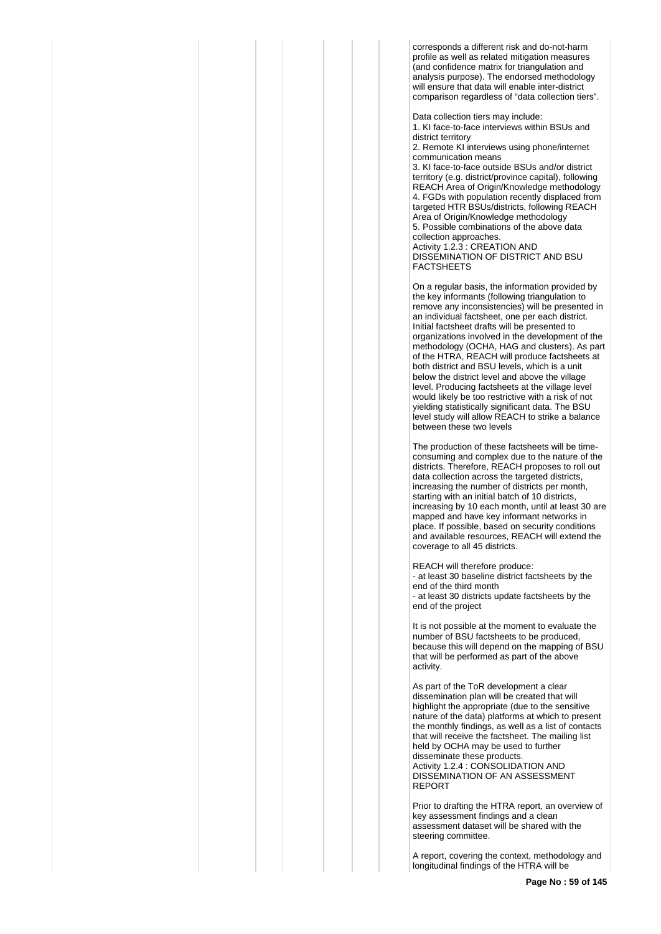corresponds a different risk and do-not-harm profile as well as related mitigation measures (and confidence matrix for triangulation and analysis purpose). The endorsed methodology will ensure that data will enable inter-district comparison regardless of "data collection tiers".

Data collection tiers may include: 1. KI face-to-face interviews within BSUs and district territory

2. Remote KI interviews using phone/internet communication means

3. KI face-to-face outside BSUs and/or district territory (e.g. district/province capital), following REACH Area of Origin/Knowledge methodology 4. FGDs with population recently displaced from targeted HTR BSUs/districts, following REACH Area of Origin/Knowledge methodology 5. Possible combinations of the above data collection approaches. Activity 1.2.3 : CREATION AND DISSEMINATION OF DISTRICT AND BSU FACTSHEETS

On a regular basis, the information provided by the key informants (following triangulation to remove any inconsistencies) will be presented in an individual factsheet, one per each district. Initial factsheet drafts will be presented to organizations involved in the development of the methodology (OCHA, HAG and clusters). As part of the HTRA, REACH will produce factsheets at both district and BSU levels, which is a unit below the district level and above the village level. Producing factsheets at the village level would likely be too restrictive with a risk of not yielding statistically significant data. The BSU level study will allow REACH to strike a balance between these two levels

The production of these factsheets will be timeconsuming and complex due to the nature of the districts. Therefore, REACH proposes to roll out data collection across the targeted districts, increasing the number of districts per month, starting with an initial batch of 10 districts, increasing by 10 each month, until at least 30 are mapped and have key informant networks in place. If possible, based on security conditions and available resources, REACH will extend the coverage to all 45 districts.

REACH will therefore produce: - at least 30 baseline district factsheets by the end of the third month - at least 30 districts update factsheets by the end of the project

It is not possible at the moment to evaluate the number of BSU factsheets to be produced, because this will depend on the mapping of BSU that will be performed as part of the above activity.

As part of the ToR development a clear dissemination plan will be created that will highlight the appropriate (due to the sensitive nature of the data) platforms at which to present the monthly findings, as well as a list of contacts that will receive the factsheet. The mailing list held by OCHA may be used to further disseminate these products. Activity 1.2.4 : CONSOLIDATION AND DISSEMINATION OF AN ASSESSMENT REPORT

Prior to drafting the HTRA report, an overview of key assessment findings and a clean assessment dataset will be shared with the steering committee.

A report, covering the context, methodology and longitudinal findings of the HTRA will be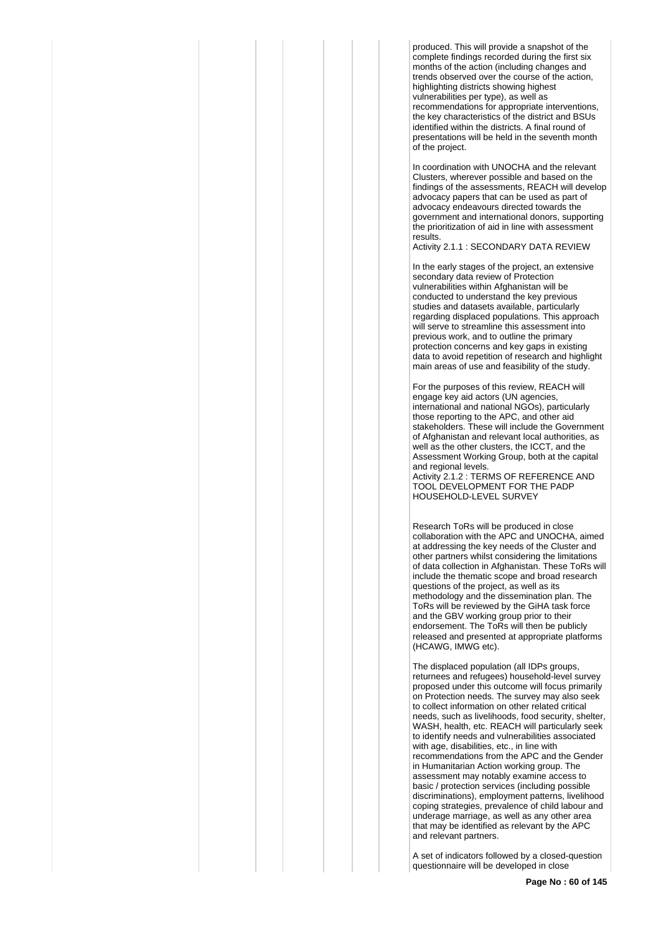produced. This will provide a snapshot of the complete findings recorded during the first six months of the action (including changes and trends observed over the course of the action, highlighting districts showing highest vulnerabilities per type), as well as recommendations for appropriate interventions, the key characteristics of the district and BSUs identified within the districts. A final round of presentations will be held in the seventh month of the project.

In coordination with UNOCHA and the relevant Clusters, wherever possible and based on the findings of the assessments, REACH will develop advocacy papers that can be used as part of advocacy endeavours directed towards the government and international donors, supporting the prioritization of aid in line with assessment results.

Activity 2.1.1 : SECONDARY DATA REVIEW

In the early stages of the project, an extensive secondary data review of Protection vulnerabilities within Afghanistan will be conducted to understand the key previous studies and datasets available, particularly regarding displaced populations. This approach will serve to streamline this assessment into previous work, and to outline the primary protection concerns and key gaps in existing data to avoid repetition of research and highlight main areas of use and feasibility of the study.

For the purposes of this review, REACH will engage key aid actors (UN agencies, international and national NGOs), particularly those reporting to the APC, and other aid stakeholders. These will include the Government of Afghanistan and relevant local authorities, as well as the other clusters, the ICCT, and the Assessment Working Group, both at the capital and regional levels. Activity 2.1.2 : TERMS OF REFERENCE AND

TOOL DEVELOPMENT FOR THE PADP HOUSEHOLD-LEVEL SURVEY

Research ToRs will be produced in close collaboration with the APC and UNOCHA, aimed at addressing the key needs of the Cluster and other partners whilst considering the limitations of data collection in Afghanistan. These ToRs will include the thematic scope and broad research questions of the project, as well as its methodology and the dissemination plan. The ToRs will be reviewed by the GiHA task force and the GBV working group prior to their endorsement. The ToRs will then be publicly released and presented at appropriate platforms (HCAWG, IMWG etc).

The displaced population (all IDPs groups, returnees and refugees) household-level survey proposed under this outcome will focus primarily on Protection needs. The survey may also seek to collect information on other related critical needs, such as livelihoods, food security, shelter, WASH, health, etc. REACH will particularly seek to identify needs and vulnerabilities associated with age, disabilities, etc., in line with recommendations from the APC and the Gender in Humanitarian Action working group. The assessment may notably examine access to basic / protection services (including possible discriminations), employment patterns, livelihood coping strategies, prevalence of child labour and underage marriage, as well as any other area that may be identified as relevant by the APC and relevant partners.

A set of indicators followed by a closed-question questionnaire will be developed in close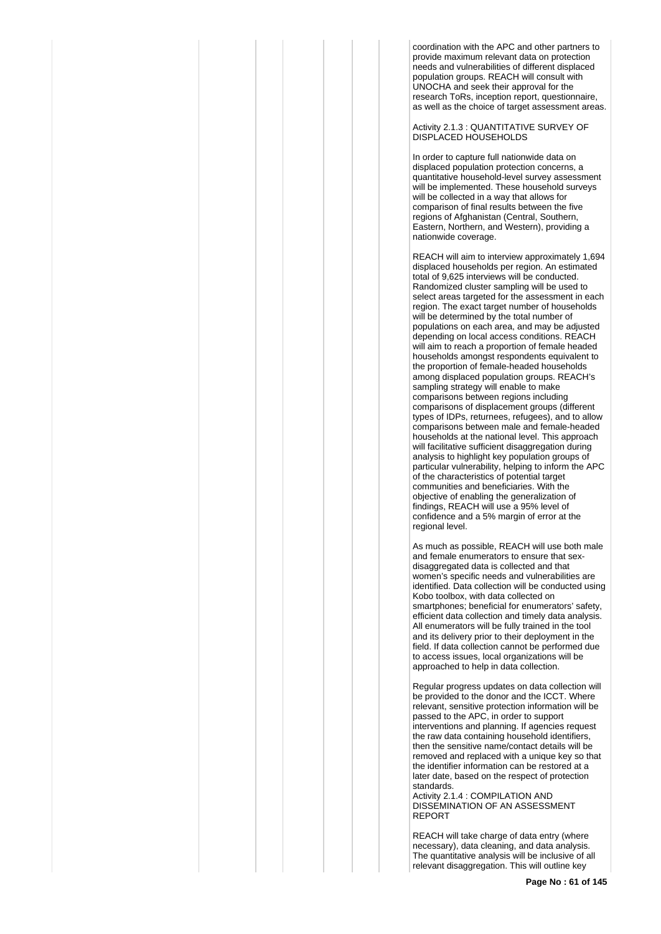coordination with the APC and other partners to provide maximum relevant data on protection needs and vulnerabilities of different displaced population groups. REACH will consult with UNOCHA and seek their approval for the research ToRs, inception report, questionnaire, as well as the choice of target assessment areas.

Activity 2.1.3 : QUANTITATIVE SURVEY OF DISPLACED HOUSEHOLDS

In order to capture full nationwide data on displaced population protection concerns, a quantitative household-level survey assessment will be implemented. These household surveys will be collected in a way that allows for comparison of final results between the five regions of Afghanistan (Central, Southern, Eastern, Northern, and Western), providing a nationwide coverage.

REACH will aim to interview approximately 1,694 displaced households per region. An estimated total of 9,625 interviews will be conducted. Randomized cluster sampling will be used to select areas targeted for the assessment in each region. The exact target number of households will be determined by the total number of populations on each area, and may be adjusted depending on local access conditions. REACH will aim to reach a proportion of female headed households amongst respondents equivalent to the proportion of female-headed households among displaced population groups. REACH's sampling strategy will enable to make comparisons between regions including comparisons of displacement groups (different types of IDPs, returnees, refugees), and to allow comparisons between male and female-headed households at the national level. This approach will facilitative sufficient disaggregation during analysis to highlight key population groups of particular vulnerability, helping to inform the APC of the characteristics of potential target communities and beneficiaries. With the objective of enabling the generalization of findings, REACH will use a 95% level of confidence and a 5% margin of error at the regional level.

As much as possible, REACH will use both male and female enumerators to ensure that sexdisaggregated data is collected and that women's specific needs and vulnerabilities are identified. Data collection will be conducted using Kobo toolbox, with data collected on smartphones; beneficial for enumerators' safety, efficient data collection and timely data analysis. All enumerators will be fully trained in the tool and its delivery prior to their deployment in the field. If data collection cannot be performed due to access issues, local organizations will be approached to help in data collection.

Regular progress updates on data collection will be provided to the donor and the ICCT. Where relevant, sensitive protection information will be passed to the APC, in order to support interventions and planning. If agencies request the raw data containing household identifiers, then the sensitive name/contact details will be removed and replaced with a unique key so that the identifier information can be restored at a later date, based on the respect of protection standards.

Activity 2.1.4 : COMPILATION AND DISSEMINATION OF AN ASSESSMENT REPORT

REACH will take charge of data entry (where necessary), data cleaning, and data analysis. The quantitative analysis will be inclusive of all relevant disaggregation. This will outline key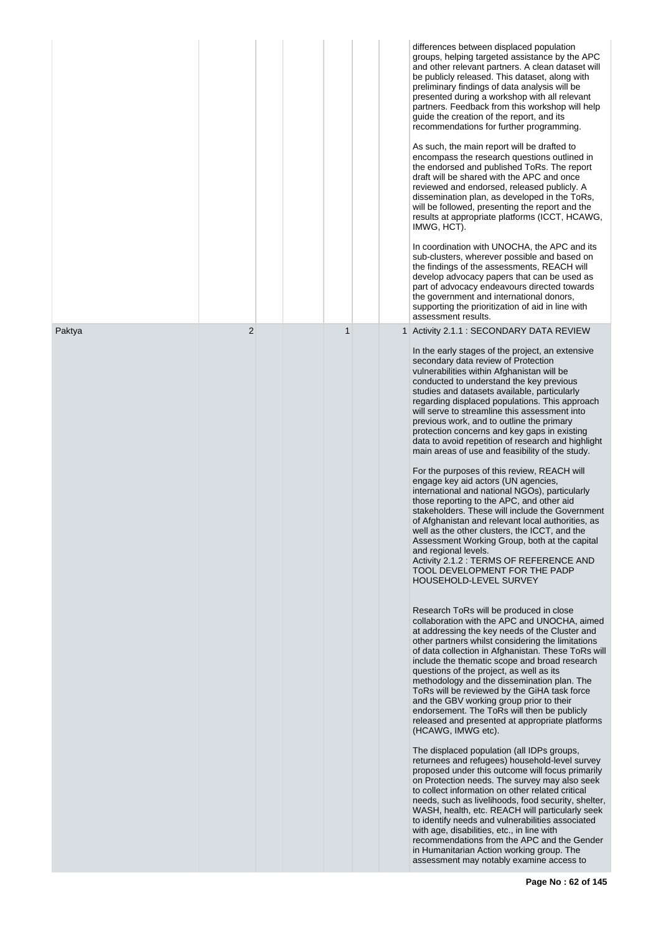|        |                |              | differences between displaced population<br>groups, helping targeted assistance by the APC<br>and other relevant partners. A clean dataset will<br>be publicly released. This dataset, along with<br>preliminary findings of data analysis will be<br>presented during a workshop with all relevant<br>partners. Feedback from this workshop will help<br>guide the creation of the report, and its<br>recommendations for further programming.<br>As such, the main report will be drafted to<br>encompass the research questions outlined in<br>the endorsed and published ToRs. The report<br>draft will be shared with the APC and once<br>reviewed and endorsed, released publicly. A<br>dissemination plan, as developed in the ToRs,<br>will be followed, presenting the report and the<br>results at appropriate platforms (ICCT, HCAWG,<br>IMWG, HCT).<br>In coordination with UNOCHA, the APC and its<br>sub-clusters, wherever possible and based on<br>the findings of the assessments, REACH will<br>develop advocacy papers that can be used as<br>part of advocacy endeavours directed towards<br>the government and international donors,<br>supporting the prioritization of aid in line with<br>assessment results.                                                                                                                                                                                                                                                                                                                                                                                                                                                                                                                                                                                                                                                                                                                                                                                                                                                                                                                                                                                                                                                                                                                    |
|--------|----------------|--------------|----------------------------------------------------------------------------------------------------------------------------------------------------------------------------------------------------------------------------------------------------------------------------------------------------------------------------------------------------------------------------------------------------------------------------------------------------------------------------------------------------------------------------------------------------------------------------------------------------------------------------------------------------------------------------------------------------------------------------------------------------------------------------------------------------------------------------------------------------------------------------------------------------------------------------------------------------------------------------------------------------------------------------------------------------------------------------------------------------------------------------------------------------------------------------------------------------------------------------------------------------------------------------------------------------------------------------------------------------------------------------------------------------------------------------------------------------------------------------------------------------------------------------------------------------------------------------------------------------------------------------------------------------------------------------------------------------------------------------------------------------------------------------------------------------------------------------------------------------------------------------------------------------------------------------------------------------------------------------------------------------------------------------------------------------------------------------------------------------------------------------------------------------------------------------------------------------------------------------------------------------------------------------------------------------------------------------------------------------------|
| Paktya | $\overline{2}$ | $\mathbf{1}$ | 1 Activity 2.1.1 : SECONDARY DATA REVIEW<br>In the early stages of the project, an extensive<br>secondary data review of Protection<br>vulnerabilities within Afghanistan will be<br>conducted to understand the key previous<br>studies and datasets available, particularly<br>regarding displaced populations. This approach<br>will serve to streamline this assessment into<br>previous work, and to outline the primary<br>protection concerns and key gaps in existing<br>data to avoid repetition of research and highlight<br>main areas of use and feasibility of the study.<br>For the purposes of this review, REACH will<br>engage key aid actors (UN agencies,<br>international and national NGOs), particularly<br>those reporting to the APC, and other aid<br>stakeholders. These will include the Government<br>of Afghanistan and relevant local authorities, as<br>well as the other clusters, the ICCT, and the<br>Assessment Working Group, both at the capital<br>and regional levels.<br>Activity 2.1.2 : TERMS OF REFERENCE AND<br>TOOL DEVELOPMENT FOR THE PADP<br>HOUSEHOLD-LEVEL SURVEY<br>Research ToRs will be produced in close<br>collaboration with the APC and UNOCHA, aimed<br>at addressing the key needs of the Cluster and<br>other partners whilst considering the limitations<br>of data collection in Afghanistan. These ToRs will<br>include the thematic scope and broad research<br>questions of the project, as well as its<br>methodology and the dissemination plan. The<br>ToRs will be reviewed by the GiHA task force<br>and the GBV working group prior to their<br>endorsement. The ToRs will then be publicly<br>released and presented at appropriate platforms<br>(HCAWG, IMWG etc).<br>The displaced population (all IDPs groups,<br>returnees and refugees) household-level survey<br>proposed under this outcome will focus primarily<br>on Protection needs. The survey may also seek<br>to collect information on other related critical<br>needs, such as livelihoods, food security, shelter,<br>WASH, health, etc. REACH will particularly seek<br>to identify needs and vulnerabilities associated<br>with age, disabilities, etc., in line with<br>recommendations from the APC and the Gender<br>in Humanitarian Action working group. The<br>assessment may notably examine access to |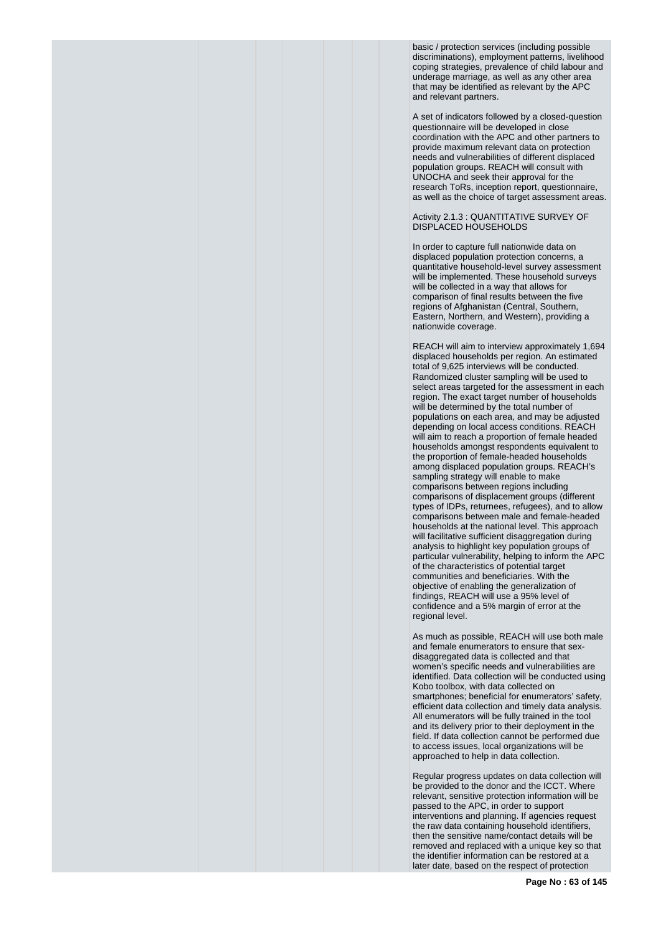basic / protection services (including possible discriminations), employment patterns, livelihood coping strategies, prevalence of child labour and underage marriage, as well as any other area that may be identified as relevant by the APC and relevant partners.

A set of indicators followed by a closed-question questionnaire will be developed in close coordination with the APC and other partners to provide maximum relevant data on protection needs and vulnerabilities of different displaced population groups. REACH will consult with UNOCHA and seek their approval for the research ToRs, inception report, questionnaire, as well as the choice of target assessment areas.

Activity 2.1.3 : QUANTITATIVE SURVEY OF DISPLACED HOUSEHOLDS

In order to capture full nationwide data on displaced population protection concerns, a quantitative household-level survey assessment will be implemented. These household surveys will be collected in a way that allows for comparison of final results between the five regions of Afghanistan (Central, Southern, Eastern, Northern, and Western), providing a nationwide coverage.

REACH will aim to interview approximately 1,694 displaced households per region. An estimated total of 9,625 interviews will be conducted. Randomized cluster sampling will be used to select areas targeted for the assessment in each region. The exact target number of households will be determined by the total number of populations on each area, and may be adjusted depending on local access conditions. REACH will aim to reach a proportion of female headed households amongst respondents equivalent to the proportion of female-headed households among displaced population groups. REACH's sampling strategy will enable to make comparisons between regions including comparisons of displacement groups (different types of IDPs, returnees, refugees), and to allow comparisons between male and female-headed households at the national level. This approach will facilitative sufficient disaggregation during analysis to highlight key population groups of particular vulnerability, helping to inform the APC of the characteristics of potential target communities and beneficiaries. With the objective of enabling the generalization of findings, REACH will use a 95% level of confidence and a 5% margin of error at the regional level.

As much as possible, REACH will use both male and female enumerators to ensure that sexdisaggregated data is collected and that women's specific needs and vulnerabilities are identified. Data collection will be conducted using Kobo toolbox, with data collected on smartphones; beneficial for enumerators' safety, efficient data collection and timely data analysis. All enumerators will be fully trained in the tool and its delivery prior to their deployment in the field. If data collection cannot be performed due to access issues, local organizations will be approached to help in data collection.

Regular progress updates on data collection will be provided to the donor and the ICCT. Where relevant, sensitive protection information will be passed to the APC, in order to support interventions and planning. If agencies request the raw data containing household identifiers, then the sensitive name/contact details will be removed and replaced with a unique key so that the identifier information can be restored at a later date, based on the respect of protection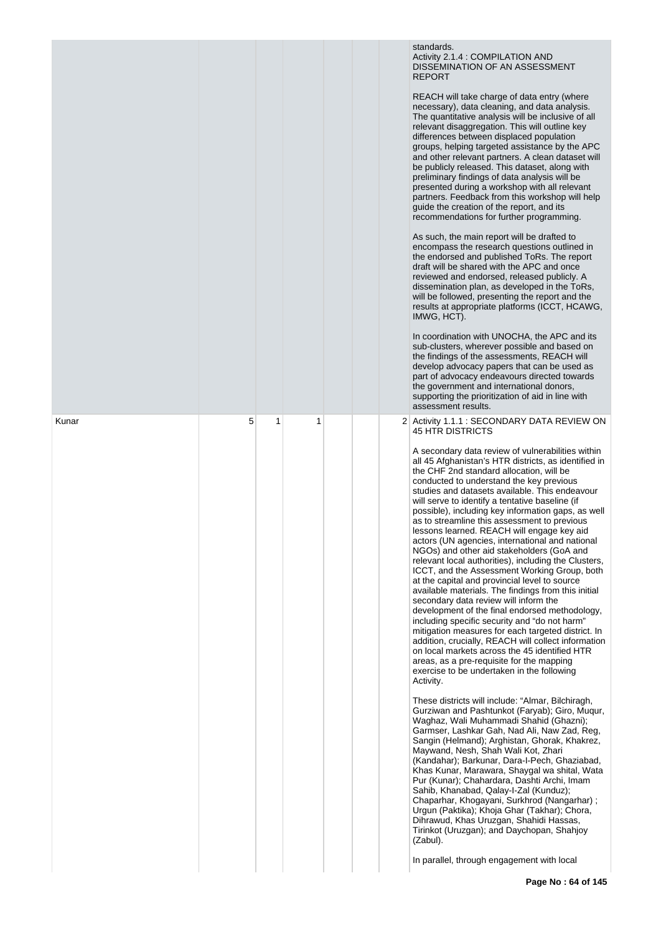|       |   |   |   |  | standards.<br>Activity 2.1.4 : COMPILATION AND<br>DISSEMINATION OF AN ASSESSMENT<br><b>REPORT</b><br>REACH will take charge of data entry (where<br>necessary), data cleaning, and data analysis.<br>The quantitative analysis will be inclusive of all<br>relevant disaggregation. This will outline key<br>differences between displaced population<br>groups, helping targeted assistance by the APC<br>and other relevant partners. A clean dataset will<br>be publicly released. This dataset, along with<br>preliminary findings of data analysis will be<br>presented during a workshop with all relevant<br>partners. Feedback from this workshop will help<br>guide the creation of the report, and its<br>recommendations for further programming.<br>As such, the main report will be drafted to<br>encompass the research questions outlined in<br>the endorsed and published ToRs. The report<br>draft will be shared with the APC and once<br>reviewed and endorsed, released publicly. A<br>dissemination plan, as developed in the ToRs,<br>will be followed, presenting the report and the<br>results at appropriate platforms (ICCT, HCAWG,<br>IMWG, HCT).<br>In coordination with UNOCHA, the APC and its<br>sub-clusters, wherever possible and based on<br>the findings of the assessments, REACH will<br>develop advocacy papers that can be used as<br>part of advocacy endeavours directed towards<br>the government and international donors,<br>supporting the prioritization of aid in line with<br>assessment results. |
|-------|---|---|---|--|----------------------------------------------------------------------------------------------------------------------------------------------------------------------------------------------------------------------------------------------------------------------------------------------------------------------------------------------------------------------------------------------------------------------------------------------------------------------------------------------------------------------------------------------------------------------------------------------------------------------------------------------------------------------------------------------------------------------------------------------------------------------------------------------------------------------------------------------------------------------------------------------------------------------------------------------------------------------------------------------------------------------------------------------------------------------------------------------------------------------------------------------------------------------------------------------------------------------------------------------------------------------------------------------------------------------------------------------------------------------------------------------------------------------------------------------------------------------------------------------------------------------------------------------------|
| Kunar | 5 | 1 | 1 |  | 2 Activity 1.1.1 : SECONDARY DATA REVIEW ON<br><b>45 HTR DISTRICTS</b><br>A secondary data review of vulnerabilities within<br>all 45 Afghanistan's HTR districts, as identified in<br>the CHF 2nd standard allocation, will be                                                                                                                                                                                                                                                                                                                                                                                                                                                                                                                                                                                                                                                                                                                                                                                                                                                                                                                                                                                                                                                                                                                                                                                                                                                                                                                    |
|       |   |   |   |  | conducted to understand the key previous<br>studies and datasets available. This endeavour<br>will serve to identify a tentative baseline (if<br>possible), including key information gaps, as well<br>as to streamline this assessment to previous<br>lessons learned. REACH will engage key aid<br>actors (UN agencies, international and national<br>NGOs) and other aid stakeholders (GoA and<br>relevant local authorities), including the Clusters,<br>ICCT, and the Assessment Working Group, both<br>at the capital and provincial level to source<br>available materials. The findings from this initial<br>secondary data review will inform the<br>development of the final endorsed methodology,<br>including specific security and "do not harm"<br>mitigation measures for each targeted district. In<br>addition, crucially, REACH will collect information<br>on local markets across the 45 identified HTR<br>areas, as a pre-requisite for the mapping<br>exercise to be undertaken in the following<br>Activity.                                                                                                                                                                                                                                                                                                                                                                                                                                                                                                                |
|       |   |   |   |  | These districts will include: "Almar, Bilchiragh,<br>Gurziwan and Pashtunkot (Faryab); Giro, Mugur,<br>Waghaz, Wali Muhammadi Shahid (Ghazni);<br>Garmser, Lashkar Gah, Nad Ali, Naw Zad, Reg,<br>Sangin (Helmand); Arghistan, Ghorak, Khakrez,<br>Maywand, Nesh, Shah Wali Kot, Zhari<br>(Kandahar); Barkunar, Dara-I-Pech, Ghaziabad,<br>Khas Kunar, Marawara, Shaygal wa shital, Wata<br>Pur (Kunar); Chahardara, Dashti Archi, Imam<br>Sahib, Khanabad, Qalay-I-Zal (Kunduz);<br>Chaparhar, Khogayani, Surkhrod (Nangarhar);<br>Urgun (Paktika); Khoja Ghar (Takhar); Chora,<br>Dihrawud, Khas Uruzgan, Shahidi Hassas,<br>Tirinkot (Uruzgan); and Daychopan, Shahjoy<br>(Zabul).<br>In parallel, through engagement with local                                                                                                                                                                                                                                                                                                                                                                                                                                                                                                                                                                                                                                                                                                                                                                                                                |
|       |   |   |   |  |                                                                                                                                                                                                                                                                                                                                                                                                                                                                                                                                                                                                                                                                                                                                                                                                                                                                                                                                                                                                                                                                                                                                                                                                                                                                                                                                                                                                                                                                                                                                                    |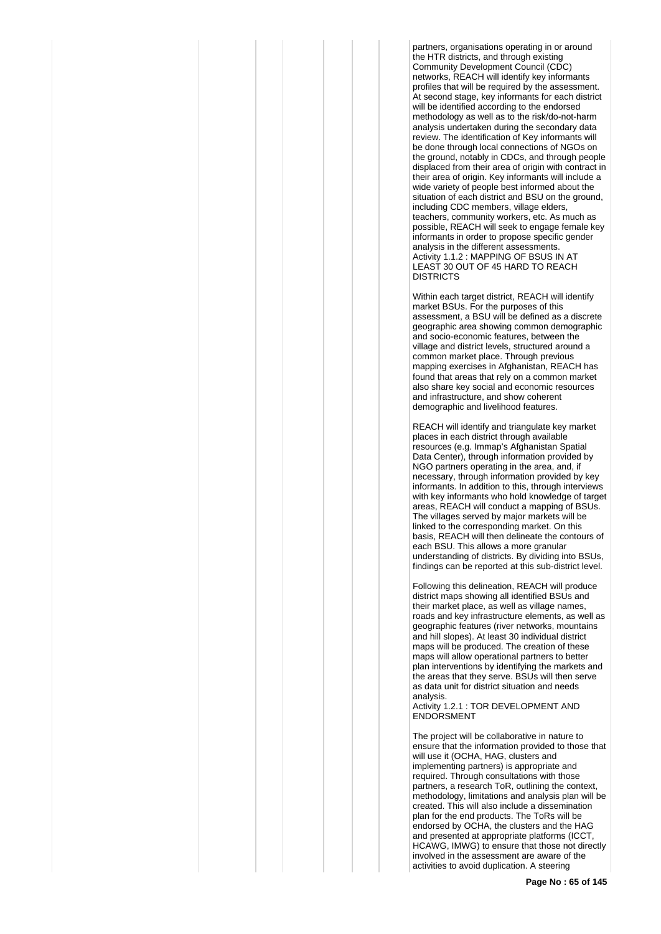partners, organisations operating in or around the HTR districts, and through existing Community Development Council (CDC) networks, REACH will identify key informants profiles that will be required by the assessment. At second stage, key informants for each district will be identified according to the endorsed methodology as well as to the risk/do-not-harm analysis undertaken during the secondary data review. The identification of Key informants will be done through local connections of NGOs on the ground, notably in CDCs, and through people displaced from their area of origin with contract in their area of origin. Key informants will include a wide variety of people best informed about the situation of each district and BSU on the ground, including CDC members, village elders, teachers, community workers, etc. As much as possible, REACH will seek to engage female key informants in order to propose specific gender analysis in the different assessments. Activity 1.1.2 : MAPPING OF BSUS IN AT LEAST 30 OUT OF 45 HARD TO REACH **DISTRICTS** 

Within each target district, REACH will identify market BSUs. For the purposes of this assessment, a BSU will be defined as a discrete geographic area showing common demographic and socio-economic features, between the village and district levels, structured around a common market place. Through previous mapping exercises in Afghanistan, REACH has found that areas that rely on a common market also share key social and economic resources and infrastructure, and show coherent demographic and livelihood features.

REACH will identify and triangulate key market places in each district through available resources (e.g. Immap's Afghanistan Spatial Data Center), through information provided by NGO partners operating in the area, and, if necessary, through information provided by key informants. In addition to this, through interviews with key informants who hold knowledge of target areas, REACH will conduct a mapping of BSUs. The villages served by major markets will be linked to the corresponding market. On this basis, REACH will then delineate the contours of each BSU. This allows a more granular understanding of districts. By dividing into BSUs, findings can be reported at this sub-district level.

Following this delineation, REACH will produce district maps showing all identified BSUs and their market place, as well as village names, roads and key infrastructure elements, as well as geographic features (river networks, mountains and hill slopes). At least 30 individual district maps will be produced. The creation of these maps will allow operational partners to better plan interventions by identifying the markets and the areas that they serve. BSUs will then serve as data unit for district situation and needs analysis.

Activity 1.2.1 : TOR DEVELOPMENT AND ENDORSMENT

The project will be collaborative in nature to ensure that the information provided to those that will use it (OCHA, HAG, clusters and implementing partners) is appropriate and required. Through consultations with those partners, a research ToR, outlining the context, methodology, limitations and analysis plan will be created. This will also include a dissemination plan for the end products. The ToRs will be endorsed by OCHA, the clusters and the HAG and presented at appropriate platforms (ICCT, HCAWG, IMWG) to ensure that those not directly involved in the assessment are aware of the activities to avoid duplication. A steering

**Page No : 65 of 145**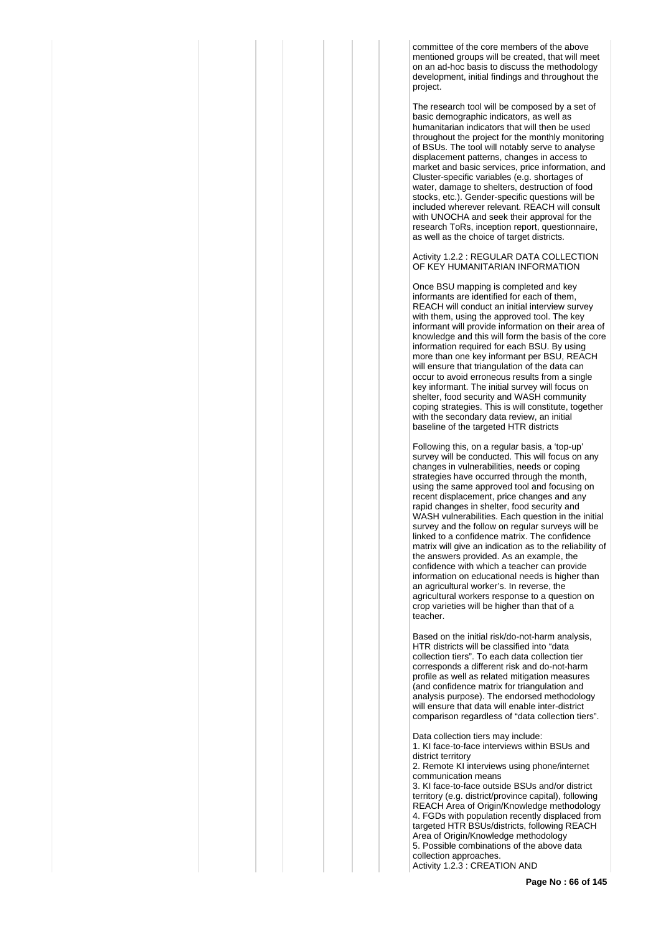committee of the core members of the above mentioned groups will be created, that will meet on an ad-hoc basis to discuss the methodology development, initial findings and throughout the project.

The research tool will be composed by a set of basic demographic indicators, as well as humanitarian indicators that will then be used throughout the project for the monthly monitoring of BSUs. The tool will notably serve to analyse displacement patterns, changes in access to market and basic services, price information, and Cluster-specific variables (e.g. shortages of water, damage to shelters, destruction of food stocks, etc.). Gender-specific questions will be included wherever relevant. REACH will consult with UNOCHA and seek their approval for the research ToRs, inception report, questionnaire, as well as the choice of target districts.

Activity 1.2.2 : REGULAR DATA COLLECTION OF KEY HUMANITARIAN INFORMATION

Once BSU mapping is completed and key informants are identified for each of them, REACH will conduct an initial interview survey with them, using the approved tool. The key informant will provide information on their area of knowledge and this will form the basis of the core information required for each BSU. By using more than one key informant per BSU, REACH will ensure that triangulation of the data can occur to avoid erroneous results from a single key informant. The initial survey will focus on shelter, food security and WASH community coping strategies. This is will constitute, together with the secondary data review, an initial baseline of the targeted HTR districts

Following this, on a regular basis, a 'top-up' survey will be conducted. This will focus on any changes in vulnerabilities, needs or coping strategies have occurred through the month, using the same approved tool and focusing on recent displacement, price changes and any rapid changes in shelter, food security and WASH vulnerabilities. Each question in the initial survey and the follow on regular surveys will be linked to a confidence matrix. The confidence matrix will give an indication as to the reliability of the answers provided. As an example, the confidence with which a teacher can provide information on educational needs is higher than an agricultural worker's. In reverse, the agricultural workers response to a question on crop varieties will be higher than that of a teacher.

Based on the initial risk/do-not-harm analysis, HTR districts will be classified into "data collection tiers". To each data collection tier corresponds a different risk and do-not-harm profile as well as related mitigation measures (and confidence matrix for triangulation and analysis purpose). The endorsed methodology will ensure that data will enable inter-district comparison regardless of "data collection tiers".

Data collection tiers may include: 1. KI face-to-face interviews within BSUs and district territory 2. Remote KI interviews using phone/internet communication means 3. KI face-to-face outside BSUs and/or district territory (e.g. district/province capital), following REACH Area of Origin/Knowledge methodology 4. FGDs with population recently displaced from targeted HTR BSUs/districts, following REACH Area of Origin/Knowledge methodology 5. Possible combinations of the above data collection approaches.

Activity 1.2.3 : CREATION AND

**Page No : 66 of 145**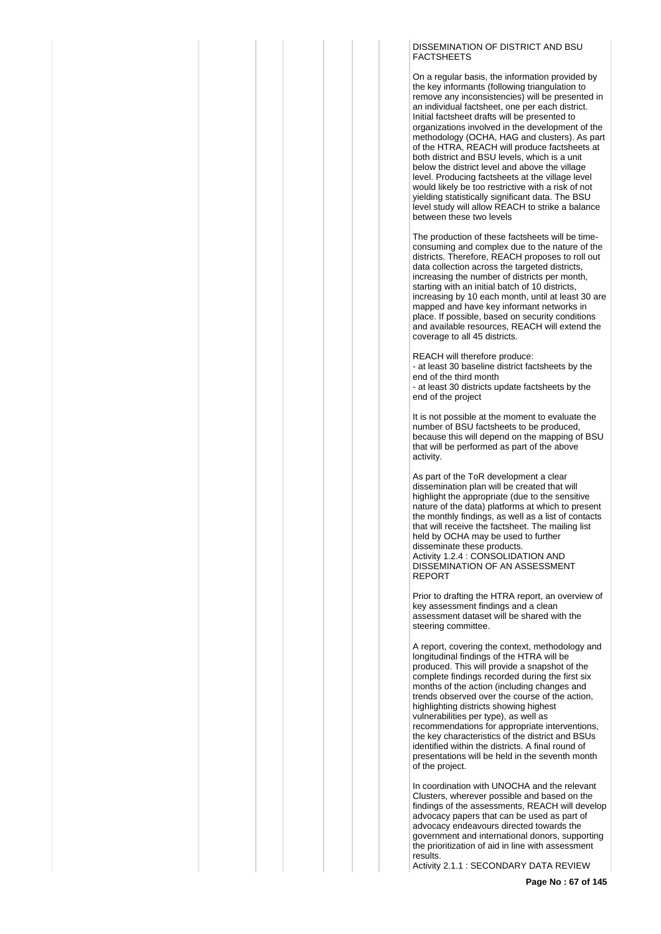#### DISSEMINATION OF DISTRICT AND BSU **FACTSHEETS**

On a regular basis, the information provided by the key informants (following triangulation to remove any inconsistencies) will be presented in an individual factsheet, one per each district. Initial factsheet drafts will be presented to organizations involved in the development of the methodology (OCHA, HAG and clusters). As part of the HTRA, REACH will produce factsheets at both district and BSU levels, which is a unit below the district level and above the village level. Producing factsheets at the village level would likely be too restrictive with a risk of not yielding statistically significant data. The BSU level study will allow REACH to strike a balance between these two levels

The production of these factsheets will be timeconsuming and complex due to the nature of the districts. Therefore, REACH proposes to roll out data collection across the targeted districts, increasing the number of districts per month, starting with an initial batch of 10 districts, increasing by 10 each month, until at least 30 are mapped and have key informant networks in place. If possible, based on security conditions and available resources, REACH will extend the coverage to all 45 districts.

REACH will therefore produce: - at least 30 baseline district factsheets by the end of the third month - at least 30 districts update factsheets by the end of the project

It is not possible at the moment to evaluate the number of BSU factsheets to be produced, because this will depend on the mapping of BSU that will be performed as part of the above activity.

As part of the ToR development a clear dissemination plan will be created that will highlight the appropriate (due to the sensitive nature of the data) platforms at which to present the monthly findings, as well as a list of contacts that will receive the factsheet. The mailing list held by OCHA may be used to further disseminate these products. Activity 1.2.4 : CONSOLIDATION AND DISSEMINATION OF AN ASSESSMENT REPORT

Prior to drafting the HTRA report, an overview of key assessment findings and a clean assessment dataset will be shared with the steering committee.

A report, covering the context, methodology and longitudinal findings of the HTRA will be produced. This will provide a snapshot of the complete findings recorded during the first six months of the action (including changes and trends observed over the course of the action, highlighting districts showing highest vulnerabilities per type), as well as recommendations for appropriate interventions, the key characteristics of the district and BSUs identified within the districts. A final round of presentations will be held in the seventh month of the project.

In coordination with UNOCHA and the relevant Clusters, wherever possible and based on the findings of the assessments, REACH will develop advocacy papers that can be used as part of advocacy endeavours directed towards the government and international donors, supporting the prioritization of aid in line with assessment results.

Activity 2.1.1 : SECONDARY DATA REVIEW

**Page No : 67 of 145**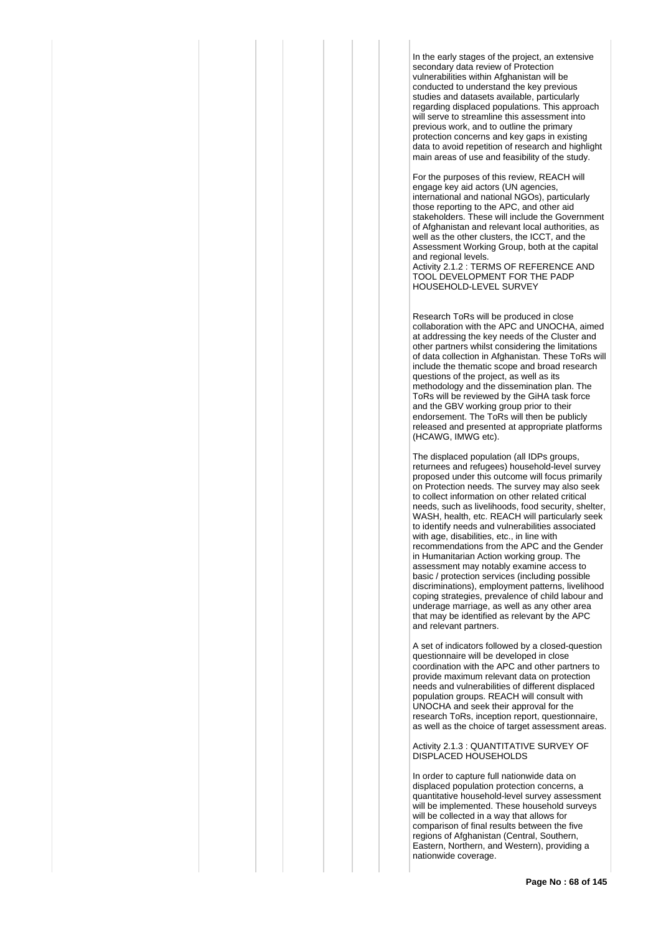In the early stages of the project, an extensive secondary data review of Protection vulnerabilities within Afghanistan will be conducted to understand the key previous studies and datasets available, particularly regarding displaced populations. This approach will serve to streamline this assessment into previous work, and to outline the primary protection concerns and key gaps in existing data to avoid repetition of research and highlight main areas of use and feasibility of the study.

For the purposes of this review, REACH will engage key aid actors (UN agencies, international and national NGOs), particularly those reporting to the APC, and other aid stakeholders. These will include the Government of Afghanistan and relevant local authorities, as well as the other clusters, the ICCT, and the Assessment Working Group, both at the capital and regional levels.

Activity 2.1.2 : TERMS OF REFERENCE AND TOOL DEVELOPMENT FOR THE PADP HOUSEHOLD-LEVEL SURVEY

Research ToRs will be produced in close collaboration with the APC and UNOCHA, aimed at addressing the key needs of the Cluster and other partners whilst considering the limitations of data collection in Afghanistan. These ToRs will include the thematic scope and broad research questions of the project, as well as its methodology and the dissemination plan. The ToRs will be reviewed by the GiHA task force and the GBV working group prior to their endorsement. The ToRs will then be publicly released and presented at appropriate platforms (HCAWG, IMWG etc).

The displaced population (all IDPs groups, returnees and refugees) household-level survey proposed under this outcome will focus primarily on Protection needs. The survey may also seek to collect information on other related critical needs, such as livelihoods, food security, shelter, WASH, health, etc. REACH will particularly seek to identify needs and vulnerabilities associated with age, disabilities, etc., in line with recommendations from the APC and the Gender in Humanitarian Action working group. The assessment may notably examine access to basic / protection services (including possible discriminations), employment patterns, livelihood coping strategies, prevalence of child labour and underage marriage, as well as any other area that may be identified as relevant by the APC and relevant partners.

A set of indicators followed by a closed-question questionnaire will be developed in close coordination with the APC and other partners to provide maximum relevant data on protection needs and vulnerabilities of different displaced population groups. REACH will consult with UNOCHA and seek their approval for the research ToRs, inception report, questionnaire, as well as the choice of target assessment areas.

Activity 2.1.3 : QUANTITATIVE SURVEY OF DISPLACED HOUSEHOLDS

In order to capture full nationwide data on displaced population protection concerns, a quantitative household-level survey assessment will be implemented. These household surveys will be collected in a way that allows for comparison of final results between the five regions of Afghanistan (Central, Southern, Eastern, Northern, and Western), providing a nationwide coverage.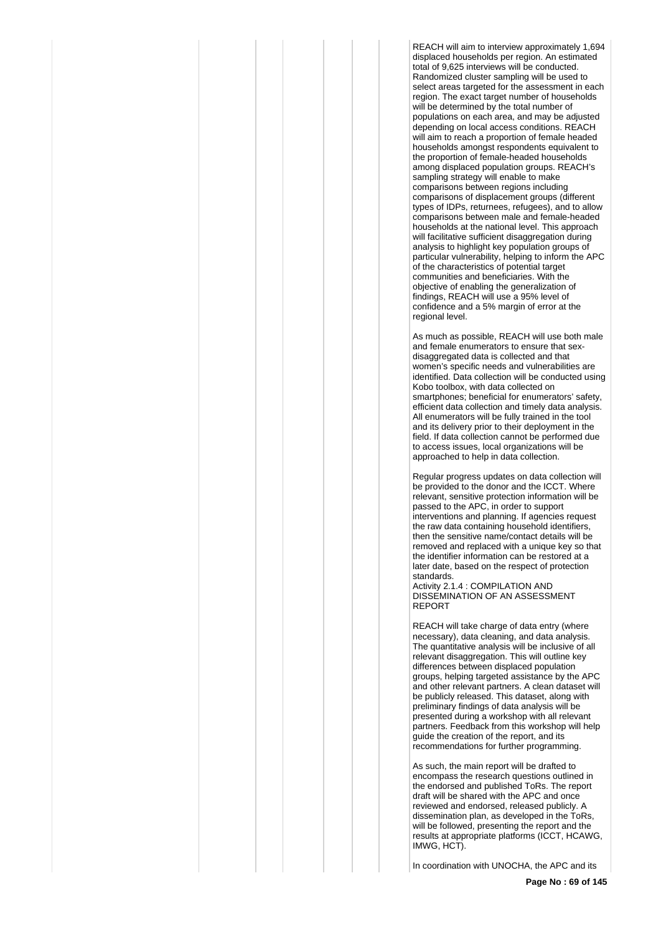REACH will aim to interview approximately 1,694 displaced households per region. An estimated total of 9,625 interviews will be conducted. Randomized cluster sampling will be used to select areas targeted for the assessment in each region. The exact target number of households will be determined by the total number of populations on each area, and may be adjusted depending on local access conditions. REACH will aim to reach a proportion of female headed households amongst respondents equivalent to the proportion of female-headed households among displaced population groups. REACH's sampling strategy will enable to make comparisons between regions including comparisons of displacement groups (different types of IDPs, returnees, refugees), and to allow comparisons between male and female-headed households at the national level. This approach will facilitative sufficient disaggregation during analysis to highlight key population groups of particular vulnerability, helping to inform the APC of the characteristics of potential target communities and beneficiaries. With the objective of enabling the generalization of findings, REACH will use a 95% level of confidence and a 5% margin of error at the regional level.

As much as possible, REACH will use both male and female enumerators to ensure that sexdisaggregated data is collected and that women's specific needs and vulnerabilities are identified. Data collection will be conducted using Kobo toolbox, with data collected on smartphones; beneficial for enumerators' safety, efficient data collection and timely data analysis. All enumerators will be fully trained in the tool and its delivery prior to their deployment in the field. If data collection cannot be performed due to access issues, local organizations will be approached to help in data collection.

Regular progress updates on data collection will be provided to the donor and the ICCT. Where relevant, sensitive protection information will be passed to the APC, in order to support interventions and planning. If agencies request the raw data containing household identifiers, then the sensitive name/contact details will be removed and replaced with a unique key so that the identifier information can be restored at a later date, based on the respect of protection standards.

Activity 2.1.4 : COMPILATION AND DISSEMINATION OF AN ASSESSMENT REPORT

REACH will take charge of data entry (where necessary), data cleaning, and data analysis. The quantitative analysis will be inclusive of all relevant disaggregation. This will outline key differences between displaced population groups, helping targeted assistance by the APC and other relevant partners. A clean dataset will be publicly released. This dataset, along with preliminary findings of data analysis will be presented during a workshop with all relevant partners. Feedback from this workshop will help guide the creation of the report, and its recommendations for further programming.

As such, the main report will be drafted to encompass the research questions outlined in the endorsed and published ToRs. The report draft will be shared with the APC and once reviewed and endorsed, released publicly. A dissemination plan, as developed in the ToRs, will be followed, presenting the report and the results at appropriate platforms (ICCT, HCAWG, IMWG, HCT).

In coordination with UNOCHA, the APC and its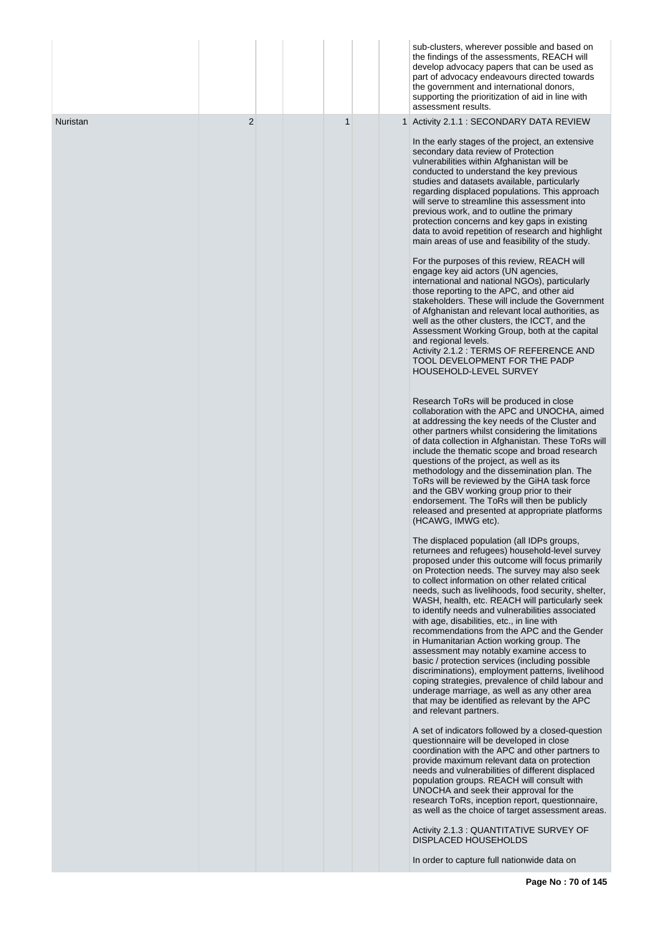|          |   |             | sub-clusters, wherever possible and based on<br>the findings of the assessments, REACH will<br>develop advocacy papers that can be used as<br>part of advocacy endeavours directed towards<br>the government and international donors,<br>supporting the prioritization of aid in line with<br>assessment results.                                                                                                                                                                                                                                                                                                                                                                                                                                                                                                                                                                                                                                                                                                                                                                                                  |
|----------|---|-------------|---------------------------------------------------------------------------------------------------------------------------------------------------------------------------------------------------------------------------------------------------------------------------------------------------------------------------------------------------------------------------------------------------------------------------------------------------------------------------------------------------------------------------------------------------------------------------------------------------------------------------------------------------------------------------------------------------------------------------------------------------------------------------------------------------------------------------------------------------------------------------------------------------------------------------------------------------------------------------------------------------------------------------------------------------------------------------------------------------------------------|
| Nuristan | 2 | $\mathbf 1$ | 1 Activity 2.1.1 : SECONDARY DATA REVIEW<br>In the early stages of the project, an extensive<br>secondary data review of Protection<br>vulnerabilities within Afghanistan will be<br>conducted to understand the key previous<br>studies and datasets available, particularly<br>regarding displaced populations. This approach<br>will serve to streamline this assessment into<br>previous work, and to outline the primary<br>protection concerns and key gaps in existing<br>data to avoid repetition of research and highlight<br>main areas of use and feasibility of the study.<br>For the purposes of this review, REACH will<br>engage key aid actors (UN agencies,<br>international and national NGOs), particularly<br>those reporting to the APC, and other aid<br>stakeholders. These will include the Government<br>of Afghanistan and relevant local authorities, as<br>well as the other clusters, the ICCT, and the<br>Assessment Working Group, both at the capital<br>and regional levels.<br>Activity 2.1.2 : TERMS OF REFERENCE AND<br>TOOL DEVELOPMENT FOR THE PADP<br>HOUSEHOLD-LEVEL SURVEY |
|          |   |             | Research ToRs will be produced in close<br>collaboration with the APC and UNOCHA, aimed<br>at addressing the key needs of the Cluster and<br>other partners whilst considering the limitations<br>of data collection in Afghanistan. These ToRs will<br>include the thematic scope and broad research<br>questions of the project, as well as its<br>methodology and the dissemination plan. The<br>ToRs will be reviewed by the GiHA task force<br>and the GBV working group prior to their<br>endorsement. The ToRs will then be publicly<br>released and presented at appropriate platforms<br>(HCAWG, IMWG etc).                                                                                                                                                                                                                                                                                                                                                                                                                                                                                                |
|          |   |             | The displaced population (all IDPs groups,<br>returnees and refugees) household-level survey<br>proposed under this outcome will focus primarily<br>on Protection needs. The survey may also seek<br>to collect information on other related critical<br>needs, such as livelihoods, food security, shelter,<br>WASH, health, etc. REACH will particularly seek<br>to identify needs and vulnerabilities associated<br>with age, disabilities, etc., in line with<br>recommendations from the APC and the Gender<br>in Humanitarian Action working group. The<br>assessment may notably examine access to<br>basic / protection services (including possible<br>discriminations), employment patterns, livelihood<br>coping strategies, prevalence of child labour and<br>underage marriage, as well as any other area<br>that may be identified as relevant by the APC<br>and relevant partners.                                                                                                                                                                                                                   |
|          |   |             | A set of indicators followed by a closed-question<br>questionnaire will be developed in close<br>coordination with the APC and other partners to<br>provide maximum relevant data on protection<br>needs and vulnerabilities of different displaced<br>population groups. REACH will consult with<br>UNOCHA and seek their approval for the<br>research ToRs, inception report, questionnaire,<br>as well as the choice of target assessment areas.<br>Activity 2.1.3 : QUANTITATIVE SURVEY OF<br><b>DISPLACED HOUSEHOLDS</b>                                                                                                                                                                                                                                                                                                                                                                                                                                                                                                                                                                                       |
|          |   |             | In order to capture full nationwide data on                                                                                                                                                                                                                                                                                                                                                                                                                                                                                                                                                                                                                                                                                                                                                                                                                                                                                                                                                                                                                                                                         |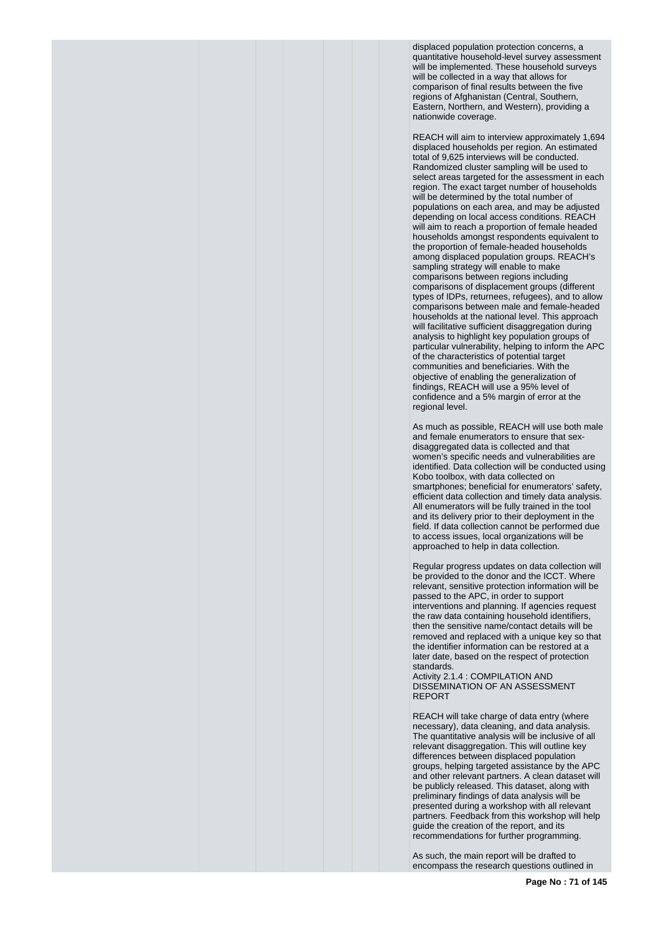displaced population protection concerns, a quantitative household-level survey assessment will be implemented. These household surveys will be collected in a way that allows for comparison of final results between the five regions of Afghanistan (Central, Southern, Eastern, Northern, and Western), providing a nationwide coverage.

REACH will aim to interview approximately 1,694 displaced households per region. An estimated total of 9,625 interviews will be conducted. Randomized cluster sampling will be used to select areas targeted for the assessment in each region. The exact target number of households will be determined by the total number of populations on each area, and may be adjusted depending on local access conditions. REACH will aim to reach a proportion of female headed households amongst respondents equivalent to the proportion of female-headed households among displaced population groups. REACH's sampling strategy will enable to make comparisons between regions including comparisons of displacement groups (different types of IDPs, returnees, refugees), and to allow comparisons between male and female-headed households at the national level. This approach will facilitative sufficient disaggregation during analysis to highlight key population groups of particular vulnerability, helping to inform the APC of the characteristics of potential target communities and beneficiaries. With the objective of enabling the generalization of findings, REACH will use a 95% level of confidence and a 5% margin of error at the regional level.

As much as possible, REACH will use both male and female enumerators to ensure that sexdisaggregated data is collected and that women's specific needs and vulnerabilities are identified. Data collection will be conducted using Kobo toolbox, with data collected on smartphones; beneficial for enumerators' safety, efficient data collection and timely data analysis. All enumerators will be fully trained in the tool and its delivery prior to their deployment in the field. If data collection cannot be performed due to access issues, local organizations will be approached to help in data collection.

Regular progress updates on data collection will be provided to the donor and the ICCT. Where relevant, sensitive protection information will be passed to the APC, in order to support interventions and planning. If agencies request the raw data containing household identifiers, then the sensitive name/contact details will be removed and replaced with a unique key so that the identifier information can be restored at a later date, based on the respect of protection standards.

Activity 2.1.4 : COMPILATION AND DISSEMINATION OF AN ASSESSMENT REPORT

REACH will take charge of data entry (where necessary), data cleaning, and data analysis. The quantitative analysis will be inclusive of all relevant disaggregation. This will outline key differences between displaced population groups, helping targeted assistance by the APC and other relevant partners. A clean dataset will be publicly released. This dataset, along with preliminary findings of data analysis will be presented during a workshop with all relevant partners. Feedback from this workshop will help guide the creation of the report, and its recommendations for further programming.

As such, the main report will be drafted to encompass the research questions outlined in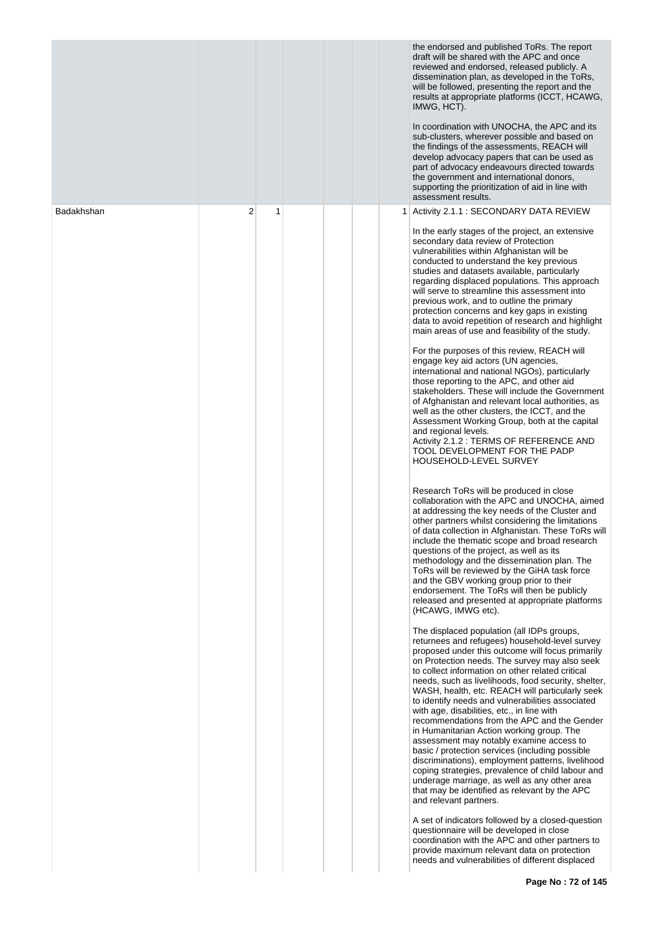|            |   |   |  | the endorsed and published ToRs. The report<br>draft will be shared with the APC and once<br>reviewed and endorsed, released publicly. A<br>dissemination plan, as developed in the ToRs,<br>will be followed, presenting the report and the<br>results at appropriate platforms (ICCT, HCAWG,<br>IMWG, HCT).<br>In coordination with UNOCHA, the APC and its<br>sub-clusters, wherever possible and based on<br>the findings of the assessments, REACH will<br>develop advocacy papers that can be used as<br>part of advocacy endeavours directed towards<br>the government and international donors,<br>supporting the prioritization of aid in line with<br>assessment results.                                                                                                                                                                                                               |
|------------|---|---|--|---------------------------------------------------------------------------------------------------------------------------------------------------------------------------------------------------------------------------------------------------------------------------------------------------------------------------------------------------------------------------------------------------------------------------------------------------------------------------------------------------------------------------------------------------------------------------------------------------------------------------------------------------------------------------------------------------------------------------------------------------------------------------------------------------------------------------------------------------------------------------------------------------|
| Badakhshan | 2 | 1 |  | Activity 2.1.1 : SECONDARY DATA REVIEW                                                                                                                                                                                                                                                                                                                                                                                                                                                                                                                                                                                                                                                                                                                                                                                                                                                            |
|            |   |   |  | In the early stages of the project, an extensive<br>secondary data review of Protection<br>vulnerabilities within Afghanistan will be<br>conducted to understand the key previous<br>studies and datasets available, particularly<br>regarding displaced populations. This approach<br>will serve to streamline this assessment into<br>previous work, and to outline the primary<br>protection concerns and key gaps in existing<br>data to avoid repetition of research and highlight<br>main areas of use and feasibility of the study.                                                                                                                                                                                                                                                                                                                                                        |
|            |   |   |  | For the purposes of this review, REACH will<br>engage key aid actors (UN agencies,<br>international and national NGOs), particularly<br>those reporting to the APC, and other aid<br>stakeholders. These will include the Government<br>of Afghanistan and relevant local authorities, as<br>well as the other clusters, the ICCT, and the<br>Assessment Working Group, both at the capital<br>and regional levels.<br>Activity 2.1.2 : TERMS OF REFERENCE AND<br>TOOL DEVELOPMENT FOR THE PADP<br>HOUSEHOLD-LEVEL SURVEY                                                                                                                                                                                                                                                                                                                                                                         |
|            |   |   |  | Research ToRs will be produced in close<br>collaboration with the APC and UNOCHA, aimed<br>at addressing the key needs of the Cluster and<br>other partners whilst considering the limitations<br>of data collection in Afghanistan. These ToRs will<br>include the thematic scope and broad research<br>questions of the project, as well as its<br>methodology and the dissemination plan. The<br>ToRs will be reviewed by the GiHA task force<br>and the GBV working group prior to their<br>endorsement. The ToRs will then be publicly<br>released and presented at appropriate platforms<br>(HCAWG, IMWG etc).                                                                                                                                                                                                                                                                              |
|            |   |   |  | The displaced population (all IDPs groups,<br>returnees and refugees) household-level survey<br>proposed under this outcome will focus primarily<br>on Protection needs. The survey may also seek<br>to collect information on other related critical<br>needs, such as livelihoods, food security, shelter,<br>WASH, health, etc. REACH will particularly seek<br>to identify needs and vulnerabilities associated<br>with age, disabilities, etc., in line with<br>recommendations from the APC and the Gender<br>in Humanitarian Action working group. The<br>assessment may notably examine access to<br>basic / protection services (including possible<br>discriminations), employment patterns, livelihood<br>coping strategies, prevalence of child labour and<br>underage marriage, as well as any other area<br>that may be identified as relevant by the APC<br>and relevant partners. |
|            |   |   |  | A set of indicators followed by a closed-question<br>questionnaire will be developed in close<br>coordination with the APC and other partners to<br>provide maximum relevant data on protection<br>needs and vulnerabilities of different displaced                                                                                                                                                                                                                                                                                                                                                                                                                                                                                                                                                                                                                                               |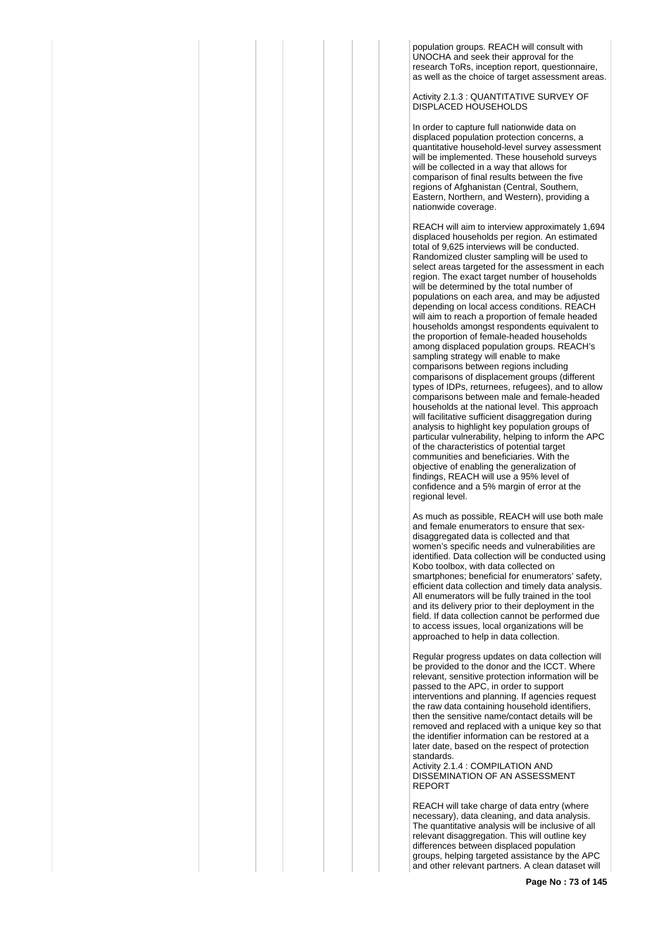population groups. REACH will consult with UNOCHA and seek their approval for the research ToRs, inception report, questionnaire, as well as the choice of target assessment areas.

Activity 2.1.3 : QUANTITATIVE SURVEY OF DISPLACED HOUSEHOLDS

In order to capture full nationwide data on displaced population protection concerns, a quantitative household-level survey assessment will be implemented. These household surveys will be collected in a way that allows for comparison of final results between the five regions of Afghanistan (Central, Southern, Eastern, Northern, and Western), providing a nationwide coverage.

REACH will aim to interview approximately 1,694 displaced households per region. An estimated total of 9,625 interviews will be conducted. Randomized cluster sampling will be used to select areas targeted for the assessment in each region. The exact target number of households will be determined by the total number of populations on each area, and may be adjusted depending on local access conditions. REACH will aim to reach a proportion of female headed households amongst respondents equivalent to the proportion of female-headed households among displaced population groups. REACH's sampling strategy will enable to make comparisons between regions including comparisons of displacement groups (different types of IDPs, returnees, refugees), and to allow comparisons between male and female-headed households at the national level. This approach will facilitative sufficient disaggregation during analysis to highlight key population groups of particular vulnerability, helping to inform the APC of the characteristics of potential target communities and beneficiaries. With the objective of enabling the generalization of findings, REACH will use a 95% level of confidence and a 5% margin of error at the regional level.

As much as possible, REACH will use both male and female enumerators to ensure that sexdisaggregated data is collected and that women's specific needs and vulnerabilities are identified. Data collection will be conducted using Kobo toolbox, with data collected on smartphones; beneficial for enumerators' safety, efficient data collection and timely data analysis. All enumerators will be fully trained in the tool and its delivery prior to their deployment in the field. If data collection cannot be performed due to access issues, local organizations will be approached to help in data collection.

Regular progress updates on data collection will be provided to the donor and the ICCT. Where relevant, sensitive protection information will be passed to the APC, in order to support interventions and planning. If agencies request the raw data containing household identifiers, then the sensitive name/contact details will be removed and replaced with a unique key so that the identifier information can be restored at a later date, based on the respect of protection standards.

Activity 2.1.4 : COMPILATION AND DISSEMINATION OF AN ASSESSMENT REPORT

REACH will take charge of data entry (where necessary), data cleaning, and data analysis. The quantitative analysis will be inclusive of all relevant disaggregation. This will outline key differences between displaced population groups, helping targeted assistance by the APC and other relevant partners. A clean dataset will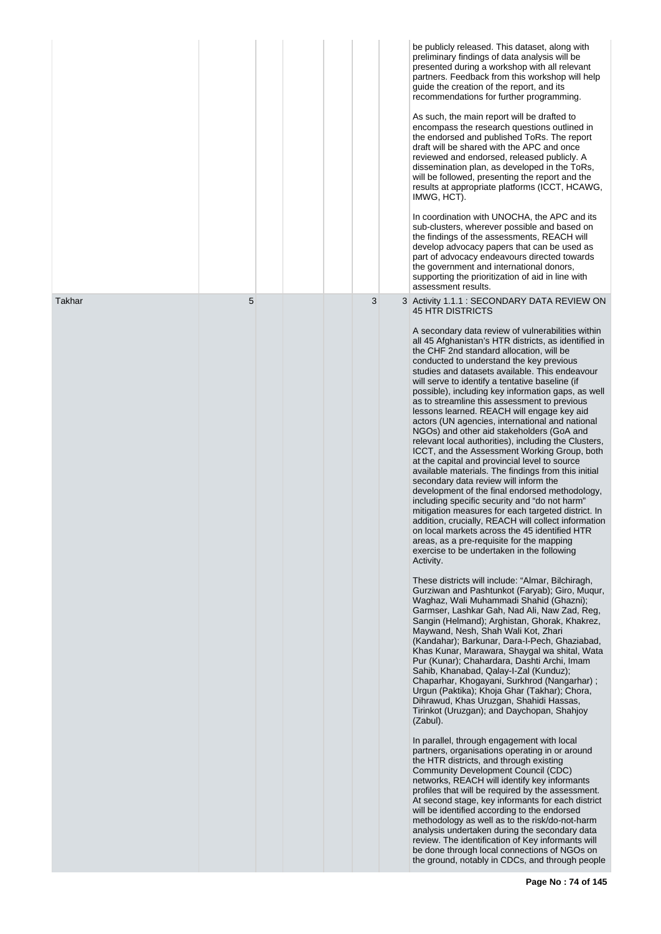|        |   |  |   | be publicly released. This dataset, along with<br>preliminary findings of data analysis will be<br>presented during a workshop with all relevant<br>partners. Feedback from this workshop will help<br>guide the creation of the report, and its<br>recommendations for further programming.<br>As such, the main report will be drafted to<br>encompass the research questions outlined in<br>the endorsed and published ToRs. The report<br>draft will be shared with the APC and once<br>reviewed and endorsed, released publicly. A<br>dissemination plan, as developed in the ToRs,<br>will be followed, presenting the report and the<br>results at appropriate platforms (ICCT, HCAWG,<br>IMWG, HCT).<br>In coordination with UNOCHA, the APC and its<br>sub-clusters, wherever possible and based on<br>the findings of the assessments, REACH will<br>develop advocacy papers that can be used as<br>part of advocacy endeavours directed towards<br>the government and international donors,<br>supporting the prioritization of aid in line with<br>assessment results.                                                                                                                                                                                                                                                                                                                                                                                                                                                                                                                                                                                                                                                                                                                                                                                                                                                                                                                                                                                                                                                                                                                                                                                                                                                                                                                                                                                                                                                                                                                                            |
|--------|---|--|---|-------------------------------------------------------------------------------------------------------------------------------------------------------------------------------------------------------------------------------------------------------------------------------------------------------------------------------------------------------------------------------------------------------------------------------------------------------------------------------------------------------------------------------------------------------------------------------------------------------------------------------------------------------------------------------------------------------------------------------------------------------------------------------------------------------------------------------------------------------------------------------------------------------------------------------------------------------------------------------------------------------------------------------------------------------------------------------------------------------------------------------------------------------------------------------------------------------------------------------------------------------------------------------------------------------------------------------------------------------------------------------------------------------------------------------------------------------------------------------------------------------------------------------------------------------------------------------------------------------------------------------------------------------------------------------------------------------------------------------------------------------------------------------------------------------------------------------------------------------------------------------------------------------------------------------------------------------------------------------------------------------------------------------------------------------------------------------------------------------------------------------------------------------------------------------------------------------------------------------------------------------------------------------------------------------------------------------------------------------------------------------------------------------------------------------------------------------------------------------------------------------------------------------------------------------------------------------------------------------------------------------|
| Takhar | 5 |  | 3 | 3 Activity 1.1.1 : SECONDARY DATA REVIEW ON<br><b>45 HTR DISTRICTS</b><br>A secondary data review of vulnerabilities within<br>all 45 Afghanistan's HTR districts, as identified in<br>the CHF 2nd standard allocation, will be<br>conducted to understand the key previous<br>studies and datasets available. This endeavour<br>will serve to identify a tentative baseline (if<br>possible), including key information gaps, as well<br>as to streamline this assessment to previous<br>lessons learned. REACH will engage key aid<br>actors (UN agencies, international and national<br>NGOs) and other aid stakeholders (GoA and<br>relevant local authorities), including the Clusters,<br>ICCT, and the Assessment Working Group, both<br>at the capital and provincial level to source<br>available materials. The findings from this initial<br>secondary data review will inform the<br>development of the final endorsed methodology,<br>including specific security and "do not harm"<br>mitigation measures for each targeted district. In<br>addition, crucially, REACH will collect information<br>on local markets across the 45 identified HTR<br>areas, as a pre-requisite for the mapping<br>exercise to be undertaken in the following<br>Activity.<br>These districts will include: "Almar, Bilchiragh,<br>Gurziwan and Pashtunkot (Faryab); Giro, Mugur,<br>Waghaz, Wali Muhammadi Shahid (Ghazni);<br>Garmser, Lashkar Gah, Nad Ali, Naw Zad, Reg,<br>Sangin (Helmand); Arghistan, Ghorak, Khakrez,<br>Maywand, Nesh, Shah Wali Kot, Zhari<br>(Kandahar); Barkunar, Dara-I-Pech, Ghaziabad,<br>Khas Kunar, Marawara, Shaygal wa shital, Wata<br>Pur (Kunar); Chahardara, Dashti Archi, Imam<br>Sahib, Khanabad, Qalay-I-Zal (Kunduz);<br>Chaparhar, Khogayani, Surkhrod (Nangarhar);<br>Urgun (Paktika); Khoja Ghar (Takhar); Chora,<br>Dihrawud, Khas Uruzgan, Shahidi Hassas,<br>Tirinkot (Uruzgan); and Daychopan, Shahjoy<br>(Zabul).<br>In parallel, through engagement with local<br>partners, organisations operating in or around<br>the HTR districts, and through existing<br><b>Community Development Council (CDC)</b><br>networks, REACH will identify key informants<br>profiles that will be required by the assessment.<br>At second stage, key informants for each district<br>will be identified according to the endorsed<br>methodology as well as to the risk/do-not-harm<br>analysis undertaken during the secondary data<br>review. The identification of Key informants will<br>be done through local connections of NGOs on<br>the ground, notably in CDCs, and through people |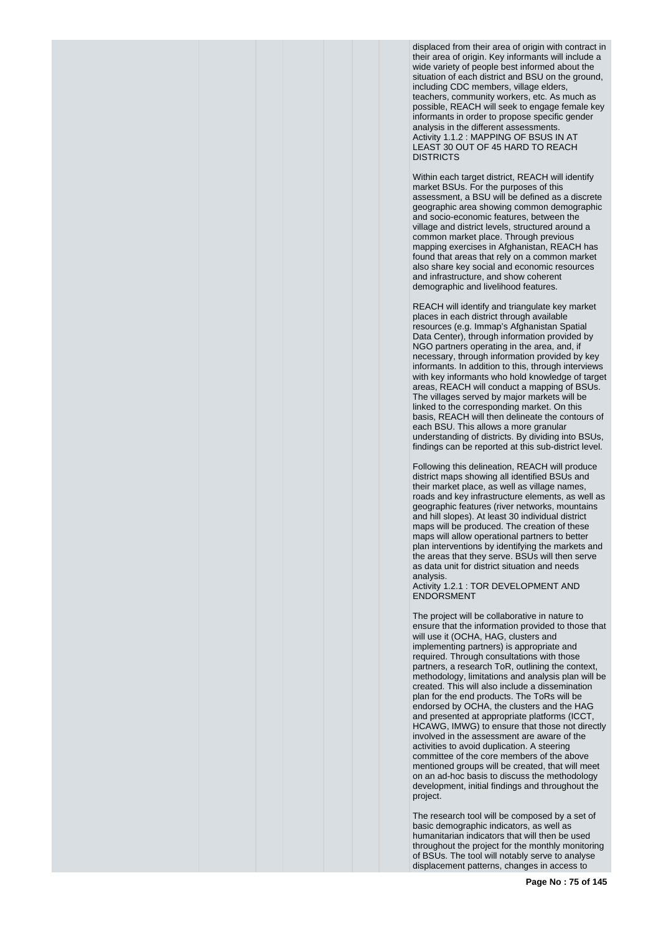displaced from their area of origin with contract in their area of origin. Key informants will include a wide variety of people best informed about the situation of each district and BSU on the ground, including CDC members, village elders, teachers, community workers, etc. As much as possible, REACH will seek to engage female key informants in order to propose specific gender analysis in the different assessments. Activity 1.1.2 : MAPPING OF BSUS IN AT LEAST 30 OUT OF 45 HARD TO REACH **DISTRICTS** 

Within each target district, REACH will identify market BSUs. For the purposes of this assessment, a BSU will be defined as a discrete geographic area showing common demographic and socio-economic features, between the village and district levels, structured around a common market place. Through previous mapping exercises in Afghanistan, REACH has found that areas that rely on a common market also share key social and economic resources and infrastructure, and show coherent demographic and livelihood features.

REACH will identify and triangulate key market places in each district through available resources (e.g. Immap's Afghanistan Spatial Data Center), through information provided by NGO partners operating in the area, and, if necessary, through information provided by key informants. In addition to this, through interviews with key informants who hold knowledge of target areas, REACH will conduct a mapping of BSUs. The villages served by major markets will be linked to the corresponding market. On this basis, REACH will then delineate the contours of each BSU. This allows a more granular understanding of districts. By dividing into BSUs, findings can be reported at this sub-district level.

Following this delineation, REACH will produce district maps showing all identified BSUs and their market place, as well as village names, roads and key infrastructure elements, as well as geographic features (river networks, mountains and hill slopes). At least 30 individual district maps will be produced. The creation of these maps will allow operational partners to better plan interventions by identifying the markets and the areas that they serve. BSUs will then serve as data unit for district situation and needs analysis.

Activity 1.2.1 : TOR DEVELOPMENT AND ENDORSMENT

The project will be collaborative in nature to ensure that the information provided to those that will use it (OCHA, HAG, clusters and implementing partners) is appropriate and required. Through consultations with those partners, a research ToR, outlining the context, methodology, limitations and analysis plan will be created. This will also include a dissemination plan for the end products. The ToRs will be endorsed by OCHA, the clusters and the HAG and presented at appropriate platforms (ICCT, HCAWG, IMWG) to ensure that those not directly involved in the assessment are aware of the activities to avoid duplication. A steering committee of the core members of the above mentioned groups will be created, that will meet on an ad-hoc basis to discuss the methodology development, initial findings and throughout the project.

The research tool will be composed by a set of basic demographic indicators, as well as humanitarian indicators that will then be used throughout the project for the monthly monitoring of BSUs. The tool will notably serve to analyse displacement patterns, changes in access to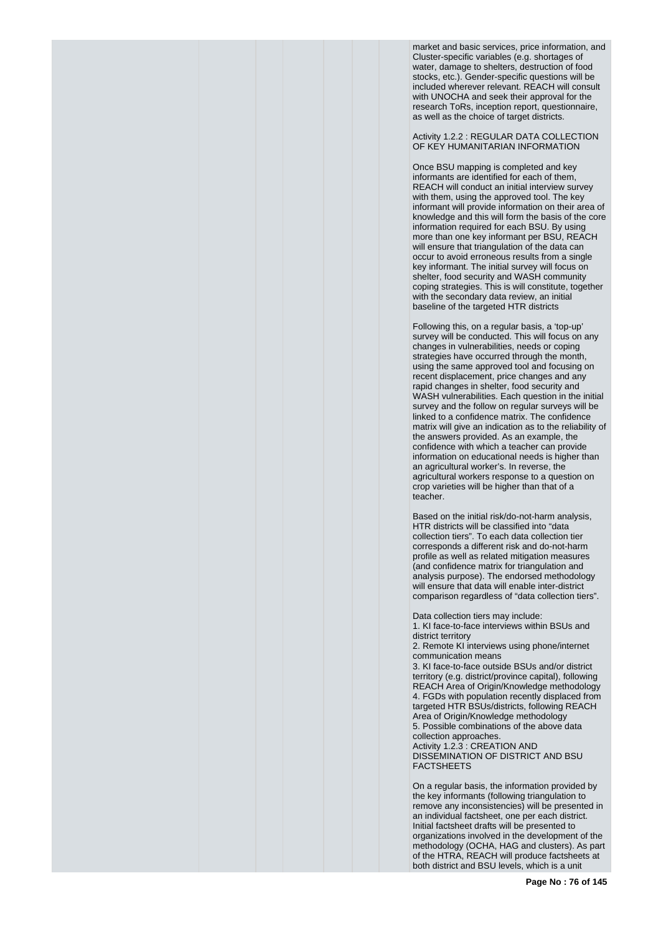market and basic services, price information, and Cluster-specific variables (e.g. shortages of water, damage to shelters, destruction of food stocks, etc.). Gender-specific questions will be included wherever relevant. REACH will consult with UNOCHA and seek their approval for the research ToRs, inception report, questionnaire, as well as the choice of target districts.

Activity 1.2.2 : REGULAR DATA COLLECTION OF KEY HUMANITARIAN INFORMATION

Once BSU mapping is completed and key informants are identified for each of them, REACH will conduct an initial interview survey with them, using the approved tool. The key informant will provide information on their area of knowledge and this will form the basis of the core information required for each BSU. By using more than one key informant per BSU, REACH will ensure that triangulation of the data can occur to avoid erroneous results from a single key informant. The initial survey will focus on shelter, food security and WASH community coping strategies. This is will constitute, together with the secondary data review, an initial baseline of the targeted HTR districts

Following this, on a regular basis, a 'top-up' survey will be conducted. This will focus on any changes in vulnerabilities, needs or coping strategies have occurred through the month, using the same approved tool and focusing on recent displacement, price changes and any rapid changes in shelter, food security and WASH vulnerabilities. Each question in the initial survey and the follow on regular surveys will be linked to a confidence matrix. The confidence matrix will give an indication as to the reliability of the answers provided. As an example, the confidence with which a teacher can provide information on educational needs is higher than an agricultural worker's. In reverse, the agricultural workers response to a question on crop varieties will be higher than that of a teacher.

Based on the initial risk/do-not-harm analysis, HTR districts will be classified into "data collection tiers". To each data collection tier corresponds a different risk and do-not-harm profile as well as related mitigation measures (and confidence matrix for triangulation and analysis purpose). The endorsed methodology will ensure that data will enable inter-district comparison regardless of "data collection tiers".

Data collection tiers may include: 1. KI face-to-face interviews within BSUs and district territory

2. Remote KI interviews using phone/internet communication means

3. KI face-to-face outside BSUs and/or district territory (e.g. district/province capital), following REACH Area of Origin/Knowledge methodology 4. FGDs with population recently displaced from targeted HTR BSUs/districts, following REACH Area of Origin/Knowledge methodology 5. Possible combinations of the above data collection approaches. Activity 1.2.3 : CREATION AND DISSEMINATION OF DISTRICT AND BSU FACTSHEETS

On a regular basis, the information provided by the key informants (following triangulation to remove any inconsistencies) will be presented in an individual factsheet, one per each district. Initial factsheet drafts will be presented to organizations involved in the development of the methodology (OCHA, HAG and clusters). As part of the HTRA, REACH will produce factsheets at both district and BSU levels, which is a unit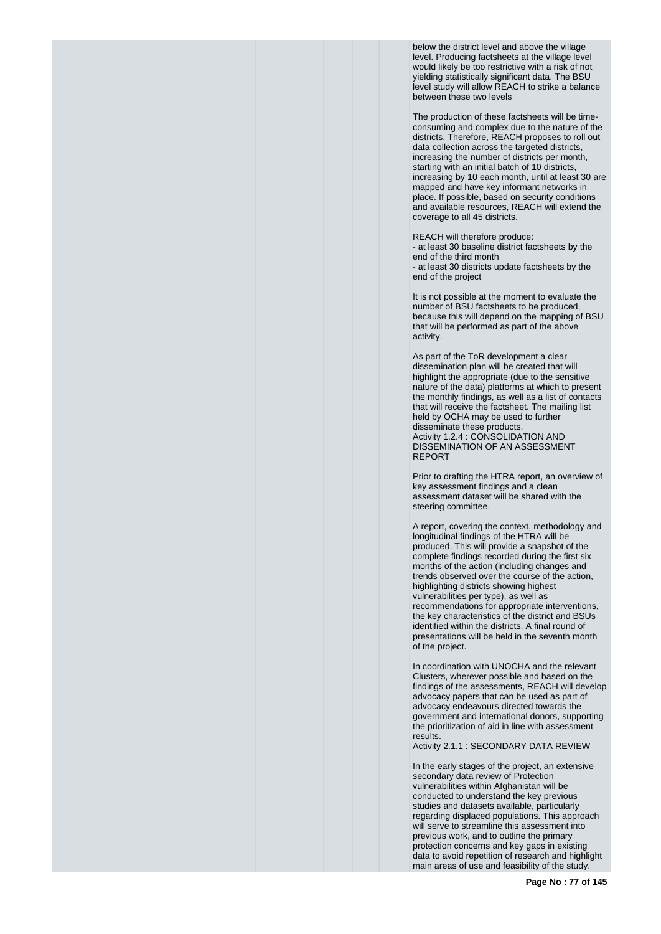below the district level and above the village level. Producing factsheets at the village level would likely be too restrictive with a risk of not yielding statistically significant data. The BSU level study will allow REACH to strike a balance between these two levels

The production of these factsheets will be timeconsuming and complex due to the nature of the districts. Therefore, REACH proposes to roll out data collection across the targeted districts, increasing the number of districts per month, starting with an initial batch of 10 districts, increasing by 10 each month, until at least 30 are mapped and have key informant networks in place. If possible, based on security conditions and available resources, REACH will extend the coverage to all 45 districts.

REACH will therefore produce:

- at least 30 baseline district factsheets by the end of the third month

- at least 30 districts update factsheets by the end of the project

It is not possible at the moment to evaluate the number of BSU factsheets to be produced, because this will depend on the mapping of BSU that will be performed as part of the above activity.

As part of the ToR development a clear dissemination plan will be created that will highlight the appropriate (due to the sensitive nature of the data) platforms at which to present the monthly findings, as well as a list of contacts that will receive the factsheet. The mailing list held by OCHA may be used to further disseminate these products. Activity 1.2.4 : CONSOLIDATION AND DISSEMINATION OF AN ASSESSMENT REPORT

Prior to drafting the HTRA report, an overview of key assessment findings and a clean assessment dataset will be shared with the steering committee.

A report, covering the context, methodology and longitudinal findings of the HTRA will be produced. This will provide a snapshot of the complete findings recorded during the first six months of the action (including changes and trends observed over the course of the action, highlighting districts showing highest vulnerabilities per type), as well as recommendations for appropriate interventions, the key characteristics of the district and BSUs identified within the districts. A final round of presentations will be held in the seventh month of the project.

In coordination with UNOCHA and the relevant Clusters, wherever possible and based on the findings of the assessments, REACH will develop advocacy papers that can be used as part of advocacy endeavours directed towards the government and international donors, supporting the prioritization of aid in line with assessment results.

Activity 2.1.1 : SECONDARY DATA REVIEW

In the early stages of the project, an extensive secondary data review of Protection vulnerabilities within Afghanistan will be conducted to understand the key previous studies and datasets available, particularly regarding displaced populations. This approach will serve to streamline this assessment into previous work, and to outline the primary protection concerns and key gaps in existing data to avoid repetition of research and highlight main areas of use and feasibility of the study.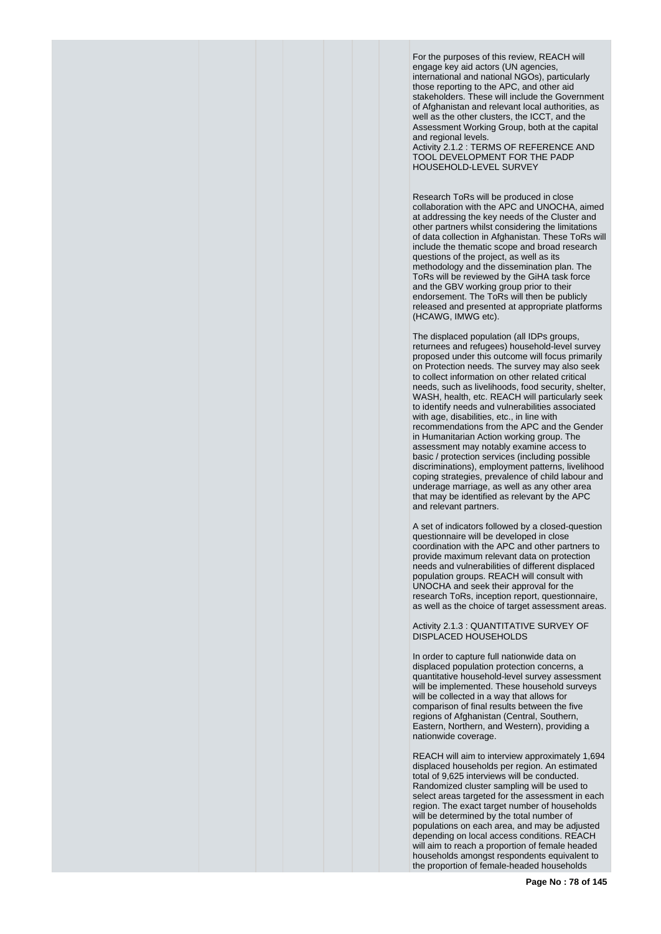For the purposes of this review, REACH will engage key aid actors (UN agencies, international and national NGOs), particularly those reporting to the APC, and other aid stakeholders. These will include the Government of Afghanistan and relevant local authorities, as well as the other clusters, the ICCT, and the Assessment Working Group, both at the capital and regional levels.

Activity 2.1.2 : TERMS OF REFERENCE AND TOOL DEVELOPMENT FOR THE PADP HOUSEHOLD-LEVEL SURVEY

Research ToRs will be produced in close collaboration with the APC and UNOCHA, aimed at addressing the key needs of the Cluster and other partners whilst considering the limitations of data collection in Afghanistan. These ToRs will include the thematic scope and broad research questions of the project, as well as its methodology and the dissemination plan. The ToRs will be reviewed by the GiHA task force and the GBV working group prior to their endorsement. The ToRs will then be publicly released and presented at appropriate platforms (HCAWG, IMWG etc).

The displaced population (all IDPs groups, returnees and refugees) household-level survey proposed under this outcome will focus primarily on Protection needs. The survey may also seek to collect information on other related critical needs, such as livelihoods, food security, shelter, WASH, health, etc. REACH will particularly seek to identify needs and vulnerabilities associated with age, disabilities, etc., in line with recommendations from the APC and the Gender in Humanitarian Action working group. The assessment may notably examine access to basic / protection services (including possible discriminations), employment patterns, livelihood coping strategies, prevalence of child labour and underage marriage, as well as any other area that may be identified as relevant by the APC and relevant partners.

A set of indicators followed by a closed-question questionnaire will be developed in close coordination with the APC and other partners to provide maximum relevant data on protection needs and vulnerabilities of different displaced population groups. REACH will consult with UNOCHA and seek their approval for the research ToRs, inception report, questionnaire, as well as the choice of target assessment areas.

Activity 2.1.3 : QUANTITATIVE SURVEY OF DISPLACED HOUSEHOLDS

In order to capture full nationwide data on displaced population protection concerns, a quantitative household-level survey assessment will be implemented. These household surveys will be collected in a way that allows for comparison of final results between the five regions of Afghanistan (Central, Southern, Eastern, Northern, and Western), providing a nationwide coverage.

REACH will aim to interview approximately 1,694 displaced households per region. An estimated total of 9,625 interviews will be conducted. Randomized cluster sampling will be used to select areas targeted for the assessment in each region. The exact target number of households will be determined by the total number of populations on each area, and may be adjusted depending on local access conditions. REACH will aim to reach a proportion of female headed households amongst respondents equivalent to the proportion of female-headed households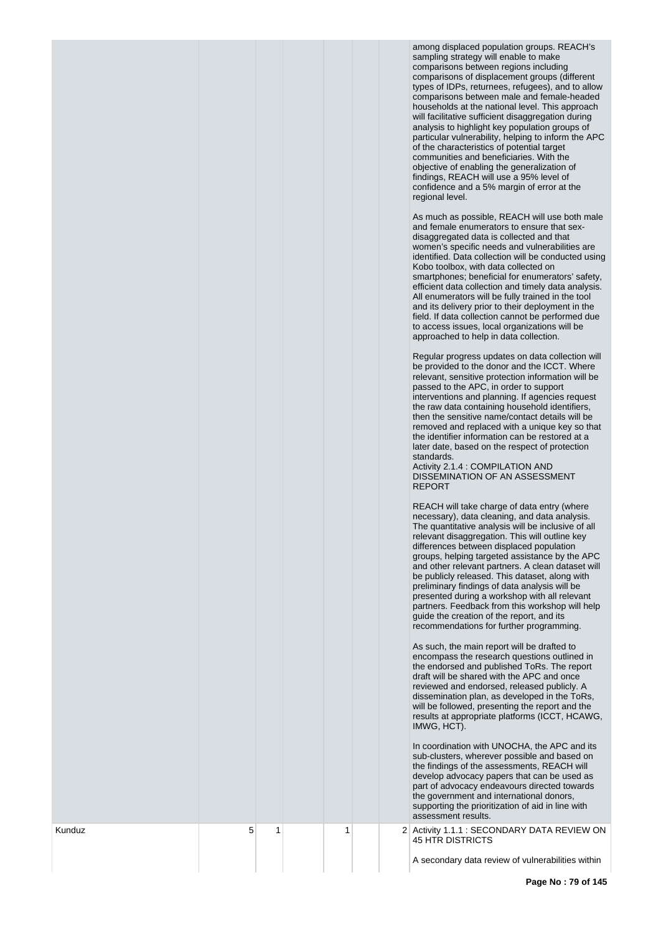among displaced population groups. REACH's sampling strategy will enable to make comparisons between regions including comparisons of displacement groups (different types of IDPs, returnees, refugees), and to allow comparisons between male and female-headed households at the national level. This approach will facilitative sufficient disaggregation during analysis to highlight key population groups of particular vulnerability, helping to inform the APC of the characteristics of potential target communities and beneficiaries. With the objective of enabling the generalization of findings, REACH will use a 95% level of confidence and a 5% margin of error at the regional level.

As much as possible, REACH will use both male and female enumerators to ensure that sexdisaggregated data is collected and that women's specific needs and vulnerabilities are identified. Data collection will be conducted using Kobo toolbox, with data collected on smartphones; beneficial for enumerators' safety, efficient data collection and timely data analysis. All enumerators will be fully trained in the tool and its delivery prior to their deployment in the field. If data collection cannot be performed due to access issues, local organizations will be approached to help in data collection.

Regular progress updates on data collection will be provided to the donor and the ICCT. Where relevant, sensitive protection information will be passed to the APC, in order to support interventions and planning. If agencies request the raw data containing household identifiers, then the sensitive name/contact details will be removed and replaced with a unique key so that the identifier information can be restored at a later date, based on the respect of protection standards.

Activity 2.1.4 : COMPILATION AND DISSEMINATION OF AN ASSESSMENT REPORT

REACH will take charge of data entry (where necessary), data cleaning, and data analysis. The quantitative analysis will be inclusive of all relevant disaggregation. This will outline key differences between displaced population groups, helping targeted assistance by the APC and other relevant partners. A clean dataset will be publicly released. This dataset, along with preliminary findings of data analysis will be presented during a workshop with all relevant partners. Feedback from this workshop will help guide the creation of the report, and its recommendations for further programming.

As such, the main report will be drafted to encompass the research questions outlined in the endorsed and published ToRs. The report draft will be shared with the APC and once reviewed and endorsed, released publicly. A dissemination plan, as developed in the ToRs, will be followed, presenting the report and the results at appropriate platforms (ICCT, HCAWG, IMWG, HCT).

In coordination with UNOCHA, the APC and its sub-clusters, wherever possible and based on the findings of the assessments, REACH will develop advocacy papers that can be used as part of advocacy endeavours directed towards the government and international donors, supporting the prioritization of aid in line with assessment results.

2 Activity 1.1.1 : SECONDARY DATA REVIEW ON 45 HTR DISTRICTS

Kunduz

5

1

1

A secondary data review of vulnerabilities within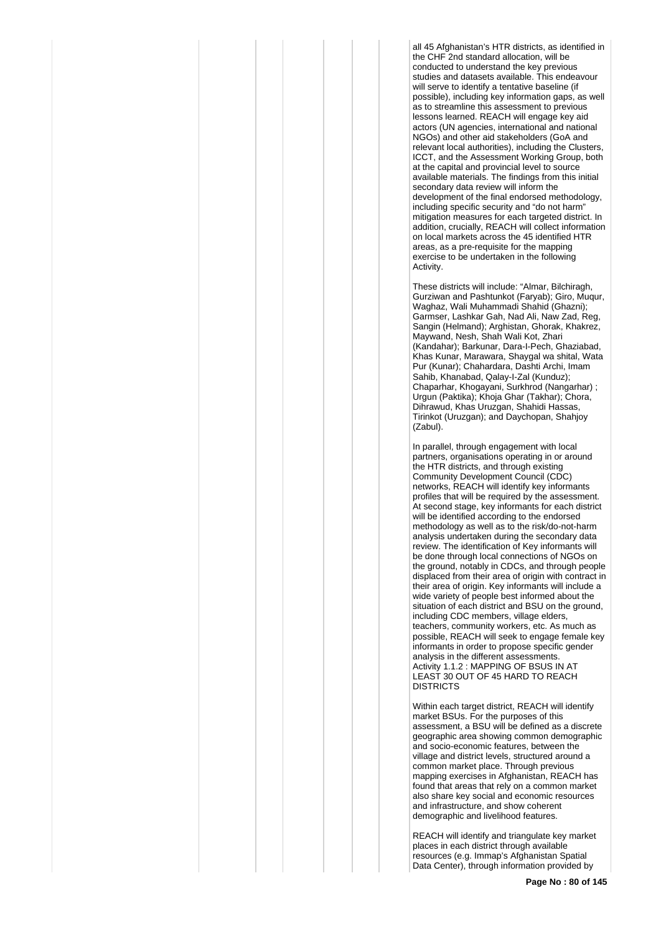all 45 Afghanistan's HTR districts, as identified in the CHF 2nd standard allocation, will be conducted to understand the key previous studies and datasets available. This endeavour will serve to identify a tentative baseline (if possible), including key information gaps, as well as to streamline this assessment to previous lessons learned. REACH will engage key aid actors (UN agencies, international and national NGOs) and other aid stakeholders (GoA and relevant local authorities), including the Clusters, ICCT, and the Assessment Working Group, both at the capital and provincial level to source available materials. The findings from this initial secondary data review will inform the development of the final endorsed methodology, including specific security and "do not harm" mitigation measures for each targeted district. In addition, crucially, REACH will collect information on local markets across the 45 identified HTR areas, as a pre-requisite for the mapping exercise to be undertaken in the following Activity.

These districts will include: "Almar, Bilchiragh, Gurziwan and Pashtunkot (Faryab); Giro, Muqur, Waghaz, Wali Muhammadi Shahid (Ghazni); Garmser, Lashkar Gah, Nad Ali, Naw Zad, Reg, Sangin (Helmand); Arghistan, Ghorak, Khakrez, Maywand, Nesh, Shah Wali Kot, Zhari (Kandahar); Barkunar, Dara-I-Pech, Ghaziabad, Khas Kunar, Marawara, Shaygal wa shital, Wata Pur (Kunar); Chahardara, Dashti Archi, Imam Sahib, Khanabad, Qalay-I-Zal (Kunduz); Chaparhar, Khogayani, Surkhrod (Nangarhar) ; Urgun (Paktika); Khoja Ghar (Takhar); Chora, Dihrawud, Khas Uruzgan, Shahidi Hassas, Tirinkot (Uruzgan); and Daychopan, Shahjoy (Zabul).

In parallel, through engagement with local partners, organisations operating in or around the HTR districts, and through existing Community Development Council (CDC) networks, REACH will identify key informants profiles that will be required by the assessment. At second stage, key informants for each district will be identified according to the endorsed methodology as well as to the risk/do-not-harm analysis undertaken during the secondary data review. The identification of Key informants will be done through local connections of NGOs on the ground, notably in CDCs, and through people displaced from their area of origin with contract in their area of origin. Key informants will include a wide variety of people best informed about the situation of each district and BSU on the ground, including CDC members, village elders, teachers, community workers, etc. As much as possible, REACH will seek to engage female key informants in order to propose specific gender analysis in the different assessments. Activity 1.1.2 : MAPPING OF BSUS IN AT LEAST 30 OUT OF 45 HARD TO REACH DISTRICTS

Within each target district, REACH will identify market BSUs. For the purposes of this assessment, a BSU will be defined as a discrete geographic area showing common demographic and socio-economic features, between the village and district levels, structured around a common market place. Through previous mapping exercises in Afghanistan, REACH has found that areas that rely on a common market also share key social and economic resources and infrastructure, and show coherent demographic and livelihood features.

REACH will identify and triangulate key market places in each district through available resources (e.g. Immap's Afghanistan Spatial Data Center), through information provided by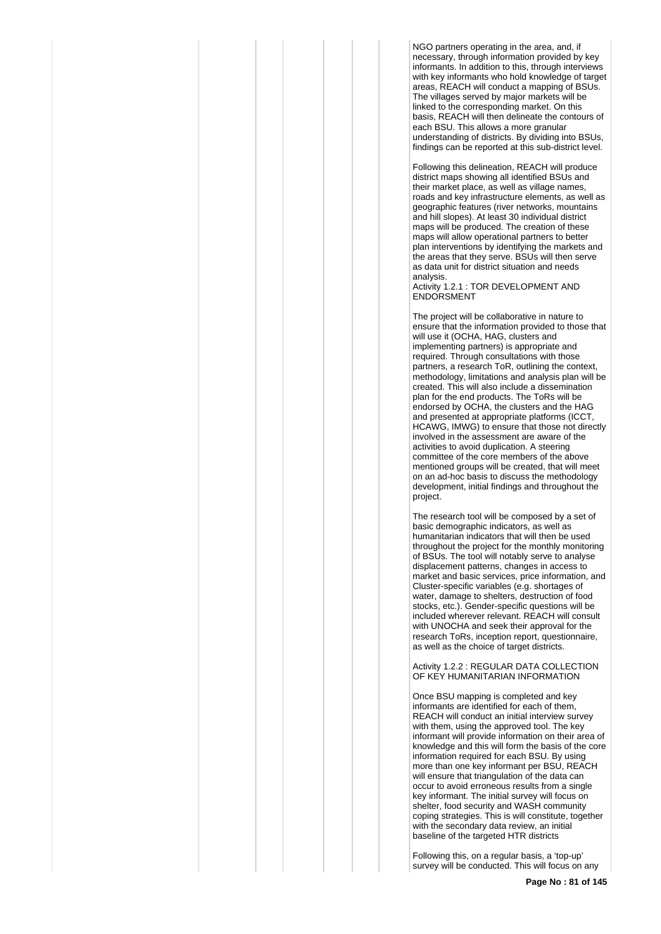NGO partners operating in the area, and, if necessary, through information provided by key informants. In addition to this, through interviews with key informants who hold knowledge of target areas, REACH will conduct a mapping of BSUs. The villages served by major markets will be linked to the corresponding market. On this basis, REACH will then delineate the contours of each BSU. This allows a more granular understanding of districts. By dividing into BSUs, findings can be reported at this sub-district level.

Following this delineation, REACH will produce district maps showing all identified BSUs and their market place, as well as village names, roads and key infrastructure elements, as well as geographic features (river networks, mountains and hill slopes). At least 30 individual district maps will be produced. The creation of these maps will allow operational partners to better plan interventions by identifying the markets and the areas that they serve. BSUs will then serve as data unit for district situation and needs analysis.

Activity 1.2.1 : TOR DEVELOPMENT AND **ENDORSMENT** 

The project will be collaborative in nature to ensure that the information provided to those that will use it (OCHA, HAG, clusters and implementing partners) is appropriate and required. Through consultations with those partners, a research ToR, outlining the context, methodology, limitations and analysis plan will be created. This will also include a dissemination plan for the end products. The ToRs will be endorsed by OCHA, the clusters and the HAG and presented at appropriate platforms (ICCT, HCAWG, IMWG) to ensure that those not directly involved in the assessment are aware of the activities to avoid duplication. A steering committee of the core members of the above mentioned groups will be created, that will meet on an ad-hoc basis to discuss the methodology development, initial findings and throughout the project.

The research tool will be composed by a set of basic demographic indicators, as well as humanitarian indicators that will then be used throughout the project for the monthly monitoring of BSUs. The tool will notably serve to analyse displacement patterns, changes in access to market and basic services, price information, and Cluster-specific variables (e.g. shortages of water, damage to shelters, destruction of food stocks, etc.). Gender-specific questions will be included wherever relevant. REACH will consult with UNOCHA and seek their approval for the research ToRs, inception report, questionnaire, as well as the choice of target districts.

Activity 1.2.2 : REGULAR DATA COLLECTION OF KEY HUMANITARIAN INFORMATION

Once BSU mapping is completed and key informants are identified for each of them, REACH will conduct an initial interview survey with them, using the approved tool. The key informant will provide information on their area of knowledge and this will form the basis of the core information required for each BSU. By using more than one key informant per BSU, REACH will ensure that triangulation of the data can occur to avoid erroneous results from a single key informant. The initial survey will focus on shelter, food security and WASH community coping strategies. This is will constitute, together with the secondary data review, an initial baseline of the targeted HTR districts

Following this, on a regular basis, a 'top-up' survey will be conducted. This will focus on any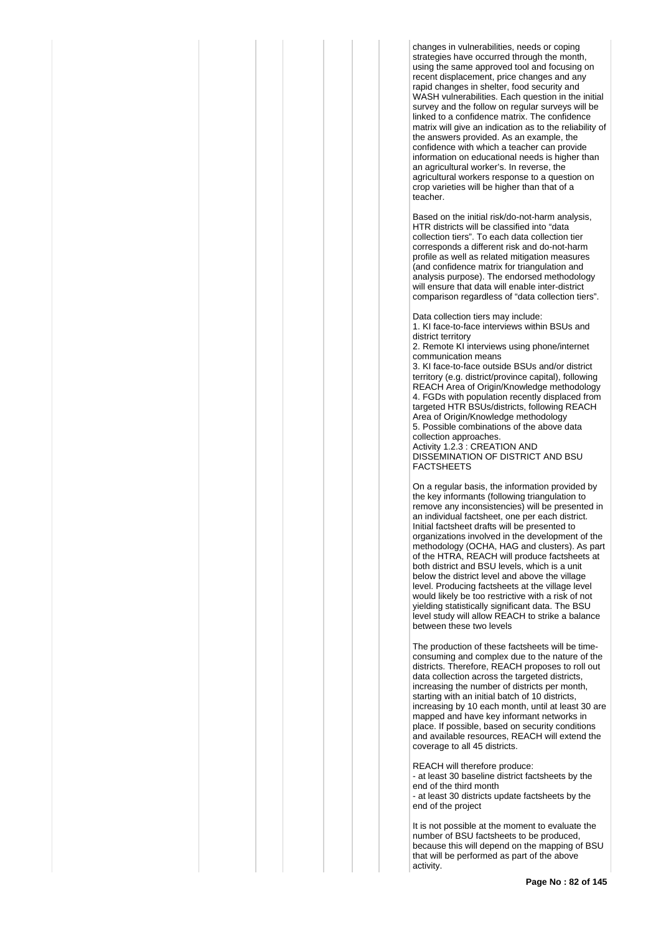changes in vulnerabilities, needs or coping strategies have occurred through the month. using the same approved tool and focusing on recent displacement, price changes and any rapid changes in shelter, food security and WASH vulnerabilities. Each question in the initial survey and the follow on regular surveys will be linked to a confidence matrix. The confidence matrix will give an indication as to the reliability of the answers provided. As an example, the confidence with which a teacher can provide information on educational needs is higher than an agricultural worker's. In reverse, the agricultural workers response to a question on crop varieties will be higher than that of a teacher.

Based on the initial risk/do-not-harm analysis, HTR districts will be classified into "data collection tiers". To each data collection tier corresponds a different risk and do-not-harm profile as well as related mitigation measures (and confidence matrix for triangulation and analysis purpose). The endorsed methodology will ensure that data will enable inter-district comparison regardless of "data collection tiers".

Data collection tiers may include: 1. KI face-to-face interviews within BSUs and district territory

2. Remote KI interviews using phone/internet communication means

3. KI face-to-face outside BSUs and/or district territory (e.g. district/province capital), following REACH Area of Origin/Knowledge methodology 4. FGDs with population recently displaced from targeted HTR BSUs/districts, following REACH Area of Origin/Knowledge methodology 5. Possible combinations of the above data collection approaches. Activity 1.2.3 : CREATION AND DISSEMINATION OF DISTRICT AND BSU FACTSHEETS

On a regular basis, the information provided by the key informants (following triangulation to remove any inconsistencies) will be presented in an individual factsheet, one per each district. Initial factsheet drafts will be presented to organizations involved in the development of the methodology (OCHA, HAG and clusters). As part of the HTRA, REACH will produce factsheets at both district and BSU levels, which is a unit below the district level and above the village level. Producing factsheets at the village level would likely be too restrictive with a risk of not yielding statistically significant data. The BSU level study will allow REACH to strike a balance between these two levels

The production of these factsheets will be timeconsuming and complex due to the nature of the districts. Therefore, REACH proposes to roll out data collection across the targeted districts, increasing the number of districts per month, starting with an initial batch of 10 districts, increasing by 10 each month, until at least 30 are mapped and have key informant networks in place. If possible, based on security conditions and available resources, REACH will extend the coverage to all 45 districts.

REACH will therefore produce: - at least 30 baseline district factsheets by the end of the third month - at least 30 districts update factsheets by the end of the project

It is not possible at the moment to evaluate the number of BSU factsheets to be produced, because this will depend on the mapping of BSU that will be performed as part of the above activity.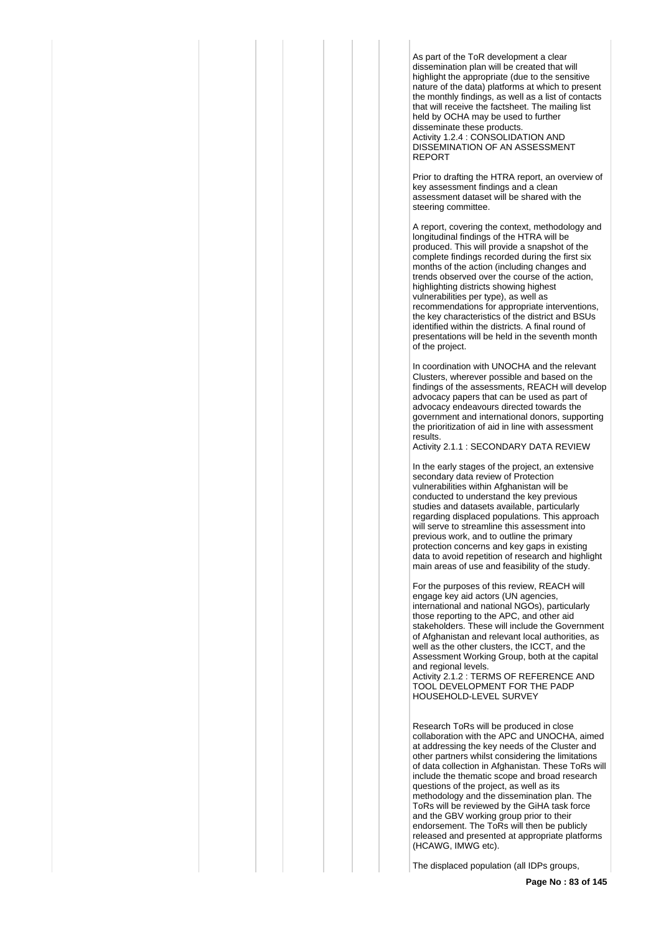As part of the ToR development a clear dissemination plan will be created that will highlight the appropriate (due to the sensitive nature of the data) platforms at which to present the monthly findings, as well as a list of contacts that will receive the factsheet. The mailing list held by OCHA may be used to further disseminate these products. Activity 1.2.4 : CONSOLIDATION AND DISSEMINATION OF AN ASSESSMENT REPORT

Prior to drafting the HTRA report, an overview of key assessment findings and a clean assessment dataset will be shared with the steering committee.

A report, covering the context, methodology and longitudinal findings of the HTRA will be produced. This will provide a snapshot of the complete findings recorded during the first six months of the action (including changes and trends observed over the course of the action, highlighting districts showing highest vulnerabilities per type), as well as recommendations for appropriate interventions, the key characteristics of the district and BSUs identified within the districts. A final round of presentations will be held in the seventh month of the project.

In coordination with UNOCHA and the relevant Clusters, wherever possible and based on the findings of the assessments, REACH will develop advocacy papers that can be used as part of advocacy endeavours directed towards the government and international donors, supporting the prioritization of aid in line with assessment results.

Activity 2.1.1 : SECONDARY DATA REVIEW

In the early stages of the project, an extensive secondary data review of Protection vulnerabilities within Afghanistan will be conducted to understand the key previous studies and datasets available, particularly regarding displaced populations. This approach will serve to streamline this assessment into previous work, and to outline the primary protection concerns and key gaps in existing data to avoid repetition of research and highlight main areas of use and feasibility of the study.

For the purposes of this review, REACH will engage key aid actors (UN agencies, international and national NGOs), particularly those reporting to the APC, and other aid stakeholders. These will include the Government of Afghanistan and relevant local authorities, as well as the other clusters, the ICCT, and the Assessment Working Group, both at the capital and regional levels.

Activity 2.1.2 : TERMS OF REFERENCE AND TOOL DEVELOPMENT FOR THE PADP HOUSEHOLD-LEVEL SURVEY

Research ToRs will be produced in close collaboration with the APC and UNOCHA, aimed at addressing the key needs of the Cluster and other partners whilst considering the limitations of data collection in Afghanistan. These ToRs will include the thematic scope and broad research questions of the project, as well as its methodology and the dissemination plan. The ToRs will be reviewed by the GiHA task force and the GBV working group prior to their endorsement. The ToRs will then be publicly released and presented at appropriate platforms (HCAWG, IMWG etc).

The displaced population (all IDPs groups,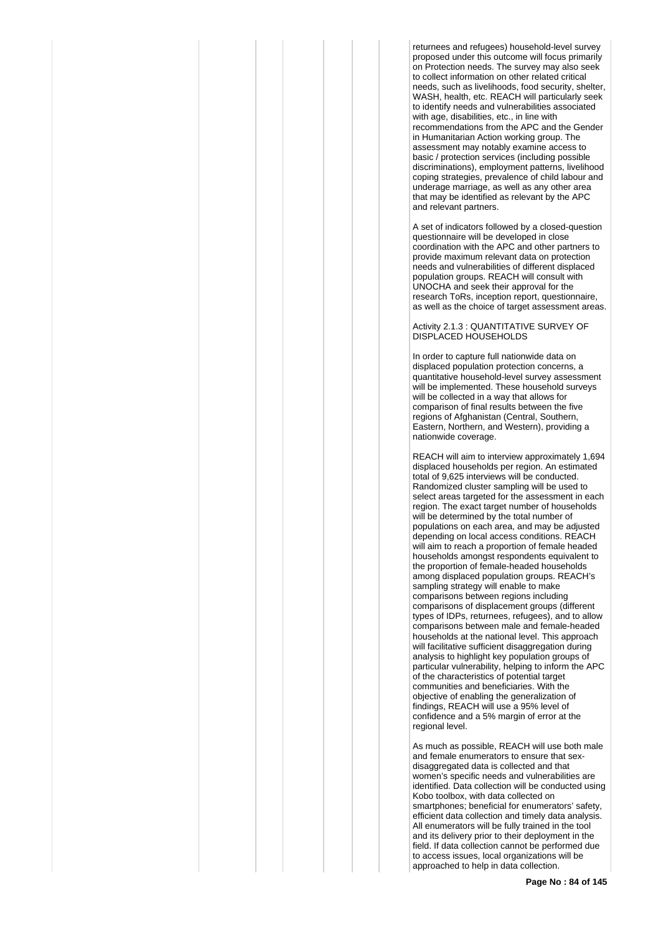returnees and refugees) household-level survey proposed under this outcome will focus primarily on Protection needs. The survey may also seek to collect information on other related critical needs, such as livelihoods, food security, shelter, WASH, health, etc. REACH will particularly seek to identify needs and vulnerabilities associated with age, disabilities, etc., in line with recommendations from the APC and the Gender in Humanitarian Action working group. The assessment may notably examine access to basic / protection services (including possible discriminations), employment patterns, livelihood coping strategies, prevalence of child labour and underage marriage, as well as any other area that may be identified as relevant by the APC and relevant partners.

A set of indicators followed by a closed-question questionnaire will be developed in close coordination with the APC and other partners to provide maximum relevant data on protection needs and vulnerabilities of different displaced population groups. REACH will consult with UNOCHA and seek their approval for the research ToRs, inception report, questionnaire, as well as the choice of target assessment areas.

## Activity 2.1.3 : QUANTITATIVE SURVEY OF DISPLACED HOUSEHOLDS

In order to capture full nationwide data on displaced population protection concerns, a quantitative household-level survey assessment will be implemented. These household surveys will be collected in a way that allows for comparison of final results between the five regions of Afghanistan (Central, Southern, Eastern, Northern, and Western), providing a nationwide coverage.

REACH will aim to interview approximately 1,694 displaced households per region. An estimated total of 9,625 interviews will be conducted. Randomized cluster sampling will be used to select areas targeted for the assessment in each region. The exact target number of households will be determined by the total number of populations on each area, and may be adjusted depending on local access conditions. REACH will aim to reach a proportion of female headed households amongst respondents equivalent to the proportion of female-headed households among displaced population groups. REACH's sampling strategy will enable to make comparisons between regions including comparisons of displacement groups (different types of IDPs, returnees, refugees), and to allow comparisons between male and female-headed households at the national level. This approach will facilitative sufficient disaggregation during analysis to highlight key population groups of particular vulnerability, helping to inform the APC of the characteristics of potential target communities and beneficiaries. With the objective of enabling the generalization of findings, REACH will use a 95% level of confidence and a 5% margin of error at the regional level.

As much as possible, REACH will use both male and female enumerators to ensure that sexdisaggregated data is collected and that women's specific needs and vulnerabilities are identified. Data collection will be conducted using Kobo toolbox, with data collected on smartphones; beneficial for enumerators' safety, efficient data collection and timely data analysis. All enumerators will be fully trained in the tool and its delivery prior to their deployment in the field. If data collection cannot be performed due to access issues, local organizations will be approached to help in data collection.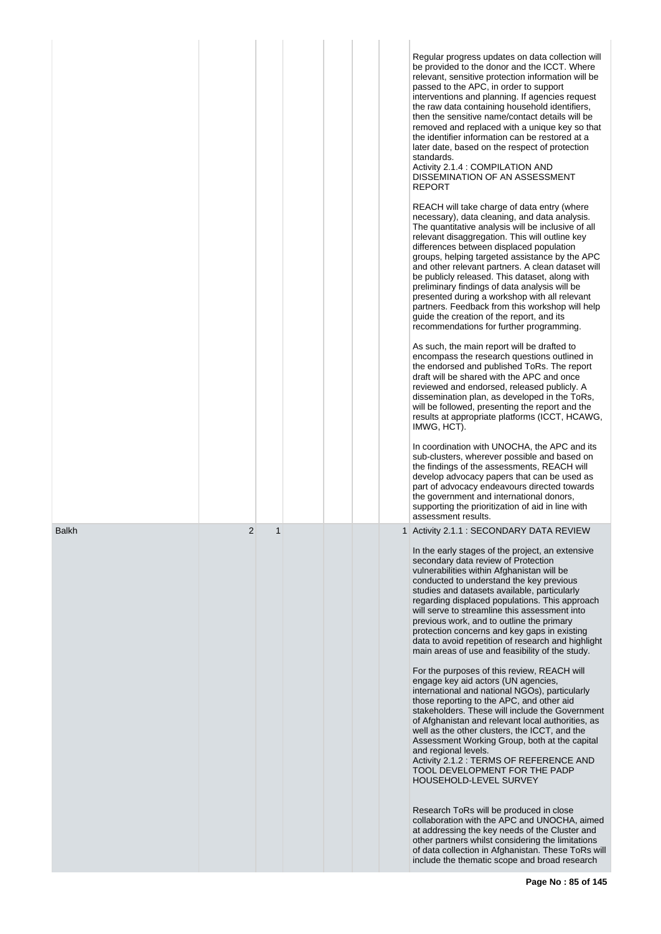|              |   |              |  |  | Regular progress updates on data collection will                                                                                                                                                                                                                                                                                                                                                                                                                                                                                                                                                                                                        |
|--------------|---|--------------|--|--|---------------------------------------------------------------------------------------------------------------------------------------------------------------------------------------------------------------------------------------------------------------------------------------------------------------------------------------------------------------------------------------------------------------------------------------------------------------------------------------------------------------------------------------------------------------------------------------------------------------------------------------------------------|
|              |   |              |  |  | be provided to the donor and the ICCT. Where<br>relevant, sensitive protection information will be<br>passed to the APC, in order to support<br>interventions and planning. If agencies request<br>the raw data containing household identifiers,<br>then the sensitive name/contact details will be<br>removed and replaced with a unique key so that<br>the identifier information can be restored at a<br>later date, based on the respect of protection<br>standards.<br>Activity 2.1.4 : COMPILATION AND<br>DISSEMINATION OF AN ASSESSMENT<br><b>REPORT</b>                                                                                        |
|              |   |              |  |  | REACH will take charge of data entry (where<br>necessary), data cleaning, and data analysis.<br>The quantitative analysis will be inclusive of all<br>relevant disaggregation. This will outline key<br>differences between displaced population<br>groups, helping targeted assistance by the APC<br>and other relevant partners. A clean dataset will<br>be publicly released. This dataset, along with<br>preliminary findings of data analysis will be<br>presented during a workshop with all relevant<br>partners. Feedback from this workshop will help<br>guide the creation of the report, and its<br>recommendations for further programming. |
|              |   |              |  |  | As such, the main report will be drafted to<br>encompass the research questions outlined in<br>the endorsed and published ToRs. The report<br>draft will be shared with the APC and once<br>reviewed and endorsed, released publicly. A<br>dissemination plan, as developed in the ToRs,<br>will be followed, presenting the report and the<br>results at appropriate platforms (ICCT, HCAWG,<br>IMWG, HCT).                                                                                                                                                                                                                                            |
|              |   |              |  |  | In coordination with UNOCHA, the APC and its<br>sub-clusters, wherever possible and based on<br>the findings of the assessments, REACH will<br>develop advocacy papers that can be used as<br>part of advocacy endeavours directed towards<br>the government and international donors,<br>supporting the prioritization of aid in line with<br>assessment results.                                                                                                                                                                                                                                                                                      |
| <b>Balkh</b> | 2 | $\mathbf{1}$ |  |  | 1 Activity 2.1.1 : SECONDARY DATA REVIEW                                                                                                                                                                                                                                                                                                                                                                                                                                                                                                                                                                                                                |
|              |   |              |  |  | In the early stages of the project, an extensive<br>secondary data review of Protection<br>vulnerabilities within Afghanistan will be<br>conducted to understand the key previous<br>studies and datasets available, particularly<br>regarding displaced populations. This approach<br>will serve to streamline this assessment into<br>previous work, and to outline the primary<br>protection concerns and key gaps in existing<br>data to avoid repetition of research and highlight<br>main areas of use and feasibility of the study.                                                                                                              |
|              |   |              |  |  | For the purposes of this review, REACH will<br>engage key aid actors (UN agencies,<br>international and national NGOs), particularly<br>those reporting to the APC, and other aid<br>stakeholders. These will include the Government<br>of Afghanistan and relevant local authorities, as<br>well as the other clusters, the ICCT, and the<br>Assessment Working Group, both at the capital<br>and regional levels.<br>Activity 2.1.2 : TERMS OF REFERENCE AND<br>TOOL DEVELOPMENT FOR THE PADP<br>HOUSEHOLD-LEVEL SURVEY                                                                                                                               |
|              |   |              |  |  | Research ToRs will be produced in close<br>collaboration with the APC and UNOCHA, aimed<br>at addressing the key needs of the Cluster and<br>other partners whilst considering the limitations<br>of data collection in Afghanistan. These ToRs will<br>include the thematic scope and broad research                                                                                                                                                                                                                                                                                                                                                   |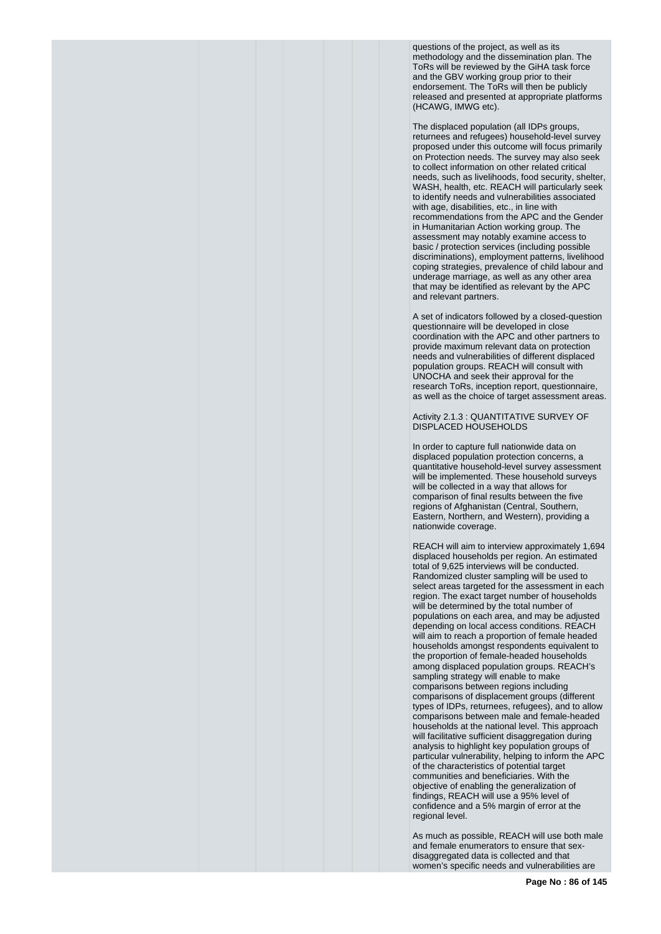questions of the project, as well as its methodology and the dissemination plan. The ToRs will be reviewed by the GiHA task force and the GBV working group prior to their endorsement. The ToRs will then be publicly released and presented at appropriate platforms (HCAWG, IMWG etc).

The displaced population (all IDPs groups, returnees and refugees) household-level survey proposed under this outcome will focus primarily on Protection needs. The survey may also seek to collect information on other related critical needs, such as livelihoods, food security, shelter, WASH, health, etc. REACH will particularly seek to identify needs and vulnerabilities associated with age, disabilities, etc., in line with recommendations from the APC and the Gender in Humanitarian Action working group. The assessment may notably examine access to basic / protection services (including possible discriminations), employment patterns, livelihood coping strategies, prevalence of child labour and underage marriage, as well as any other area that may be identified as relevant by the APC and relevant partners.

A set of indicators followed by a closed-question questionnaire will be developed in close coordination with the APC and other partners to provide maximum relevant data on protection needs and vulnerabilities of different displaced population groups. REACH will consult with UNOCHA and seek their approval for the research ToRs, inception report, questionnaire, as well as the choice of target assessment areas.

Activity 2.1.3 : QUANTITATIVE SURVEY OF DISPLACED HOUSEHOLDS

In order to capture full nationwide data on displaced population protection concerns, a quantitative household-level survey assessment will be implemented. These household surveys will be collected in a way that allows for comparison of final results between the five regions of Afghanistan (Central, Southern, Eastern, Northern, and Western), providing a nationwide coverage.

REACH will aim to interview approximately 1,694 displaced households per region. An estimated total of 9,625 interviews will be conducted. Randomized cluster sampling will be used to select areas targeted for the assessment in each region. The exact target number of households will be determined by the total number of populations on each area, and may be adjusted depending on local access conditions. REACH will aim to reach a proportion of female headed households amongst respondents equivalent to the proportion of female-headed households among displaced population groups. REACH's sampling strategy will enable to make comparisons between regions including comparisons of displacement groups (different types of IDPs, returnees, refugees), and to allow comparisons between male and female-headed households at the national level. This approach will facilitative sufficient disaggregation during analysis to highlight key population groups of particular vulnerability, helping to inform the APC of the characteristics of potential target communities and beneficiaries. With the objective of enabling the generalization of findings, REACH will use a 95% level of confidence and a 5% margin of error at the regional level.

As much as possible, REACH will use both male and female enumerators to ensure that sexdisaggregated data is collected and that women's specific needs and vulnerabilities are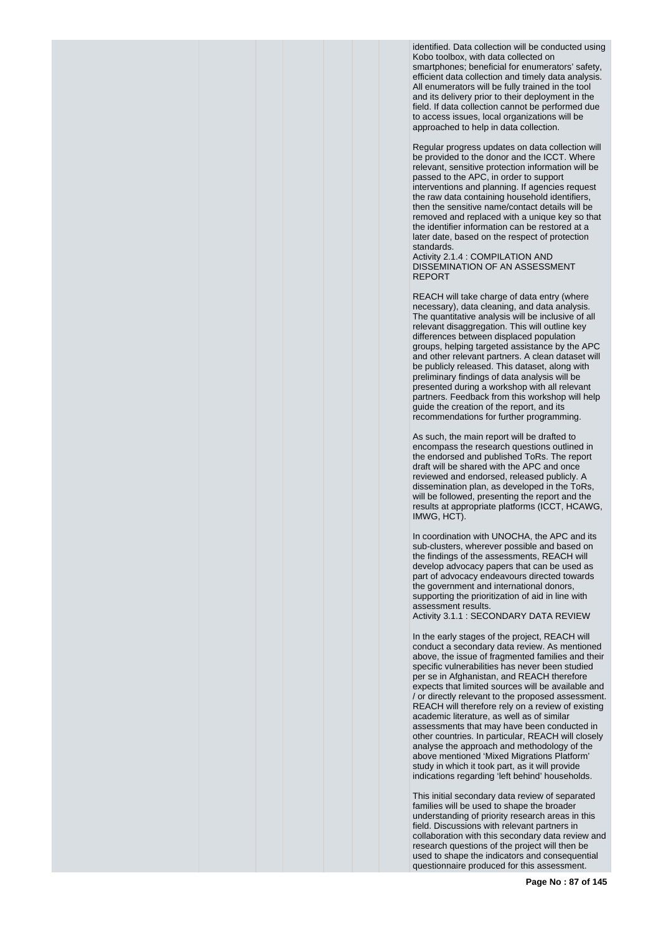identified. Data collection will be conducted using Kobo toolbox, with data collected on smartphones; beneficial for enumerators' safety, efficient data collection and timely data analysis. All enumerators will be fully trained in the tool and its delivery prior to their deployment in the field. If data collection cannot be performed due to access issues, local organizations will be approached to help in data collection.

Regular progress updates on data collection will be provided to the donor and the ICCT. Where relevant, sensitive protection information will be passed to the APC, in order to support interventions and planning. If agencies request the raw data containing household identifiers, then the sensitive name/contact details will be removed and replaced with a unique key so that the identifier information can be restored at a later date, based on the respect of protection standards.

Activity 2.1.4 : COMPILATION AND DISSEMINATION OF AN ASSESSMENT REPORT

REACH will take charge of data entry (where necessary), data cleaning, and data analysis. The quantitative analysis will be inclusive of all relevant disaggregation. This will outline key differences between displaced population groups, helping targeted assistance by the APC and other relevant partners. A clean dataset will be publicly released. This dataset, along with preliminary findings of data analysis will be presented during a workshop with all relevant partners. Feedback from this workshop will help guide the creation of the report, and its recommendations for further programming.

As such, the main report will be drafted to encompass the research questions outlined in the endorsed and published ToRs. The report draft will be shared with the APC and once reviewed and endorsed, released publicly. A dissemination plan, as developed in the ToRs, will be followed, presenting the report and the results at appropriate platforms (ICCT, HCAWG, IMWG, HCT).

In coordination with UNOCHA, the APC and its sub-clusters, wherever possible and based on the findings of the assessments, REACH will develop advocacy papers that can be used as part of advocacy endeavours directed towards the government and international donors, supporting the prioritization of aid in line with assessment results.

Activity 3.1.1 : SECONDARY DATA REVIEW

In the early stages of the project, REACH will conduct a secondary data review. As mentioned above, the issue of fragmented families and their specific vulnerabilities has never been studied per se in Afghanistan, and REACH therefore expects that limited sources will be available and / or directly relevant to the proposed assessment. REACH will therefore rely on a review of existing academic literature, as well as of similar assessments that may have been conducted in other countries. In particular, REACH will closely analyse the approach and methodology of the above mentioned 'Mixed Migrations Platform' study in which it took part, as it will provide indications regarding 'left behind' households.

This initial secondary data review of separated families will be used to shape the broader understanding of priority research areas in this field. Discussions with relevant partners in collaboration with this secondary data review and research questions of the project will then be used to shape the indicators and consequential questionnaire produced for this assessment.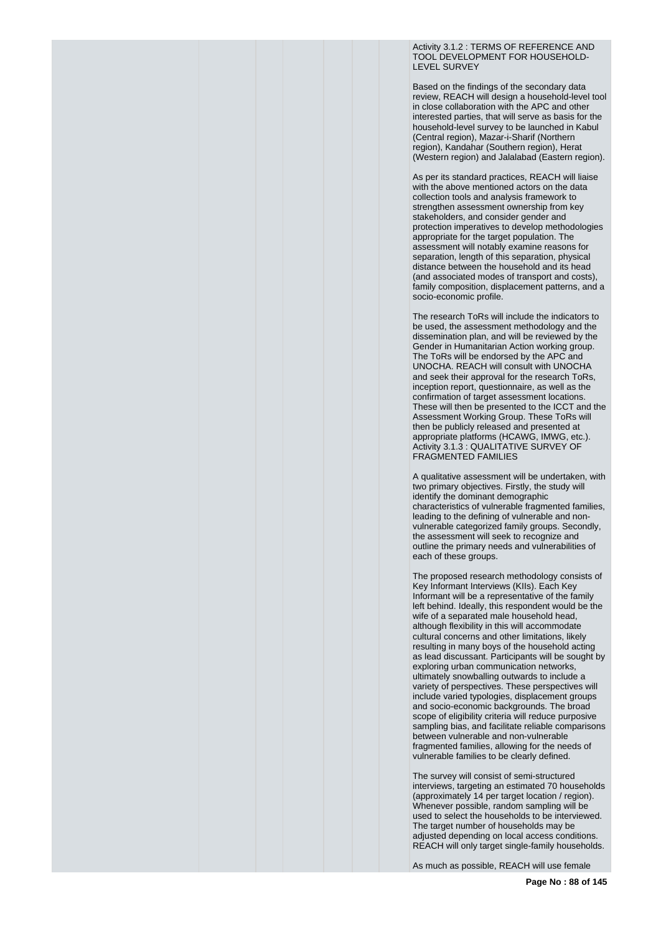Activity 3.1.2 : TERMS OF REFERENCE AND TOOL DEVELOPMENT FOR HOUSEHOLD-LEVEL SURVEY

Based on the findings of the secondary data review, REACH will design a household-level tool in close collaboration with the APC and other interested parties, that will serve as basis for the household-level survey to be launched in Kabul (Central region), Mazar-i-Sharif (Northern region), Kandahar (Southern region), Herat (Western region) and Jalalabad (Eastern region).

As per its standard practices, REACH will liaise with the above mentioned actors on the data collection tools and analysis framework to strengthen assessment ownership from key stakeholders, and consider gender and protection imperatives to develop methodologies appropriate for the target population. The assessment will notably examine reasons for separation, length of this separation, physical distance between the household and its head (and associated modes of transport and costs), family composition, displacement patterns, and a socio-economic profile.

The research ToRs will include the indicators to be used, the assessment methodology and the dissemination plan, and will be reviewed by the Gender in Humanitarian Action working group. The ToRs will be endorsed by the APC and UNOCHA. REACH will consult with UNOCHA and seek their approval for the research ToRs, inception report, questionnaire, as well as the confirmation of target assessment locations. These will then be presented to the ICCT and the Assessment Working Group. These ToRs will then be publicly released and presented at appropriate platforms (HCAWG, IMWG, etc.). Activity 3.1.3 : QUALITATIVE SURVEY OF FRAGMENTED FAMILIES

A qualitative assessment will be undertaken, with two primary objectives. Firstly, the study will identify the dominant demographic characteristics of vulnerable fragmented families, leading to the defining of vulnerable and nonvulnerable categorized family groups. Secondly, the assessment will seek to recognize and outline the primary needs and vulnerabilities of each of these groups.

The proposed research methodology consists of Key Informant Interviews (KIIs). Each Key Informant will be a representative of the family left behind. Ideally, this respondent would be the wife of a separated male household head, although flexibility in this will accommodate cultural concerns and other limitations, likely resulting in many boys of the household acting as lead discussant. Participants will be sought by exploring urban communication networks, ultimately snowballing outwards to include a variety of perspectives. These perspectives will include varied typologies, displacement groups and socio-economic backgrounds. The broad scope of eligibility criteria will reduce purposive sampling bias, and facilitate reliable comparisons between vulnerable and non-vulnerable fragmented families, allowing for the needs of vulnerable families to be clearly defined.

The survey will consist of semi-structured interviews, targeting an estimated 70 households (approximately 14 per target location / region). Whenever possible, random sampling will be used to select the households to be interviewed. The target number of households may be adjusted depending on local access conditions. REACH will only target single-family households.

As much as possible, REACH will use female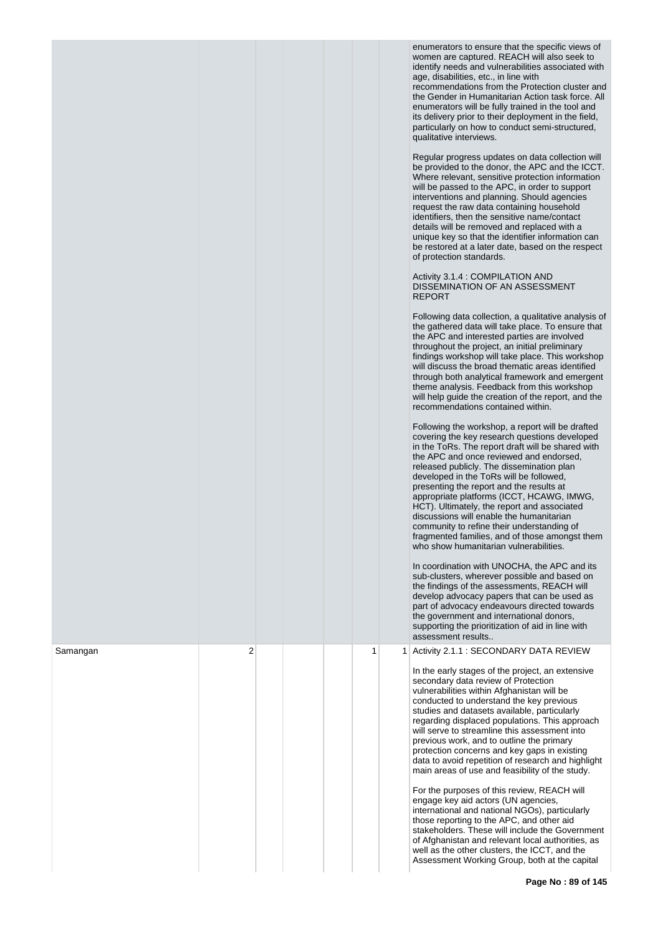|          |   |  |   | enumerators to ensure that the specific views of<br>women are captured. REACH will also seek to<br>identify needs and vulnerabilities associated with<br>age, disabilities, etc., in line with<br>recommendations from the Protection cluster and<br>the Gender in Humanitarian Action task force. All<br>enumerators will be fully trained in the tool and<br>its delivery prior to their deployment in the field,<br>particularly on how to conduct semi-structured,<br>qualitative interviews.<br>Regular progress updates on data collection will<br>be provided to the donor, the APC and the ICCT.<br>Where relevant, sensitive protection information<br>will be passed to the APC, in order to support<br>interventions and planning. Should agencies<br>request the raw data containing household<br>identifiers, then the sensitive name/contact<br>details will be removed and replaced with a<br>unique key so that the identifier information can<br>be restored at a later date, based on the respect<br>of protection standards.<br>Activity 3.1.4 : COMPILATION AND<br>DISSEMINATION OF AN ASSESSMENT<br><b>REPORT</b><br>Following data collection, a qualitative analysis of<br>the gathered data will take place. To ensure that<br>the APC and interested parties are involved<br>throughout the project, an initial preliminary<br>findings workshop will take place. This workshop<br>will discuss the broad thematic areas identified<br>through both analytical framework and emergent<br>theme analysis. Feedback from this workshop<br>will help guide the creation of the report, and the<br>recommendations contained within.<br>Following the workshop, a report will be drafted<br>covering the key research questions developed<br>in the ToRs. The report draft will be shared with<br>the APC and once reviewed and endorsed,<br>released publicly. The dissemination plan<br>developed in the ToRs will be followed,<br>presenting the report and the results at<br>appropriate platforms (ICCT, HCAWG, IMWG,<br>HCT). Ultimately, the report and associated<br>discussions will enable the humanitarian<br>community to refine their understanding of<br>fragmented families, and of those amongst them<br>who show humanitarian vulnerabilities.<br>In coordination with UNOCHA, the APC and its<br>sub-clusters, wherever possible and based on<br>the findings of the assessments, REACH will<br>develop advocacy papers that can be used as<br>part of advocacy endeavours directed towards<br>the government and international donors,<br>supporting the prioritization of aid in line with<br>assessment results |
|----------|---|--|---|-----------------------------------------------------------------------------------------------------------------------------------------------------------------------------------------------------------------------------------------------------------------------------------------------------------------------------------------------------------------------------------------------------------------------------------------------------------------------------------------------------------------------------------------------------------------------------------------------------------------------------------------------------------------------------------------------------------------------------------------------------------------------------------------------------------------------------------------------------------------------------------------------------------------------------------------------------------------------------------------------------------------------------------------------------------------------------------------------------------------------------------------------------------------------------------------------------------------------------------------------------------------------------------------------------------------------------------------------------------------------------------------------------------------------------------------------------------------------------------------------------------------------------------------------------------------------------------------------------------------------------------------------------------------------------------------------------------------------------------------------------------------------------------------------------------------------------------------------------------------------------------------------------------------------------------------------------------------------------------------------------------------------------------------------------------------------------------------------------------------------------------------------------------------------------------------------------------------------------------------------------------------------------------------------------------------------------------------------------------------------------------------------------------------------------------------------------------------------------------------------------------------------------------------------------------------------------------------------------------------------------------------------------------|
| Samangan | 2 |  | 1 | 1 Activity 2.1.1 : SECONDARY DATA REVIEW<br>In the early stages of the project, an extensive<br>secondary data review of Protection<br>vulnerabilities within Afghanistan will be<br>conducted to understand the key previous<br>studies and datasets available, particularly<br>regarding displaced populations. This approach<br>will serve to streamline this assessment into<br>previous work, and to outline the primary<br>protection concerns and key gaps in existing<br>data to avoid repetition of research and highlight<br>main areas of use and feasibility of the study.<br>For the purposes of this review, REACH will<br>engage key aid actors (UN agencies,<br>international and national NGOs), particularly<br>those reporting to the APC, and other aid<br>stakeholders. These will include the Government<br>of Afghanistan and relevant local authorities, as<br>well as the other clusters, the ICCT, and the<br>Assessment Working Group, both at the capital                                                                                                                                                                                                                                                                                                                                                                                                                                                                                                                                                                                                                                                                                                                                                                                                                                                                                                                                                                                                                                                                                                                                                                                                                                                                                                                                                                                                                                                                                                                                                                                                                                                                     |

**Page No : 89 of 145**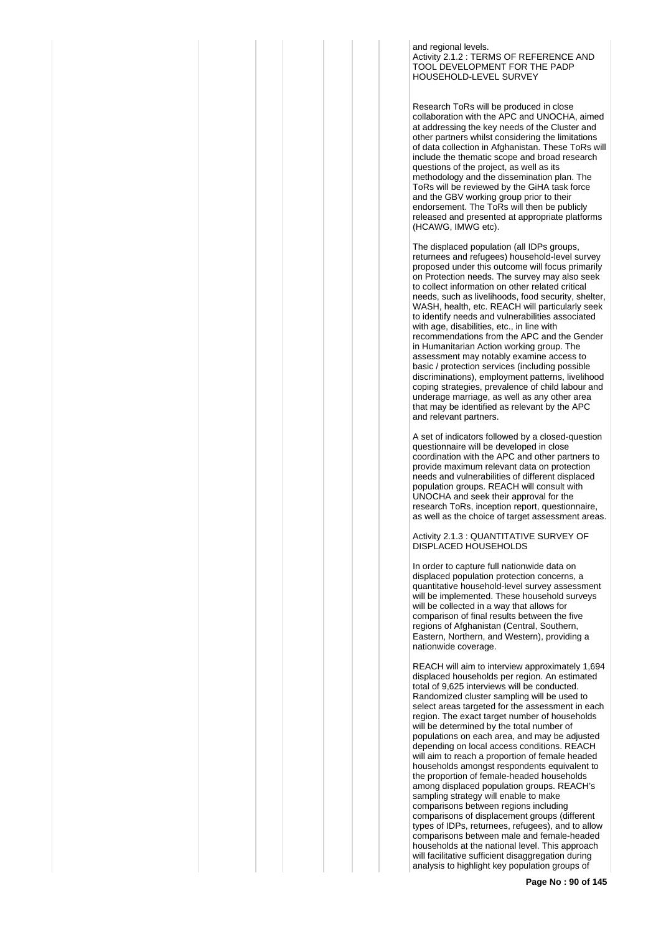and regional levels. Activity 2.1.2 : TERMS OF REFERENCE AND TOOL DEVELOPMENT FOR THE PADP HOUSEHOLD-LEVEL SURVEY

Research ToRs will be produced in close collaboration with the APC and UNOCHA, aimed at addressing the key needs of the Cluster and other partners whilst considering the limitations of data collection in Afghanistan. These ToRs will include the thematic scope and broad research questions of the project, as well as its methodology and the dissemination plan. The ToRs will be reviewed by the GiHA task force and the GBV working group prior to their endorsement. The ToRs will then be publicly released and presented at appropriate platforms (HCAWG, IMWG etc).

The displaced population (all IDPs groups, returnees and refugees) household-level survey proposed under this outcome will focus primarily on Protection needs. The survey may also seek to collect information on other related critical needs, such as livelihoods, food security, shelter, WASH, health, etc. REACH will particularly seek to identify needs and vulnerabilities associated with age, disabilities, etc., in line with recommendations from the APC and the Gender in Humanitarian Action working group. The assessment may notably examine access to basic / protection services (including possible discriminations), employment patterns, livelihood coping strategies, prevalence of child labour and underage marriage, as well as any other area that may be identified as relevant by the APC and relevant partners.

A set of indicators followed by a closed-question questionnaire will be developed in close coordination with the APC and other partners to provide maximum relevant data on protection needs and vulnerabilities of different displaced population groups. REACH will consult with UNOCHA and seek their approval for the research ToRs, inception report, questionnaire, as well as the choice of target assessment areas.

Activity 2.1.3 : QUANTITATIVE SURVEY OF DISPLACED HOUSEHOLDS

In order to capture full nationwide data on displaced population protection concerns, a quantitative household-level survey assessment will be implemented. These household surveys will be collected in a way that allows for comparison of final results between the five regions of Afghanistan (Central, Southern, Eastern, Northern, and Western), providing a nationwide coverage.

REACH will aim to interview approximately 1,694 displaced households per region. An estimated total of 9,625 interviews will be conducted. Randomized cluster sampling will be used to select areas targeted for the assessment in each region. The exact target number of households will be determined by the total number of populations on each area, and may be adjusted depending on local access conditions. REACH will aim to reach a proportion of female headed households amongst respondents equivalent to the proportion of female-headed households among displaced population groups. REACH's sampling strategy will enable to make comparisons between regions including comparisons of displacement groups (different types of IDPs, returnees, refugees), and to allow comparisons between male and female-headed households at the national level. This approach will facilitative sufficient disaggregation during analysis to highlight key population groups of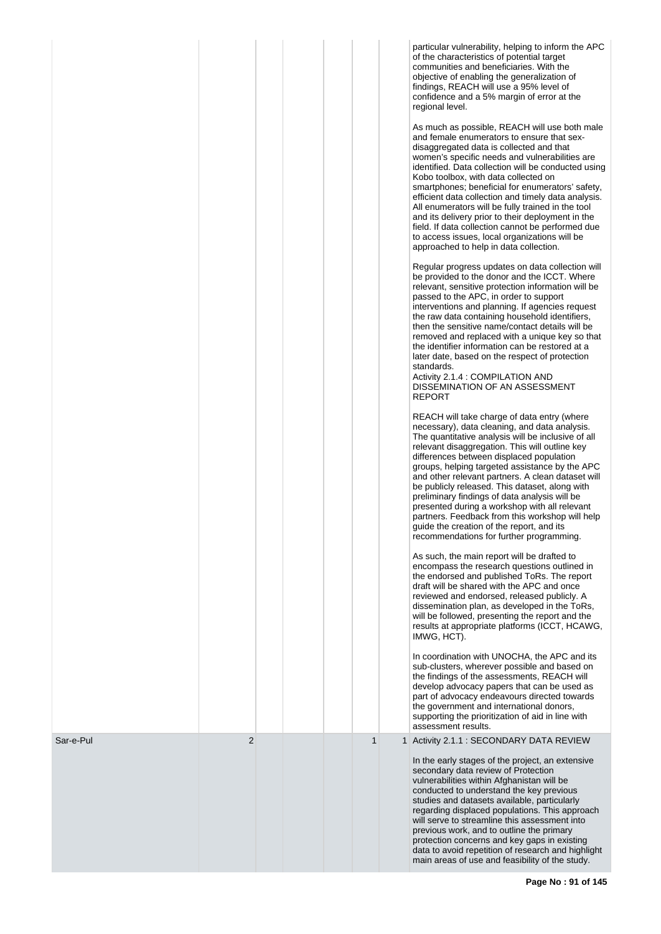| of the characteristics of potential target<br>communities and beneficiaries. With the<br>objective of enabling the generalization of<br>findings, REACH will use a 95% level of<br>confidence and a 5% margin of error at the<br>regional level.<br>and female enumerators to ensure that sex-<br>disaggregated data is collected and that<br>Kobo toolbox, with data collected on<br>All enumerators will be fully trained in the tool<br>to access issues, local organizations will be<br>approached to help in data collection.<br>passed to the APC, in order to support<br>the raw data containing household identifiers,<br>then the sensitive name/contact details will be<br>the identifier information can be restored at a<br>later date, based on the respect of protection<br>standards.<br>Activity 2.1.4 : COMPILATION AND<br>DISSEMINATION OF AN ASSESSMENT<br>REPORT<br>REACH will take charge of data entry (where<br>necessary), data cleaning, and data analysis.<br>relevant disaggregation. This will outline key<br>differences between displaced population<br>be publicly released. This dataset, along with<br>preliminary findings of data analysis will be<br>presented during a workshop with all relevant<br>guide the creation of the report, and its<br>recommendations for further programming.<br>As such, the main report will be drafted to<br>encompass the research questions outlined in<br>the endorsed and published ToRs. The report<br>draft will be shared with the APC and once<br>reviewed and endorsed, released publicly. A<br>will be followed, presenting the report and the<br>IMWG, HCT).<br>the findings of the assessments, REACH will<br>develop advocacy papers that can be used as<br>the government and international donors,<br>supporting the prioritization of aid in line with<br>assessment results.<br>$\overline{2}$<br>$\mathbf{1}$<br>Sar-e-Pul<br>1 Activity 2.1.1 : SECONDARY DATA REVIEW<br>In the early stages of the project, an extensive<br>secondary data review of Protection<br>vulnerabilities within Afghanistan will be<br>conducted to understand the key previous<br>studies and datasets available, particularly<br>will serve to streamline this assessment into<br>previous work, and to outline the primary<br>protection concerns and key gaps in existing |  |  |  |                                                                                                                                                                                                                                                                                                                                                                             |
|--------------------------------------------------------------------------------------------------------------------------------------------------------------------------------------------------------------------------------------------------------------------------------------------------------------------------------------------------------------------------------------------------------------------------------------------------------------------------------------------------------------------------------------------------------------------------------------------------------------------------------------------------------------------------------------------------------------------------------------------------------------------------------------------------------------------------------------------------------------------------------------------------------------------------------------------------------------------------------------------------------------------------------------------------------------------------------------------------------------------------------------------------------------------------------------------------------------------------------------------------------------------------------------------------------------------------------------------------------------------------------------------------------------------------------------------------------------------------------------------------------------------------------------------------------------------------------------------------------------------------------------------------------------------------------------------------------------------------------------------------------------------------------------------------------------------------------------------------------------------------------------------------------------------------------------------------------------------------------------------------------------------------------------------------------------------------------------------------------------------------------------------------------------------------------------------------------------------------------------------------------------------------------------------------------------------------------------------------|--|--|--|-----------------------------------------------------------------------------------------------------------------------------------------------------------------------------------------------------------------------------------------------------------------------------------------------------------------------------------------------------------------------------|
|                                                                                                                                                                                                                                                                                                                                                                                                                                                                                                                                                                                                                                                                                                                                                                                                                                                                                                                                                                                                                                                                                                                                                                                                                                                                                                                                                                                                                                                                                                                                                                                                                                                                                                                                                                                                                                                                                                                                                                                                                                                                                                                                                                                                                                                                                                                                                  |  |  |  | particular vulnerability, helping to inform the APC                                                                                                                                                                                                                                                                                                                         |
|                                                                                                                                                                                                                                                                                                                                                                                                                                                                                                                                                                                                                                                                                                                                                                                                                                                                                                                                                                                                                                                                                                                                                                                                                                                                                                                                                                                                                                                                                                                                                                                                                                                                                                                                                                                                                                                                                                                                                                                                                                                                                                                                                                                                                                                                                                                                                  |  |  |  | As much as possible, REACH will use both male<br>women's specific needs and vulnerabilities are<br>identified. Data collection will be conducted using<br>smartphones; beneficial for enumerators' safety,<br>efficient data collection and timely data analysis.<br>and its delivery prior to their deployment in the<br>field. If data collection cannot be performed due |
|                                                                                                                                                                                                                                                                                                                                                                                                                                                                                                                                                                                                                                                                                                                                                                                                                                                                                                                                                                                                                                                                                                                                                                                                                                                                                                                                                                                                                                                                                                                                                                                                                                                                                                                                                                                                                                                                                                                                                                                                                                                                                                                                                                                                                                                                                                                                                  |  |  |  | Regular progress updates on data collection will<br>be provided to the donor and the ICCT. Where<br>relevant, sensitive protection information will be<br>interventions and planning. If agencies request<br>removed and replaced with a unique key so that                                                                                                                 |
|                                                                                                                                                                                                                                                                                                                                                                                                                                                                                                                                                                                                                                                                                                                                                                                                                                                                                                                                                                                                                                                                                                                                                                                                                                                                                                                                                                                                                                                                                                                                                                                                                                                                                                                                                                                                                                                                                                                                                                                                                                                                                                                                                                                                                                                                                                                                                  |  |  |  | The quantitative analysis will be inclusive of all<br>groups, helping targeted assistance by the APC<br>and other relevant partners. A clean dataset will<br>partners. Feedback from this workshop will help                                                                                                                                                                |
|                                                                                                                                                                                                                                                                                                                                                                                                                                                                                                                                                                                                                                                                                                                                                                                                                                                                                                                                                                                                                                                                                                                                                                                                                                                                                                                                                                                                                                                                                                                                                                                                                                                                                                                                                                                                                                                                                                                                                                                                                                                                                                                                                                                                                                                                                                                                                  |  |  |  | dissemination plan, as developed in the ToRs,<br>results at appropriate platforms (ICCT, HCAWG,                                                                                                                                                                                                                                                                             |
|                                                                                                                                                                                                                                                                                                                                                                                                                                                                                                                                                                                                                                                                                                                                                                                                                                                                                                                                                                                                                                                                                                                                                                                                                                                                                                                                                                                                                                                                                                                                                                                                                                                                                                                                                                                                                                                                                                                                                                                                                                                                                                                                                                                                                                                                                                                                                  |  |  |  | In coordination with UNOCHA, the APC and its<br>sub-clusters, wherever possible and based on<br>part of advocacy endeavours directed towards                                                                                                                                                                                                                                |
|                                                                                                                                                                                                                                                                                                                                                                                                                                                                                                                                                                                                                                                                                                                                                                                                                                                                                                                                                                                                                                                                                                                                                                                                                                                                                                                                                                                                                                                                                                                                                                                                                                                                                                                                                                                                                                                                                                                                                                                                                                                                                                                                                                                                                                                                                                                                                  |  |  |  |                                                                                                                                                                                                                                                                                                                                                                             |
| main areas of use and feasibility of the study.                                                                                                                                                                                                                                                                                                                                                                                                                                                                                                                                                                                                                                                                                                                                                                                                                                                                                                                                                                                                                                                                                                                                                                                                                                                                                                                                                                                                                                                                                                                                                                                                                                                                                                                                                                                                                                                                                                                                                                                                                                                                                                                                                                                                                                                                                                  |  |  |  | regarding displaced populations. This approach<br>data to avoid repetition of research and highlight                                                                                                                                                                                                                                                                        |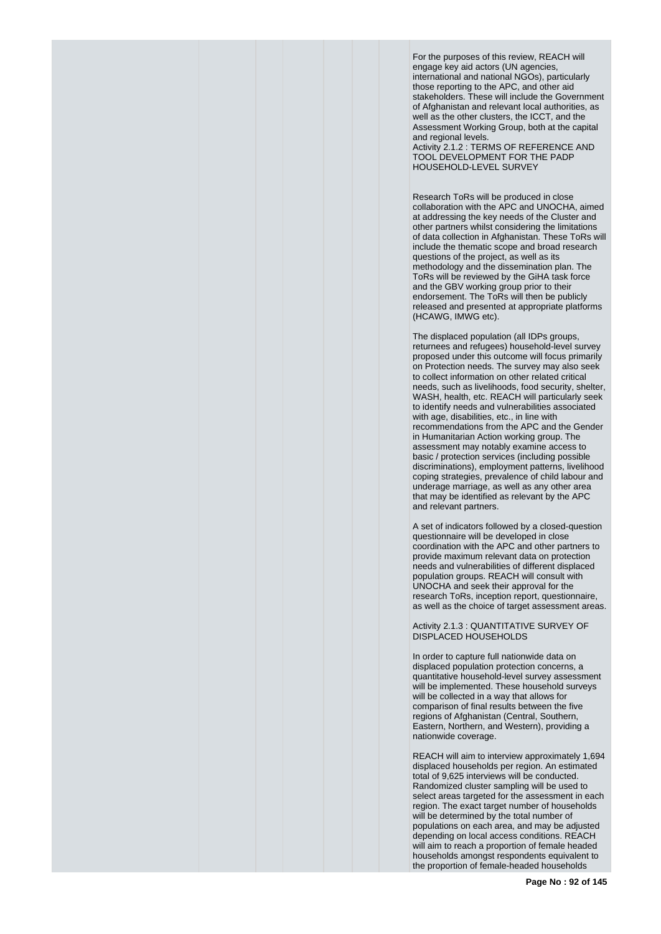For the purposes of this review, REACH will engage key aid actors (UN agencies, international and national NGOs), particularly those reporting to the APC, and other aid stakeholders. These will include the Government of Afghanistan and relevant local authorities, as well as the other clusters, the ICCT, and the Assessment Working Group, both at the capital and regional levels.

Activity 2.1.2 : TERMS OF REFERENCE AND TOOL DEVELOPMENT FOR THE PADP HOUSEHOLD-LEVEL SURVEY

Research ToRs will be produced in close collaboration with the APC and UNOCHA, aimed at addressing the key needs of the Cluster and other partners whilst considering the limitations of data collection in Afghanistan. These ToRs will include the thematic scope and broad research questions of the project, as well as its methodology and the dissemination plan. The ToRs will be reviewed by the GiHA task force and the GBV working group prior to their endorsement. The ToRs will then be publicly released and presented at appropriate platforms (HCAWG, IMWG etc).

The displaced population (all IDPs groups, returnees and refugees) household-level survey proposed under this outcome will focus primarily on Protection needs. The survey may also seek to collect information on other related critical needs, such as livelihoods, food security, shelter, WASH, health, etc. REACH will particularly seek to identify needs and vulnerabilities associated with age, disabilities, etc., in line with recommendations from the APC and the Gender in Humanitarian Action working group. The assessment may notably examine access to basic / protection services (including possible discriminations), employment patterns, livelihood coping strategies, prevalence of child labour and underage marriage, as well as any other area that may be identified as relevant by the APC and relevant partners.

A set of indicators followed by a closed-question questionnaire will be developed in close coordination with the APC and other partners to provide maximum relevant data on protection needs and vulnerabilities of different displaced population groups. REACH will consult with UNOCHA and seek their approval for the research ToRs, inception report, questionnaire, as well as the choice of target assessment areas.

Activity 2.1.3 : QUANTITATIVE SURVEY OF DISPLACED HOUSEHOLDS

In order to capture full nationwide data on displaced population protection concerns, a quantitative household-level survey assessment will be implemented. These household surveys will be collected in a way that allows for comparison of final results between the five regions of Afghanistan (Central, Southern, Eastern, Northern, and Western), providing a nationwide coverage.

REACH will aim to interview approximately 1,694 displaced households per region. An estimated total of 9,625 interviews will be conducted. Randomized cluster sampling will be used to select areas targeted for the assessment in each region. The exact target number of households will be determined by the total number of populations on each area, and may be adjusted depending on local access conditions. REACH will aim to reach a proportion of female headed households amongst respondents equivalent to the proportion of female-headed households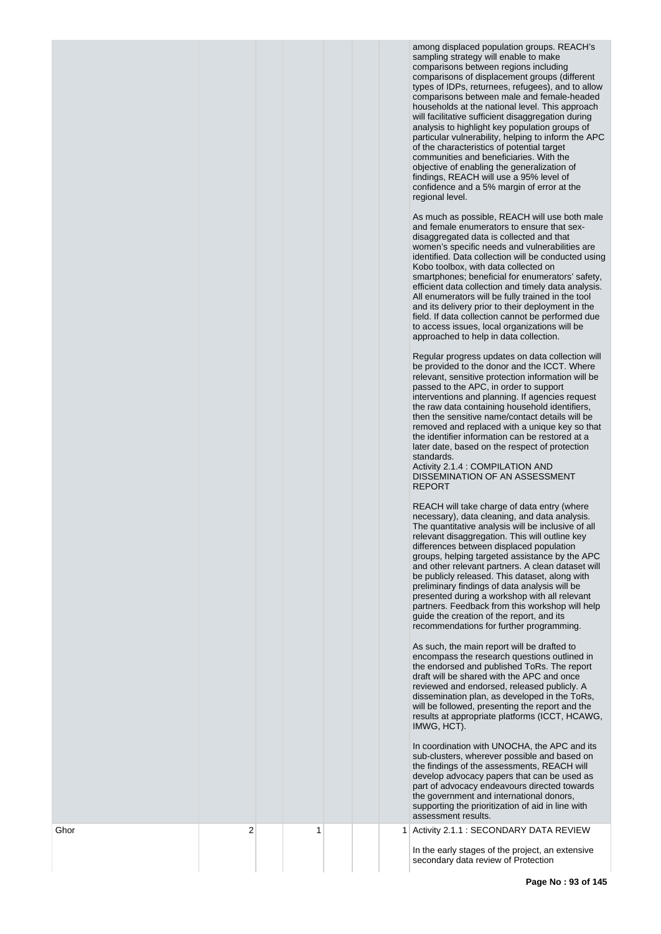among displaced population groups. REACH's sampling strategy will enable to make comparisons between regions including comparisons of displacement groups (different types of IDPs, returnees, refugees), and to allow comparisons between male and female-headed households at the national level. This approach will facilitative sufficient disaggregation during analysis to highlight key population groups of particular vulnerability, helping to inform the APC of the characteristics of potential target communities and beneficiaries. With the objective of enabling the generalization of findings, REACH will use a 95% level of confidence and a 5% margin of error at the regional level.

As much as possible, REACH will use both male and female enumerators to ensure that sexdisaggregated data is collected and that women's specific needs and vulnerabilities are identified. Data collection will be conducted using Kobo toolbox, with data collected on smartphones; beneficial for enumerators' safety, efficient data collection and timely data analysis. All enumerators will be fully trained in the tool and its delivery prior to their deployment in the field. If data collection cannot be performed due to access issues, local organizations will be approached to help in data collection.

Regular progress updates on data collection will be provided to the donor and the ICCT. Where relevant, sensitive protection information will be passed to the APC, in order to support interventions and planning. If agencies request the raw data containing household identifiers, then the sensitive name/contact details will be removed and replaced with a unique key so that the identifier information can be restored at a later date, based on the respect of protection standards.

Activity 2.1.4 : COMPILATION AND DISSEMINATION OF AN ASSESSMENT REPORT

REACH will take charge of data entry (where necessary), data cleaning, and data analysis. The quantitative analysis will be inclusive of all relevant disaggregation. This will outline key differences between displaced population groups, helping targeted assistance by the APC and other relevant partners. A clean dataset will be publicly released. This dataset, along with preliminary findings of data analysis will be presented during a workshop with all relevant partners. Feedback from this workshop will help guide the creation of the report, and its recommendations for further programming.

As such, the main report will be drafted to encompass the research questions outlined in the endorsed and published ToRs. The report draft will be shared with the APC and once reviewed and endorsed, released publicly. A dissemination plan, as developed in the ToRs, will be followed, presenting the report and the results at appropriate platforms (ICCT, HCAWG, IMWG, HCT).

In coordination with UNOCHA, the APC and its sub-clusters, wherever possible and based on the findings of the assessments, REACH will develop advocacy papers that can be used as part of advocacy endeavours directed towards the government and international donors, supporting the prioritization of aid in line with assessment results.

1 Activity 2.1.1 : SECONDARY DATA REVIEW

**Ghor** 

2

1

In the early stages of the project, an extensive secondary data review of Protection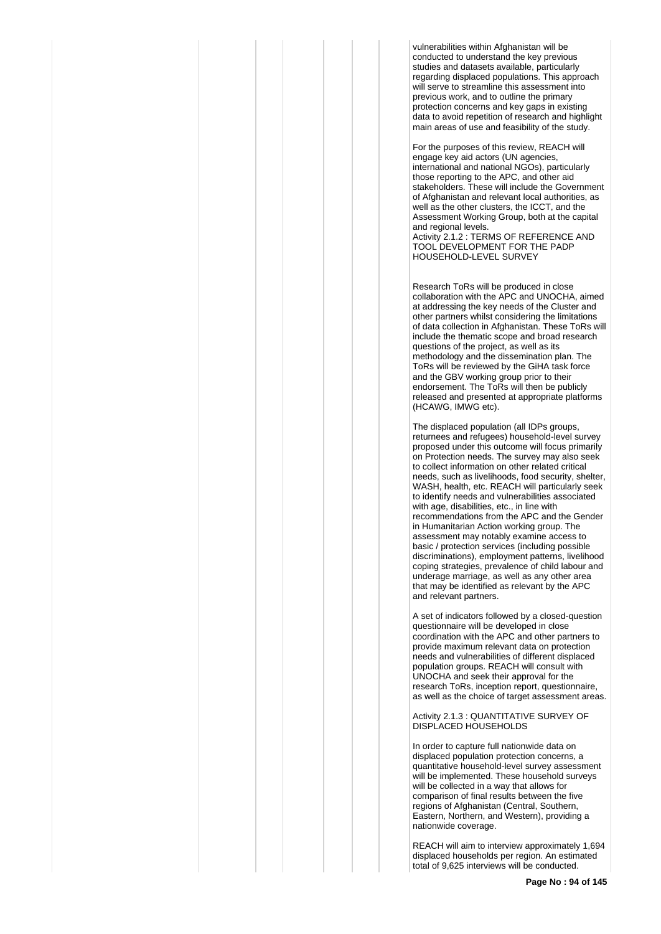vulnerabilities within Afghanistan will be conducted to understand the key previous studies and datasets available, particularly regarding displaced populations. This approach will serve to streamline this assessment into previous work, and to outline the primary protection concerns and key gaps in existing data to avoid repetition of research and highlight main areas of use and feasibility of the study.

For the purposes of this review, REACH will engage key aid actors (UN agencies, international and national NGOs), particularly those reporting to the APC, and other aid stakeholders. These will include the Government of Afghanistan and relevant local authorities, as well as the other clusters, the ICCT, and the Assessment Working Group, both at the capital and regional levels. Activity 2.1.2 : TERMS OF REFERENCE AND TOOL DEVELOPMENT FOR THE PADP HOUSEHOLD-LEVEL SURVEY

Research ToRs will be produced in close collaboration with the APC and UNOCHA, aimed at addressing the key needs of the Cluster and other partners whilst considering the limitations of data collection in Afghanistan. These ToRs will include the thematic scope and broad research questions of the project, as well as its methodology and the dissemination plan. The ToRs will be reviewed by the GiHA task force and the GBV working group prior to their endorsement. The ToRs will then be publicly released and presented at appropriate platforms (HCAWG, IMWG etc).

The displaced population (all IDPs groups, returnees and refugees) household-level survey proposed under this outcome will focus primarily on Protection needs. The survey may also seek to collect information on other related critical needs, such as livelihoods, food security, shelter, WASH, health, etc. REACH will particularly seek to identify needs and vulnerabilities associated with age, disabilities, etc., in line with recommendations from the APC and the Gender in Humanitarian Action working group. The assessment may notably examine access to basic / protection services (including possible discriminations), employment patterns, livelihood coping strategies, prevalence of child labour and underage marriage, as well as any other area that may be identified as relevant by the APC and relevant partners.

A set of indicators followed by a closed-question questionnaire will be developed in close coordination with the APC and other partners to provide maximum relevant data on protection needs and vulnerabilities of different displaced population groups. REACH will consult with UNOCHA and seek their approval for the research ToRs, inception report, questionnaire, as well as the choice of target assessment areas.

Activity 2.1.3 : QUANTITATIVE SURVEY OF DISPLACED HOUSEHOLDS

In order to capture full nationwide data on displaced population protection concerns, a quantitative household-level survey assessment will be implemented. These household surveys will be collected in a way that allows for comparison of final results between the five regions of Afghanistan (Central, Southern, Eastern, Northern, and Western), providing a nationwide coverage.

REACH will aim to interview approximately 1,694 displaced households per region. An estimated total of 9,625 interviews will be conducted.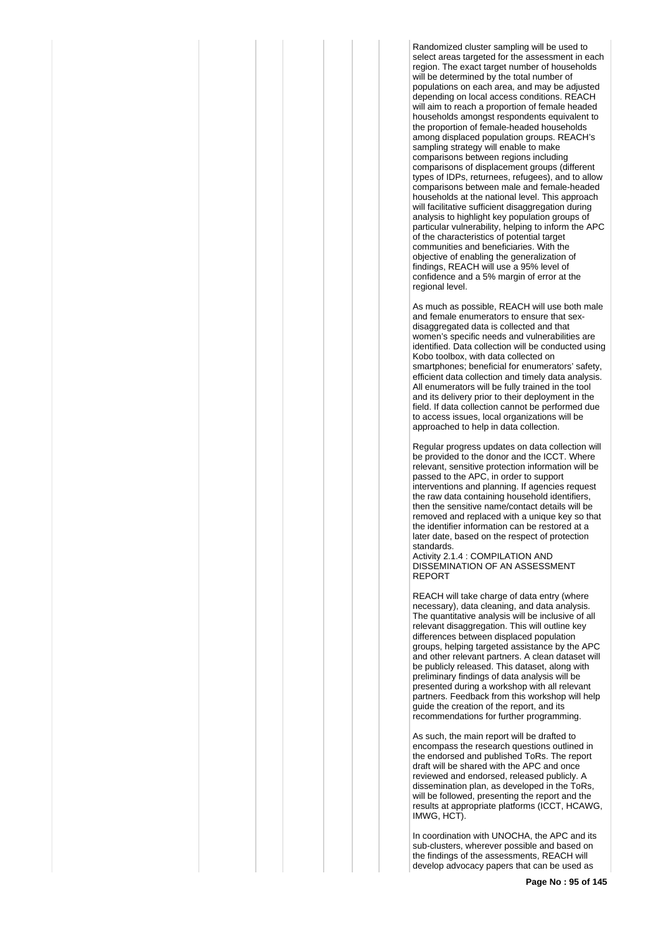Randomized cluster sampling will be used to select areas targeted for the assessment in each region. The exact target number of households will be determined by the total number of populations on each area, and may be adjusted depending on local access conditions. REACH will aim to reach a proportion of female headed households amongst respondents equivalent to the proportion of female-headed households among displaced population groups. REACH's sampling strategy will enable to make comparisons between regions including comparisons of displacement groups (different types of IDPs, returnees, refugees), and to allow comparisons between male and female-headed households at the national level. This approach will facilitative sufficient disaggregation during analysis to highlight key population groups of particular vulnerability, helping to inform the APC of the characteristics of potential target communities and beneficiaries. With the objective of enabling the generalization of findings, REACH will use a 95% level of confidence and a 5% margin of error at the regional level.

As much as possible, REACH will use both male and female enumerators to ensure that sexdisaggregated data is collected and that women's specific needs and vulnerabilities are identified. Data collection will be conducted using Kobo toolbox, with data collected on smartphones; beneficial for enumerators' safety, efficient data collection and timely data analysis. All enumerators will be fully trained in the tool and its delivery prior to their deployment in the field. If data collection cannot be performed due to access issues, local organizations will be approached to help in data collection.

Regular progress updates on data collection will be provided to the donor and the ICCT. Where relevant, sensitive protection information will be passed to the APC, in order to support interventions and planning. If agencies request the raw data containing household identifiers, then the sensitive name/contact details will be removed and replaced with a unique key so that the identifier information can be restored at a later date, based on the respect of protection standards.

Activity 2.1.4 : COMPILATION AND DISSEMINATION OF AN ASSESSMENT REPORT

REACH will take charge of data entry (where necessary), data cleaning, and data analysis. The quantitative analysis will be inclusive of all relevant disaggregation. This will outline key differences between displaced population groups, helping targeted assistance by the APC and other relevant partners. A clean dataset will be publicly released. This dataset, along with preliminary findings of data analysis will be presented during a workshop with all relevant partners. Feedback from this workshop will help guide the creation of the report, and its recommendations for further programming.

As such, the main report will be drafted to encompass the research questions outlined in the endorsed and published ToRs. The report draft will be shared with the APC and once reviewed and endorsed, released publicly. A dissemination plan, as developed in the ToRs, will be followed, presenting the report and the results at appropriate platforms (ICCT, HCAWG, IMWG, HCT).

In coordination with UNOCHA, the APC and its sub-clusters, wherever possible and based on the findings of the assessments, REACH will develop advocacy papers that can be used as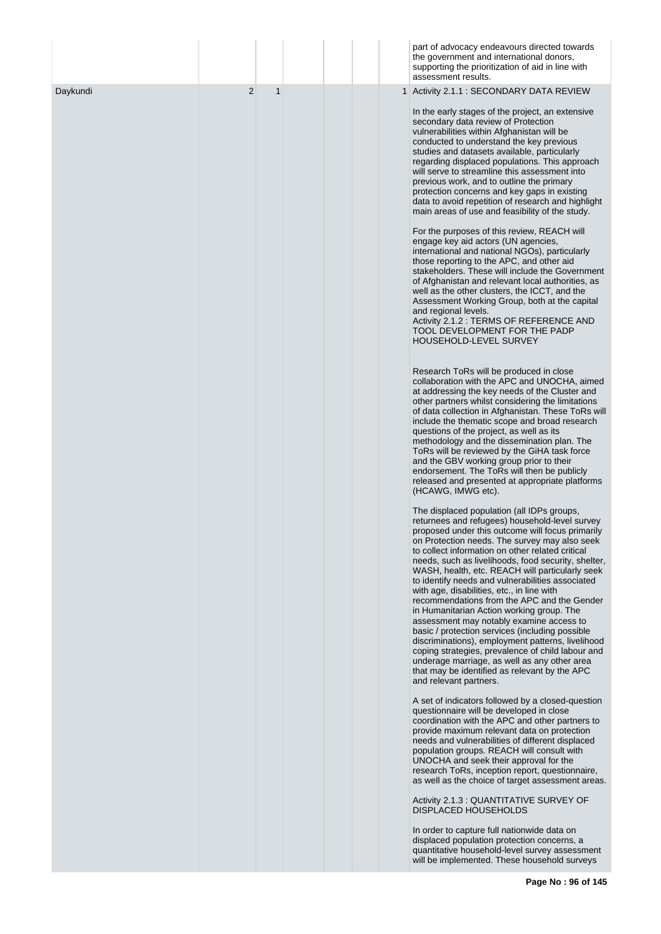|          |                     | part of advocacy endeavours directed towards<br>the government and international donors,<br>supporting the prioritization of aid in line with<br>assessment results.                                                                                                                                                                                                                                                                                                                                                                                                                                                                                                                                                                                                                                                                                                                              |
|----------|---------------------|---------------------------------------------------------------------------------------------------------------------------------------------------------------------------------------------------------------------------------------------------------------------------------------------------------------------------------------------------------------------------------------------------------------------------------------------------------------------------------------------------------------------------------------------------------------------------------------------------------------------------------------------------------------------------------------------------------------------------------------------------------------------------------------------------------------------------------------------------------------------------------------------------|
| Daykundi | $\overline{2}$<br>1 | 1 Activity 2.1.1 : SECONDARY DATA REVIEW                                                                                                                                                                                                                                                                                                                                                                                                                                                                                                                                                                                                                                                                                                                                                                                                                                                          |
|          |                     | In the early stages of the project, an extensive<br>secondary data review of Protection<br>vulnerabilities within Afghanistan will be<br>conducted to understand the key previous<br>studies and datasets available, particularly<br>regarding displaced populations. This approach<br>will serve to streamline this assessment into<br>previous work, and to outline the primary<br>protection concerns and key gaps in existing<br>data to avoid repetition of research and highlight<br>main areas of use and feasibility of the study.                                                                                                                                                                                                                                                                                                                                                        |
|          |                     | For the purposes of this review, REACH will<br>engage key aid actors (UN agencies,<br>international and national NGOs), particularly<br>those reporting to the APC, and other aid<br>stakeholders. These will include the Government<br>of Afghanistan and relevant local authorities, as<br>well as the other clusters, the ICCT, and the<br>Assessment Working Group, both at the capital<br>and regional levels.<br>Activity 2.1.2 : TERMS OF REFERENCE AND<br>TOOL DEVELOPMENT FOR THE PADP<br>HOUSEHOLD-LEVEL SURVEY                                                                                                                                                                                                                                                                                                                                                                         |
|          |                     | Research ToRs will be produced in close<br>collaboration with the APC and UNOCHA, aimed<br>at addressing the key needs of the Cluster and<br>other partners whilst considering the limitations<br>of data collection in Afghanistan. These ToRs will<br>include the thematic scope and broad research<br>questions of the project, as well as its<br>methodology and the dissemination plan. The<br>ToRs will be reviewed by the GiHA task force<br>and the GBV working group prior to their<br>endorsement. The ToRs will then be publicly<br>released and presented at appropriate platforms<br>(HCAWG, IMWG etc).                                                                                                                                                                                                                                                                              |
|          |                     | The displaced population (all IDPs groups,<br>returnees and refugees) household-level survey<br>proposed under this outcome will focus primarily<br>on Protection needs. The survey may also seek<br>to collect information on other related critical<br>needs, such as livelihoods, food security, shelter,<br>WASH, health, etc. REACH will particularly seek<br>to identify needs and vulnerabilities associated<br>with age, disabilities, etc., in line with<br>recommendations from the APC and the Gender<br>in Humanitarian Action working group. The<br>assessment may notably examine access to<br>basic / protection services (including possible<br>discriminations), employment patterns, livelihood<br>coping strategies, prevalence of child labour and<br>underage marriage, as well as any other area<br>that may be identified as relevant by the APC<br>and relevant partners. |
|          |                     | A set of indicators followed by a closed-question<br>questionnaire will be developed in close<br>coordination with the APC and other partners to<br>provide maximum relevant data on protection<br>needs and vulnerabilities of different displaced<br>population groups. REACH will consult with<br>UNOCHA and seek their approval for the<br>research ToRs, inception report, questionnaire,<br>as well as the choice of target assessment areas.                                                                                                                                                                                                                                                                                                                                                                                                                                               |
|          |                     | Activity 2.1.3 : QUANTITATIVE SURVEY OF<br><b>DISPLACED HOUSEHOLDS</b>                                                                                                                                                                                                                                                                                                                                                                                                                                                                                                                                                                                                                                                                                                                                                                                                                            |
|          |                     | In order to capture full nationwide data on<br>displaced population protection concerns, a<br>quantitative household-level survey assessment<br>will be implemented. These household surveys                                                                                                                                                                                                                                                                                                                                                                                                                                                                                                                                                                                                                                                                                                      |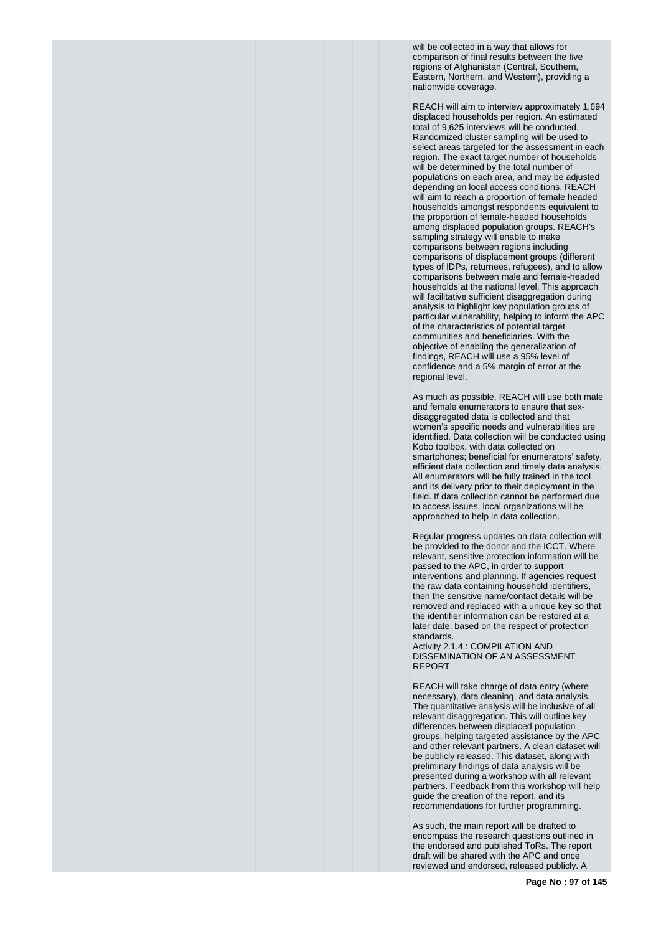will be collected in a way that allows for comparison of final results between the five regions of Afghanistan (Central, Southern, Eastern, Northern, and Western), providing a nationwide coverage.

REACH will aim to interview approximately 1,694 displaced households per region. An estimated total of 9,625 interviews will be conducted. Randomized cluster sampling will be used to select areas targeted for the assessment in each region. The exact target number of households will be determined by the total number of populations on each area, and may be adjusted depending on local access conditions. REACH will aim to reach a proportion of female headed households amongst respondents equivalent to the proportion of female-headed households among displaced population groups. REACH's sampling strategy will enable to make comparisons between regions including comparisons of displacement groups (different types of IDPs, returnees, refugees), and to allow comparisons between male and female-headed households at the national level. This approach will facilitative sufficient disaggregation during analysis to highlight key population groups of particular vulnerability, helping to inform the APC of the characteristics of potential target communities and beneficiaries. With the objective of enabling the generalization of findings, REACH will use a 95% level of confidence and a 5% margin of error at the regional level.

As much as possible, REACH will use both male and female enumerators to ensure that sexdisaggregated data is collected and that women's specific needs and vulnerabilities are identified. Data collection will be conducted using Kobo toolbox, with data collected on smartphones; beneficial for enumerators' safety, efficient data collection and timely data analysis. All enumerators will be fully trained in the tool and its delivery prior to their deployment in the field. If data collection cannot be performed due to access issues, local organizations will be approached to help in data collection.

Regular progress updates on data collection will be provided to the donor and the ICCT. Where relevant, sensitive protection information will be passed to the APC, in order to support interventions and planning. If agencies request the raw data containing household identifiers, then the sensitive name/contact details will be removed and replaced with a unique key so that the identifier information can be restored at a later date, based on the respect of protection standards.

Activity 2.1.4 : COMPILATION AND DISSEMINATION OF AN ASSESSMENT REPORT

REACH will take charge of data entry (where necessary), data cleaning, and data analysis. The quantitative analysis will be inclusive of all relevant disaggregation. This will outline key differences between displaced population groups, helping targeted assistance by the APC and other relevant partners. A clean dataset will be publicly released. This dataset, along with preliminary findings of data analysis will be presented during a workshop with all relevant partners. Feedback from this workshop will help guide the creation of the report, and its recommendations for further programming.

As such, the main report will be drafted to encompass the research questions outlined in the endorsed and published ToRs. The report draft will be shared with the APC and once reviewed and endorsed, released publicly. A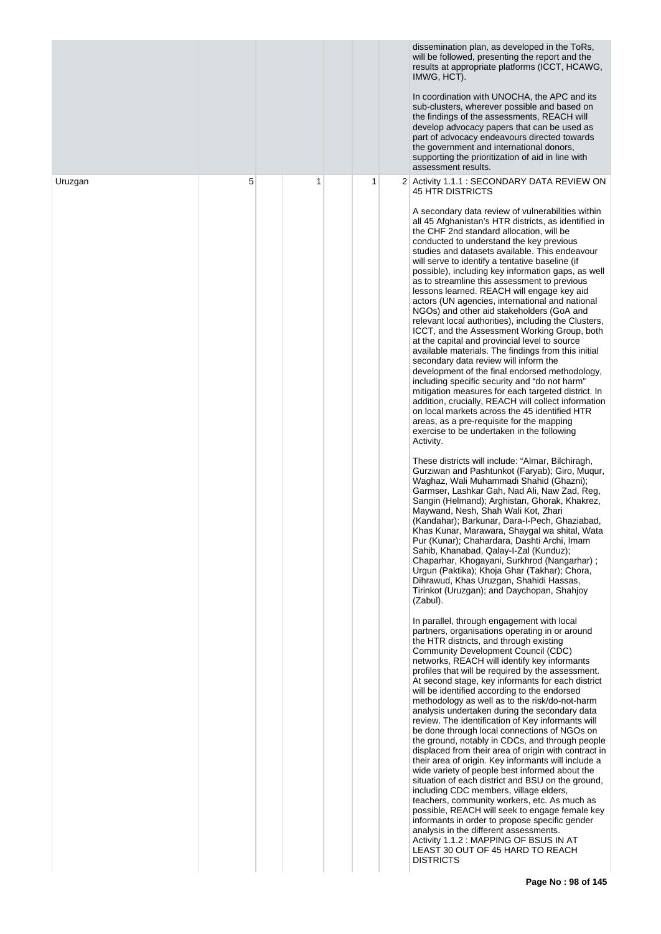|         |   |   |   | dissemination plan, as developed in the ToRs,<br>will be followed, presenting the report and the<br>results at appropriate platforms (ICCT, HCAWG,<br>IMWG, HCT).<br>In coordination with UNOCHA, the APC and its<br>sub-clusters, wherever possible and based on<br>the findings of the assessments, REACH will<br>develop advocacy papers that can be used as<br>part of advocacy endeavours directed towards<br>the government and international donors,<br>supporting the prioritization of aid in line with<br>assessment results.                                                                                                                                                                                                                                                                                                                                                                                                                                                                                                                                                                                                                                                                                                                                                                                                                                                                                                                                                                                                                                                                                                                                                                                                                                                                                                                                                                                                                                                                                                                                                                                                                                                                                                                                                                                                                                                                                                                                                                                                                                                                                                                                                                                                                                                                                                                                                                                                                                                                                                                                                                                                                                                |
|---------|---|---|---|----------------------------------------------------------------------------------------------------------------------------------------------------------------------------------------------------------------------------------------------------------------------------------------------------------------------------------------------------------------------------------------------------------------------------------------------------------------------------------------------------------------------------------------------------------------------------------------------------------------------------------------------------------------------------------------------------------------------------------------------------------------------------------------------------------------------------------------------------------------------------------------------------------------------------------------------------------------------------------------------------------------------------------------------------------------------------------------------------------------------------------------------------------------------------------------------------------------------------------------------------------------------------------------------------------------------------------------------------------------------------------------------------------------------------------------------------------------------------------------------------------------------------------------------------------------------------------------------------------------------------------------------------------------------------------------------------------------------------------------------------------------------------------------------------------------------------------------------------------------------------------------------------------------------------------------------------------------------------------------------------------------------------------------------------------------------------------------------------------------------------------------------------------------------------------------------------------------------------------------------------------------------------------------------------------------------------------------------------------------------------------------------------------------------------------------------------------------------------------------------------------------------------------------------------------------------------------------------------------------------------------------------------------------------------------------------------------------------------------------------------------------------------------------------------------------------------------------------------------------------------------------------------------------------------------------------------------------------------------------------------------------------------------------------------------------------------------------------------------------------------------------------------------------------------------------|
| Uruzgan | 5 | 1 | 1 | 2 Activity 1.1.1 : SECONDARY DATA REVIEW ON<br><b>45 HTR DISTRICTS</b><br>A secondary data review of vulnerabilities within<br>all 45 Afghanistan's HTR districts, as identified in<br>the CHF 2nd standard allocation, will be<br>conducted to understand the key previous<br>studies and datasets available. This endeavour<br>will serve to identify a tentative baseline (if<br>possible), including key information gaps, as well<br>as to streamline this assessment to previous<br>lessons learned. REACH will engage key aid<br>actors (UN agencies, international and national<br>NGOs) and other aid stakeholders (GoA and<br>relevant local authorities), including the Clusters,<br>ICCT, and the Assessment Working Group, both<br>at the capital and provincial level to source<br>available materials. The findings from this initial<br>secondary data review will inform the<br>development of the final endorsed methodology,<br>including specific security and "do not harm"<br>mitigation measures for each targeted district. In<br>addition, crucially, REACH will collect information<br>on local markets across the 45 identified HTR<br>areas, as a pre-requisite for the mapping<br>exercise to be undertaken in the following<br>Activity.<br>These districts will include: "Almar, Bilchiragh,<br>Gurziwan and Pashtunkot (Faryab); Giro, Muqur,<br>Waghaz, Wali Muhammadi Shahid (Ghazni);<br>Garmser, Lashkar Gah, Nad Ali, Naw Zad, Reg,<br>Sangin (Helmand); Arghistan, Ghorak, Khakrez,<br>Maywand, Nesh, Shah Wali Kot, Zhari<br>(Kandahar); Barkunar, Dara-I-Pech, Ghaziabad,<br>Khas Kunar, Marawara, Shaygal wa shital, Wata<br>Pur (Kunar); Chahardara, Dashti Archi, Imam<br>Sahib, Khanabad, Qalay-I-Zal (Kunduz);<br>Chaparhar, Khogayani, Surkhrod (Nangarhar);<br>Urgun (Paktika); Khoja Ghar (Takhar); Chora,<br>Dihrawud, Khas Uruzgan, Shahidi Hassas,<br>Tirinkot (Uruzgan); and Daychopan, Shahjoy<br>(Zabul).<br>In parallel, through engagement with local<br>partners, organisations operating in or around<br>the HTR districts, and through existing<br>Community Development Council (CDC)<br>networks, REACH will identify key informants<br>profiles that will be required by the assessment.<br>At second stage, key informants for each district<br>will be identified according to the endorsed<br>methodology as well as to the risk/do-not-harm<br>analysis undertaken during the secondary data<br>review. The identification of Key informants will<br>be done through local connections of NGOs on<br>the ground, notably in CDCs, and through people<br>displaced from their area of origin with contract in<br>their area of origin. Key informants will include a<br>wide variety of people best informed about the<br>situation of each district and BSU on the ground,<br>including CDC members, village elders,<br>teachers, community workers, etc. As much as<br>possible, REACH will seek to engage female key<br>informants in order to propose specific gender<br>analysis in the different assessments.<br>Activity 1.1.2 : MAPPING OF BSUS IN AT<br>LEAST 30 OUT OF 45 HARD TO REACH<br><b>DISTRICTS</b> |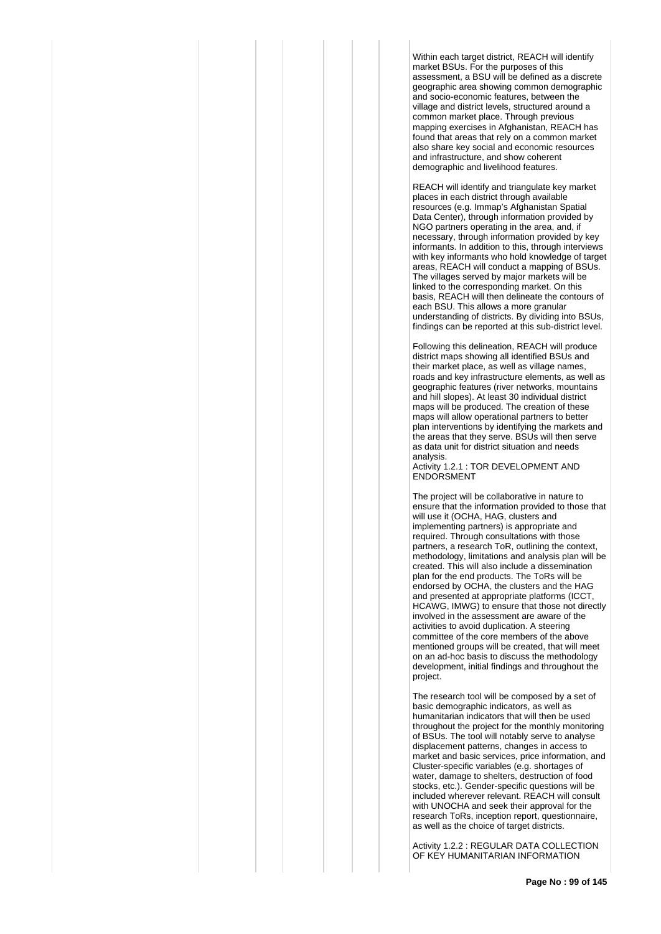Within each target district, REACH will identify market BSUs. For the purposes of this assessment, a BSU will be defined as a discrete geographic area showing common demographic and socio-economic features, between the village and district levels, structured around a common market place. Through previous mapping exercises in Afghanistan, REACH has found that areas that rely on a common market also share key social and economic resources and infrastructure, and show coherent demographic and livelihood features.

REACH will identify and triangulate key market places in each district through available resources (e.g. Immap's Afghanistan Spatial Data Center), through information provided by NGO partners operating in the area, and, if necessary, through information provided by key informants. In addition to this, through interviews with key informants who hold knowledge of target areas, REACH will conduct a mapping of BSUs. The villages served by major markets will be linked to the corresponding market. On this basis, REACH will then delineate the contours of each BSU. This allows a more granular understanding of districts. By dividing into BSUs, findings can be reported at this sub-district level.

Following this delineation, REACH will produce district maps showing all identified BSUs and their market place, as well as village names, roads and key infrastructure elements, as well as geographic features (river networks, mountains and hill slopes). At least 30 individual district maps will be produced. The creation of these maps will allow operational partners to better plan interventions by identifying the markets and the areas that they serve. BSUs will then serve as data unit for district situation and needs analysis.

Activity 1.2.1 : TOR DEVELOPMENT AND ENDORSMENT

The project will be collaborative in nature to ensure that the information provided to those that will use it (OCHA, HAG, clusters and implementing partners) is appropriate and required. Through consultations with those partners, a research ToR, outlining the context, methodology, limitations and analysis plan will be created. This will also include a dissemination plan for the end products. The ToRs will be endorsed by OCHA, the clusters and the HAG and presented at appropriate platforms (ICCT, HCAWG, IMWG) to ensure that those not directly involved in the assessment are aware of the activities to avoid duplication. A steering committee of the core members of the above mentioned groups will be created, that will meet on an ad-hoc basis to discuss the methodology development, initial findings and throughout the project.

The research tool will be composed by a set of basic demographic indicators, as well as humanitarian indicators that will then be used throughout the project for the monthly monitoring of BSUs. The tool will notably serve to analyse displacement patterns, changes in access to market and basic services, price information, and Cluster-specific variables (e.g. shortages of water, damage to shelters, destruction of food stocks, etc.). Gender-specific questions will be included wherever relevant. REACH will consult with UNOCHA and seek their approval for the research ToRs, inception report, questionnaire, as well as the choice of target districts.

Activity 1.2.2 : REGULAR DATA COLLECTION OF KEY HUMANITARIAN INFORMATION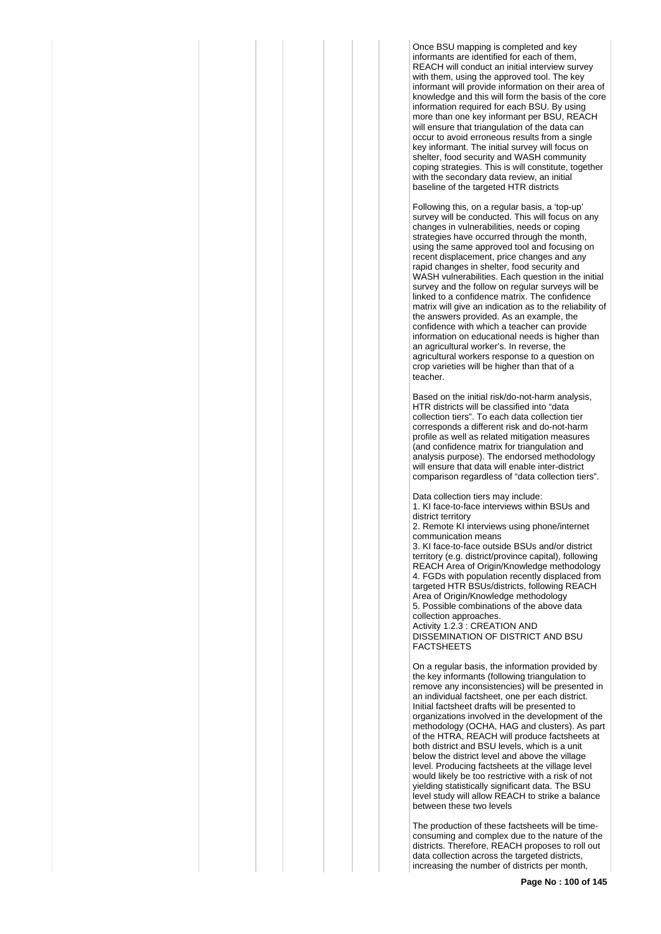Once BSU mapping is completed and key informants are identified for each of them, REACH will conduct an initial interview survey with them, using the approved tool. The key informant will provide information on their area of knowledge and this will form the basis of the core information required for each BSU. By using more than one key informant per BSU, REACH will ensure that triangulation of the data can occur to avoid erroneous results from a single key informant. The initial survey will focus on shelter, food security and WASH community coping strategies. This is will constitute, together with the secondary data review, an initial baseline of the targeted HTR districts

Following this, on a regular basis, a 'top-up' survey will be conducted. This will focus on any changes in vulnerabilities, needs or coping strategies have occurred through the month, using the same approved tool and focusing on recent displacement, price changes and any rapid changes in shelter, food security and WASH vulnerabilities. Each question in the initial survey and the follow on regular surveys will be linked to a confidence matrix. The confidence matrix will give an indication as to the reliability of the answers provided. As an example, the confidence with which a teacher can provide information on educational needs is higher than an agricultural worker's. In reverse, the agricultural workers response to a question on crop varieties will be higher than that of a teacher.

Based on the initial risk/do-not-harm analysis, HTR districts will be classified into "data collection tiers". To each data collection tier corresponds a different risk and do-not-harm profile as well as related mitigation measures (and confidence matrix for triangulation and analysis purpose). The endorsed methodology will ensure that data will enable inter-district comparison regardless of "data collection tiers".

Data collection tiers may include: 1. KI face-to-face interviews within BSUs and district territory 2. Remote KI interviews using phone/internet communication means 3. KI face-to-face outside BSUs and/or district territory (e.g. district/province capital), following REACH Area of Origin/Knowledge methodology 4. FGDs with population recently displaced from targeted HTR BSUs/districts, following REACH Area of Origin/Knowledge methodology 5. Possible combinations of the above data collection approaches.

Activity 1.2.3 : CREATION AND DISSEMINATION OF DISTRICT AND BSU FACTSHEETS

On a regular basis, the information provided by the key informants (following triangulation to remove any inconsistencies) will be presented in an individual factsheet, one per each district. Initial factsheet drafts will be presented to organizations involved in the development of the methodology (OCHA, HAG and clusters). As part of the HTRA, REACH will produce factsheets at both district and BSU levels, which is a unit below the district level and above the village level. Producing factsheets at the village level would likely be too restrictive with a risk of not yielding statistically significant data. The BSU level study will allow REACH to strike a balance between these two levels

The production of these factsheets will be timeconsuming and complex due to the nature of the districts. Therefore, REACH proposes to roll out data collection across the targeted districts, increasing the number of districts per month,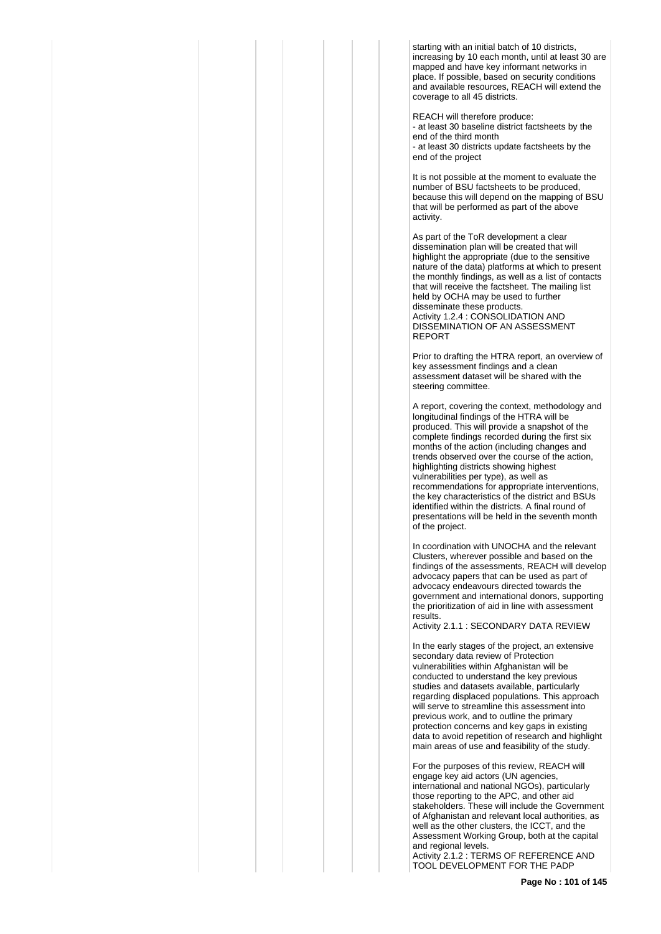starting with an initial batch of 10 districts, increasing by 10 each month, until at least 30 are mapped and have key informant networks in place. If possible, based on security conditions and available resources, REACH will extend the coverage to all 45 districts.

REACH will therefore produce: - at least 30 baseline district factsheets by the end of the third month - at least 30 districts update factsheets by the end of the project

It is not possible at the moment to evaluate the number of BSU factsheets to be produced, because this will depend on the mapping of BSU that will be performed as part of the above activity.

As part of the ToR development a clear dissemination plan will be created that will highlight the appropriate (due to the sensitive nature of the data) platforms at which to present the monthly findings, as well as a list of contacts that will receive the factsheet. The mailing list held by OCHA may be used to further disseminate these products. Activity 1.2.4 : CONSOLIDATION AND DISSEMINATION OF AN ASSESSMENT REPORT

Prior to drafting the HTRA report, an overview of key assessment findings and a clean assessment dataset will be shared with the steering committee.

A report, covering the context, methodology and longitudinal findings of the HTRA will be produced. This will provide a snapshot of the complete findings recorded during the first six months of the action (including changes and trends observed over the course of the action, highlighting districts showing highest vulnerabilities per type), as well as recommendations for appropriate interventions, the key characteristics of the district and BSUs identified within the districts. A final round of presentations will be held in the seventh month of the project.

In coordination with UNOCHA and the relevant Clusters, wherever possible and based on the findings of the assessments, REACH will develop advocacy papers that can be used as part of advocacy endeavours directed towards the government and international donors, supporting the prioritization of aid in line with assessment results.

Activity 2.1.1 : SECONDARY DATA REVIEW

In the early stages of the project, an extensive secondary data review of Protection vulnerabilities within Afghanistan will be conducted to understand the key previous studies and datasets available, particularly regarding displaced populations. This approach will serve to streamline this assessment into previous work, and to outline the primary protection concerns and key gaps in existing data to avoid repetition of research and highlight main areas of use and feasibility of the study.

For the purposes of this review, REACH will engage key aid actors (UN agencies, international and national NGOs), particularly those reporting to the APC, and other aid stakeholders. These will include the Government of Afghanistan and relevant local authorities, as well as the other clusters, the ICCT, and the Assessment Working Group, both at the capital and regional levels.

Activity 2.1.2 : TERMS OF REFERENCE AND TOOL DEVELOPMENT FOR THE PADP

**Page No : 101 of 145**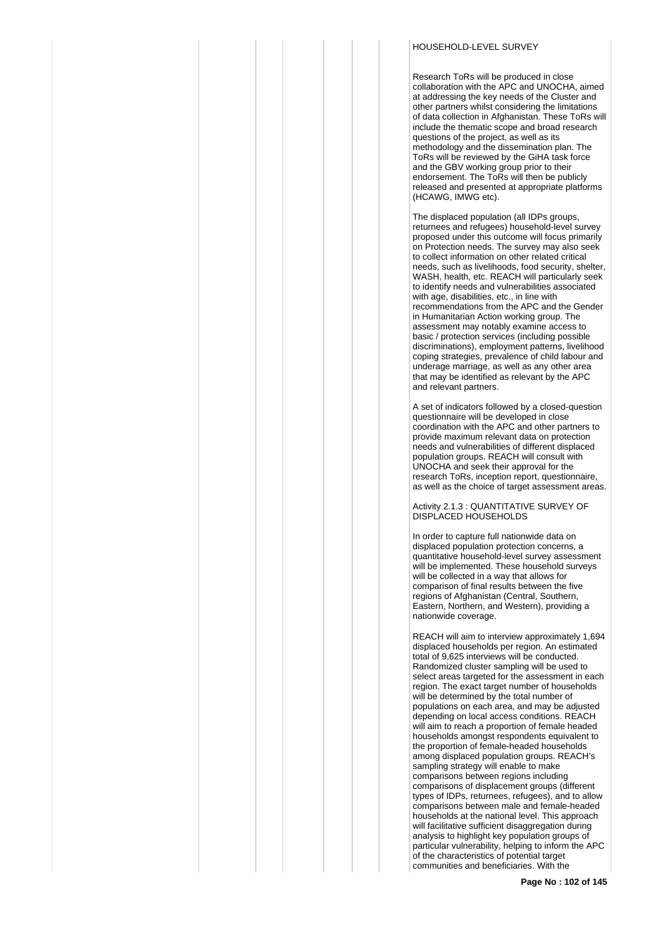## HOUSEHOLD-LEVEL SURVEY

Research ToRs will be produced in close collaboration with the APC and UNOCHA, aimed at addressing the key needs of the Cluster and other partners whilst considering the limitations of data collection in Afghanistan. These ToRs will include the thematic scope and broad research questions of the project, as well as its methodology and the dissemination plan. The ToRs will be reviewed by the GiHA task force and the GBV working group prior to their endorsement. The ToRs will then be publicly released and presented at appropriate platforms (HCAWG, IMWG etc).

The displaced population (all IDPs groups, returnees and refugees) household-level survey proposed under this outcome will focus primarily on Protection needs. The survey may also seek to collect information on other related critical needs, such as livelihoods, food security, shelter, WASH, health, etc. REACH will particularly seek to identify needs and vulnerabilities associated with age, disabilities, etc., in line with recommendations from the APC and the Gender in Humanitarian Action working group. The assessment may notably examine access to basic / protection services (including possible discriminations), employment patterns, livelihood coping strategies, prevalence of child labour and underage marriage, as well as any other area that may be identified as relevant by the APC and relevant partners.

A set of indicators followed by a closed-question questionnaire will be developed in close coordination with the APC and other partners to provide maximum relevant data on protection needs and vulnerabilities of different displaced population groups. REACH will consult with UNOCHA and seek their approval for the research ToRs, inception report, questionnaire, as well as the choice of target assessment areas.

Activity 2.1.3 : QUANTITATIVE SURVEY OF DISPLACED HOUSEHOLDS

In order to capture full nationwide data on displaced population protection concerns, a quantitative household-level survey assessment will be implemented. These household surveys will be collected in a way that allows for comparison of final results between the five regions of Afghanistan (Central, Southern, Eastern, Northern, and Western), providing a nationwide coverage.

REACH will aim to interview approximately 1,694 displaced households per region. An estimated total of 9,625 interviews will be conducted. Randomized cluster sampling will be used to select areas targeted for the assessment in each region. The exact target number of households will be determined by the total number of populations on each area, and may be adjusted depending on local access conditions. REACH will aim to reach a proportion of female headed households amongst respondents equivalent to the proportion of female-headed households among displaced population groups. REACH's sampling strategy will enable to make comparisons between regions including comparisons of displacement groups (different types of IDPs, returnees, refugees), and to allow comparisons between male and female-headed households at the national level. This approach will facilitative sufficient disaggregation during analysis to highlight key population groups of particular vulnerability, helping to inform the APC of the characteristics of potential target communities and beneficiaries. With the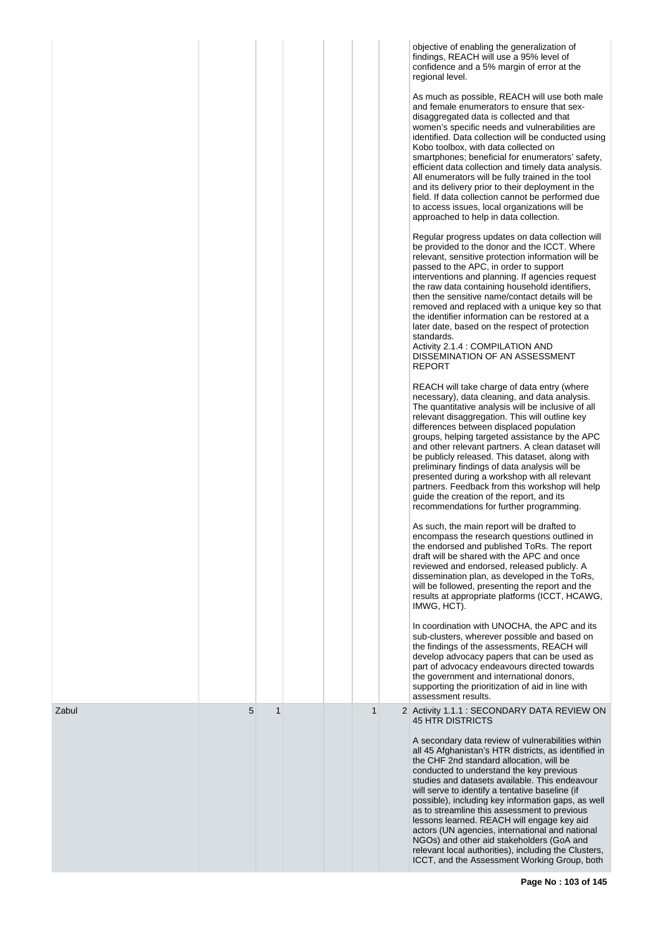|       |   |              |  |              | objective of enabling the generalization of<br>findings, REACH will use a 95% level of<br>confidence and a 5% margin of error at the<br>regional level.<br>As much as possible, REACH will use both male                                                                                                                                                                                                                                                                                                                                                                                                                                                |
|-------|---|--------------|--|--------------|---------------------------------------------------------------------------------------------------------------------------------------------------------------------------------------------------------------------------------------------------------------------------------------------------------------------------------------------------------------------------------------------------------------------------------------------------------------------------------------------------------------------------------------------------------------------------------------------------------------------------------------------------------|
|       |   |              |  |              | and female enumerators to ensure that sex-<br>disaggregated data is collected and that<br>women's specific needs and vulnerabilities are<br>identified. Data collection will be conducted using<br>Kobo toolbox, with data collected on<br>smartphones; beneficial for enumerators' safety,<br>efficient data collection and timely data analysis.<br>All enumerators will be fully trained in the tool<br>and its delivery prior to their deployment in the<br>field. If data collection cannot be performed due<br>to access issues, local organizations will be<br>approached to help in data collection.                                            |
|       |   |              |  |              | Regular progress updates on data collection will<br>be provided to the donor and the ICCT. Where<br>relevant, sensitive protection information will be<br>passed to the APC, in order to support<br>interventions and planning. If agencies request<br>the raw data containing household identifiers,<br>then the sensitive name/contact details will be<br>removed and replaced with a unique key so that<br>the identifier information can be restored at a<br>later date, based on the respect of protection<br>standards.<br>Activity 2.1.4 : COMPILATION AND<br>DISSEMINATION OF AN ASSESSMENT<br><b>REPORT</b>                                    |
|       |   |              |  |              | REACH will take charge of data entry (where<br>necessary), data cleaning, and data analysis.<br>The quantitative analysis will be inclusive of all<br>relevant disaggregation. This will outline key<br>differences between displaced population<br>groups, helping targeted assistance by the APC<br>and other relevant partners. A clean dataset will<br>be publicly released. This dataset, along with<br>preliminary findings of data analysis will be<br>presented during a workshop with all relevant<br>partners. Feedback from this workshop will help<br>guide the creation of the report, and its<br>recommendations for further programming. |
|       |   |              |  |              | As such, the main report will be drafted to<br>encompass the research questions outlined in<br>the endorsed and published ToRs. The report<br>draft will be shared with the APC and once<br>reviewed and endorsed, released publicly. A<br>dissemination plan, as developed in the ToRs,<br>will be followed, presenting the report and the<br>results at appropriate platforms (ICCT, HCAWG,<br>IMWG, HCT).                                                                                                                                                                                                                                            |
|       |   |              |  |              | In coordination with UNOCHA, the APC and its<br>sub-clusters, wherever possible and based on<br>the findings of the assessments, REACH will<br>develop advocacy papers that can be used as<br>part of advocacy endeavours directed towards<br>the government and international donors,<br>supporting the prioritization of aid in line with<br>assessment results.                                                                                                                                                                                                                                                                                      |
| Zabul | 5 | $\mathbf{1}$ |  | $\mathbf{1}$ | 2 Activity 1.1.1 : SECONDARY DATA REVIEW ON<br>45 HTR DISTRICTS                                                                                                                                                                                                                                                                                                                                                                                                                                                                                                                                                                                         |
|       |   |              |  |              | A secondary data review of vulnerabilities within<br>all 45 Afghanistan's HTR districts, as identified in<br>the CHF 2nd standard allocation, will be<br>conducted to understand the key previous<br>studies and datasets available. This endeavour<br>will serve to identify a tentative baseline (if<br>possible), including key information gaps, as well<br>as to streamline this assessment to previous<br>lessons learned. REACH will engage key aid<br>actors (UN agencies, international and national<br>NGOs) and other aid stakeholders (GoA and                                                                                              |
|       |   |              |  |              | relevant local authorities), including the Clusters,<br>ICCT, and the Assessment Working Group, both                                                                                                                                                                                                                                                                                                                                                                                                                                                                                                                                                    |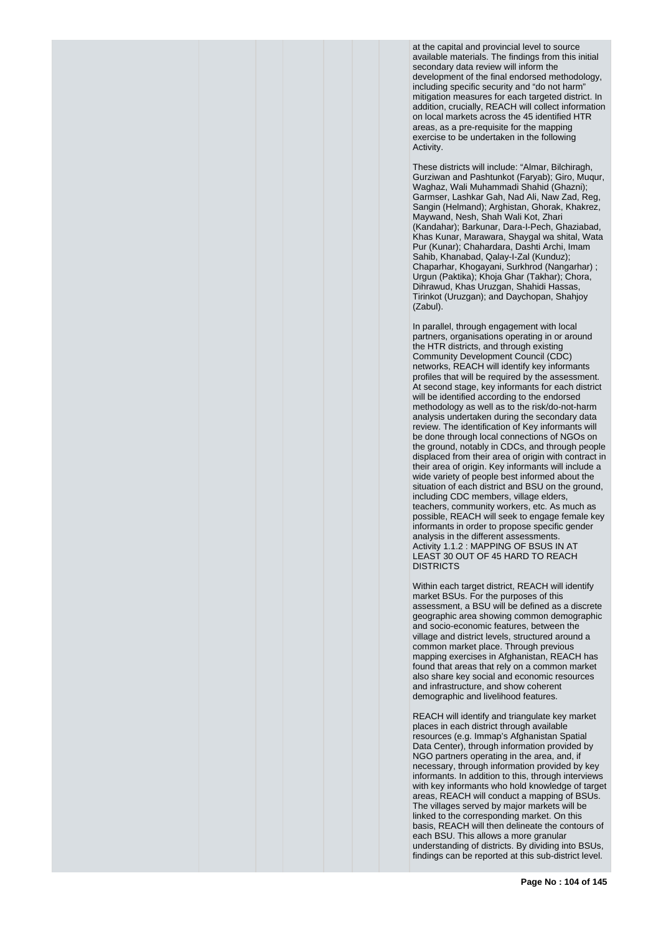at the capital and provincial level to source available materials. The findings from this initial secondary data review will inform the development of the final endorsed methodology, including specific security and "do not harm" mitigation measures for each targeted district. In addition, crucially, REACH will collect information on local markets across the 45 identified HTR areas, as a pre-requisite for the mapping exercise to be undertaken in the following Activity.

These districts will include: "Almar, Bilchiragh, Gurziwan and Pashtunkot (Faryab); Giro, Muqur, Waghaz, Wali Muhammadi Shahid (Ghazni); Garmser, Lashkar Gah, Nad Ali, Naw Zad, Reg, Sangin (Helmand); Arghistan, Ghorak, Khakrez, Maywand, Nesh, Shah Wali Kot, Zhari (Kandahar); Barkunar, Dara-I-Pech, Ghaziabad, Khas Kunar, Marawara, Shaygal wa shital, Wata Pur (Kunar); Chahardara, Dashti Archi, Imam Sahib, Khanabad, Qalay-I-Zal (Kunduz); Chaparhar, Khogayani, Surkhrod (Nangarhar) ; Urgun (Paktika); Khoja Ghar (Takhar); Chora, Dihrawud, Khas Uruzgan, Shahidi Hassas, Tirinkot (Uruzgan); and Daychopan, Shahjoy (Zabul).

In parallel, through engagement with local partners, organisations operating in or around the HTR districts, and through existing Community Development Council (CDC) networks, REACH will identify key informants profiles that will be required by the assessment. At second stage, key informants for each district will be identified according to the endorsed methodology as well as to the risk/do-not-harm analysis undertaken during the secondary data review. The identification of Key informants will be done through local connections of NGOs on the ground, notably in CDCs, and through people displaced from their area of origin with contract in their area of origin. Key informants will include a wide variety of people best informed about the situation of each district and BSU on the ground, including CDC members, village elders, teachers, community workers, etc. As much as possible, REACH will seek to engage female key informants in order to propose specific gender analysis in the different assessments. Activity 1.1.2 : MAPPING OF BSUS IN AT LEAST 30 OUT OF 45 HARD TO REACH **DISTRICTS** 

Within each target district, REACH will identify market BSUs. For the purposes of this assessment, a BSU will be defined as a discrete geographic area showing common demographic and socio-economic features, between the village and district levels, structured around a common market place. Through previous mapping exercises in Afghanistan, REACH has found that areas that rely on a common market also share key social and economic resources and infrastructure, and show coherent demographic and livelihood features.

REACH will identify and triangulate key market places in each district through available resources (e.g. Immap's Afghanistan Spatial Data Center), through information provided by NGO partners operating in the area, and, if necessary, through information provided by key informants. In addition to this, through interviews with key informants who hold knowledge of target areas, REACH will conduct a mapping of BSUs. The villages served by major markets will be linked to the corresponding market. On this basis, REACH will then delineate the contours of each BSU. This allows a more granular understanding of districts. By dividing into BSUs, findings can be reported at this sub-district level.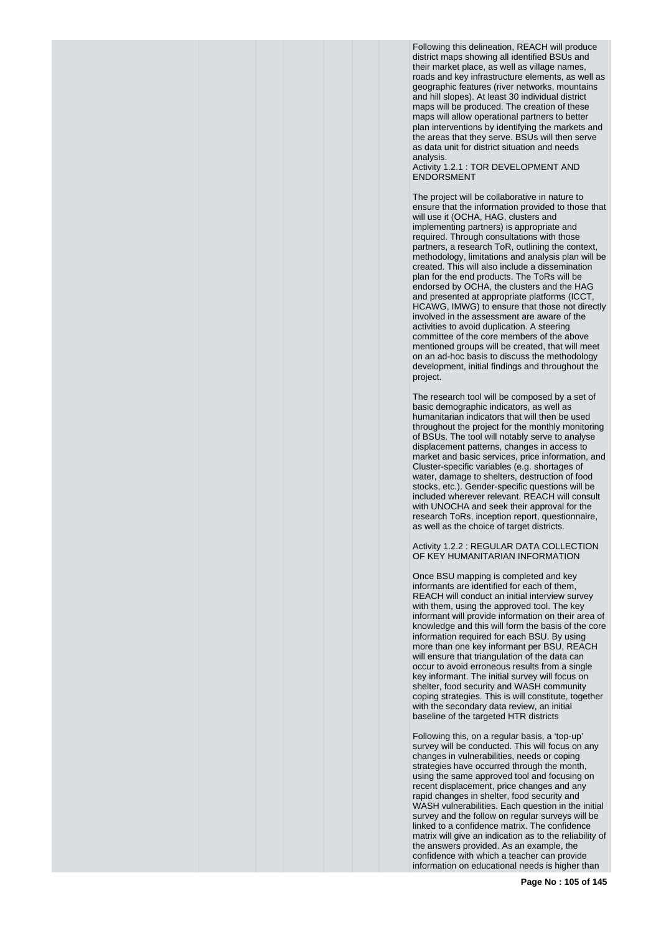Following this delineation, REACH will produce district maps showing all identified BSUs and their market place, as well as village names, roads and key infrastructure elements, as well as geographic features (river networks, mountains and hill slopes). At least 30 individual district maps will be produced. The creation of these maps will allow operational partners to better plan interventions by identifying the markets and the areas that they serve. BSUs will then serve as data unit for district situation and needs analysis.

Activity 1.2.1 : TOR DEVELOPMENT AND ENDORSMENT

The project will be collaborative in nature to ensure that the information provided to those that will use it (OCHA, HAG, clusters and implementing partners) is appropriate and required. Through consultations with those partners, a research ToR, outlining the context, methodology, limitations and analysis plan will be created. This will also include a dissemination plan for the end products. The ToRs will be endorsed by OCHA, the clusters and the HAG and presented at appropriate platforms (ICCT, HCAWG, IMWG) to ensure that those not directly involved in the assessment are aware of the activities to avoid duplication. A steering committee of the core members of the above mentioned groups will be created, that will meet on an ad-hoc basis to discuss the methodology development, initial findings and throughout the project.

The research tool will be composed by a set of basic demographic indicators, as well as humanitarian indicators that will then be used throughout the project for the monthly monitoring of BSUs. The tool will notably serve to analyse displacement patterns, changes in access to market and basic services, price information, and Cluster-specific variables (e.g. shortages of water, damage to shelters, destruction of food stocks, etc.). Gender-specific questions will be included wherever relevant. REACH will consult with UNOCHA and seek their approval for the research ToRs, inception report, questionnaire, as well as the choice of target districts.

Activity 1.2.2 : REGULAR DATA COLLECTION OF KEY HUMANITARIAN INFORMATION

Once BSU mapping is completed and key informants are identified for each of them, REACH will conduct an initial interview survey with them, using the approved tool. The key informant will provide information on their area of knowledge and this will form the basis of the core information required for each BSU. By using more than one key informant per BSU, REACH will ensure that triangulation of the data can occur to avoid erroneous results from a single key informant. The initial survey will focus on shelter, food security and WASH community coping strategies. This is will constitute, together with the secondary data review, an initial baseline of the targeted HTR districts

Following this, on a regular basis, a 'top-up' survey will be conducted. This will focus on any changes in vulnerabilities, needs or coping strategies have occurred through the month, using the same approved tool and focusing on recent displacement, price changes and any rapid changes in shelter, food security and WASH vulnerabilities. Each question in the initial survey and the follow on regular surveys will be linked to a confidence matrix. The confidence matrix will give an indication as to the reliability of the answers provided. As an example, the confidence with which a teacher can provide information on educational needs is higher than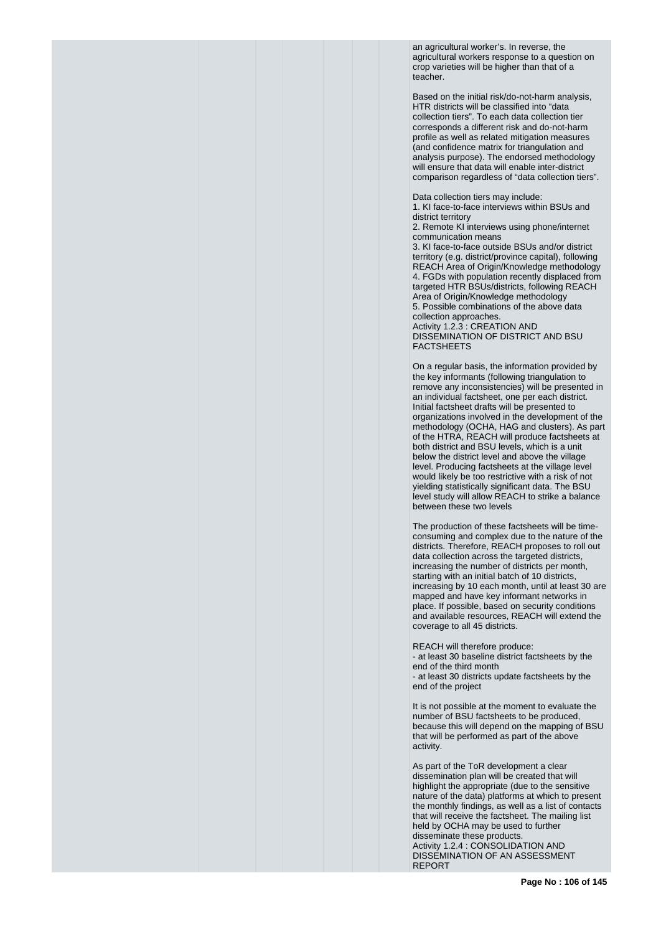an agricultural worker's. In reverse, the agricultural workers response to a question on crop varieties will be higher than that of a teacher.

Based on the initial risk/do-not-harm analysis, HTR districts will be classified into "data collection tiers". To each data collection tier corresponds a different risk and do-not-harm profile as well as related mitigation measures (and confidence matrix for triangulation and analysis purpose). The endorsed methodology will ensure that data will enable inter-district comparison regardless of "data collection tiers".

Data collection tiers may include:

1. KI face-to-face interviews within BSUs and district territory

2. Remote KI interviews using phone/internet communication means

3. KI face-to-face outside BSUs and/or district territory (e.g. district/province capital), following REACH Area of Origin/Knowledge methodology 4. FGDs with population recently displaced from targeted HTR BSUs/districts, following REACH Area of Origin/Knowledge methodology 5. Possible combinations of the above data collection approaches. Activity 1.2.3 : CREATION AND DISSEMINATION OF DISTRICT AND BSU **FACTSHEETS** 

On a regular basis, the information provided by the key informants (following triangulation to remove any inconsistencies) will be presented in an individual factsheet, one per each district. Initial factsheet drafts will be presented to organizations involved in the development of the methodology (OCHA, HAG and clusters). As part of the HTRA, REACH will produce factsheets at both district and BSU levels, which is a unit below the district level and above the village level. Producing factsheets at the village level would likely be too restrictive with a risk of not yielding statistically significant data. The BSU level study will allow REACH to strike a balance between these two levels

The production of these factsheets will be timeconsuming and complex due to the nature of the districts. Therefore, REACH proposes to roll out data collection across the targeted districts, increasing the number of districts per month, starting with an initial batch of 10 districts, increasing by 10 each month, until at least 30 are mapped and have key informant networks in place. If possible, based on security conditions and available resources, REACH will extend the coverage to all 45 districts.

REACH will therefore produce: - at least 30 baseline district factsheets by the end of the third month - at least 30 districts update factsheets by the end of the project

It is not possible at the moment to evaluate the number of BSU factsheets to be produced, because this will depend on the mapping of BSU that will be performed as part of the above activity.

As part of the ToR development a clear dissemination plan will be created that will highlight the appropriate (due to the sensitive nature of the data) platforms at which to present the monthly findings, as well as a list of contacts that will receive the factsheet. The mailing list held by OCHA may be used to further disseminate these products. Activity 1.2.4 : CONSOLIDATION AND DISSEMINATION OF AN ASSESSMENT REPORT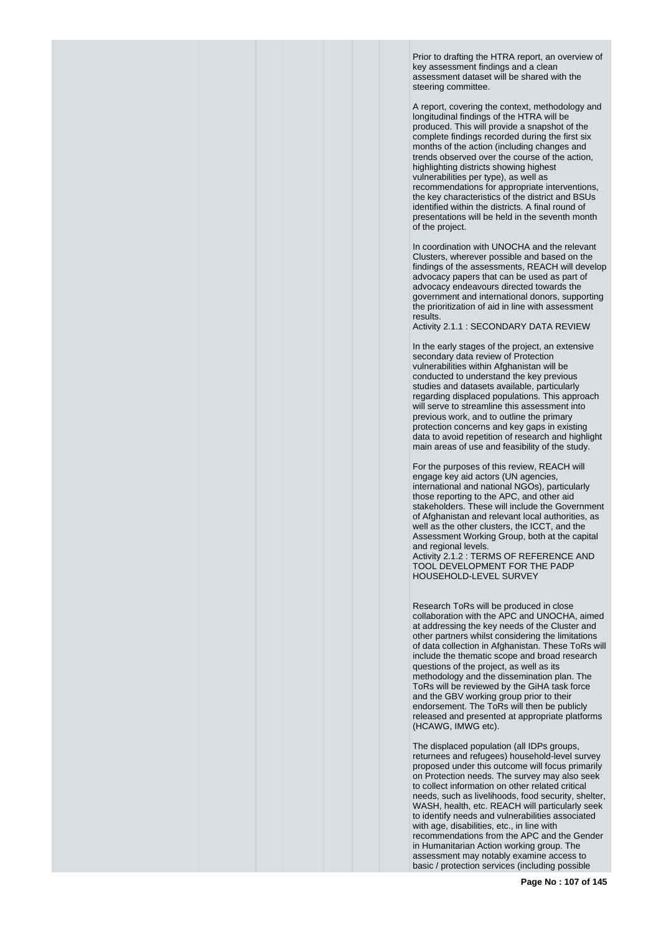Prior to drafting the HTRA report, an overview of key assessment findings and a clean assessment dataset will be shared with the steering committee.

A report, covering the context, methodology and longitudinal findings of the HTRA will be produced. This will provide a snapshot of the complete findings recorded during the first six months of the action (including changes and trends observed over the course of the action, highlighting districts showing highest vulnerabilities per type), as well as recommendations for appropriate interventions, the key characteristics of the district and BSUs identified within the districts. A final round of presentations will be held in the seventh month of the project.

In coordination with UNOCHA and the relevant Clusters, wherever possible and based on the findings of the assessments, REACH will develop advocacy papers that can be used as part of advocacy endeavours directed towards the government and international donors, supporting the prioritization of aid in line with assessment results.

Activity 2.1.1 : SECONDARY DATA REVIEW

In the early stages of the project, an extensive secondary data review of Protection vulnerabilities within Afghanistan will be conducted to understand the key previous studies and datasets available, particularly regarding displaced populations. This approach will serve to streamline this assessment into previous work, and to outline the primary protection concerns and key gaps in existing data to avoid repetition of research and highlight main areas of use and feasibility of the study.

For the purposes of this review, REACH will engage key aid actors (UN agencies, international and national NGOs), particularly those reporting to the APC, and other aid stakeholders. These will include the Government of Afghanistan and relevant local authorities, as well as the other clusters, the ICCT, and the Assessment Working Group, both at the capital and regional levels. Activity 2.1.2 : TERMS OF REFERENCE AND TOOL DEVELOPMENT FOR THE PADP HOUSEHOLD-LEVEL SURVEY

Research ToRs will be produced in close collaboration with the APC and UNOCHA, aimed at addressing the key needs of the Cluster and other partners whilst considering the limitations of data collection in Afghanistan. These ToRs will include the thematic scope and broad research questions of the project, as well as its methodology and the dissemination plan. The ToRs will be reviewed by the GiHA task force and the GBV working group prior to their endorsement. The ToRs will then be publicly released and presented at appropriate platforms (HCAWG, IMWG etc).

The displaced population (all IDPs groups, returnees and refugees) household-level survey proposed under this outcome will focus primarily on Protection needs. The survey may also seek to collect information on other related critical needs, such as livelihoods, food security, shelter, WASH, health, etc. REACH will particularly seek to identify needs and vulnerabilities associated with age, disabilities, etc., in line with recommendations from the APC and the Gender in Humanitarian Action working group. The assessment may notably examine access to basic / protection services (including possible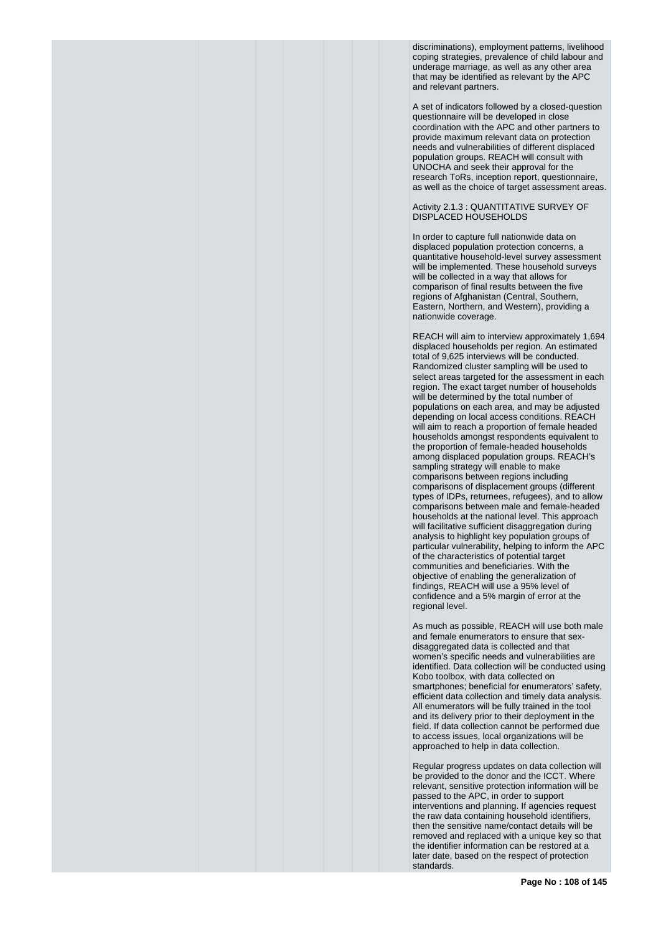discriminations), employment patterns, livelihood coping strategies, prevalence of child labour and underage marriage, as well as any other area that may be identified as relevant by the APC and relevant partners.

A set of indicators followed by a closed-question questionnaire will be developed in close coordination with the APC and other partners to provide maximum relevant data on protection needs and vulnerabilities of different displaced population groups. REACH will consult with UNOCHA and seek their approval for the research ToRs, inception report, questionnaire, as well as the choice of target assessment areas.

Activity 2.1.3 : QUANTITATIVE SURVEY OF DISPLACED HOUSEHOLDS

In order to capture full nationwide data on displaced population protection concerns, a quantitative household-level survey assessment will be implemented. These household surveys will be collected in a way that allows for comparison of final results between the five regions of Afghanistan (Central, Southern, Eastern, Northern, and Western), providing a nationwide coverage.

REACH will aim to interview approximately 1,694 displaced households per region. An estimated total of 9,625 interviews will be conducted. Randomized cluster sampling will be used to select areas targeted for the assessment in each region. The exact target number of households will be determined by the total number of populations on each area, and may be adjusted depending on local access conditions. REACH will aim to reach a proportion of female headed households amongst respondents equivalent to the proportion of female-headed households among displaced population groups. REACH's sampling strategy will enable to make comparisons between regions including comparisons of displacement groups (different types of IDPs, returnees, refugees), and to allow comparisons between male and female-headed households at the national level. This approach will facilitative sufficient disaggregation during analysis to highlight key population groups of particular vulnerability, helping to inform the APC of the characteristics of potential target communities and beneficiaries. With the objective of enabling the generalization of findings, REACH will use a 95% level of confidence and a 5% margin of error at the regional level.

As much as possible, REACH will use both male and female enumerators to ensure that sexdisaggregated data is collected and that women's specific needs and vulnerabilities are identified. Data collection will be conducted using Kobo toolbox, with data collected on smartphones; beneficial for enumerators' safety, efficient data collection and timely data analysis. All enumerators will be fully trained in the tool and its delivery prior to their deployment in the field. If data collection cannot be performed due to access issues, local organizations will be approached to help in data collection.

Regular progress updates on data collection will be provided to the donor and the ICCT. Where relevant, sensitive protection information will be passed to the APC, in order to support interventions and planning. If agencies request the raw data containing household identifiers, then the sensitive name/contact details will be removed and replaced with a unique key so that the identifier information can be restored at a later date, based on the respect of protection standards.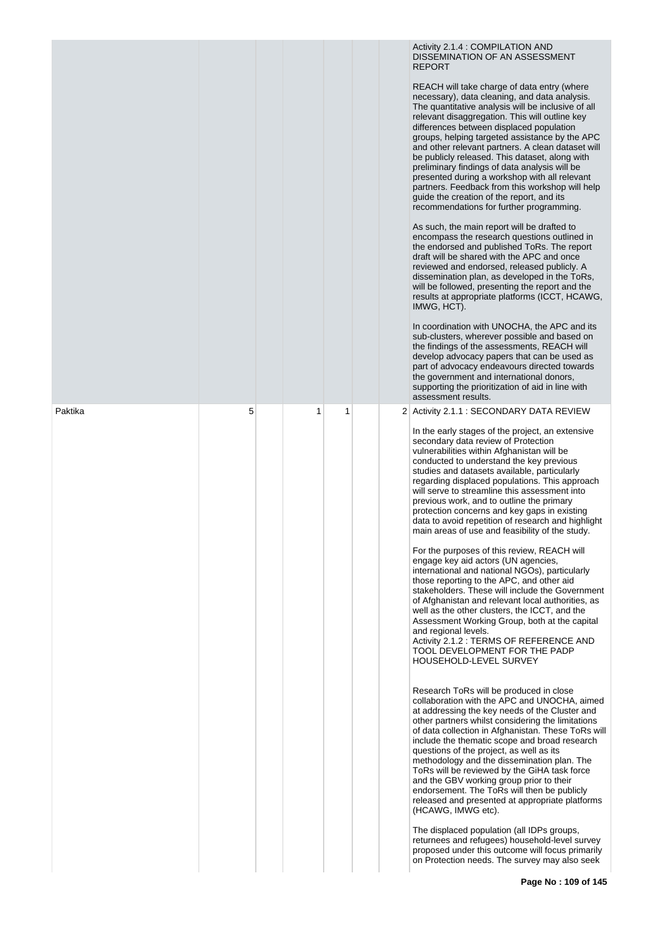|         |   |   |   |  | Activity 2.1.4 : COMPILATION AND<br>DISSEMINATION OF AN ASSESSMENT<br><b>REPORT</b><br>REACH will take charge of data entry (where<br>necessary), data cleaning, and data analysis.<br>The quantitative analysis will be inclusive of all<br>relevant disaggregation. This will outline key<br>differences between displaced population<br>groups, helping targeted assistance by the APC<br>and other relevant partners. A clean dataset will<br>be publicly released. This dataset, along with<br>preliminary findings of data analysis will be<br>presented during a workshop with all relevant<br>partners. Feedback from this workshop will help<br>guide the creation of the report, and its<br>recommendations for further programming.<br>As such, the main report will be drafted to<br>encompass the research questions outlined in<br>the endorsed and published ToRs. The report<br>draft will be shared with the APC and once<br>reviewed and endorsed, released publicly. A<br>dissemination plan, as developed in the ToRs,<br>will be followed, presenting the report and the<br>results at appropriate platforms (ICCT, HCAWG,<br>IMWG, HCT).<br>In coordination with UNOCHA, the APC and its<br>sub-clusters, wherever possible and based on<br>the findings of the assessments, REACH will<br>develop advocacy papers that can be used as<br>part of advocacy endeavours directed towards<br>the government and international donors,<br>supporting the prioritization of aid in line with<br>assessment results. |
|---------|---|---|---|--|--------------------------------------------------------------------------------------------------------------------------------------------------------------------------------------------------------------------------------------------------------------------------------------------------------------------------------------------------------------------------------------------------------------------------------------------------------------------------------------------------------------------------------------------------------------------------------------------------------------------------------------------------------------------------------------------------------------------------------------------------------------------------------------------------------------------------------------------------------------------------------------------------------------------------------------------------------------------------------------------------------------------------------------------------------------------------------------------------------------------------------------------------------------------------------------------------------------------------------------------------------------------------------------------------------------------------------------------------------------------------------------------------------------------------------------------------------------------------------------------------------------------------------------|
| Paktika | 5 | 1 | 1 |  | 2 Activity 2.1.1 : SECONDARY DATA REVIEW<br>In the early stages of the project, an extensive                                                                                                                                                                                                                                                                                                                                                                                                                                                                                                                                                                                                                                                                                                                                                                                                                                                                                                                                                                                                                                                                                                                                                                                                                                                                                                                                                                                                                                         |
|         |   |   |   |  | secondary data review of Protection<br>vulnerabilities within Afghanistan will be<br>conducted to understand the key previous<br>studies and datasets available, particularly<br>regarding displaced populations. This approach<br>will serve to streamline this assessment into<br>previous work, and to outline the primary<br>protection concerns and key gaps in existing<br>data to avoid repetition of research and highlight<br>main areas of use and feasibility of the study.                                                                                                                                                                                                                                                                                                                                                                                                                                                                                                                                                                                                                                                                                                                                                                                                                                                                                                                                                                                                                                               |
|         |   |   |   |  | For the purposes of this review, REACH will<br>engage key aid actors (UN agencies,<br>international and national NGOs), particularly<br>those reporting to the APC, and other aid<br>stakeholders. These will include the Government<br>of Afghanistan and relevant local authorities, as<br>well as the other clusters, the ICCT, and the<br>Assessment Working Group, both at the capital<br>and regional levels.<br>Activity 2.1.2 : TERMS OF REFERENCE AND<br>TOOL DEVELOPMENT FOR THE PADP<br><b>HOUSEHOLD-LEVEL SURVEY</b>                                                                                                                                                                                                                                                                                                                                                                                                                                                                                                                                                                                                                                                                                                                                                                                                                                                                                                                                                                                                     |
|         |   |   |   |  | Research ToRs will be produced in close<br>collaboration with the APC and UNOCHA, aimed<br>at addressing the key needs of the Cluster and<br>other partners whilst considering the limitations<br>of data collection in Afghanistan. These ToRs will<br>include the thematic scope and broad research<br>questions of the project, as well as its<br>methodology and the dissemination plan. The<br>ToRs will be reviewed by the GiHA task force<br>and the GBV working group prior to their<br>endorsement. The ToRs will then be publicly<br>released and presented at appropriate platforms<br>(HCAWG, IMWG etc).                                                                                                                                                                                                                                                                                                                                                                                                                                                                                                                                                                                                                                                                                                                                                                                                                                                                                                                 |
|         |   |   |   |  | The displaced population (all IDPs groups,<br>returnees and refugees) household-level survey<br>proposed under this outcome will focus primarily<br>on Protection needs. The survey may also seek                                                                                                                                                                                                                                                                                                                                                                                                                                                                                                                                                                                                                                                                                                                                                                                                                                                                                                                                                                                                                                                                                                                                                                                                                                                                                                                                    |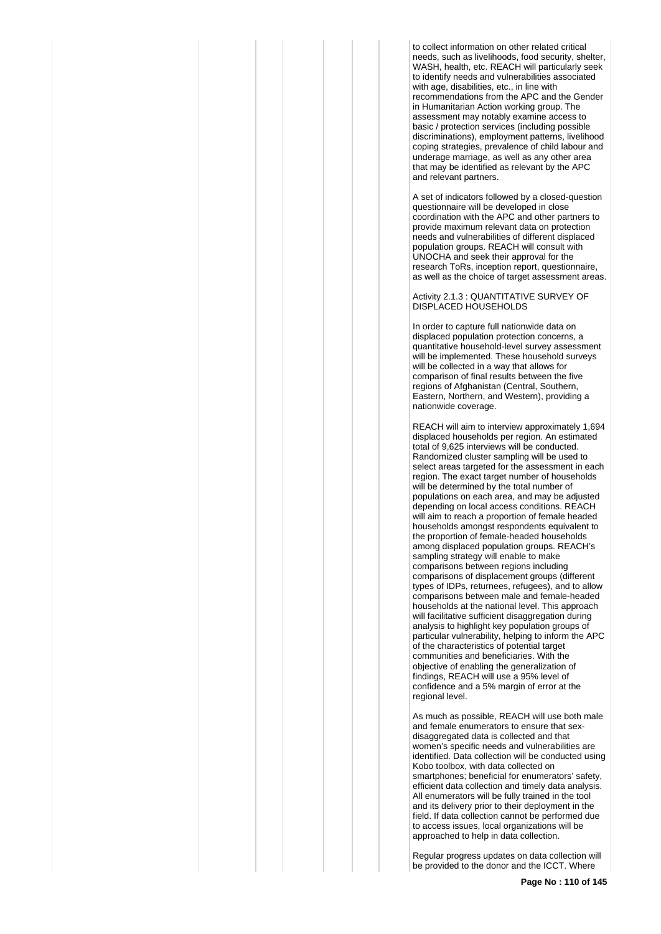to collect information on other related critical needs, such as livelihoods, food security, shelter, WASH, health, etc. REACH will particularly seek to identify needs and vulnerabilities associated with age, disabilities, etc., in line with recommendations from the APC and the Gender in Humanitarian Action working group. The assessment may notably examine access to basic / protection services (including possible discriminations), employment patterns, livelihood coping strategies, prevalence of child labour and underage marriage, as well as any other area that may be identified as relevant by the APC and relevant partners.

A set of indicators followed by a closed-question questionnaire will be developed in close coordination with the APC and other partners to provide maximum relevant data on protection needs and vulnerabilities of different displaced population groups. REACH will consult with UNOCHA and seek their approval for the research ToRs, inception report, questionnaire, as well as the choice of target assessment areas.

Activity 2.1.3 : QUANTITATIVE SURVEY OF DISPLACED HOUSEHOLDS

In order to capture full nationwide data on displaced population protection concerns, a quantitative household-level survey assessment will be implemented. These household surveys will be collected in a way that allows for comparison of final results between the five regions of Afghanistan (Central, Southern, Eastern, Northern, and Western), providing a nationwide coverage.

REACH will aim to interview approximately 1,694 displaced households per region. An estimated total of 9,625 interviews will be conducted. Randomized cluster sampling will be used to select areas targeted for the assessment in each region. The exact target number of households will be determined by the total number of populations on each area, and may be adjusted depending on local access conditions. REACH will aim to reach a proportion of female headed households amongst respondents equivalent to the proportion of female-headed households among displaced population groups. REACH's sampling strategy will enable to make comparisons between regions including comparisons of displacement groups (different types of IDPs, returnees, refugees), and to allow comparisons between male and female-headed households at the national level. This approach will facilitative sufficient disaggregation during analysis to highlight key population groups of particular vulnerability, helping to inform the APC of the characteristics of potential target communities and beneficiaries. With the objective of enabling the generalization of findings, REACH will use a 95% level of confidence and a 5% margin of error at the regional level.

As much as possible, REACH will use both male and female enumerators to ensure that sexdisaggregated data is collected and that women's specific needs and vulnerabilities are identified. Data collection will be conducted using Kobo toolbox, with data collected on smartphones; beneficial for enumerators' safety. efficient data collection and timely data analysis. All enumerators will be fully trained in the tool and its delivery prior to their deployment in the field. If data collection cannot be performed due to access issues, local organizations will be approached to help in data collection.

Regular progress updates on data collection will be provided to the donor and the ICCT. Where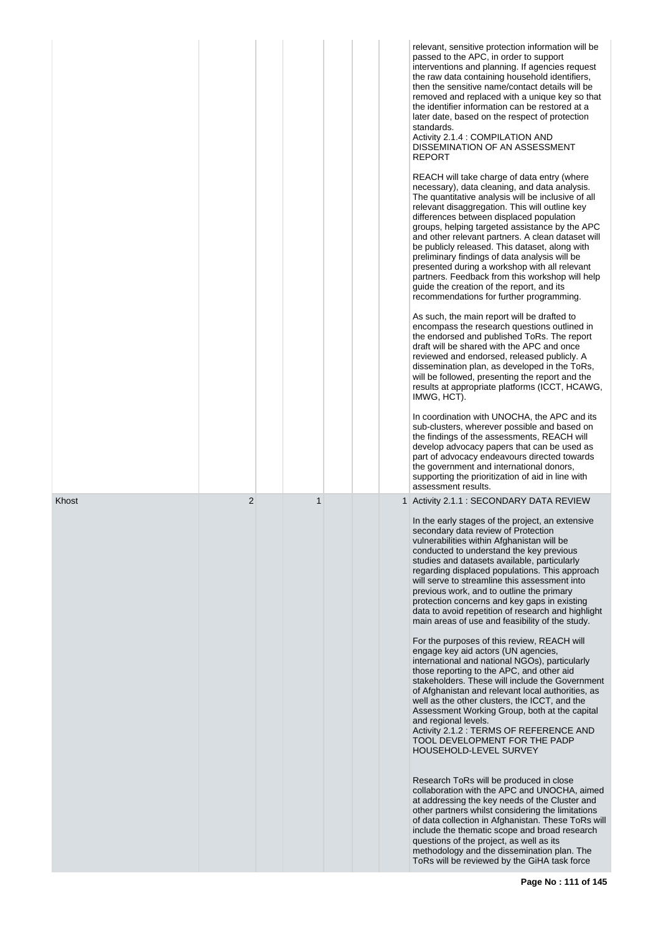|       |                |   | relevant, sensitive protection information will be<br>passed to the APC, in order to support<br>interventions and planning. If agencies request<br>the raw data containing household identifiers,<br>then the sensitive name/contact details will be<br>removed and replaced with a unique key so that<br>the identifier information can be restored at a<br>later date, based on the respect of protection<br>standards.<br>Activity 2.1.4 : COMPILATION AND<br>DISSEMINATION OF AN ASSESSMENT<br><b>REPORT</b><br>REACH will take charge of data entry (where<br>necessary), data cleaning, and data analysis.<br>The quantitative analysis will be inclusive of all<br>relevant disaggregation. This will outline key<br>differences between displaced population<br>groups, helping targeted assistance by the APC<br>and other relevant partners. A clean dataset will<br>be publicly released. This dataset, along with<br>preliminary findings of data analysis will be<br>presented during a workshop with all relevant<br>partners. Feedback from this workshop will help<br>guide the creation of the report, and its<br>recommendations for further programming.<br>As such, the main report will be drafted to<br>encompass the research questions outlined in<br>the endorsed and published ToRs. The report<br>draft will be shared with the APC and once<br>reviewed and endorsed, released publicly. A<br>dissemination plan, as developed in the ToRs,<br>will be followed, presenting the report and the<br>results at appropriate platforms (ICCT, HCAWG,<br>IMWG, HCT).<br>In coordination with UNOCHA, the APC and its<br>sub-clusters, wherever possible and based on<br>the findings of the assessments, REACH will<br>develop advocacy papers that can be used as<br>part of advocacy endeavours directed towards<br>the government and international donors,<br>supporting the prioritization of aid in line with |
|-------|----------------|---|--------------------------------------------------------------------------------------------------------------------------------------------------------------------------------------------------------------------------------------------------------------------------------------------------------------------------------------------------------------------------------------------------------------------------------------------------------------------------------------------------------------------------------------------------------------------------------------------------------------------------------------------------------------------------------------------------------------------------------------------------------------------------------------------------------------------------------------------------------------------------------------------------------------------------------------------------------------------------------------------------------------------------------------------------------------------------------------------------------------------------------------------------------------------------------------------------------------------------------------------------------------------------------------------------------------------------------------------------------------------------------------------------------------------------------------------------------------------------------------------------------------------------------------------------------------------------------------------------------------------------------------------------------------------------------------------------------------------------------------------------------------------------------------------------------------------------------------------------------------------------------------------------------------------------------------------|
| Khost | $\overline{2}$ | 1 | assessment results.<br>1 Activity 2.1.1 : SECONDARY DATA REVIEW<br>In the early stages of the project, an extensive<br>secondary data review of Protection<br>vulnerabilities within Afghanistan will be<br>conducted to understand the key previous<br>studies and datasets available, particularly<br>regarding displaced populations. This approach<br>will serve to streamline this assessment into<br>previous work, and to outline the primary<br>protection concerns and key gaps in existing<br>data to avoid repetition of research and highlight<br>main areas of use and feasibility of the study.<br>For the purposes of this review, REACH will<br>engage key aid actors (UN agencies,<br>international and national NGOs), particularly<br>those reporting to the APC, and other aid<br>stakeholders. These will include the Government<br>of Afghanistan and relevant local authorities, as<br>well as the other clusters, the ICCT, and the<br>Assessment Working Group, both at the capital<br>and regional levels.<br>Activity 2.1.2 : TERMS OF REFERENCE AND<br>TOOL DEVELOPMENT FOR THE PADP<br>HOUSEHOLD-LEVEL SURVEY<br>Research ToRs will be produced in close<br>collaboration with the APC and UNOCHA, aimed<br>at addressing the key needs of the Cluster and<br>other partners whilst considering the limitations<br>of data collection in Afghanistan. These ToRs will<br>include the thematic scope and broad research<br>questions of the project, as well as its<br>methodology and the dissemination plan. The<br>ToRs will be reviewed by the GiHA task force                                                                                                                                                                                                                                                                                                                                             |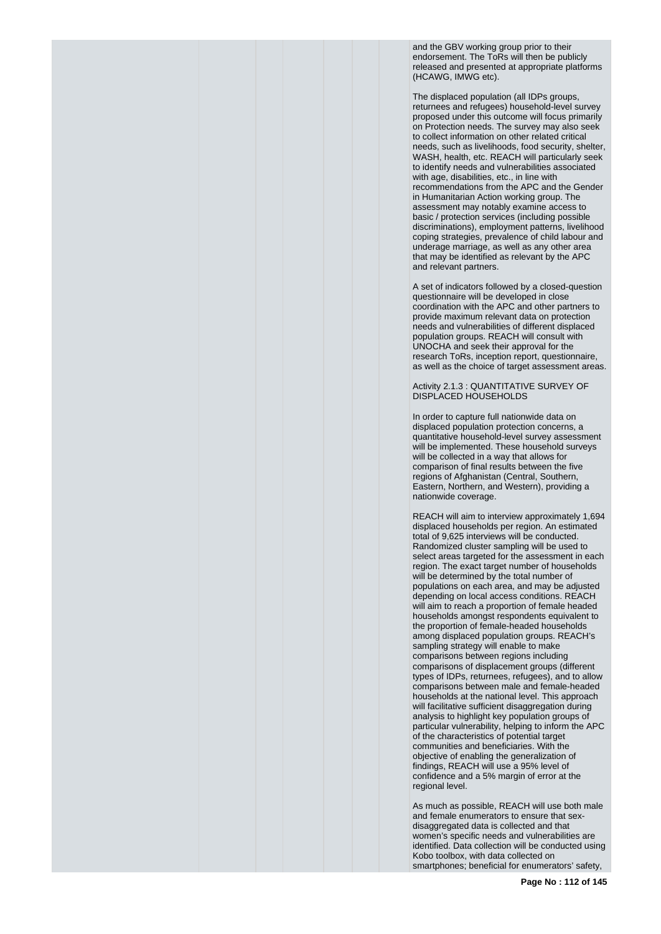and the GBV working group prior to their endorsement. The ToRs will then be publicly released and presented at appropriate platforms (HCAWG, IMWG etc).

The displaced population (all IDPs groups, returnees and refugees) household-level survey proposed under this outcome will focus primarily on Protection needs. The survey may also seek to collect information on other related critical needs, such as livelihoods, food security, shelter, WASH, health, etc. REACH will particularly seek to identify needs and vulnerabilities associated with age, disabilities, etc., in line with recommendations from the APC and the Gender in Humanitarian Action working group. The assessment may notably examine access to basic / protection services (including possible discriminations), employment patterns, livelihood coping strategies, prevalence of child labour and underage marriage, as well as any other area that may be identified as relevant by the APC and relevant partners.

A set of indicators followed by a closed-question questionnaire will be developed in close coordination with the APC and other partners to provide maximum relevant data on protection needs and vulnerabilities of different displaced population groups. REACH will consult with UNOCHA and seek their approval for the research ToRs, inception report, questionnaire, as well as the choice of target assessment areas.

Activity 2.1.3 : QUANTITATIVE SURVEY OF DISPLACED HOUSEHOLDS

In order to capture full nationwide data on displaced population protection concerns, a quantitative household-level survey assessment will be implemented. These household surveys will be collected in a way that allows for comparison of final results between the five regions of Afghanistan (Central, Southern, Eastern, Northern, and Western), providing a nationwide coverage.

REACH will aim to interview approximately 1,694 displaced households per region. An estimated total of 9,625 interviews will be conducted. Randomized cluster sampling will be used to select areas targeted for the assessment in each region. The exact target number of households will be determined by the total number of populations on each area, and may be adjusted depending on local access conditions. REACH will aim to reach a proportion of female headed households amongst respondents equivalent to the proportion of female-headed households among displaced population groups. REACH's sampling strategy will enable to make comparisons between regions including comparisons of displacement groups (different types of IDPs, returnees, refugees), and to allow comparisons between male and female-headed households at the national level. This approach will facilitative sufficient disaggregation during analysis to highlight key population groups of particular vulnerability, helping to inform the APC of the characteristics of potential target communities and beneficiaries. With the objective of enabling the generalization of findings, REACH will use a 95% level of confidence and a 5% margin of error at the regional level.

As much as possible, REACH will use both male and female enumerators to ensure that sexdisaggregated data is collected and that women's specific needs and vulnerabilities are identified. Data collection will be conducted using Kobo toolbox, with data collected on smartphones; beneficial for enumerators' safety,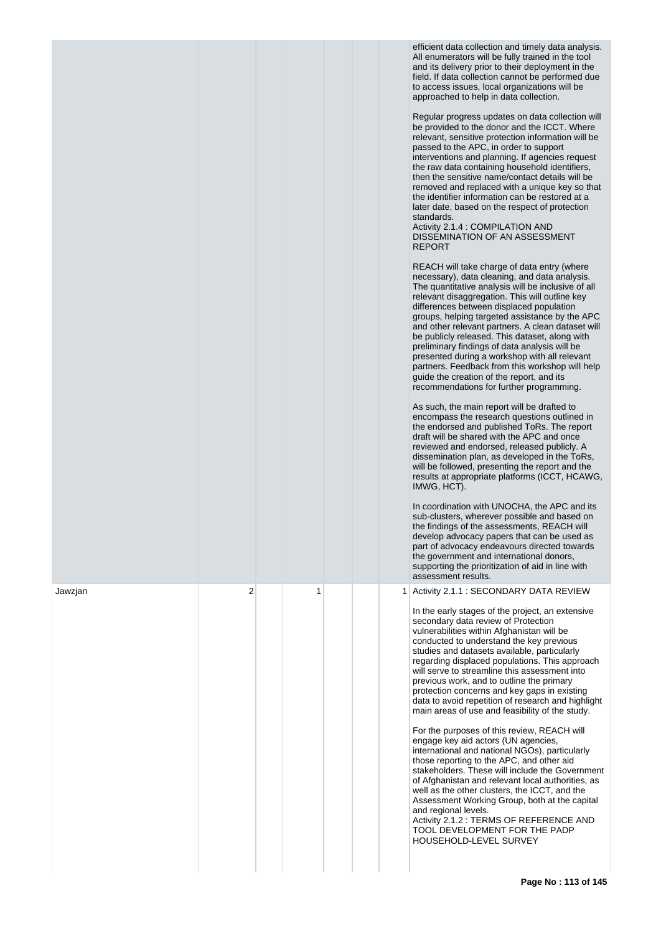|         |                |   |   | efficient data collection and timely data analysis.<br>All enumerators will be fully trained in the tool<br>and its delivery prior to their deployment in the<br>field. If data collection cannot be performed due<br>to access issues, local organizations will be<br>approached to help in data collection.<br>Regular progress updates on data collection will<br>be provided to the donor and the ICCT. Where<br>relevant, sensitive protection information will be<br>passed to the APC, in order to support<br>interventions and planning. If agencies request<br>the raw data containing household identifiers,<br>then the sensitive name/contact details will be<br>removed and replaced with a unique key so that<br>the identifier information can be restored at a<br>later date, based on the respect of protection<br>standards.<br>Activity 2.1.4 : COMPILATION AND<br>DISSEMINATION OF AN ASSESSMENT<br><b>REPORT</b><br>REACH will take charge of data entry (where<br>necessary), data cleaning, and data analysis.<br>The quantitative analysis will be inclusive of all<br>relevant disaggregation. This will outline key<br>differences between displaced population<br>groups, helping targeted assistance by the APC<br>and other relevant partners. A clean dataset will<br>be publicly released. This dataset, along with<br>preliminary findings of data analysis will be<br>presented during a workshop with all relevant<br>partners. Feedback from this workshop will help<br>guide the creation of the report, and its<br>recommendations for further programming.<br>As such, the main report will be drafted to<br>encompass the research questions outlined in<br>the endorsed and published ToRs. The report<br>draft will be shared with the APC and once<br>reviewed and endorsed, released publicly. A<br>dissemination plan, as developed in the ToRs,<br>will be followed, presenting the report and the<br>results at appropriate platforms (ICCT, HCAWG,<br>IMWG, HCT).<br>In coordination with UNOCHA, the APC and its<br>sub-clusters, wherever possible and based on<br>the findings of the assessments, REACH will<br>develop advocacy papers that can be used as<br>part of advocacy endeavours directed towards<br>the government and international donors,<br>supporting the prioritization of aid in line with<br>assessment results. |
|---------|----------------|---|---|----------------------------------------------------------------------------------------------------------------------------------------------------------------------------------------------------------------------------------------------------------------------------------------------------------------------------------------------------------------------------------------------------------------------------------------------------------------------------------------------------------------------------------------------------------------------------------------------------------------------------------------------------------------------------------------------------------------------------------------------------------------------------------------------------------------------------------------------------------------------------------------------------------------------------------------------------------------------------------------------------------------------------------------------------------------------------------------------------------------------------------------------------------------------------------------------------------------------------------------------------------------------------------------------------------------------------------------------------------------------------------------------------------------------------------------------------------------------------------------------------------------------------------------------------------------------------------------------------------------------------------------------------------------------------------------------------------------------------------------------------------------------------------------------------------------------------------------------------------------------------------------------------------------------------------------------------------------------------------------------------------------------------------------------------------------------------------------------------------------------------------------------------------------------------------------------------------------------------------------------------------------------------------------------------------------------------------------------------------------------------------------|
| Jawzjan | $\overline{2}$ | 1 | 1 | Activity 2.1.1 : SECONDARY DATA REVIEW<br>In the early stages of the project, an extensive<br>secondary data review of Protection<br>vulnerabilities within Afghanistan will be<br>conducted to understand the key previous<br>studies and datasets available, particularly<br>regarding displaced populations. This approach<br>will serve to streamline this assessment into<br>previous work, and to outline the primary<br>protection concerns and key gaps in existing<br>data to avoid repetition of research and highlight<br>main areas of use and feasibility of the study.<br>For the purposes of this review, REACH will<br>engage key aid actors (UN agencies,<br>international and national NGOs), particularly<br>those reporting to the APC, and other aid<br>stakeholders. These will include the Government<br>of Afghanistan and relevant local authorities, as<br>well as the other clusters, the ICCT, and the<br>Assessment Working Group, both at the capital<br>and regional levels.<br>Activity 2.1.2 : TERMS OF REFERENCE AND<br>TOOL DEVELOPMENT FOR THE PADP<br>HOUSEHOLD-LEVEL SURVEY                                                                                                                                                                                                                                                                                                                                                                                                                                                                                                                                                                                                                                                                                                                                                                                                                                                                                                                                                                                                                                                                                                                                                                                                                                                                      |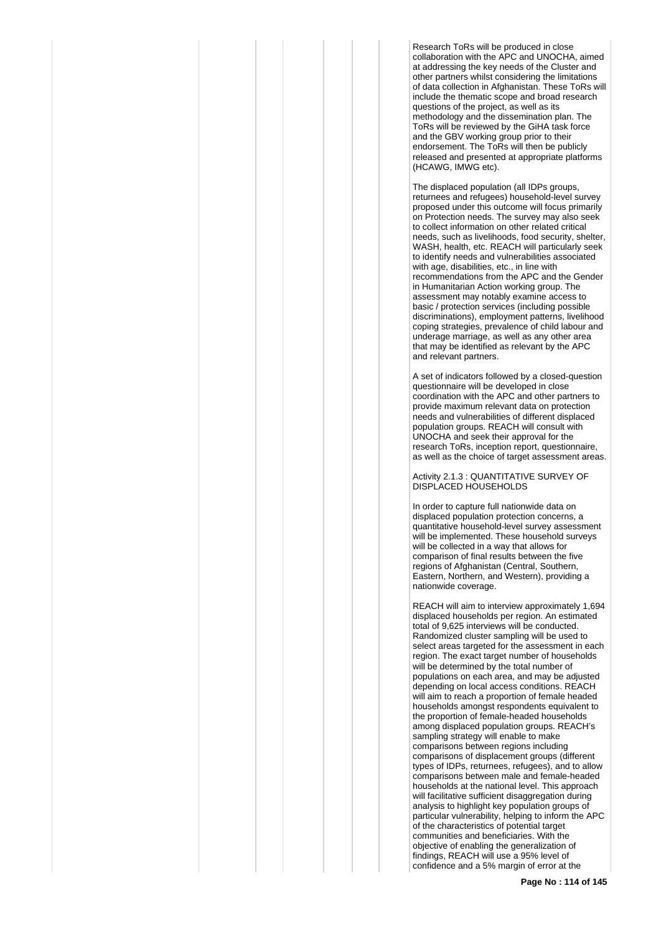Research ToRs will be produced in close collaboration with the APC and UNOCHA, aimed at addressing the key needs of the Cluster and other partners whilst considering the limitations of data collection in Afghanistan. These ToRs will include the thematic scope and broad research questions of the project, as well as its methodology and the dissemination plan. The ToRs will be reviewed by the GiHA task force and the GBV working group prior to their endorsement. The ToRs will then be publicly released and presented at appropriate platforms (HCAWG, IMWG etc).

The displaced population (all IDPs groups, returnees and refugees) household-level survey proposed under this outcome will focus primarily on Protection needs. The survey may also seek to collect information on other related critical needs, such as livelihoods, food security, shelter, WASH, health, etc. REACH will particularly seek to identify needs and vulnerabilities associated with age, disabilities, etc., in line with recommendations from the APC and the Gender in Humanitarian Action working group. The assessment may notably examine access to basic / protection services (including possible discriminations), employment patterns, livelihood coping strategies, prevalence of child labour and underage marriage, as well as any other area that may be identified as relevant by the APC and relevant partners.

A set of indicators followed by a closed-question questionnaire will be developed in close coordination with the APC and other partners to provide maximum relevant data on protection needs and vulnerabilities of different displaced population groups. REACH will consult with UNOCHA and seek their approval for the research ToRs, inception report, questionnaire, as well as the choice of target assessment areas.

Activity 2.1.3 : QUANTITATIVE SURVEY OF DISPLACED HOUSEHOLDS

In order to capture full nationwide data on displaced population protection concerns, a quantitative household-level survey assessment will be implemented. These household surveys will be collected in a way that allows for comparison of final results between the five regions of Afghanistan (Central, Southern, Eastern, Northern, and Western), providing a nationwide coverage.

REACH will aim to interview approximately 1,694 displaced households per region. An estimated total of 9,625 interviews will be conducted. Randomized cluster sampling will be used to select areas targeted for the assessment in each region. The exact target number of households will be determined by the total number of populations on each area, and may be adjusted depending on local access conditions. REACH will aim to reach a proportion of female headed households amongst respondents equivalent to the proportion of female-headed households among displaced population groups. REACH's sampling strategy will enable to make comparisons between regions including comparisons of displacement groups (different types of IDPs, returnees, refugees), and to allow comparisons between male and female-headed households at the national level. This approach will facilitative sufficient disaggregation during analysis to highlight key population groups of particular vulnerability, helping to inform the APC of the characteristics of potential target communities and beneficiaries. With the objective of enabling the generalization of findings, REACH will use a 95% level of confidence and a 5% margin of error at the

**Page No : 114 of 145**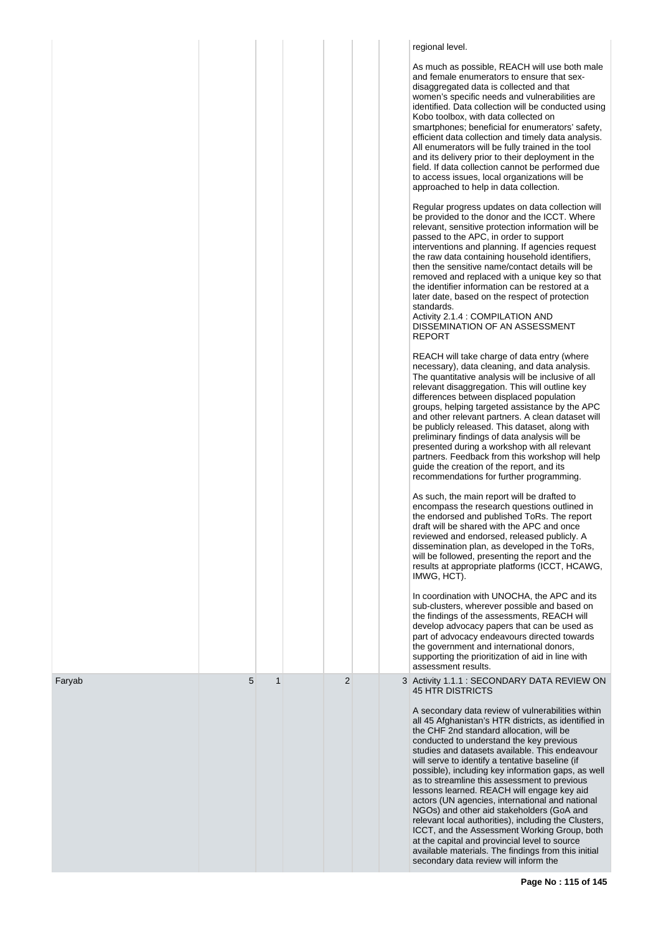|        |   |              |   |  | regional level.<br>As much as possible, REACH will use both male<br>and female enumerators to ensure that sex-<br>disaggregated data is collected and that<br>women's specific needs and vulnerabilities are<br>identified. Data collection will be conducted using<br>Kobo toolbox, with data collected on<br>smartphones; beneficial for enumerators' safety,<br>efficient data collection and timely data analysis.<br>All enumerators will be fully trained in the tool<br>and its delivery prior to their deployment in the<br>field. If data collection cannot be performed due<br>to access issues, local organizations will be<br>approached to help in data collection.<br>Regular progress updates on data collection will<br>be provided to the donor and the ICCT. Where<br>relevant, sensitive protection information will be<br>passed to the APC, in order to support<br>interventions and planning. If agencies request |
|--------|---|--------------|---|--|-----------------------------------------------------------------------------------------------------------------------------------------------------------------------------------------------------------------------------------------------------------------------------------------------------------------------------------------------------------------------------------------------------------------------------------------------------------------------------------------------------------------------------------------------------------------------------------------------------------------------------------------------------------------------------------------------------------------------------------------------------------------------------------------------------------------------------------------------------------------------------------------------------------------------------------------|
|        |   |              |   |  | the raw data containing household identifiers,<br>then the sensitive name/contact details will be<br>removed and replaced with a unique key so that<br>the identifier information can be restored at a<br>later date, based on the respect of protection<br>standards.<br>Activity 2.1.4 : COMPILATION AND<br>DISSEMINATION OF AN ASSESSMENT<br><b>REPORT</b>                                                                                                                                                                                                                                                                                                                                                                                                                                                                                                                                                                           |
|        |   |              |   |  | REACH will take charge of data entry (where<br>necessary), data cleaning, and data analysis.<br>The quantitative analysis will be inclusive of all<br>relevant disaggregation. This will outline key<br>differences between displaced population<br>groups, helping targeted assistance by the APC<br>and other relevant partners. A clean dataset will<br>be publicly released. This dataset, along with<br>preliminary findings of data analysis will be<br>presented during a workshop with all relevant<br>partners. Feedback from this workshop will help<br>guide the creation of the report, and its<br>recommendations for further programming.                                                                                                                                                                                                                                                                                 |
|        |   |              |   |  | As such, the main report will be drafted to<br>encompass the research questions outlined in<br>the endorsed and published ToRs. The report<br>draft will be shared with the APC and once<br>reviewed and endorsed, released publicly. A<br>dissemination plan, as developed in the ToRs,<br>will be followed, presenting the report and the<br>results at appropriate platforms (ICCT, HCAWG,<br>IMWG, HCT).                                                                                                                                                                                                                                                                                                                                                                                                                                                                                                                            |
|        |   |              |   |  | In coordination with UNOCHA, the APC and its<br>sub-clusters, wherever possible and based on<br>the findings of the assessments, REACH will<br>develop advocacy papers that can be used as<br>part of advocacy endeavours directed towards<br>the government and international donors,<br>supporting the prioritization of aid in line with<br>assessment results.                                                                                                                                                                                                                                                                                                                                                                                                                                                                                                                                                                      |
| Faryab | 5 | $\mathbf{1}$ | 2 |  | 3 Activity 1.1.1 : SECONDARY DATA REVIEW ON<br><b>45 HTR DISTRICTS</b><br>A secondary data review of vulnerabilities within<br>all 45 Afghanistan's HTR districts, as identified in<br>the CHF 2nd standard allocation, will be<br>conducted to understand the key previous<br>studies and datasets available. This endeavour<br>will serve to identify a tentative baseline (if<br>possible), including key information gaps, as well<br>as to streamline this assessment to previous<br>lessons learned. REACH will engage key aid<br>actors (UN agencies, international and national<br>NGOs) and other aid stakeholders (GoA and<br>relevant local authorities), including the Clusters,<br>ICCT, and the Assessment Working Group, both                                                                                                                                                                                            |
|        |   |              |   |  | at the capital and provincial level to source<br>available materials. The findings from this initial<br>secondary data review will inform the                                                                                                                                                                                                                                                                                                                                                                                                                                                                                                                                                                                                                                                                                                                                                                                           |

**Page No : 115 of 145**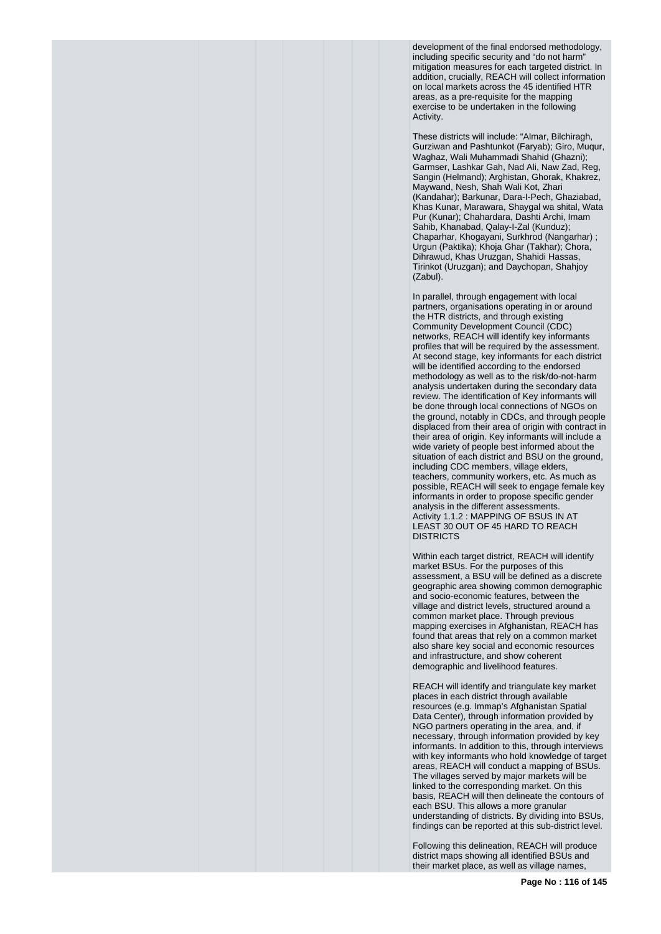development of the final endorsed methodology, including specific security and "do not harm" mitigation measures for each targeted district. In addition, crucially, REACH will collect information on local markets across the 45 identified HTR areas, as a pre-requisite for the mapping exercise to be undertaken in the following Activity.

These districts will include: "Almar, Bilchiragh, Gurziwan and Pashtunkot (Faryab); Giro, Muqur, Waghaz, Wali Muhammadi Shahid (Ghazni); Garmser, Lashkar Gah, Nad Ali, Naw Zad, Reg, Sangin (Helmand); Arghistan, Ghorak, Khakrez, Maywand, Nesh, Shah Wali Kot, Zhari (Kandahar); Barkunar, Dara-I-Pech, Ghaziabad, Khas Kunar, Marawara, Shaygal wa shital, Wata Pur (Kunar); Chahardara, Dashti Archi, Imam Sahib, Khanabad, Qalay-I-Zal (Kunduz); Chaparhar, Khogayani, Surkhrod (Nangarhar) ; Urgun (Paktika); Khoja Ghar (Takhar); Chora, Dihrawud, Khas Uruzgan, Shahidi Hassas, Tirinkot (Uruzgan); and Daychopan, Shahjoy (Zabul).

In parallel, through engagement with local partners, organisations operating in or around the HTR districts, and through existing Community Development Council (CDC) networks, REACH will identify key informants profiles that will be required by the assessment. At second stage, key informants for each district will be identified according to the endorsed methodology as well as to the risk/do-not-harm analysis undertaken during the secondary data review. The identification of Key informants will be done through local connections of NGOs on the ground, notably in CDCs, and through people displaced from their area of origin with contract in their area of origin. Key informants will include a wide variety of people best informed about the situation of each district and BSU on the ground, including CDC members, village elders, teachers, community workers, etc. As much as possible, REACH will seek to engage female key informants in order to propose specific gender analysis in the different assessments. Activity 1.1.2 : MAPPING OF BSUS IN AT LEAST 30 OUT OF 45 HARD TO REACH DISTRICTS

Within each target district, REACH will identify market BSUs. For the purposes of this assessment, a BSU will be defined as a discrete geographic area showing common demographic and socio-economic features, between the village and district levels, structured around a common market place. Through previous mapping exercises in Afghanistan, REACH has found that areas that rely on a common market also share key social and economic resources and infrastructure, and show coherent demographic and livelihood features.

REACH will identify and triangulate key market places in each district through available resources (e.g. Immap's Afghanistan Spatial Data Center), through information provided by NGO partners operating in the area, and, if necessary, through information provided by key informants. In addition to this, through interviews with key informants who hold knowledge of target areas, REACH will conduct a mapping of BSUs. The villages served by major markets will be linked to the corresponding market. On this basis, REACH will then delineate the contours of each BSU. This allows a more granular understanding of districts. By dividing into BSUs, findings can be reported at this sub-district level.

Following this delineation, REACH will produce district maps showing all identified BSUs and their market place, as well as village names,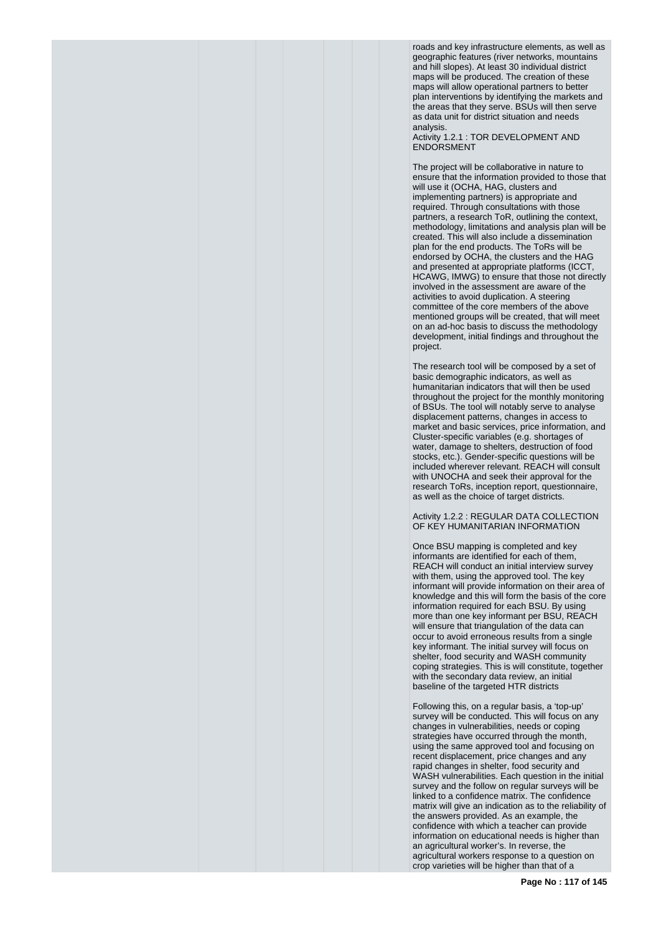roads and key infrastructure elements, as well as geographic features (river networks, mountains and hill slopes). At least 30 individual district maps will be produced. The creation of these maps will allow operational partners to better plan interventions by identifying the markets and the areas that they serve. BSUs will then serve as data unit for district situation and needs analysis.

Activity 1.2.1 : TOR DEVELOPMENT AND **ENDORSMENT** 

The project will be collaborative in nature to ensure that the information provided to those that will use it (OCHA, HAG, clusters and implementing partners) is appropriate and required. Through consultations with those partners, a research ToR, outlining the context, methodology, limitations and analysis plan will be created. This will also include a dissemination plan for the end products. The ToRs will be endorsed by OCHA, the clusters and the HAG and presented at appropriate platforms (ICCT, HCAWG, IMWG) to ensure that those not directly involved in the assessment are aware of the activities to avoid duplication. A steering committee of the core members of the above mentioned groups will be created, that will meet on an ad-hoc basis to discuss the methodology development, initial findings and throughout the project.

The research tool will be composed by a set of basic demographic indicators, as well as humanitarian indicators that will then be used throughout the project for the monthly monitoring of BSUs. The tool will notably serve to analyse displacement patterns, changes in access to market and basic services, price information, and Cluster-specific variables (e.g. shortages of water, damage to shelters, destruction of food stocks, etc.). Gender-specific questions will be included wherever relevant. REACH will consult with UNOCHA and seek their approval for the research ToRs, inception report, questionnaire, as well as the choice of target districts.

Activity 1.2.2 : REGULAR DATA COLLECTION OF KEY HUMANITARIAN INFORMATION

Once BSU mapping is completed and key informants are identified for each of them, REACH will conduct an initial interview survey with them, using the approved tool. The key informant will provide information on their area of knowledge and this will form the basis of the core information required for each BSU. By using more than one key informant per BSU, REACH will ensure that triangulation of the data can occur to avoid erroneous results from a single key informant. The initial survey will focus on shelter, food security and WASH community coping strategies. This is will constitute, together with the secondary data review, an initial baseline of the targeted HTR districts

Following this, on a regular basis, a 'top-up' survey will be conducted. This will focus on any changes in vulnerabilities, needs or coping strategies have occurred through the month, using the same approved tool and focusing on recent displacement, price changes and any rapid changes in shelter, food security and WASH vulnerabilities. Each question in the initial survey and the follow on regular surveys will be linked to a confidence matrix. The confidence matrix will give an indication as to the reliability of the answers provided. As an example, the confidence with which a teacher can provide information on educational needs is higher than an agricultural worker's. In reverse, the agricultural workers response to a question on crop varieties will be higher than that of a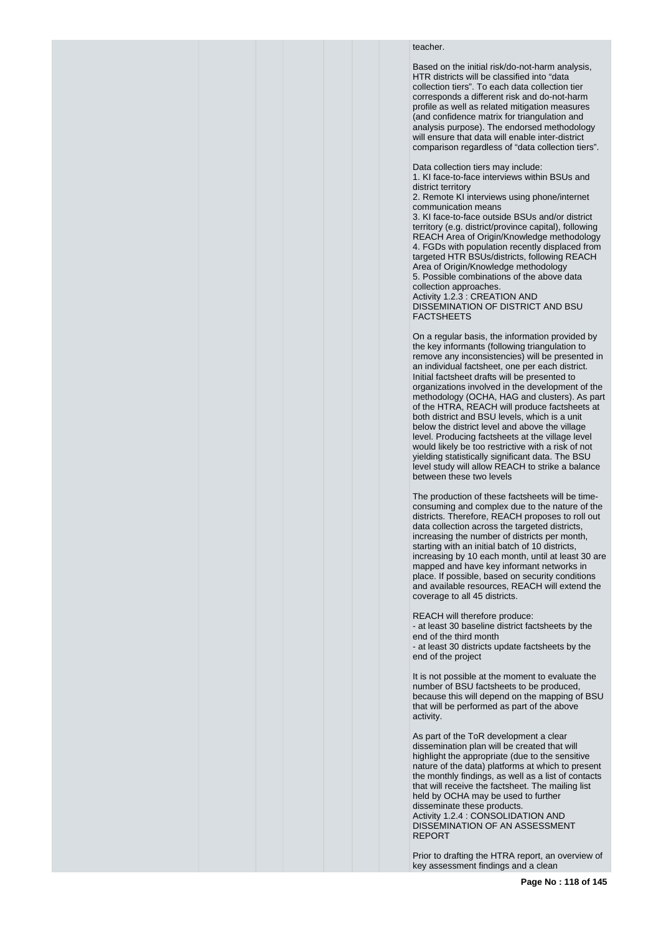## teacher.

Based on the initial risk/do-not-harm analysis, HTR districts will be classified into "data collection tiers". To each data collection tier corresponds a different risk and do-not-harm profile as well as related mitigation measures (and confidence matrix for triangulation and analysis purpose). The endorsed methodology will ensure that data will enable inter-district comparison regardless of "data collection tiers".

Data collection tiers may include:

1. KI face-to-face interviews within BSUs and district territory

2. Remote KI interviews using phone/internet communication means

3. KI face-to-face outside BSUs and/or district territory (e.g. district/province capital), following REACH Area of Origin/Knowledge methodology 4. FGDs with population recently displaced from targeted HTR BSUs/districts, following REACH Area of Origin/Knowledge methodology 5. Possible combinations of the above data collection approaches. Activity 1.2.3 : CREATION AND DISSEMINATION OF DISTRICT AND BSU

FACTSHEETS

On a regular basis, the information provided by the key informants (following triangulation to remove any inconsistencies) will be presented in an individual factsheet, one per each district. Initial factsheet drafts will be presented to organizations involved in the development of the methodology (OCHA, HAG and clusters). As part of the HTRA, REACH will produce factsheets at both district and BSU levels, which is a unit below the district level and above the village level. Producing factsheets at the village level would likely be too restrictive with a risk of not yielding statistically significant data. The BSU level study will allow REACH to strike a balance between these two levels

The production of these factsheets will be timeconsuming and complex due to the nature of the districts. Therefore, REACH proposes to roll out data collection across the targeted districts, increasing the number of districts per month, starting with an initial batch of 10 districts, increasing by 10 each month, until at least 30 are mapped and have key informant networks in place. If possible, based on security conditions and available resources, REACH will extend the coverage to all 45 districts.

REACH will therefore produce: - at least 30 baseline district factsheets by the end of the third month - at least 30 districts update factsheets by the end of the project

It is not possible at the moment to evaluate the number of BSU factsheets to be produced, because this will depend on the mapping of BSU that will be performed as part of the above activity.

As part of the ToR development a clear dissemination plan will be created that will highlight the appropriate (due to the sensitive nature of the data) platforms at which to present the monthly findings, as well as a list of contacts that will receive the factsheet. The mailing list held by OCHA may be used to further disseminate these products. Activity 1.2.4 : CONSOLIDATION AND DISSEMINATION OF AN ASSESSMENT REPORT

Prior to drafting the HTRA report, an overview of key assessment findings and a clean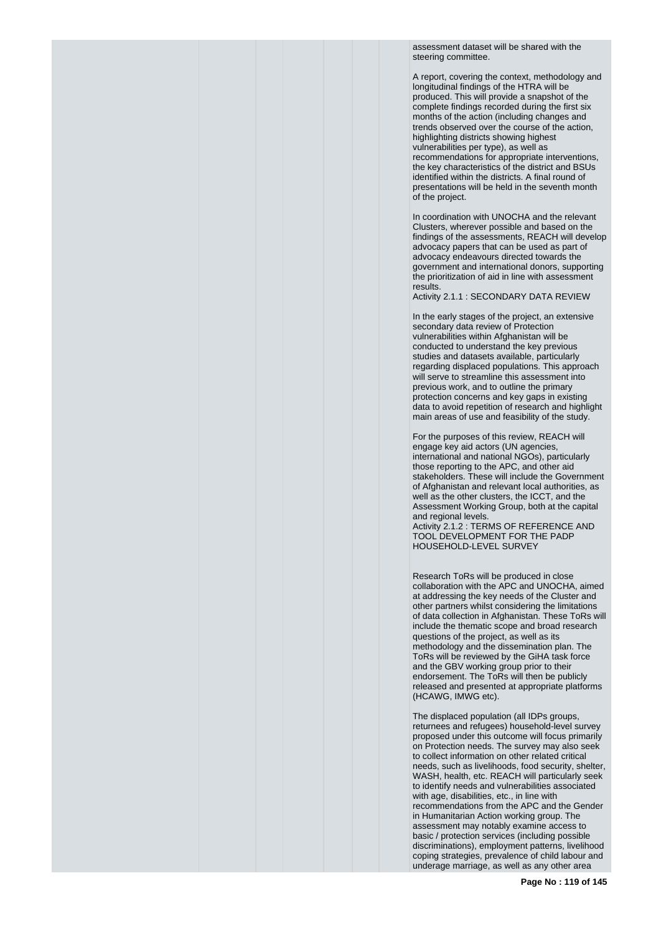assessment dataset will be shared with the steering committee.

A report, covering the context, methodology and longitudinal findings of the HTRA will be produced. This will provide a snapshot of the complete findings recorded during the first six months of the action (including changes and trends observed over the course of the action, highlighting districts showing highest vulnerabilities per type), as well as recommendations for appropriate interventions, the key characteristics of the district and BSUs identified within the districts. A final round of presentations will be held in the seventh month of the project.

In coordination with UNOCHA and the relevant Clusters, wherever possible and based on the findings of the assessments, REACH will develop advocacy papers that can be used as part of advocacy endeavours directed towards the government and international donors, supporting the prioritization of aid in line with assessment results.

Activity 2.1.1 : SECONDARY DATA REVIEW

In the early stages of the project, an extensive secondary data review of Protection vulnerabilities within Afghanistan will be conducted to understand the key previous studies and datasets available, particularly regarding displaced populations. This approach will serve to streamline this assessment into previous work, and to outline the primary protection concerns and key gaps in existing data to avoid repetition of research and highlight main areas of use and feasibility of the study.

For the purposes of this review, REACH will engage key aid actors (UN agencies, international and national NGOs), particularly those reporting to the APC, and other aid stakeholders. These will include the Government of Afghanistan and relevant local authorities, as well as the other clusters, the ICCT, and the Assessment Working Group, both at the capital and regional levels. Activity 2.1.2 : TERMS OF REFERENCE AND TOOL DEVELOPMENT FOR THE PADP HOUSEHOLD-LEVEL SURVEY

Research ToRs will be produced in close collaboration with the APC and UNOCHA, aimed at addressing the key needs of the Cluster and other partners whilst considering the limitations of data collection in Afghanistan. These ToRs will include the thematic scope and broad research questions of the project, as well as its methodology and the dissemination plan. The ToRs will be reviewed by the GiHA task force and the GBV working group prior to their endorsement. The ToRs will then be publicly released and presented at appropriate platforms (HCAWG, IMWG etc).

The displaced population (all IDPs groups, returnees and refugees) household-level survey proposed under this outcome will focus primarily on Protection needs. The survey may also seek to collect information on other related critical needs, such as livelihoods, food security, shelter, WASH, health, etc. REACH will particularly seek to identify needs and vulnerabilities associated with age, disabilities, etc., in line with recommendations from the APC and the Gender in Humanitarian Action working group. The assessment may notably examine access to basic / protection services (including possible discriminations), employment patterns, livelihood coping strategies, prevalence of child labour and underage marriage, as well as any other area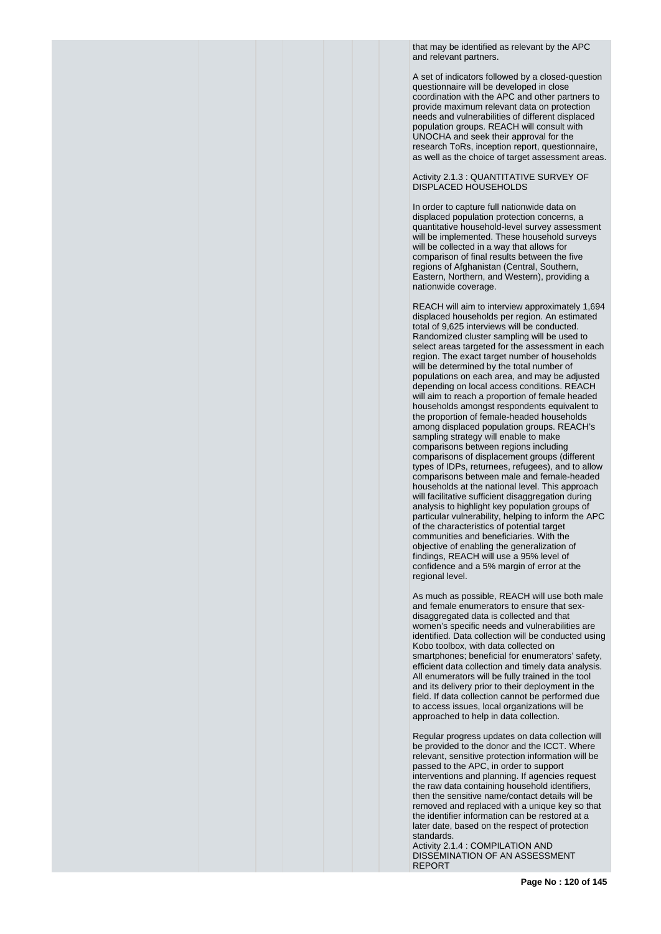that may be identified as relevant by the APC and relevant partners.

A set of indicators followed by a closed-question questionnaire will be developed in close coordination with the APC and other partners to provide maximum relevant data on protection needs and vulnerabilities of different displaced population groups. REACH will consult with UNOCHA and seek their approval for the research ToRs, inception report, questionnaire, as well as the choice of target assessment areas.

#### Activity 2.1.3 : QUANTITATIVE SURVEY OF DISPLACED HOUSEHOLDS

In order to capture full nationwide data on displaced population protection concerns, a quantitative household-level survey assessment will be implemented. These household surveys will be collected in a way that allows for comparison of final results between the five regions of Afghanistan (Central, Southern, Eastern, Northern, and Western), providing a nationwide coverage.

REACH will aim to interview approximately 1,694 displaced households per region. An estimated total of 9,625 interviews will be conducted. Randomized cluster sampling will be used to select areas targeted for the assessment in each region. The exact target number of households will be determined by the total number of populations on each area, and may be adjusted depending on local access conditions. REACH will aim to reach a proportion of female headed households amongst respondents equivalent to the proportion of female-headed households among displaced population groups. REACH's sampling strategy will enable to make comparisons between regions including comparisons of displacement groups (different types of IDPs, returnees, refugees), and to allow comparisons between male and female-headed households at the national level. This approach will facilitative sufficient disaggregation during analysis to highlight key population groups of particular vulnerability, helping to inform the APC of the characteristics of potential target communities and beneficiaries. With the objective of enabling the generalization of findings, REACH will use a 95% level of confidence and a 5% margin of error at the regional level.

As much as possible, REACH will use both male and female enumerators to ensure that sexdisaggregated data is collected and that women's specific needs and vulnerabilities are identified. Data collection will be conducted using Kobo toolbox, with data collected on smartphones; beneficial for enumerators' safety, efficient data collection and timely data analysis. All enumerators will be fully trained in the tool and its delivery prior to their deployment in the field. If data collection cannot be performed due to access issues, local organizations will be approached to help in data collection.

Regular progress updates on data collection will be provided to the donor and the ICCT. Where relevant, sensitive protection information will be passed to the APC, in order to support interventions and planning. If agencies request the raw data containing household identifiers, then the sensitive name/contact details will be removed and replaced with a unique key so that the identifier information can be restored at a later date, based on the respect of protection standards.

Activity 2.1.4 : COMPILATION AND DISSEMINATION OF AN ASSESSMENT REPORT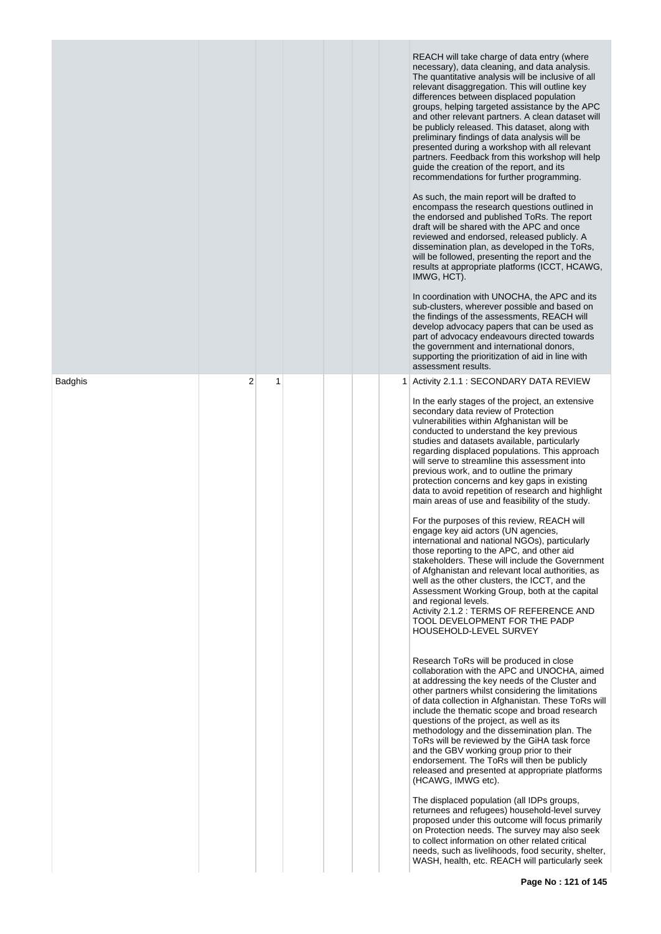|                |   |   |  |                | REACH will take charge of data entry (where<br>necessary), data cleaning, and data analysis.<br>The quantitative analysis will be inclusive of all<br>relevant disaggregation. This will outline key<br>differences between displaced population<br>groups, helping targeted assistance by the APC<br>and other relevant partners. A clean dataset will<br>be publicly released. This dataset, along with<br>preliminary findings of data analysis will be<br>presented during a workshop with all relevant<br>partners. Feedback from this workshop will help<br>guide the creation of the report, and its<br>recommendations for further programming.<br>As such, the main report will be drafted to<br>encompass the research questions outlined in<br>the endorsed and published ToRs. The report<br>draft will be shared with the APC and once<br>reviewed and endorsed, released publicly. A<br>dissemination plan, as developed in the ToRs,<br>will be followed, presenting the report and the<br>results at appropriate platforms (ICCT, HCAWG,<br>IMWG, HCT).<br>In coordination with UNOCHA, the APC and its<br>sub-clusters, wherever possible and based on<br>the findings of the assessments, REACH will<br>develop advocacy papers that can be used as<br>part of advocacy endeavours directed towards<br>the government and international donors,<br>supporting the prioritization of aid in line with<br>assessment results. |
|----------------|---|---|--|----------------|-----------------------------------------------------------------------------------------------------------------------------------------------------------------------------------------------------------------------------------------------------------------------------------------------------------------------------------------------------------------------------------------------------------------------------------------------------------------------------------------------------------------------------------------------------------------------------------------------------------------------------------------------------------------------------------------------------------------------------------------------------------------------------------------------------------------------------------------------------------------------------------------------------------------------------------------------------------------------------------------------------------------------------------------------------------------------------------------------------------------------------------------------------------------------------------------------------------------------------------------------------------------------------------------------------------------------------------------------------------------------------------------------------------------------------------------------|
| <b>Badghis</b> | 2 | 1 |  | 1 <sup>1</sup> | Activity 2.1.1 : SECONDARY DATA REVIEW<br>In the early stages of the project, an extensive<br>secondary data review of Protection                                                                                                                                                                                                                                                                                                                                                                                                                                                                                                                                                                                                                                                                                                                                                                                                                                                                                                                                                                                                                                                                                                                                                                                                                                                                                                             |
|                |   |   |  |                | vulnerabilities within Afghanistan will be<br>conducted to understand the key previous<br>studies and datasets available, particularly<br>regarding displaced populations. This approach<br>will serve to streamline this assessment into<br>previous work, and to outline the primary<br>protection concerns and key gaps in existing<br>data to avoid repetition of research and highlight<br>main areas of use and feasibility of the study.                                                                                                                                                                                                                                                                                                                                                                                                                                                                                                                                                                                                                                                                                                                                                                                                                                                                                                                                                                                               |
|                |   |   |  |                | For the purposes of this review, REACH will<br>engage key aid actors (UN agencies,<br>international and national NGOs), particularly<br>those reporting to the APC, and other aid<br>stakeholders. These will include the Government<br>of Afghanistan and relevant local authorities, as<br>well as the other clusters, the ICCT, and the<br>Assessment Working Group, both at the capital<br>and regional levels.<br>Activity 2.1.2 : TERMS OF REFERENCE AND<br>TOOL DEVELOPMENT FOR THE PADP<br>HOUSEHOLD-LEVEL SURVEY                                                                                                                                                                                                                                                                                                                                                                                                                                                                                                                                                                                                                                                                                                                                                                                                                                                                                                                     |
|                |   |   |  |                | Research ToRs will be produced in close<br>collaboration with the APC and UNOCHA, aimed<br>at addressing the key needs of the Cluster and<br>other partners whilst considering the limitations<br>of data collection in Afghanistan. These ToRs will<br>include the thematic scope and broad research<br>questions of the project, as well as its<br>methodology and the dissemination plan. The<br>ToRs will be reviewed by the GiHA task force<br>and the GBV working group prior to their<br>endorsement. The ToRs will then be publicly<br>released and presented at appropriate platforms<br>(HCAWG, IMWG etc).                                                                                                                                                                                                                                                                                                                                                                                                                                                                                                                                                                                                                                                                                                                                                                                                                          |
|                |   |   |  |                | The displaced population (all IDPs groups,<br>returnees and refugees) household-level survey<br>proposed under this outcome will focus primarily<br>on Protection needs. The survey may also seek<br>to collect information on other related critical<br>needs, such as livelihoods, food security, shelter,<br>WASH, health, etc. REACH will particularly seek                                                                                                                                                                                                                                                                                                                                                                                                                                                                                                                                                                                                                                                                                                                                                                                                                                                                                                                                                                                                                                                                               |

×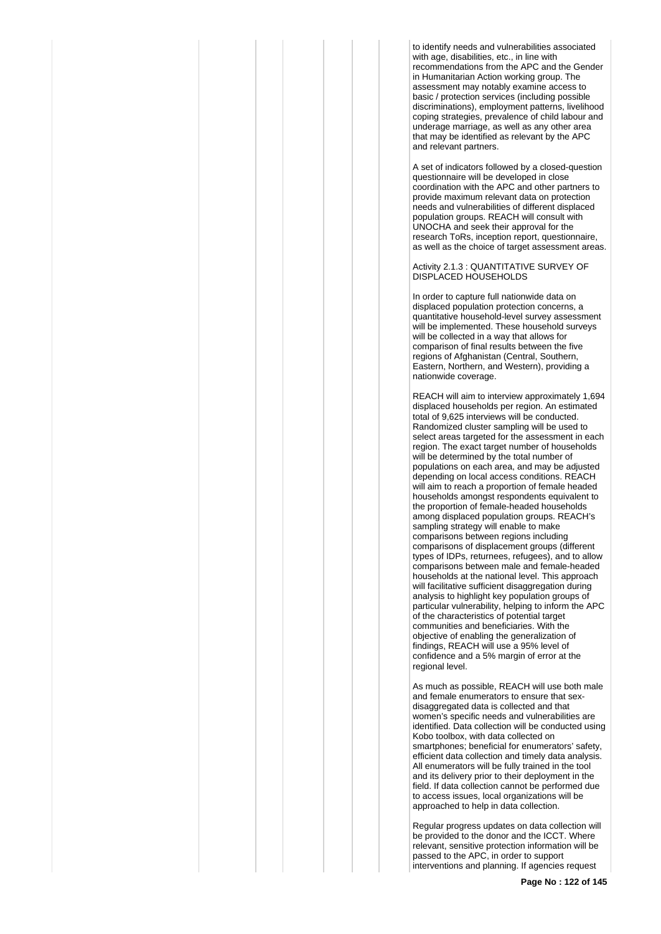to identify needs and vulnerabilities associated with age, disabilities, etc., in line with recommendations from the APC and the Gender in Humanitarian Action working group. The assessment may notably examine access to basic / protection services (including possible discriminations), employment patterns, livelihood coping strategies, prevalence of child labour and underage marriage, as well as any other area that may be identified as relevant by the APC and relevant partners.

A set of indicators followed by a closed-question questionnaire will be developed in close coordination with the APC and other partners to provide maximum relevant data on protection needs and vulnerabilities of different displaced population groups. REACH will consult with UNOCHA and seek their approval for the research ToRs, inception report, questionnaire, as well as the choice of target assessment areas.

## Activity 2.1.3 : QUANTITATIVE SURVEY OF DISPLACED HOUSEHOLDS

In order to capture full nationwide data on displaced population protection concerns, a quantitative household-level survey assessment will be implemented. These household surveys will be collected in a way that allows for comparison of final results between the five regions of Afghanistan (Central, Southern, Eastern, Northern, and Western), providing a nationwide coverage.

REACH will aim to interview approximately 1,694 displaced households per region. An estimated total of 9,625 interviews will be conducted. Randomized cluster sampling will be used to select areas targeted for the assessment in each region. The exact target number of households will be determined by the total number of populations on each area, and may be adjusted depending on local access conditions. REACH will aim to reach a proportion of female headed households amongst respondents equivalent to the proportion of female-headed households among displaced population groups. REACH's sampling strategy will enable to make comparisons between regions including comparisons of displacement groups (different types of IDPs, returnees, refugees), and to allow comparisons between male and female-headed households at the national level. This approach will facilitative sufficient disaggregation during analysis to highlight key population groups of particular vulnerability, helping to inform the APC of the characteristics of potential target communities and beneficiaries. With the objective of enabling the generalization of findings, REACH will use a 95% level of confidence and a 5% margin of error at the regional level.

As much as possible, REACH will use both male and female enumerators to ensure that sexdisaggregated data is collected and that women's specific needs and vulnerabilities are identified. Data collection will be conducted using Kobo toolbox, with data collected on smartphones; beneficial for enumerators' safety, efficient data collection and timely data analysis. All enumerators will be fully trained in the tool and its delivery prior to their deployment in the field. If data collection cannot be performed due to access issues, local organizations will be approached to help in data collection.

Regular progress updates on data collection will be provided to the donor and the ICCT. Where relevant, sensitive protection information will be passed to the APC, in order to support interventions and planning. If agencies request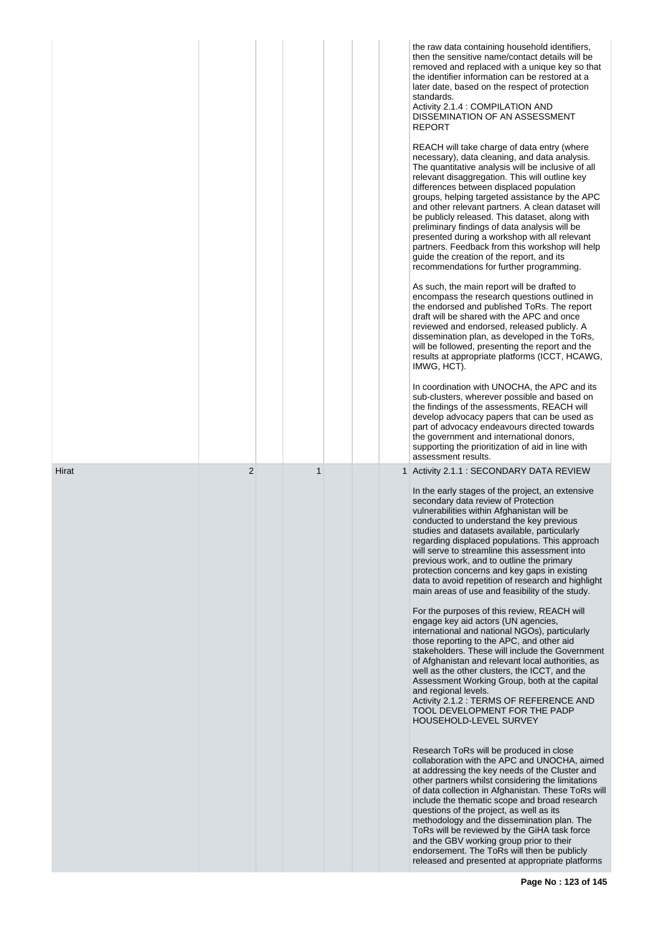|       |                |   | the raw data containing household identifiers,<br>then the sensitive name/contact details will be<br>removed and replaced with a unique key so that<br>the identifier information can be restored at a<br>later date, based on the respect of protection<br>standards.<br>Activity 2.1.4 : COMPILATION AND<br>DISSEMINATION OF AN ASSESSMENT<br><b>REPORT</b>                                                                                                                                                                                                                                                                                           |
|-------|----------------|---|---------------------------------------------------------------------------------------------------------------------------------------------------------------------------------------------------------------------------------------------------------------------------------------------------------------------------------------------------------------------------------------------------------------------------------------------------------------------------------------------------------------------------------------------------------------------------------------------------------------------------------------------------------|
|       |                |   | REACH will take charge of data entry (where<br>necessary), data cleaning, and data analysis.<br>The quantitative analysis will be inclusive of all<br>relevant disaggregation. This will outline key<br>differences between displaced population<br>groups, helping targeted assistance by the APC<br>and other relevant partners. A clean dataset will<br>be publicly released. This dataset, along with<br>preliminary findings of data analysis will be<br>presented during a workshop with all relevant<br>partners. Feedback from this workshop will help<br>guide the creation of the report, and its<br>recommendations for further programming. |
|       |                |   | As such, the main report will be drafted to<br>encompass the research questions outlined in<br>the endorsed and published ToRs. The report<br>draft will be shared with the APC and once<br>reviewed and endorsed, released publicly. A<br>dissemination plan, as developed in the ToRs,<br>will be followed, presenting the report and the<br>results at appropriate platforms (ICCT, HCAWG,<br>IMWG, HCT).                                                                                                                                                                                                                                            |
|       |                |   | In coordination with UNOCHA, the APC and its<br>sub-clusters, wherever possible and based on<br>the findings of the assessments, REACH will<br>develop advocacy papers that can be used as<br>part of advocacy endeavours directed towards<br>the government and international donors,<br>supporting the prioritization of aid in line with<br>assessment results.                                                                                                                                                                                                                                                                                      |
| Hirat | $\overline{2}$ | 1 | 1 Activity 2.1.1 : SECONDARY DATA REVIEW<br>In the early stages of the project, an extensive<br>secondary data review of Protection<br>vulnerabilities within Afghanistan will be<br>conducted to understand the key previous<br>studies and datasets available, particularly<br>regarding displaced populations. This approach<br>will serve to streamline this assessment into<br>previous work, and to outline the primary<br>protection concerns and key gaps in existing<br>data to avoid repetition of research and highlight<br>main areas of use and feasibility of the study.                                                                  |
|       |                |   | For the purposes of this review, REACH will<br>engage key aid actors (UN agencies,<br>international and national NGOs), particularly<br>those reporting to the APC, and other aid<br>stakeholders. These will include the Government<br>of Afghanistan and relevant local authorities, as<br>well as the other clusters, the ICCT, and the<br>Assessment Working Group, both at the capital<br>and regional levels.<br>Activity 2.1.2 : TERMS OF REFERENCE AND<br>TOOL DEVELOPMENT FOR THE PADP<br>HOUSEHOLD-LEVEL SURVEY                                                                                                                               |
|       |                |   | Research ToRs will be produced in close<br>collaboration with the APC and UNOCHA, aimed<br>at addressing the key needs of the Cluster and<br>other partners whilst considering the limitations<br>of data collection in Afghanistan. These ToRs will<br>include the thematic scope and broad research<br>questions of the project, as well as its<br>methodology and the dissemination plan. The<br>ToRs will be reviewed by the GiHA task force<br>and the GBV working group prior to their<br>endorsement. The ToRs will then be publicly<br>released and presented at appropriate platforms                                                          |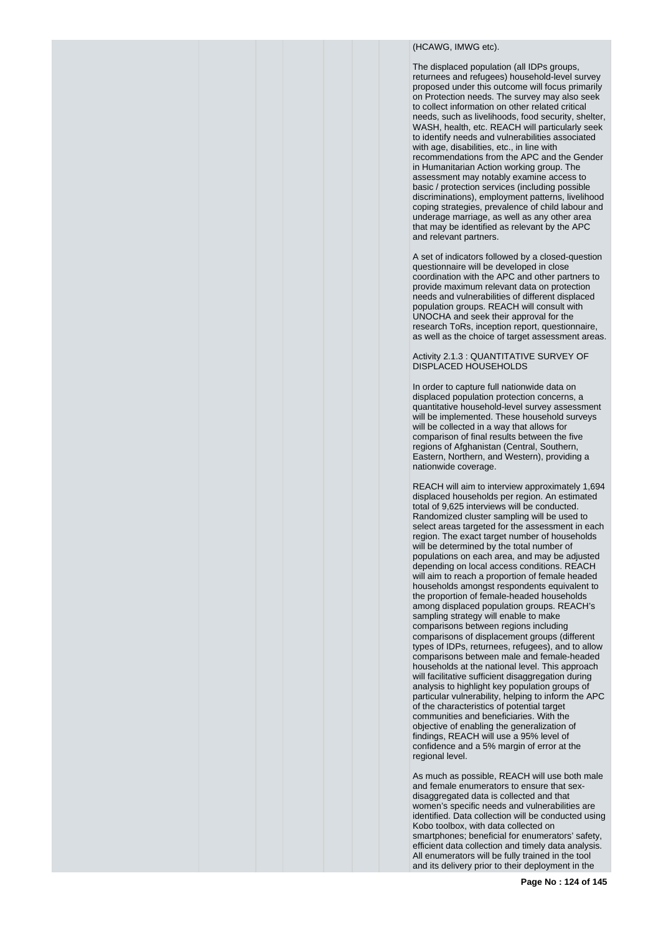# (HCAWG, IMWG etc).

The displaced population (all IDPs groups, returnees and refugees) household-level survey proposed under this outcome will focus primarily on Protection needs. The survey may also seek to collect information on other related critical needs, such as livelihoods, food security, shelter, WASH, health, etc. REACH will particularly seek to identify needs and vulnerabilities associated with age, disabilities, etc., in line with recommendations from the APC and the Gender in Humanitarian Action working group. The assessment may notably examine access to basic / protection services (including possible discriminations), employment patterns, livelihood coping strategies, prevalence of child labour and underage marriage, as well as any other area that may be identified as relevant by the APC and relevant partners.

A set of indicators followed by a closed-question questionnaire will be developed in close coordination with the APC and other partners to provide maximum relevant data on protection needs and vulnerabilities of different displaced population groups. REACH will consult with UNOCHA and seek their approval for the research ToRs, inception report, questionnaire, as well as the choice of target assessment areas.

#### Activity 2.1.3 : QUANTITATIVE SURVEY OF DISPLACED HOUSEHOLDS

In order to capture full nationwide data on displaced population protection concerns, a quantitative household-level survey assessment will be implemented. These household surveys will be collected in a way that allows for comparison of final results between the five regions of Afghanistan (Central, Southern, Eastern, Northern, and Western), providing a nationwide coverage.

REACH will aim to interview approximately 1,694 displaced households per region. An estimated total of 9,625 interviews will be conducted. Randomized cluster sampling will be used to select areas targeted for the assessment in each region. The exact target number of households will be determined by the total number of populations on each area, and may be adjusted depending on local access conditions. REACH will aim to reach a proportion of female headed households amongst respondents equivalent to the proportion of female-headed households among displaced population groups. REACH's sampling strategy will enable to make comparisons between regions including comparisons of displacement groups (different types of IDPs, returnees, refugees), and to allow comparisons between male and female-headed households at the national level. This approach will facilitative sufficient disaggregation during analysis to highlight key population groups of particular vulnerability, helping to inform the APC of the characteristics of potential target communities and beneficiaries. With the objective of enabling the generalization of findings, REACH will use a 95% level of confidence and a 5% margin of error at the regional level.

As much as possible, REACH will use both male and female enumerators to ensure that sexdisaggregated data is collected and that women's specific needs and vulnerabilities are identified. Data collection will be conducted using Kobo toolbox, with data collected on smartphones; beneficial for enumerators' safety, efficient data collection and timely data analysis. All enumerators will be fully trained in the tool and its delivery prior to their deployment in the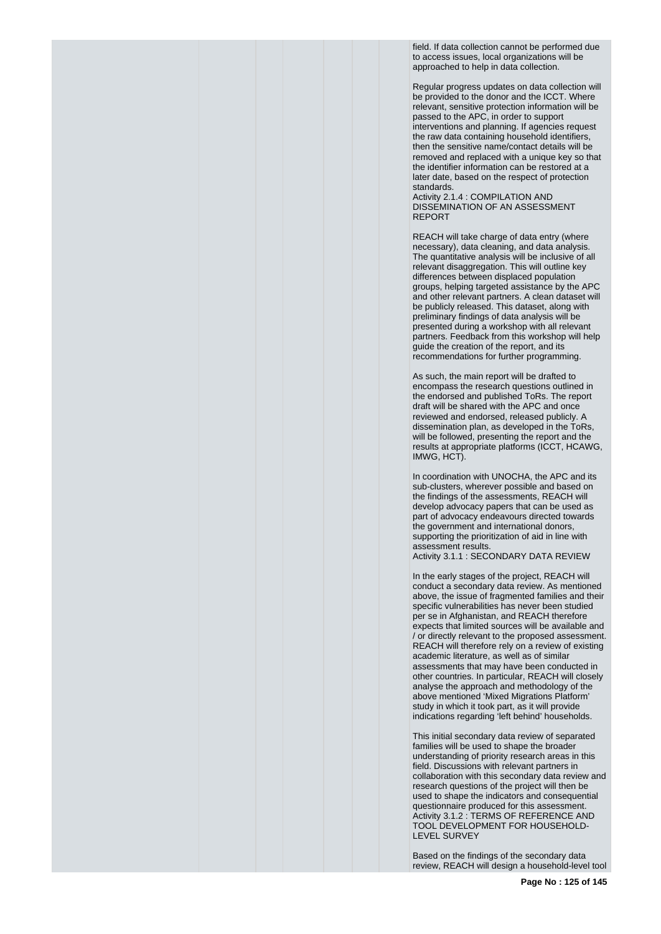field. If data collection cannot be performed due to access issues, local organizations will be approached to help in data collection.

Regular progress updates on data collection will be provided to the donor and the ICCT. Where relevant, sensitive protection information will be passed to the APC, in order to support interventions and planning. If agencies request the raw data containing household identifiers, then the sensitive name/contact details will be removed and replaced with a unique key so that the identifier information can be restored at a later date, based on the respect of protection standards.

Activity 2.1.4 : COMPILATION AND DISSEMINATION OF AN ASSESSMENT REPORT

REACH will take charge of data entry (where necessary), data cleaning, and data analysis. The quantitative analysis will be inclusive of all relevant disaggregation. This will outline key differences between displaced population groups, helping targeted assistance by the APC and other relevant partners. A clean dataset will be publicly released. This dataset, along with preliminary findings of data analysis will be presented during a workshop with all relevant partners. Feedback from this workshop will help guide the creation of the report, and its recommendations for further programming.

As such, the main report will be drafted to encompass the research questions outlined in the endorsed and published ToRs. The report draft will be shared with the APC and once reviewed and endorsed, released publicly. A dissemination plan, as developed in the ToRs, will be followed, presenting the report and the results at appropriate platforms (ICCT, HCAWG, IMWG, HCT).

In coordination with UNOCHA, the APC and its sub-clusters, wherever possible and based on the findings of the assessments, REACH will develop advocacy papers that can be used as part of advocacy endeavours directed towards the government and international donors, supporting the prioritization of aid in line with assessment results. Activity 3.1.1 : SECONDARY DATA REVIEW

In the early stages of the project, REACH will conduct a secondary data review. As mentioned above, the issue of fragmented families and their specific vulnerabilities has never been studied per se in Afghanistan, and REACH therefore expects that limited sources will be available and / or directly relevant to the proposed assessment. REACH will therefore rely on a review of existing academic literature, as well as of similar assessments that may have been conducted in other countries. In particular, REACH will closely analyse the approach and methodology of the above mentioned 'Mixed Migrations Platform' study in which it took part, as it will provide indications regarding 'left behind' households.

This initial secondary data review of separated families will be used to shape the broader understanding of priority research areas in this field. Discussions with relevant partners in collaboration with this secondary data review and research questions of the project will then be used to shape the indicators and consequential questionnaire produced for this assessment. Activity 3.1.2 : TERMS OF REFERENCE AND TOOL DEVELOPMENT FOR HOUSEHOLD-LEVEL SURVEY

Based on the findings of the secondary data review, REACH will design a household-level tool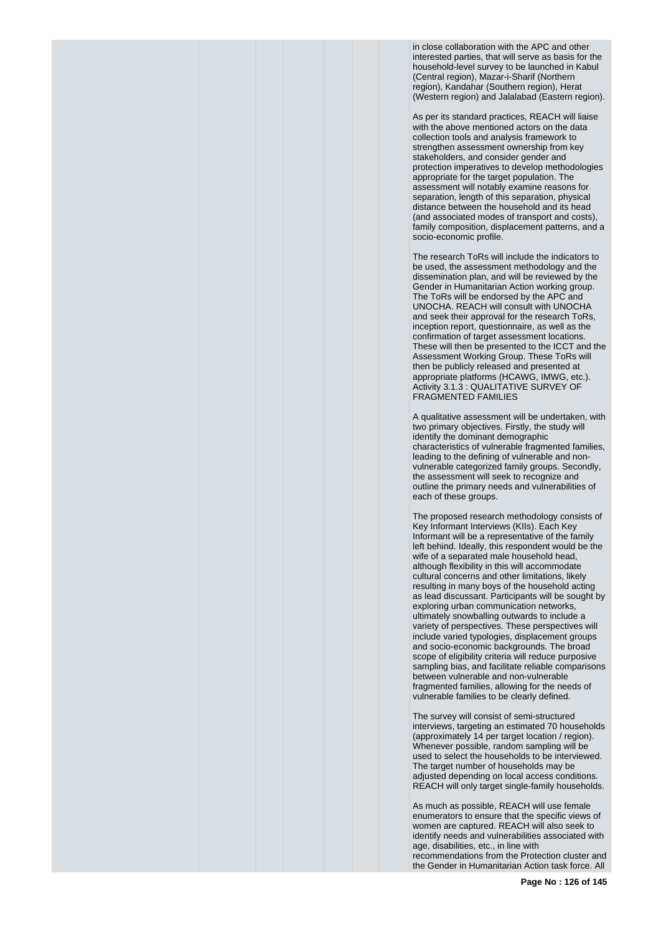in close collaboration with the APC and other interested parties, that will serve as basis for the household-level survey to be launched in Kabul (Central region), Mazar-i-Sharif (Northern region), Kandahar (Southern region), Herat (Western region) and Jalalabad (Eastern region).

As per its standard practices, REACH will liaise with the above mentioned actors on the data collection tools and analysis framework to strengthen assessment ownership from key stakeholders, and consider gender and protection imperatives to develop methodologies appropriate for the target population. The assessment will notably examine reasons for separation, length of this separation, physical distance between the household and its head (and associated modes of transport and costs), family composition, displacement patterns, and a socio-economic profile.

The research ToRs will include the indicators to be used, the assessment methodology and the dissemination plan, and will be reviewed by the Gender in Humanitarian Action working group. The ToRs will be endorsed by the APC and UNOCHA. REACH will consult with UNOCHA and seek their approval for the research ToRs, inception report, questionnaire, as well as the confirmation of target assessment locations. These will then be presented to the ICCT and the Assessment Working Group. These ToRs will then be publicly released and presented at appropriate platforms (HCAWG, IMWG, etc.). Activity 3.1.3 : QUALITATIVE SURVEY OF FRAGMENTED FAMILIES

A qualitative assessment will be undertaken, with two primary objectives. Firstly, the study will identify the dominant demographic characteristics of vulnerable fragmented families, leading to the defining of vulnerable and nonvulnerable categorized family groups. Secondly, the assessment will seek to recognize and outline the primary needs and vulnerabilities of each of these groups.

The proposed research methodology consists of Key Informant Interviews (KIIs). Each Key Informant will be a representative of the family left behind. Ideally, this respondent would be the wife of a separated male household head, although flexibility in this will accommodate cultural concerns and other limitations, likely resulting in many boys of the household acting as lead discussant. Participants will be sought by exploring urban communication networks, ultimately snowballing outwards to include a variety of perspectives. These perspectives will include varied typologies, displacement groups and socio-economic backgrounds. The broad scope of eligibility criteria will reduce purposive sampling bias, and facilitate reliable comparisons between vulnerable and non-vulnerable fragmented families, allowing for the needs of vulnerable families to be clearly defined.

The survey will consist of semi-structured interviews, targeting an estimated 70 households (approximately 14 per target location / region). Whenever possible, random sampling will be used to select the households to be interviewed. The target number of households may be adjusted depending on local access conditions. REACH will only target single-family households.

As much as possible, REACH will use female enumerators to ensure that the specific views of women are captured. REACH will also seek to identify needs and vulnerabilities associated with age, disabilities, etc., in line with recommendations from the Protection cluster and the Gender in Humanitarian Action task force. All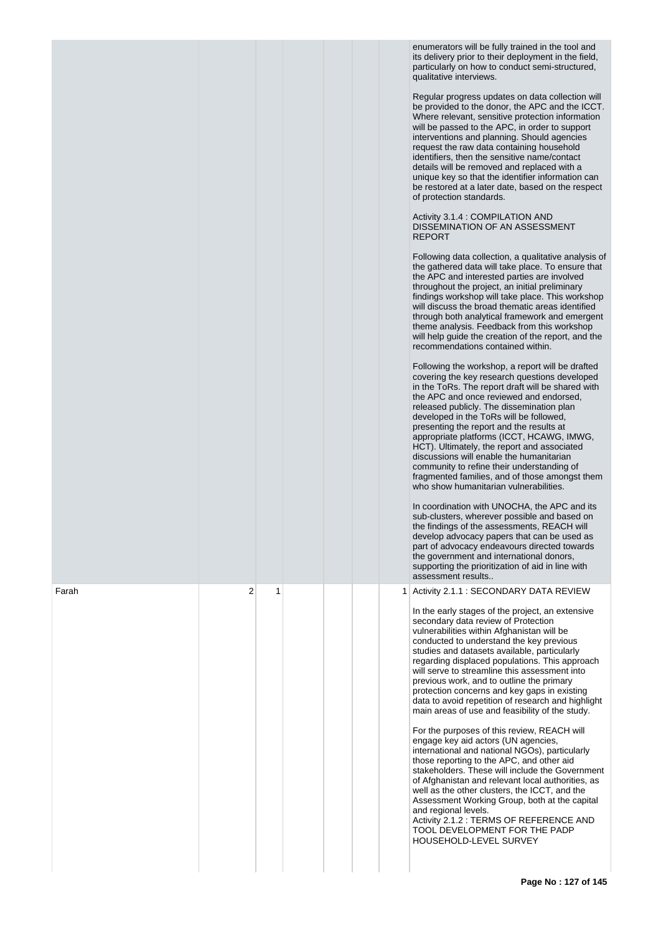|       |        | enumerators will be fully trained in the tool and<br>its delivery prior to their deployment in the field,<br>particularly on how to conduct semi-structured,<br>qualitative interviews.<br>Regular progress updates on data collection will<br>be provided to the donor, the APC and the ICCT.<br>Where relevant, sensitive protection information<br>will be passed to the APC, in order to support<br>interventions and planning. Should agencies<br>request the raw data containing household<br>identifiers, then the sensitive name/contact<br>details will be removed and replaced with a<br>unique key so that the identifier information can<br>be restored at a later date, based on the respect<br>of protection standards.<br>Activity 3.1.4 : COMPILATION AND<br>DISSEMINATION OF AN ASSESSMENT<br><b>REPORT</b><br>Following data collection, a qualitative analysis of<br>the gathered data will take place. To ensure that<br>the APC and interested parties are involved<br>throughout the project, an initial preliminary<br>findings workshop will take place. This workshop<br>will discuss the broad thematic areas identified<br>through both analytical framework and emergent<br>theme analysis. Feedback from this workshop<br>will help guide the creation of the report, and the<br>recommendations contained within.<br>Following the workshop, a report will be drafted<br>covering the key research questions developed<br>in the ToRs. The report draft will be shared with<br>the APC and once reviewed and endorsed,<br>released publicly. The dissemination plan<br>developed in the ToRs will be followed,<br>presenting the report and the results at<br>appropriate platforms (ICCT, HCAWG, IMWG,<br>HCT). Ultimately, the report and associated<br>discussions will enable the humanitarian<br>community to refine their understanding of<br>fragmented families, and of those amongst them<br>who show humanitarian vulnerabilities.<br>In coordination with UNOCHA, the APC and its<br>sub-clusters, wherever possible and based on<br>the findings of the assessments, REACH will<br>develop advocacy papers that can be used as<br>part of advocacy endeavours directed towards<br>the government and international donors,<br>supporting the prioritization of aid in line with<br>assessment results |
|-------|--------|-------------------------------------------------------------------------------------------------------------------------------------------------------------------------------------------------------------------------------------------------------------------------------------------------------------------------------------------------------------------------------------------------------------------------------------------------------------------------------------------------------------------------------------------------------------------------------------------------------------------------------------------------------------------------------------------------------------------------------------------------------------------------------------------------------------------------------------------------------------------------------------------------------------------------------------------------------------------------------------------------------------------------------------------------------------------------------------------------------------------------------------------------------------------------------------------------------------------------------------------------------------------------------------------------------------------------------------------------------------------------------------------------------------------------------------------------------------------------------------------------------------------------------------------------------------------------------------------------------------------------------------------------------------------------------------------------------------------------------------------------------------------------------------------------------------------------------------------------------------------------------------------------------------------------------------------------------------------------------------------------------------------------------------------------------------------------------------------------------------------------------------------------------------------------------------------------------------------------------------------------------------------------------------------------------------------------------------------------|
| Farah | 2<br>1 | 1 Activity 2.1.1 : SECONDARY DATA REVIEW<br>In the early stages of the project, an extensive<br>secondary data review of Protection<br>vulnerabilities within Afghanistan will be<br>conducted to understand the key previous<br>studies and datasets available, particularly<br>regarding displaced populations. This approach<br>will serve to streamline this assessment into<br>previous work, and to outline the primary<br>protection concerns and key gaps in existing<br>data to avoid repetition of research and highlight<br>main areas of use and feasibility of the study.<br>For the purposes of this review, REACH will<br>engage key aid actors (UN agencies,<br>international and national NGOs), particularly<br>those reporting to the APC, and other aid<br>stakeholders. These will include the Government<br>of Afghanistan and relevant local authorities, as<br>well as the other clusters, the ICCT, and the<br>Assessment Working Group, both at the capital<br>and regional levels.<br>Activity 2.1.2 : TERMS OF REFERENCE AND<br>TOOL DEVELOPMENT FOR THE PADP<br>HOUSEHOLD-LEVEL SURVEY                                                                                                                                                                                                                                                                                                                                                                                                                                                                                                                                                                                                                                                                                                                                                                                                                                                                                                                                                                                                                                                                                                                                                                                                                             |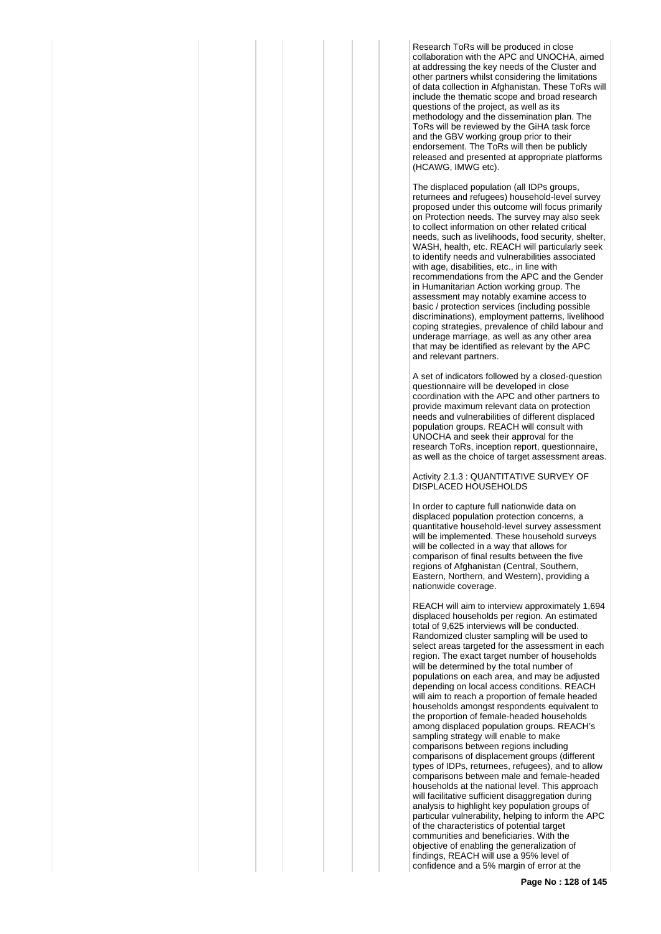Research ToRs will be produced in close collaboration with the APC and UNOCHA, aimed at addressing the key needs of the Cluster and other partners whilst considering the limitations of data collection in Afghanistan. These ToRs will include the thematic scope and broad research questions of the project, as well as its methodology and the dissemination plan. The ToRs will be reviewed by the GiHA task force and the GBV working group prior to their endorsement. The ToRs will then be publicly released and presented at appropriate platforms (HCAWG, IMWG etc).

The displaced population (all IDPs groups, returnees and refugees) household-level survey proposed under this outcome will focus primarily on Protection needs. The survey may also seek to collect information on other related critical needs, such as livelihoods, food security, shelter, WASH, health, etc. REACH will particularly seek to identify needs and vulnerabilities associated with age, disabilities, etc., in line with recommendations from the APC and the Gender in Humanitarian Action working group. The assessment may notably examine access to basic / protection services (including possible discriminations), employment patterns, livelihood coping strategies, prevalence of child labour and underage marriage, as well as any other area that may be identified as relevant by the APC and relevant partners.

A set of indicators followed by a closed-question questionnaire will be developed in close coordination with the APC and other partners to provide maximum relevant data on protection needs and vulnerabilities of different displaced population groups. REACH will consult with UNOCHA and seek their approval for the research ToRs, inception report, questionnaire, as well as the choice of target assessment areas.

Activity 2.1.3 : QUANTITATIVE SURVEY OF DISPLACED HOUSEHOLDS

In order to capture full nationwide data on displaced population protection concerns, a quantitative household-level survey assessment will be implemented. These household surveys will be collected in a way that allows for comparison of final results between the five regions of Afghanistan (Central, Southern, Eastern, Northern, and Western), providing a nationwide coverage.

REACH will aim to interview approximately 1,694 displaced households per region. An estimated total of 9,625 interviews will be conducted. Randomized cluster sampling will be used to select areas targeted for the assessment in each region. The exact target number of households will be determined by the total number of populations on each area, and may be adjusted depending on local access conditions. REACH will aim to reach a proportion of female headed households amongst respondents equivalent to the proportion of female-headed households among displaced population groups. REACH's sampling strategy will enable to make comparisons between regions including comparisons of displacement groups (different types of IDPs, returnees, refugees), and to allow comparisons between male and female-headed households at the national level. This approach will facilitative sufficient disaggregation during analysis to highlight key population groups of particular vulnerability, helping to inform the APC of the characteristics of potential target communities and beneficiaries. With the objective of enabling the generalization of findings, REACH will use a 95% level of confidence and a 5% margin of error at the

**Page No : 128 of 145**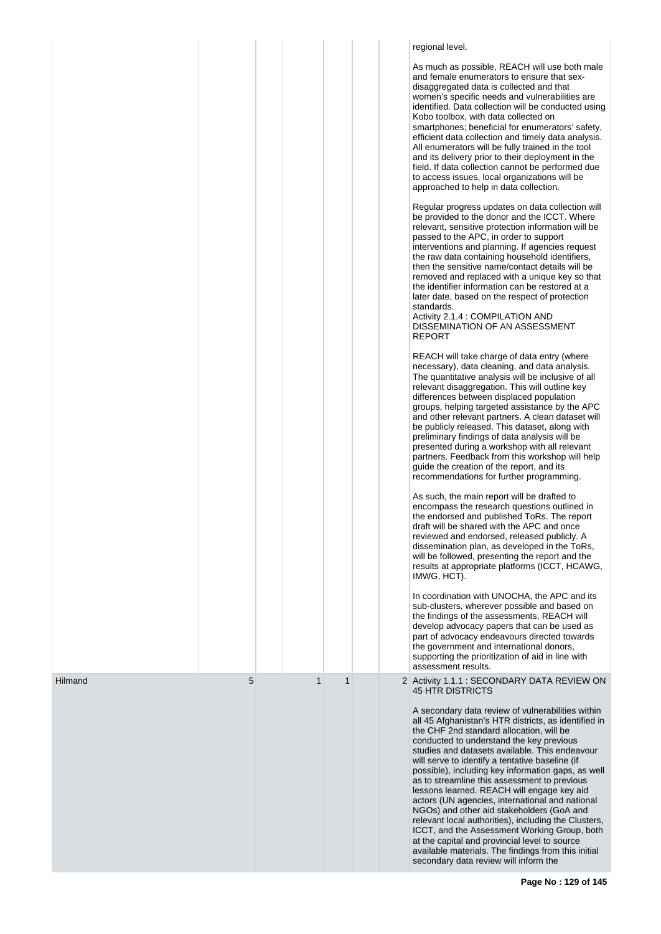|         |   |              |             |  | regional level.                                                                                                                                                                                                                                                                                                                                                                                                                                                                                                                                                                                                                                                                                                                                                                                                                                      |
|---------|---|--------------|-------------|--|------------------------------------------------------------------------------------------------------------------------------------------------------------------------------------------------------------------------------------------------------------------------------------------------------------------------------------------------------------------------------------------------------------------------------------------------------------------------------------------------------------------------------------------------------------------------------------------------------------------------------------------------------------------------------------------------------------------------------------------------------------------------------------------------------------------------------------------------------|
|         |   |              |             |  | As much as possible, REACH will use both male<br>and female enumerators to ensure that sex-<br>disaggregated data is collected and that<br>women's specific needs and vulnerabilities are<br>identified. Data collection will be conducted using<br>Kobo toolbox, with data collected on<br>smartphones; beneficial for enumerators' safety,<br>efficient data collection and timely data analysis.<br>All enumerators will be fully trained in the tool<br>and its delivery prior to their deployment in the<br>field. If data collection cannot be performed due<br>to access issues, local organizations will be<br>approached to help in data collection.                                                                                                                                                                                        |
|         |   |              |             |  | Regular progress updates on data collection will<br>be provided to the donor and the ICCT. Where<br>relevant, sensitive protection information will be<br>passed to the APC, in order to support<br>interventions and planning. If agencies request<br>the raw data containing household identifiers,<br>then the sensitive name/contact details will be<br>removed and replaced with a unique key so that<br>the identifier information can be restored at a<br>later date, based on the respect of protection<br>standards.<br>Activity 2.1.4 : COMPILATION AND<br>DISSEMINATION OF AN ASSESSMENT<br><b>REPORT</b>                                                                                                                                                                                                                                 |
|         |   |              |             |  | REACH will take charge of data entry (where<br>necessary), data cleaning, and data analysis.<br>The quantitative analysis will be inclusive of all<br>relevant disaggregation. This will outline key<br>differences between displaced population<br>groups, helping targeted assistance by the APC<br>and other relevant partners. A clean dataset will<br>be publicly released. This dataset, along with<br>preliminary findings of data analysis will be<br>presented during a workshop with all relevant<br>partners. Feedback from this workshop will help<br>guide the creation of the report, and its<br>recommendations for further programming.                                                                                                                                                                                              |
|         |   |              |             |  | As such, the main report will be drafted to<br>encompass the research questions outlined in<br>the endorsed and published ToRs. The report<br>draft will be shared with the APC and once<br>reviewed and endorsed, released publicly. A<br>dissemination plan, as developed in the ToRs,<br>will be followed, presenting the report and the<br>results at appropriate platforms (ICCT, HCAWG,<br>IMWG, HCT).                                                                                                                                                                                                                                                                                                                                                                                                                                         |
|         |   |              |             |  | In coordination with UNOCHA, the APC and its<br>sub-clusters, wherever possible and based on<br>the findings of the assessments, REACH will<br>develop advocacy papers that can be used as<br>part of advocacy endeavours directed towards<br>the government and international donors,<br>supporting the prioritization of aid in line with<br>assessment results.                                                                                                                                                                                                                                                                                                                                                                                                                                                                                   |
| Hilmand | 5 | $\mathbf{1}$ | $\mathbf 1$ |  | 2 Activity 1.1.1 : SECONDARY DATA REVIEW ON<br><b>45 HTR DISTRICTS</b><br>A secondary data review of vulnerabilities within<br>all 45 Afghanistan's HTR districts, as identified in<br>the CHF 2nd standard allocation, will be<br>conducted to understand the key previous<br>studies and datasets available. This endeavour<br>will serve to identify a tentative baseline (if<br>possible), including key information gaps, as well<br>as to streamline this assessment to previous<br>lessons learned. REACH will engage key aid<br>actors (UN agencies, international and national<br>NGOs) and other aid stakeholders (GoA and<br>relevant local authorities), including the Clusters,<br>ICCT, and the Assessment Working Group, both<br>at the capital and provincial level to source<br>available materials. The findings from this initial |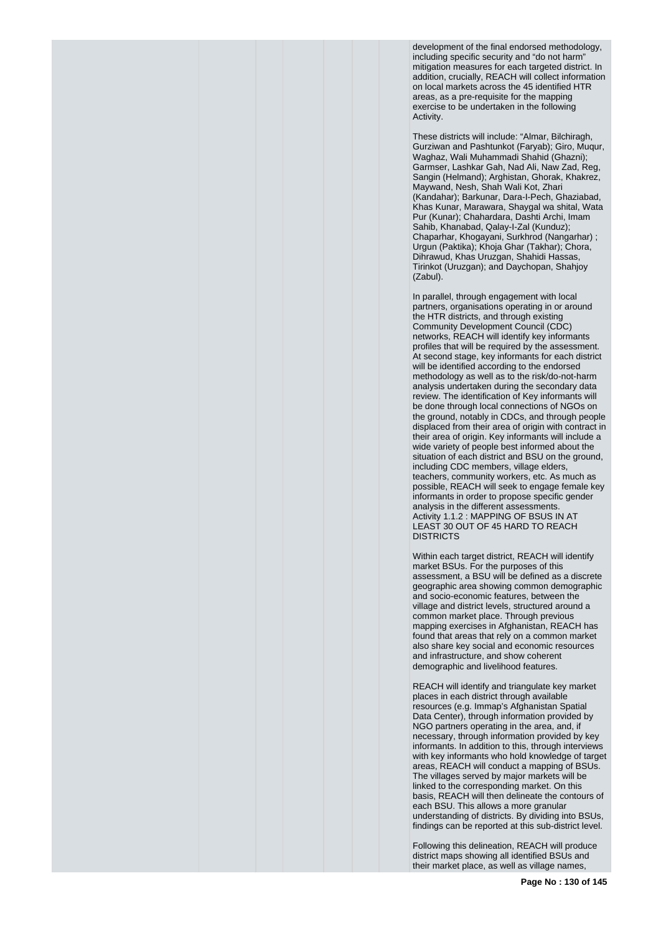development of the final endorsed methodology, including specific security and "do not harm" mitigation measures for each targeted district. In addition, crucially, REACH will collect information on local markets across the 45 identified HTR areas, as a pre-requisite for the mapping exercise to be undertaken in the following Activity.

These districts will include: "Almar, Bilchiragh, Gurziwan and Pashtunkot (Faryab); Giro, Muqur, Waghaz, Wali Muhammadi Shahid (Ghazni); Garmser, Lashkar Gah, Nad Ali, Naw Zad, Reg, Sangin (Helmand); Arghistan, Ghorak, Khakrez, Maywand, Nesh, Shah Wali Kot, Zhari (Kandahar); Barkunar, Dara-I-Pech, Ghaziabad, Khas Kunar, Marawara, Shaygal wa shital, Wata Pur (Kunar); Chahardara, Dashti Archi, Imam Sahib, Khanabad, Qalay-I-Zal (Kunduz); Chaparhar, Khogayani, Surkhrod (Nangarhar) ; Urgun (Paktika); Khoja Ghar (Takhar); Chora, Dihrawud, Khas Uruzgan, Shahidi Hassas, Tirinkot (Uruzgan); and Daychopan, Shahjoy (Zabul).

In parallel, through engagement with local partners, organisations operating in or around the HTR districts, and through existing Community Development Council (CDC) networks, REACH will identify key informants profiles that will be required by the assessment. At second stage, key informants for each district will be identified according to the endorsed methodology as well as to the risk/do-not-harm analysis undertaken during the secondary data review. The identification of Key informants will be done through local connections of NGOs on the ground, notably in CDCs, and through people displaced from their area of origin with contract in their area of origin. Key informants will include a wide variety of people best informed about the situation of each district and BSU on the ground, including CDC members, village elders, teachers, community workers, etc. As much as possible, REACH will seek to engage female key informants in order to propose specific gender analysis in the different assessments. Activity 1.1.2 : MAPPING OF BSUS IN AT LEAST 30 OUT OF 45 HARD TO REACH DISTRICTS

Within each target district, REACH will identify market BSUs. For the purposes of this assessment, a BSU will be defined as a discrete geographic area showing common demographic and socio-economic features, between the village and district levels, structured around a common market place. Through previous mapping exercises in Afghanistan, REACH has found that areas that rely on a common market also share key social and economic resources and infrastructure, and show coherent demographic and livelihood features.

REACH will identify and triangulate key market places in each district through available resources (e.g. Immap's Afghanistan Spatial Data Center), through information provided by NGO partners operating in the area, and, if necessary, through information provided by key informants. In addition to this, through interviews with key informants who hold knowledge of target areas, REACH will conduct a mapping of BSUs. The villages served by major markets will be linked to the corresponding market. On this basis, REACH will then delineate the contours of each BSU. This allows a more granular understanding of districts. By dividing into BSUs, findings can be reported at this sub-district level.

Following this delineation, REACH will produce district maps showing all identified BSUs and their market place, as well as village names,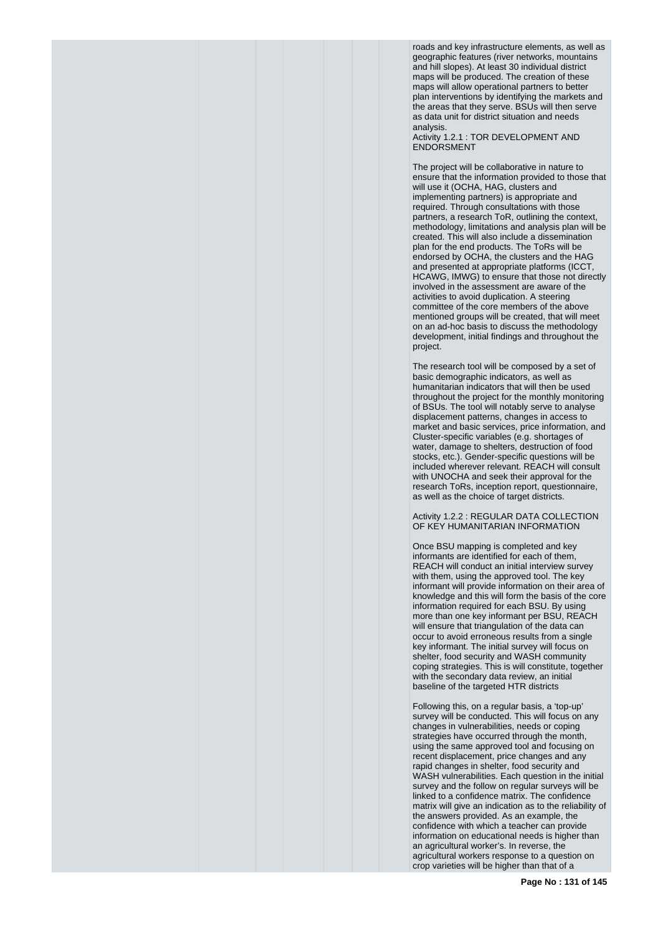roads and key infrastructure elements, as well as geographic features (river networks, mountains and hill slopes). At least 30 individual district maps will be produced. The creation of these maps will allow operational partners to better plan interventions by identifying the markets and the areas that they serve. BSUs will then serve as data unit for district situation and needs analysis.

Activity 1.2.1 : TOR DEVELOPMENT AND **ENDORSMENT** 

The project will be collaborative in nature to ensure that the information provided to those that will use it (OCHA, HAG, clusters and implementing partners) is appropriate and required. Through consultations with those partners, a research ToR, outlining the context, methodology, limitations and analysis plan will be created. This will also include a dissemination plan for the end products. The ToRs will be endorsed by OCHA, the clusters and the HAG and presented at appropriate platforms (ICCT, HCAWG, IMWG) to ensure that those not directly involved in the assessment are aware of the activities to avoid duplication. A steering committee of the core members of the above mentioned groups will be created, that will meet on an ad-hoc basis to discuss the methodology development, initial findings and throughout the project.

The research tool will be composed by a set of basic demographic indicators, as well as humanitarian indicators that will then be used throughout the project for the monthly monitoring of BSUs. The tool will notably serve to analyse displacement patterns, changes in access to market and basic services, price information, and Cluster-specific variables (e.g. shortages of water, damage to shelters, destruction of food stocks, etc.). Gender-specific questions will be included wherever relevant. REACH will consult with UNOCHA and seek their approval for the research ToRs, inception report, questionnaire, as well as the choice of target districts.

Activity 1.2.2 : REGULAR DATA COLLECTION OF KEY HUMANITARIAN INFORMATION

Once BSU mapping is completed and key informants are identified for each of them, REACH will conduct an initial interview survey with them, using the approved tool. The key informant will provide information on their area of knowledge and this will form the basis of the core information required for each BSU. By using more than one key informant per BSU, REACH will ensure that triangulation of the data can occur to avoid erroneous results from a single key informant. The initial survey will focus on shelter, food security and WASH community coping strategies. This is will constitute, together with the secondary data review, an initial baseline of the targeted HTR districts

Following this, on a regular basis, a 'top-up' survey will be conducted. This will focus on any changes in vulnerabilities, needs or coping strategies have occurred through the month, using the same approved tool and focusing on recent displacement, price changes and any rapid changes in shelter, food security and WASH vulnerabilities. Each question in the initial survey and the follow on regular surveys will be linked to a confidence matrix. The confidence matrix will give an indication as to the reliability of the answers provided. As an example, the confidence with which a teacher can provide information on educational needs is higher than an agricultural worker's. In reverse, the agricultural workers response to a question on crop varieties will be higher than that of a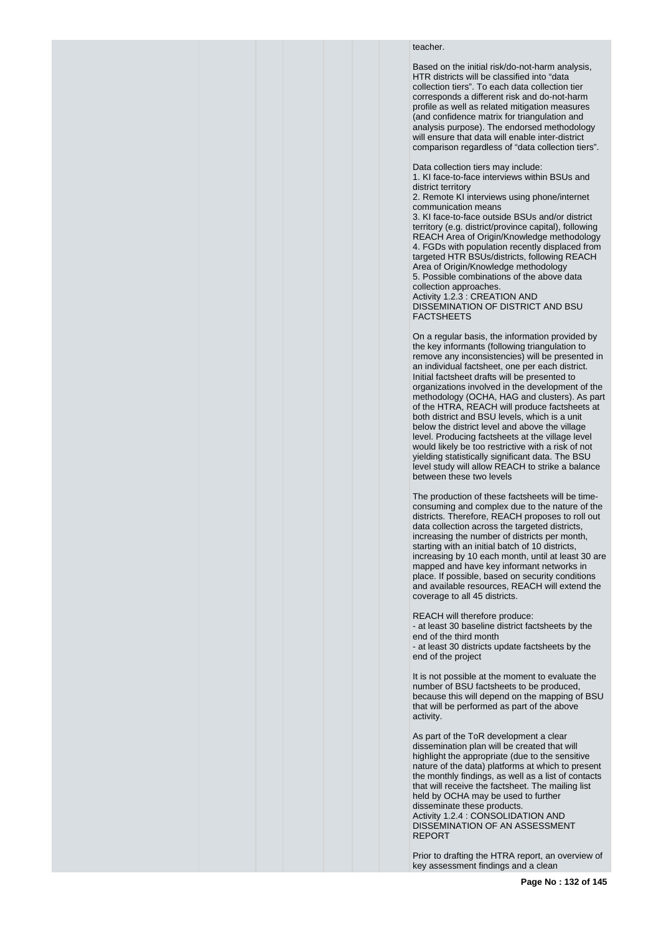## teacher.

Based on the initial risk/do-not-harm analysis, HTR districts will be classified into "data collection tiers". To each data collection tier corresponds a different risk and do-not-harm profile as well as related mitigation measures (and confidence matrix for triangulation and analysis purpose). The endorsed methodology will ensure that data will enable inter-district comparison regardless of "data collection tiers".

Data collection tiers may include:

1. KI face-to-face interviews within BSUs and district territory

2. Remote KI interviews using phone/internet communication means

3. KI face-to-face outside BSUs and/or district territory (e.g. district/province capital), following REACH Area of Origin/Knowledge methodology 4. FGDs with population recently displaced from targeted HTR BSUs/districts, following REACH Area of Origin/Knowledge methodology 5. Possible combinations of the above data collection approaches. Activity 1.2.3 : CREATION AND

DISSEMINATION OF DISTRICT AND BSU FACTSHEETS

On a regular basis, the information provided by the key informants (following triangulation to remove any inconsistencies) will be presented in an individual factsheet, one per each district. Initial factsheet drafts will be presented to organizations involved in the development of the methodology (OCHA, HAG and clusters). As part of the HTRA, REACH will produce factsheets at both district and BSU levels, which is a unit below the district level and above the village level. Producing factsheets at the village level would likely be too restrictive with a risk of not yielding statistically significant data. The BSU level study will allow REACH to strike a balance between these two levels

The production of these factsheets will be timeconsuming and complex due to the nature of the districts. Therefore, REACH proposes to roll out data collection across the targeted districts, increasing the number of districts per month, starting with an initial batch of 10 districts, increasing by 10 each month, until at least 30 are mapped and have key informant networks in place. If possible, based on security conditions and available resources, REACH will extend the coverage to all 45 districts.

REACH will therefore produce: - at least 30 baseline district factsheets by the end of the third month - at least 30 districts update factsheets by the end of the project

It is not possible at the moment to evaluate the number of BSU factsheets to be produced, because this will depend on the mapping of BSU that will be performed as part of the above activity.

As part of the ToR development a clear dissemination plan will be created that will highlight the appropriate (due to the sensitive nature of the data) platforms at which to present the monthly findings, as well as a list of contacts that will receive the factsheet. The mailing list held by OCHA may be used to further disseminate these products. Activity 1.2.4 : CONSOLIDATION AND DISSEMINATION OF AN ASSESSMENT REPORT

Prior to drafting the HTRA report, an overview of key assessment findings and a clean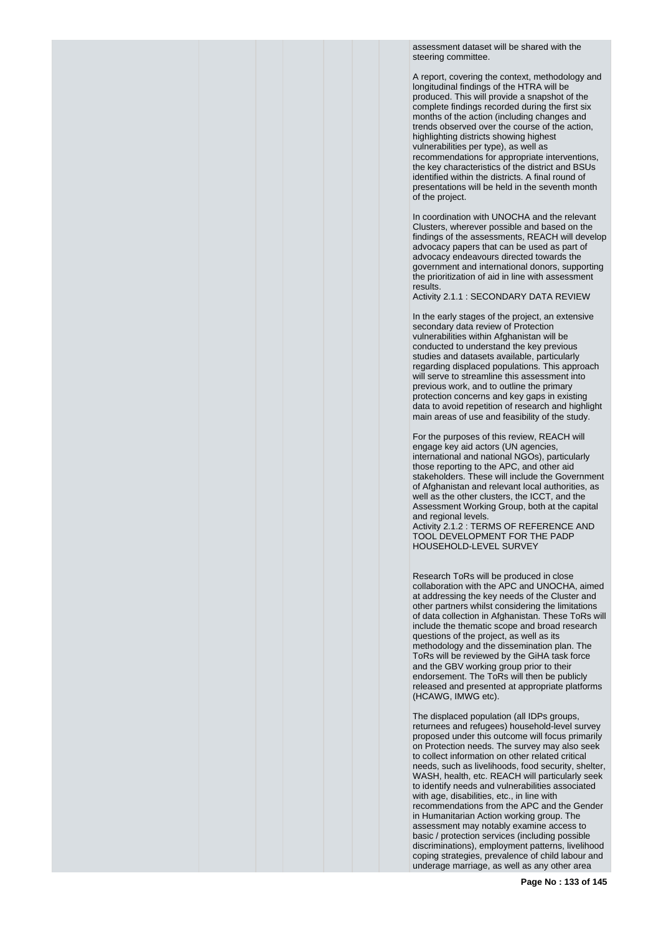assessment dataset will be shared with the steering committee.

A report, covering the context, methodology and longitudinal findings of the HTRA will be produced. This will provide a snapshot of the complete findings recorded during the first six months of the action (including changes and trends observed over the course of the action, highlighting districts showing highest vulnerabilities per type), as well as recommendations for appropriate interventions, the key characteristics of the district and BSUs identified within the districts. A final round of presentations will be held in the seventh month of the project.

In coordination with UNOCHA and the relevant Clusters, wherever possible and based on the findings of the assessments, REACH will develop advocacy papers that can be used as part of advocacy endeavours directed towards the government and international donors, supporting the prioritization of aid in line with assessment results.

Activity 2.1.1 : SECONDARY DATA REVIEW

In the early stages of the project, an extensive secondary data review of Protection vulnerabilities within Afghanistan will be conducted to understand the key previous studies and datasets available, particularly regarding displaced populations. This approach will serve to streamline this assessment into previous work, and to outline the primary protection concerns and key gaps in existing data to avoid repetition of research and highlight main areas of use and feasibility of the study.

For the purposes of this review, REACH will engage key aid actors (UN agencies, international and national NGOs), particularly those reporting to the APC, and other aid stakeholders. These will include the Government of Afghanistan and relevant local authorities, as well as the other clusters, the ICCT, and the Assessment Working Group, both at the capital and regional levels. Activity 2.1.2 : TERMS OF REFERENCE AND TOOL DEVELOPMENT FOR THE PADP HOUSEHOLD-LEVEL SURVEY

Research ToRs will be produced in close collaboration with the APC and UNOCHA, aimed at addressing the key needs of the Cluster and other partners whilst considering the limitations of data collection in Afghanistan. These ToRs will include the thematic scope and broad research questions of the project, as well as its methodology and the dissemination plan. The ToRs will be reviewed by the GiHA task force and the GBV working group prior to their endorsement. The ToRs will then be publicly released and presented at appropriate platforms (HCAWG, IMWG etc).

The displaced population (all IDPs groups, returnees and refugees) household-level survey proposed under this outcome will focus primarily on Protection needs. The survey may also seek to collect information on other related critical needs, such as livelihoods, food security, shelter, WASH, health, etc. REACH will particularly seek to identify needs and vulnerabilities associated with age, disabilities, etc., in line with recommendations from the APC and the Gender in Humanitarian Action working group. The assessment may notably examine access to basic / protection services (including possible discriminations), employment patterns, livelihood coping strategies, prevalence of child labour and underage marriage, as well as any other area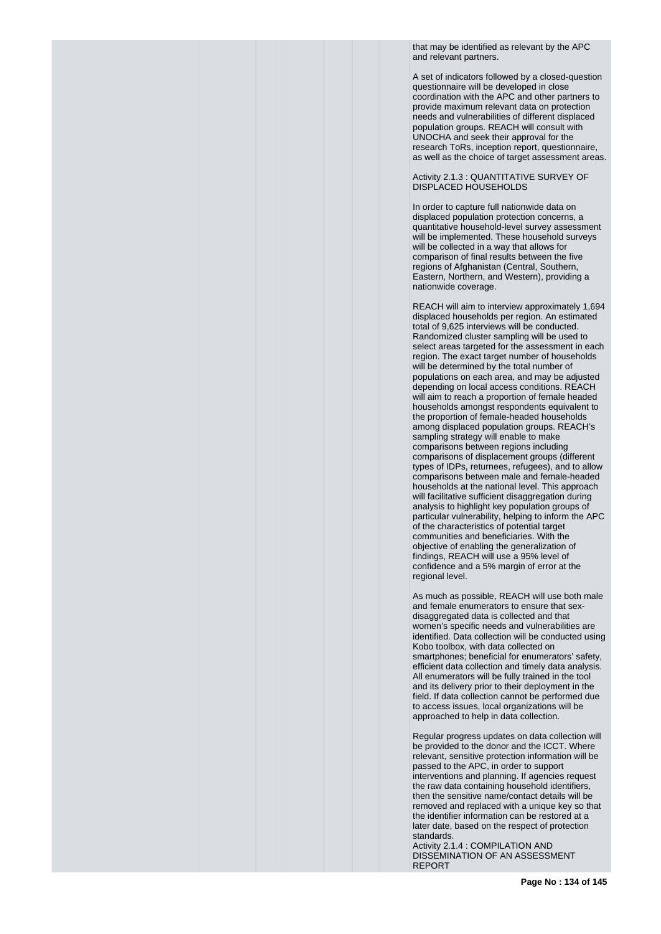that may be identified as relevant by the APC and relevant partners.

A set of indicators followed by a closed-question questionnaire will be developed in close coordination with the APC and other partners to provide maximum relevant data on protection needs and vulnerabilities of different displaced population groups. REACH will consult with UNOCHA and seek their approval for the research ToRs, inception report, questionnaire, as well as the choice of target assessment areas.

## Activity 2.1.3 : QUANTITATIVE SURVEY OF DISPLACED HOUSEHOLDS

In order to capture full nationwide data on displaced population protection concerns, a quantitative household-level survey assessment will be implemented. These household surveys will be collected in a way that allows for comparison of final results between the five regions of Afghanistan (Central, Southern, Eastern, Northern, and Western), providing a nationwide coverage.

REACH will aim to interview approximately 1,694 displaced households per region. An estimated total of 9,625 interviews will be conducted. Randomized cluster sampling will be used to select areas targeted for the assessment in each region. The exact target number of households will be determined by the total number of populations on each area, and may be adjusted depending on local access conditions. REACH will aim to reach a proportion of female headed households amongst respondents equivalent to the proportion of female-headed households among displaced population groups. REACH's sampling strategy will enable to make comparisons between regions including comparisons of displacement groups (different types of IDPs, returnees, refugees), and to allow comparisons between male and female-headed households at the national level. This approach will facilitative sufficient disaggregation during analysis to highlight key population groups of particular vulnerability, helping to inform the APC of the characteristics of potential target communities and beneficiaries. With the objective of enabling the generalization of findings, REACH will use a 95% level of confidence and a 5% margin of error at the regional level.

As much as possible, REACH will use both male and female enumerators to ensure that sexdisaggregated data is collected and that women's specific needs and vulnerabilities are identified. Data collection will be conducted using Kobo toolbox, with data collected on smartphones; beneficial for enumerators' safety, efficient data collection and timely data analysis. All enumerators will be fully trained in the tool and its delivery prior to their deployment in the field. If data collection cannot be performed due to access issues, local organizations will be approached to help in data collection.

Regular progress updates on data collection will be provided to the donor and the ICCT. Where relevant, sensitive protection information will be passed to the APC, in order to support interventions and planning. If agencies request the raw data containing household identifiers, then the sensitive name/contact details will be removed and replaced with a unique key so that the identifier information can be restored at a later date, based on the respect of protection standards.

Activity 2.1.4 : COMPILATION AND DISSEMINATION OF AN ASSESSMENT REPORT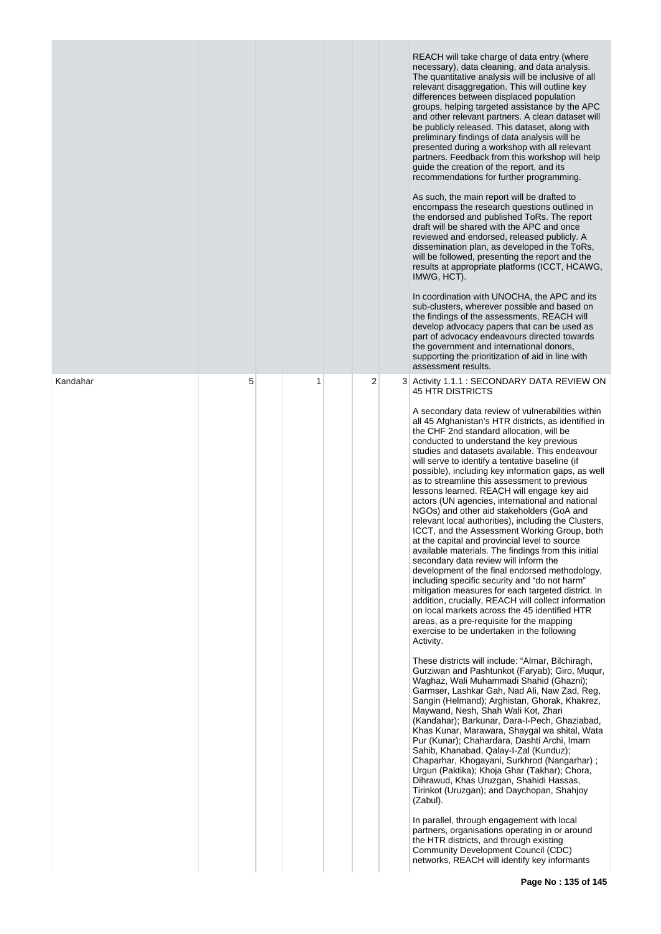|          |   |   |   | REACH will take charge of data entry (where<br>necessary), data cleaning, and data analysis.<br>The quantitative analysis will be inclusive of all<br>relevant disaggregation. This will outline key<br>differences between displaced population<br>groups, helping targeted assistance by the APC<br>and other relevant partners. A clean dataset will<br>be publicly released. This dataset, along with<br>preliminary findings of data analysis will be<br>presented during a workshop with all relevant<br>partners. Feedback from this workshop will help<br>guide the creation of the report, and its<br>recommendations for further programming.<br>As such, the main report will be drafted to<br>encompass the research questions outlined in<br>the endorsed and published ToRs. The report<br>draft will be shared with the APC and once<br>reviewed and endorsed, released publicly. A<br>dissemination plan, as developed in the ToRs,<br>will be followed, presenting the report and the<br>results at appropriate platforms (ICCT, HCAWG,<br>IMWG, HCT).<br>In coordination with UNOCHA, the APC and its<br>sub-clusters, wherever possible and based on<br>the findings of the assessments, REACH will<br>develop advocacy papers that can be used as<br>part of advocacy endeavours directed towards<br>the government and international donors,<br>supporting the prioritization of aid in line with<br>assessment results.                                                                                                                                                                                                                                                                                                                                                                                                                                                                                                                                                                                                                                                                                                                                                     |
|----------|---|---|---|---------------------------------------------------------------------------------------------------------------------------------------------------------------------------------------------------------------------------------------------------------------------------------------------------------------------------------------------------------------------------------------------------------------------------------------------------------------------------------------------------------------------------------------------------------------------------------------------------------------------------------------------------------------------------------------------------------------------------------------------------------------------------------------------------------------------------------------------------------------------------------------------------------------------------------------------------------------------------------------------------------------------------------------------------------------------------------------------------------------------------------------------------------------------------------------------------------------------------------------------------------------------------------------------------------------------------------------------------------------------------------------------------------------------------------------------------------------------------------------------------------------------------------------------------------------------------------------------------------------------------------------------------------------------------------------------------------------------------------------------------------------------------------------------------------------------------------------------------------------------------------------------------------------------------------------------------------------------------------------------------------------------------------------------------------------------------------------------------------------------------------------------------------------------------------------------------|
| Kandahar | 5 | 1 | 2 | 3 Activity 1.1.1 : SECONDARY DATA REVIEW ON<br><b>45 HTR DISTRICTS</b><br>A secondary data review of vulnerabilities within<br>all 45 Afghanistan's HTR districts, as identified in<br>the CHF 2nd standard allocation, will be<br>conducted to understand the key previous<br>studies and datasets available. This endeavour<br>will serve to identify a tentative baseline (if<br>possible), including key information gaps, as well<br>as to streamline this assessment to previous<br>lessons learned. REACH will engage key aid<br>actors (UN agencies, international and national<br>NGOs) and other aid stakeholders (GoA and<br>relevant local authorities), including the Clusters,<br>ICCT, and the Assessment Working Group, both<br>at the capital and provincial level to source<br>available materials. The findings from this initial<br>secondary data review will inform the<br>development of the final endorsed methodology,<br>including specific security and "do not harm"<br>mitigation measures for each targeted district. In<br>addition, crucially, REACH will collect information<br>on local markets across the 45 identified HTR<br>areas, as a pre-requisite for the mapping<br>exercise to be undertaken in the following<br>Activity.<br>These districts will include: "Almar, Bilchiragh,<br>Gurziwan and Pashtunkot (Faryab); Giro, Mugur,<br>Waghaz, Wali Muhammadi Shahid (Ghazni);<br>Garmser, Lashkar Gah, Nad Ali, Naw Zad, Reg,<br>Sangin (Helmand); Arghistan, Ghorak, Khakrez,<br>Maywand, Nesh, Shah Wali Kot, Zhari<br>(Kandahar); Barkunar, Dara-I-Pech, Ghaziabad,<br>Khas Kunar, Marawara, Shaygal wa shital, Wata<br>Pur (Kunar); Chahardara, Dashti Archi, Imam<br>Sahib, Khanabad, Qalay-I-Zal (Kunduz);<br>Chaparhar, Khogayani, Surkhrod (Nangarhar);<br>Urgun (Paktika); Khoja Ghar (Takhar); Chora,<br>Dihrawud, Khas Uruzgan, Shahidi Hassas,<br>Tirinkot (Uruzgan); and Daychopan, Shahjoy<br>(Zabul).<br>In parallel, through engagement with local<br>partners, organisations operating in or around<br>the HTR districts, and through existing<br>Community Development Council (CDC)<br>networks, REACH will identify key informants |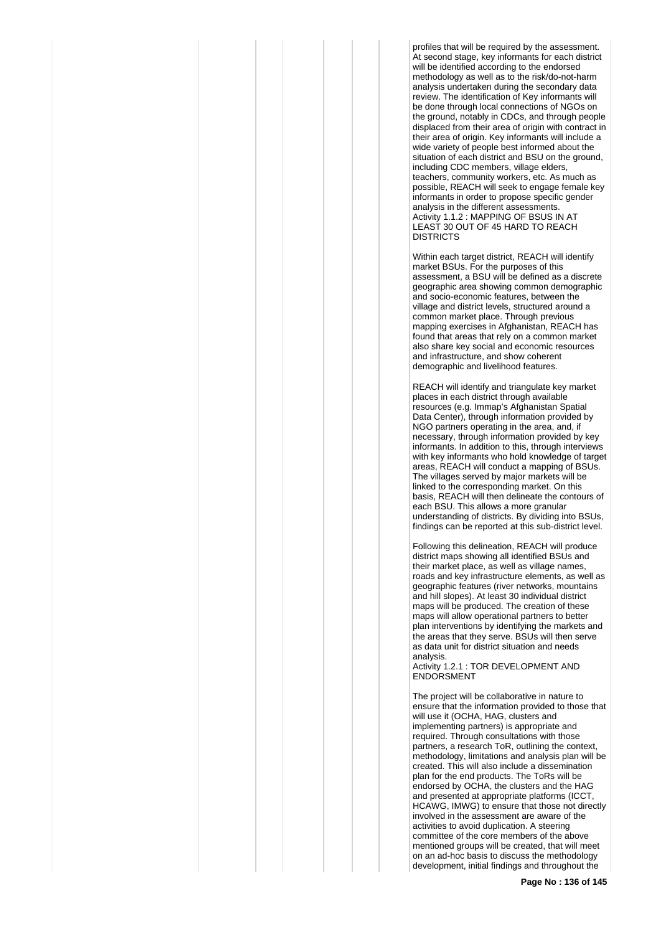profiles that will be required by the assessment. At second stage, key informants for each district will be identified according to the endorsed methodology as well as to the risk/do-not-harm analysis undertaken during the secondary data review. The identification of Key informants will be done through local connections of NGOs on the ground, notably in CDCs, and through people displaced from their area of origin with contract in their area of origin. Key informants will include a wide variety of people best informed about the situation of each district and BSU on the ground, including CDC members, village elders, teachers, community workers, etc. As much as possible, REACH will seek to engage female key informants in order to propose specific gender analysis in the different assessments. Activity 1.1.2 : MAPPING OF BSUS IN AT LEAST 30 OUT OF 45 HARD TO REACH **DISTRICTS** 

Within each target district, REACH will identify market BSUs. For the purposes of this assessment, a BSU will be defined as a discrete geographic area showing common demographic and socio-economic features, between the village and district levels, structured around a common market place. Through previous mapping exercises in Afghanistan, REACH has found that areas that rely on a common market also share key social and economic resources and infrastructure, and show coherent demographic and livelihood features.

REACH will identify and triangulate key market places in each district through available resources (e.g. Immap's Afghanistan Spatial Data Center), through information provided by NGO partners operating in the area, and, if necessary, through information provided by key informants. In addition to this, through interviews with key informants who hold knowledge of target areas, REACH will conduct a mapping of BSUs. The villages served by major markets will be linked to the corresponding market. On this basis, REACH will then delineate the contours of each BSU. This allows a more granular understanding of districts. By dividing into BSUs, findings can be reported at this sub-district level.

Following this delineation, REACH will produce district maps showing all identified BSUs and their market place, as well as village names, roads and key infrastructure elements, as well as geographic features (river networks, mountains and hill slopes). At least 30 individual district maps will be produced. The creation of these maps will allow operational partners to better plan interventions by identifying the markets and the areas that they serve. BSUs will then serve as data unit for district situation and needs analysis.

Activity 1.2.1 : TOR DEVELOPMENT AND **ENDORSMENT** 

The project will be collaborative in nature to ensure that the information provided to those that will use it (OCHA, HAG, clusters and implementing partners) is appropriate and required. Through consultations with those partners, a research ToR, outlining the context, methodology, limitations and analysis plan will be created. This will also include a dissemination plan for the end products. The ToRs will be endorsed by OCHA, the clusters and the HAG and presented at appropriate platforms (ICCT, HCAWG, IMWG) to ensure that those not directly involved in the assessment are aware of the activities to avoid duplication. A steering committee of the core members of the above mentioned groups will be created, that will meet on an ad-hoc basis to discuss the methodology development, initial findings and throughout the

**Page No : 136 of 145**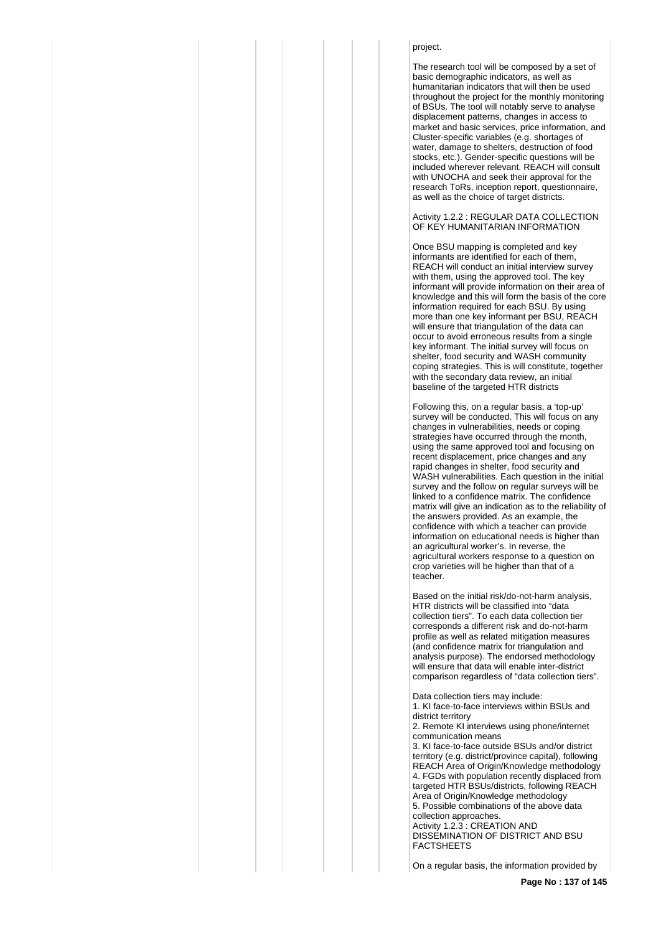## project.

The research tool will be composed by a set of basic demographic indicators, as well as humanitarian indicators that will then be used throughout the project for the monthly monitoring of BSUs. The tool will notably serve to analyse displacement patterns, changes in access to market and basic services, price information, and Cluster-specific variables (e.g. shortages of water, damage to shelters, destruction of food stocks, etc.). Gender-specific questions will be included wherever relevant. REACH will consult with UNOCHA and seek their approval for the research ToRs, inception report, questionnaire, as well as the choice of target districts.

Activity 1.2.2 : REGULAR DATA COLLECTION OF KEY HUMANITARIAN INFORMATION

Once BSU mapping is completed and key informants are identified for each of them, REACH will conduct an initial interview survey with them, using the approved tool. The key informant will provide information on their area of knowledge and this will form the basis of the core information required for each BSU. By using more than one key informant per BSU, REACH will ensure that triangulation of the data can occur to avoid erroneous results from a single key informant. The initial survey will focus on shelter, food security and WASH community coping strategies. This is will constitute, together with the secondary data review, an initial baseline of the targeted HTR districts

Following this, on a regular basis, a 'top-up' survey will be conducted. This will focus on any changes in vulnerabilities, needs or coping strategies have occurred through the month, using the same approved tool and focusing on recent displacement, price changes and any rapid changes in shelter, food security and WASH vulnerabilities. Each question in the initial survey and the follow on regular surveys will be linked to a confidence matrix. The confidence matrix will give an indication as to the reliability of the answers provided. As an example, the confidence with which a teacher can provide information on educational needs is higher than an agricultural worker's. In reverse, the agricultural workers response to a question on crop varieties will be higher than that of a teacher.

Based on the initial risk/do-not-harm analysis, HTR districts will be classified into "data collection tiers". To each data collection tier corresponds a different risk and do-not-harm profile as well as related mitigation measures (and confidence matrix for triangulation and analysis purpose). The endorsed methodology will ensure that data will enable inter-district comparison regardless of "data collection tiers".

Data collection tiers may include: 1. KI face-to-face interviews within BSUs and district territory 2. Remote KI interviews using phone/internet communication means 3. KI face-to-face outside BSUs and/or district territory (e.g. district/province capital), following REACH Area of Origin/Knowledge methodology 4. FGDs with population recently displaced from targeted HTR BSUs/districts, following REACH Area of Origin/Knowledge methodology 5. Possible combinations of the above data collection approaches. Activity 1.2.3 : CREATION AND DISSEMINATION OF DISTRICT AND BSU FACTSHEETS

On a regular basis, the information provided by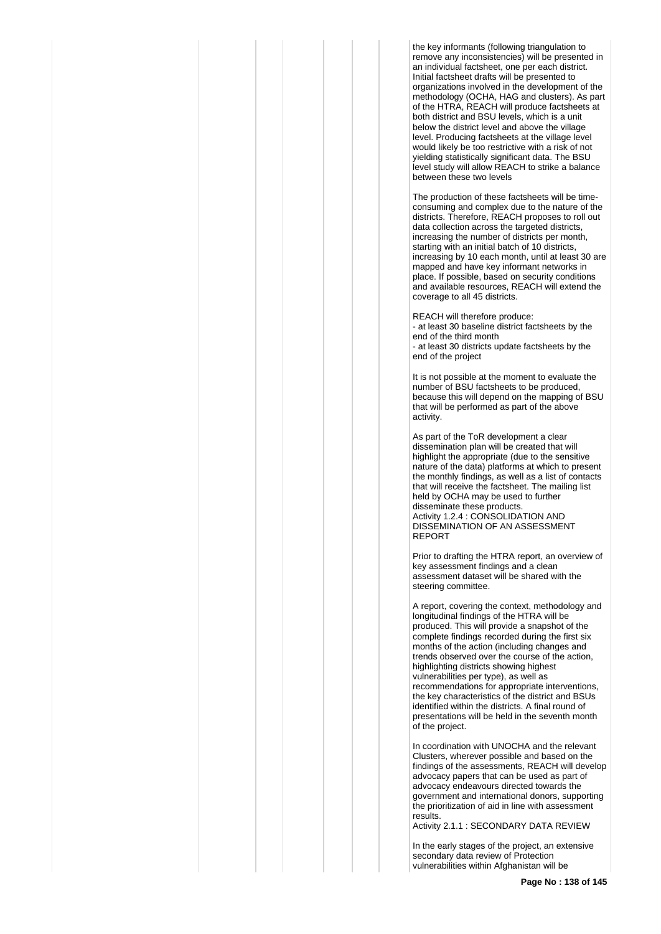the key informants (following triangulation to remove any inconsistencies) will be presented in an individual factsheet, one per each district. Initial factsheet drafts will be presented to organizations involved in the development of the methodology (OCHA, HAG and clusters). As part of the HTRA, REACH will produce factsheets at both district and BSU levels, which is a unit below the district level and above the village level. Producing factsheets at the village level would likely be too restrictive with a risk of not yielding statistically significant data. The BSU level study will allow REACH to strike a balance between these two levels

The production of these factsheets will be timeconsuming and complex due to the nature of the districts. Therefore, REACH proposes to roll out data collection across the targeted districts, increasing the number of districts per month, starting with an initial batch of 10 districts, increasing by 10 each month, until at least 30 are mapped and have key informant networks in place. If possible, based on security conditions and available resources, REACH will extend the coverage to all 45 districts.

REACH will therefore produce: - at least 30 baseline district factsheets by the end of the third month - at least 30 districts update factsheets by the end of the project

It is not possible at the moment to evaluate the number of BSU factsheets to be produced, because this will depend on the mapping of BSU that will be performed as part of the above activity.

As part of the ToR development a clear dissemination plan will be created that will highlight the appropriate (due to the sensitive nature of the data) platforms at which to present the monthly findings, as well as a list of contacts that will receive the factsheet. The mailing list held by OCHA may be used to further disseminate these products. Activity 1.2.4 : CONSOLIDATION AND DISSEMINATION OF AN ASSESSMENT REPORT

Prior to drafting the HTRA report, an overview of key assessment findings and a clean assessment dataset will be shared with the steering committee.

A report, covering the context, methodology and longitudinal findings of the HTRA will be produced. This will provide a snapshot of the complete findings recorded during the first six months of the action (including changes and trends observed over the course of the action, highlighting districts showing highest vulnerabilities per type), as well as recommendations for appropriate interventions, the key characteristics of the district and BSUs identified within the districts. A final round of presentations will be held in the seventh month of the project.

In coordination with UNOCHA and the relevant Clusters, wherever possible and based on the findings of the assessments, REACH will develop advocacy papers that can be used as part of advocacy endeavours directed towards the government and international donors, supporting the prioritization of aid in line with assessment results.

Activity 2.1.1 : SECONDARY DATA REVIEW

In the early stages of the project, an extensive secondary data review of Protection vulnerabilities within Afghanistan will be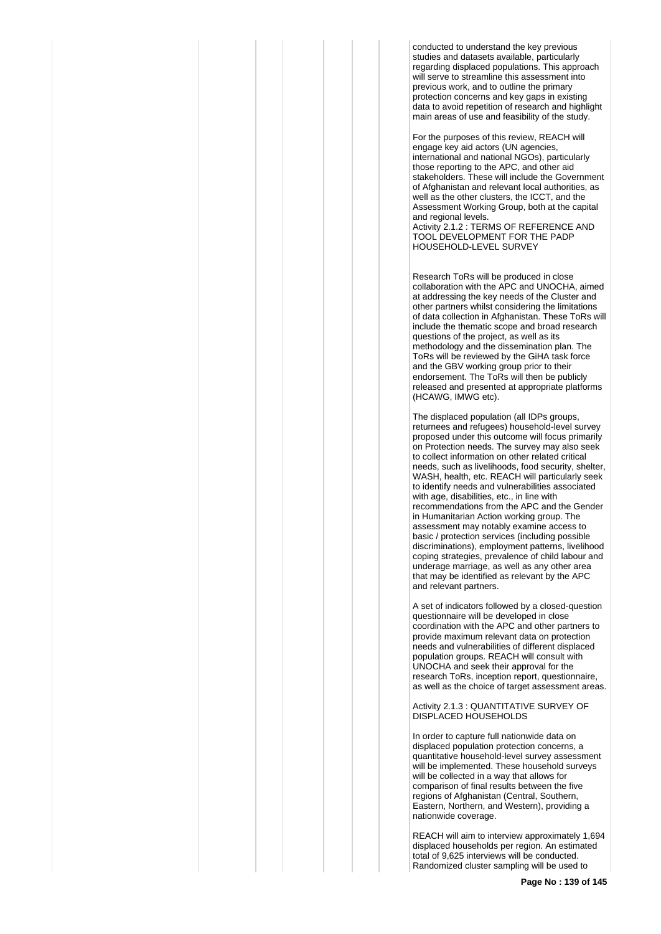conducted to understand the key previous studies and datasets available, particularly regarding displaced populations. This approach will serve to streamline this assessment into previous work, and to outline the primary protection concerns and key gaps in existing data to avoid repetition of research and highlight main areas of use and feasibility of the study.

For the purposes of this review, REACH will engage key aid actors (UN agencies, international and national NGOs), particularly those reporting to the APC, and other aid stakeholders. These will include the Government of Afghanistan and relevant local authorities, as well as the other clusters, the ICCT, and the Assessment Working Group, both at the capital and regional levels.

Activity 2.1.2 : TERMS OF REFERENCE AND TOOL DEVELOPMENT FOR THE PADP HOUSEHOLD-LEVEL SURVEY

Research ToRs will be produced in close collaboration with the APC and UNOCHA, aimed at addressing the key needs of the Cluster and other partners whilst considering the limitations of data collection in Afghanistan. These ToRs will include the thematic scope and broad research questions of the project, as well as its methodology and the dissemination plan. The ToRs will be reviewed by the GiHA task force and the GBV working group prior to their endorsement. The ToRs will then be publicly released and presented at appropriate platforms (HCAWG, IMWG etc).

The displaced population (all IDPs groups, returnees and refugees) household-level survey proposed under this outcome will focus primarily on Protection needs. The survey may also seek to collect information on other related critical needs, such as livelihoods, food security, shelter, WASH, health, etc. REACH will particularly seek to identify needs and vulnerabilities associated with age, disabilities, etc., in line with recommendations from the APC and the Gender in Humanitarian Action working group. The assessment may notably examine access to basic / protection services (including possible discriminations), employment patterns, livelihood coping strategies, prevalence of child labour and underage marriage, as well as any other area that may be identified as relevant by the APC and relevant partners.

A set of indicators followed by a closed-question questionnaire will be developed in close coordination with the APC and other partners to provide maximum relevant data on protection needs and vulnerabilities of different displaced population groups. REACH will consult with UNOCHA and seek their approval for the research ToRs, inception report, questionnaire, as well as the choice of target assessment areas.

Activity 2.1.3 : QUANTITATIVE SURVEY OF DISPLACED HOUSEHOLDS

In order to capture full nationwide data on displaced population protection concerns, a quantitative household-level survey assessment will be implemented. These household surveys will be collected in a way that allows for comparison of final results between the five regions of Afghanistan (Central, Southern, Eastern, Northern, and Western), providing a nationwide coverage.

REACH will aim to interview approximately 1,694 displaced households per region. An estimated total of 9,625 interviews will be conducted. Randomized cluster sampling will be used to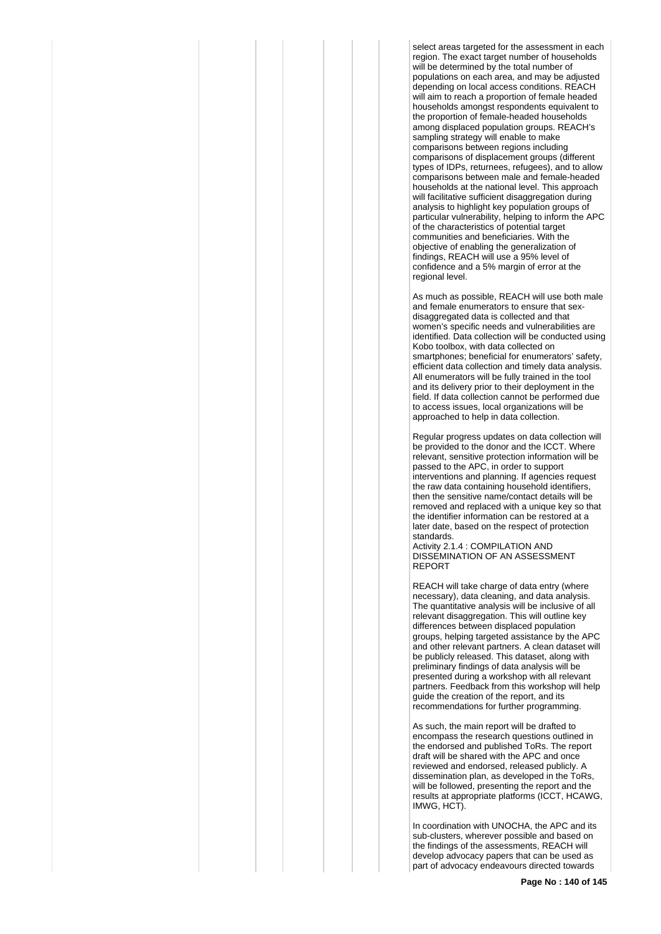select areas targeted for the assessment in each region. The exact target number of households will be determined by the total number of populations on each area, and may be adjusted depending on local access conditions. REACH will aim to reach a proportion of female headed households amongst respondents equivalent to the proportion of female-headed households among displaced population groups. REACH's sampling strategy will enable to make comparisons between regions including comparisons of displacement groups (different types of IDPs, returnees, refugees), and to allow comparisons between male and female-headed households at the national level. This approach will facilitative sufficient disaggregation during analysis to highlight key population groups of particular vulnerability, helping to inform the APC of the characteristics of potential target communities and beneficiaries. With the objective of enabling the generalization of findings, REACH will use a 95% level of confidence and a 5% margin of error at the regional level.

As much as possible, REACH will use both male and female enumerators to ensure that sexdisaggregated data is collected and that women's specific needs and vulnerabilities are identified. Data collection will be conducted using Kobo toolbox, with data collected on smartphones; beneficial for enumerators' safety, efficient data collection and timely data analysis. All enumerators will be fully trained in the tool and its delivery prior to their deployment in the field. If data collection cannot be performed due to access issues, local organizations will be approached to help in data collection.

Regular progress updates on data collection will be provided to the donor and the ICCT. Where relevant, sensitive protection information will be passed to the APC, in order to support interventions and planning. If agencies request the raw data containing household identifiers, then the sensitive name/contact details will be removed and replaced with a unique key so that the identifier information can be restored at a later date, based on the respect of protection standards.

Activity 2.1.4 : COMPILATION AND DISSEMINATION OF AN ASSESSMENT REPORT

REACH will take charge of data entry (where necessary), data cleaning, and data analysis. The quantitative analysis will be inclusive of all relevant disaggregation. This will outline key differences between displaced population groups, helping targeted assistance by the APC and other relevant partners. A clean dataset will be publicly released. This dataset, along with preliminary findings of data analysis will be presented during a workshop with all relevant partners. Feedback from this workshop will help guide the creation of the report, and its recommendations for further programming.

As such, the main report will be drafted to encompass the research questions outlined in the endorsed and published ToRs. The report draft will be shared with the APC and once reviewed and endorsed, released publicly. A dissemination plan, as developed in the ToRs, will be followed, presenting the report and the results at appropriate platforms (ICCT, HCAWG, IMWG, HCT).

In coordination with UNOCHA, the APC and its sub-clusters, wherever possible and based on the findings of the assessments, REACH will develop advocacy papers that can be used as part of advocacy endeavours directed towards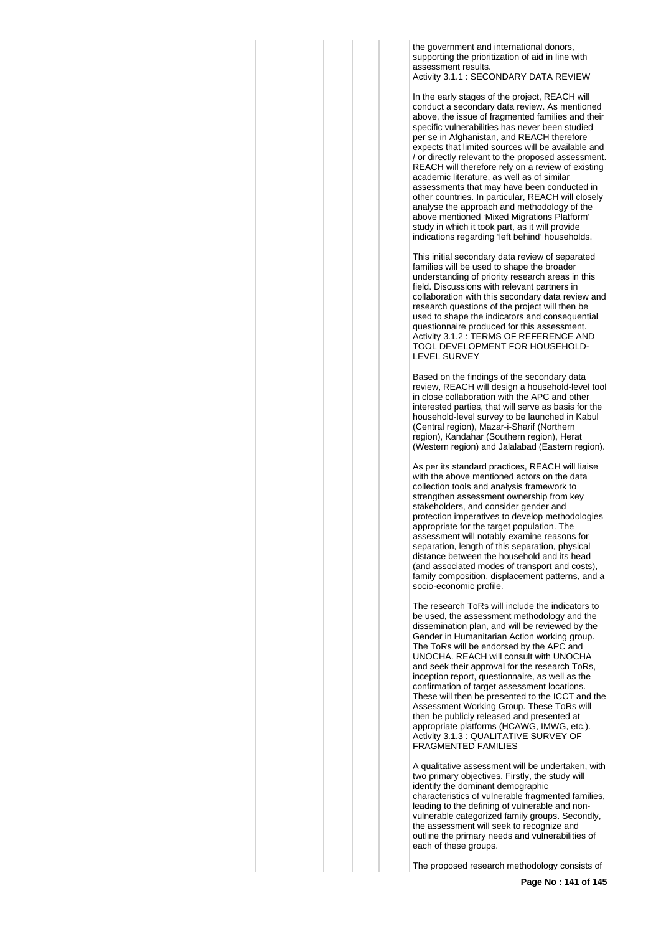the government and international donors, supporting the prioritization of aid in line with assessment results. Activity 3.1.1 : SECONDARY DATA REVIEW

In the early stages of the project, REACH will conduct a secondary data review. As mentioned above, the issue of fragmented families and their specific vulnerabilities has never been studied per se in Afghanistan, and REACH therefore expects that limited sources will be available and / or directly relevant to the proposed assessment. REACH will therefore rely on a review of existing academic literature, as well as of similar assessments that may have been conducted in other countries. In particular, REACH will closely analyse the approach and methodology of the above mentioned 'Mixed Migrations Platform' study in which it took part, as it will provide indications regarding 'left behind' households.

This initial secondary data review of separated families will be used to shape the broader understanding of priority research areas in this field. Discussions with relevant partners in collaboration with this secondary data review and research questions of the project will then be used to shape the indicators and consequential questionnaire produced for this assessment. Activity 3.1.2 : TERMS OF REFERENCE AND TOOL DEVELOPMENT FOR HOUSEHOLD-LEVEL SURVEY

Based on the findings of the secondary data review, REACH will design a household-level tool in close collaboration with the APC and other interested parties, that will serve as basis for the household-level survey to be launched in Kabul (Central region), Mazar-i-Sharif (Northern region), Kandahar (Southern region), Herat (Western region) and Jalalabad (Eastern region).

As per its standard practices, REACH will liaise with the above mentioned actors on the data collection tools and analysis framework to strengthen assessment ownership from key stakeholders, and consider gender and protection imperatives to develop methodologies appropriate for the target population. The assessment will notably examine reasons for separation, length of this separation, physical distance between the household and its head (and associated modes of transport and costs), family composition, displacement patterns, and a socio-economic profile.

The research ToRs will include the indicators to be used, the assessment methodology and the dissemination plan, and will be reviewed by the Gender in Humanitarian Action working group. The ToRs will be endorsed by the APC and UNOCHA. REACH will consult with UNOCHA and seek their approval for the research ToRs, inception report, questionnaire, as well as the confirmation of target assessment locations. These will then be presented to the ICCT and the Assessment Working Group. These ToRs will then be publicly released and presented at appropriate platforms (HCAWG, IMWG, etc.). Activity 3.1.3 : QUALITATIVE SURVEY OF FRAGMENTED FAMILIES

A qualitative assessment will be undertaken, with two primary objectives. Firstly, the study will identify the dominant demographic characteristics of vulnerable fragmented families, leading to the defining of vulnerable and nonvulnerable categorized family groups. Secondly, the assessment will seek to recognize and outline the primary needs and vulnerabilities of each of these groups.

The proposed research methodology consists of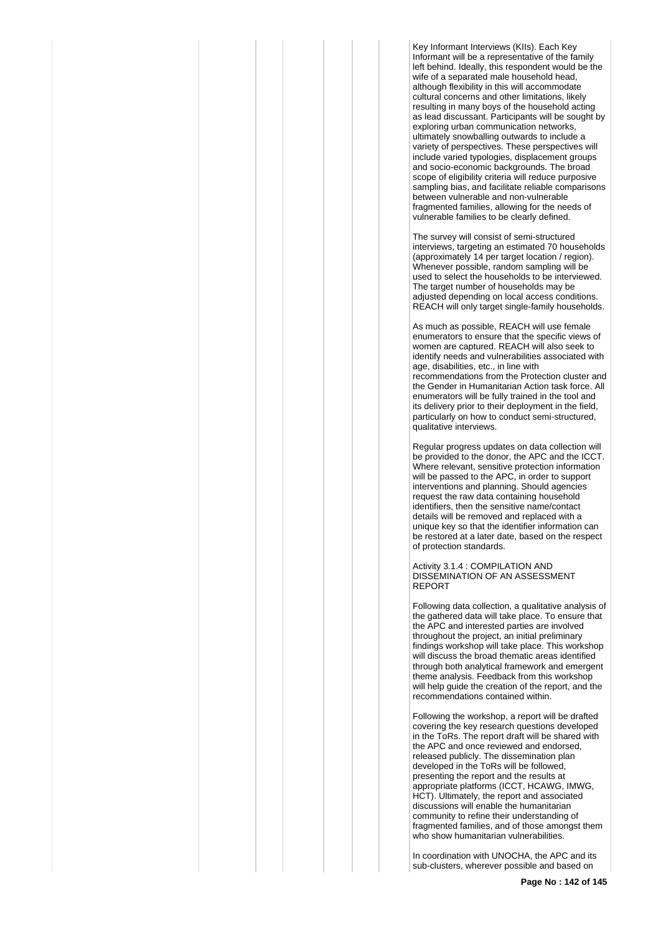Key Informant Interviews (KIIs). Each Key Informant will be a representative of the family left behind. Ideally, this respondent would be the wife of a separated male household head, although flexibility in this will accommodate cultural concerns and other limitations, likely resulting in many boys of the household acting as lead discussant. Participants will be sought by exploring urban communication networks, ultimately snowballing outwards to include a variety of perspectives. These perspectives will include varied typologies, displacement groups and socio-economic backgrounds. The broad scope of eligibility criteria will reduce purposive sampling bias, and facilitate reliable comparisons between vulnerable and non-vulnerable fragmented families, allowing for the needs of vulnerable families to be clearly defined.

The survey will consist of semi-structured interviews, targeting an estimated 70 households (approximately 14 per target location / region). Whenever possible, random sampling will be used to select the households to be interviewed. The target number of households may be adjusted depending on local access conditions. REACH will only target single-family households.

As much as possible, REACH will use female enumerators to ensure that the specific views of women are captured. REACH will also seek to identify needs and vulnerabilities associated with age, disabilities, etc., in line with recommendations from the Protection cluster and the Gender in Humanitarian Action task force. All enumerators will be fully trained in the tool and its delivery prior to their deployment in the field, particularly on how to conduct semi-structured, qualitative interviews.

Regular progress updates on data collection will be provided to the donor, the APC and the ICCT. Where relevant, sensitive protection information will be passed to the APC, in order to support interventions and planning. Should agencies request the raw data containing household identifiers, then the sensitive name/contact details will be removed and replaced with a unique key so that the identifier information can be restored at a later date, based on the respect of protection standards.

Activity 3.1.4 : COMPILATION AND DISSEMINATION OF AN ASSESSMENT REPORT

Following data collection, a qualitative analysis of the gathered data will take place. To ensure that the APC and interested parties are involved throughout the project, an initial preliminary findings workshop will take place. This workshop will discuss the broad thematic areas identified through both analytical framework and emergent theme analysis. Feedback from this workshop will help guide the creation of the report, and the recommendations contained within.

Following the workshop, a report will be drafted covering the key research questions developed in the ToRs. The report draft will be shared with the APC and once reviewed and endorsed, released publicly. The dissemination plan developed in the ToRs will be followed, presenting the report and the results at appropriate platforms (ICCT, HCAWG, IMWG, HCT). Ultimately, the report and associated discussions will enable the humanitarian community to refine their understanding of fragmented families, and of those amongst them who show humanitarian vulnerabilities.

In coordination with UNOCHA, the APC and its sub-clusters, wherever possible and based on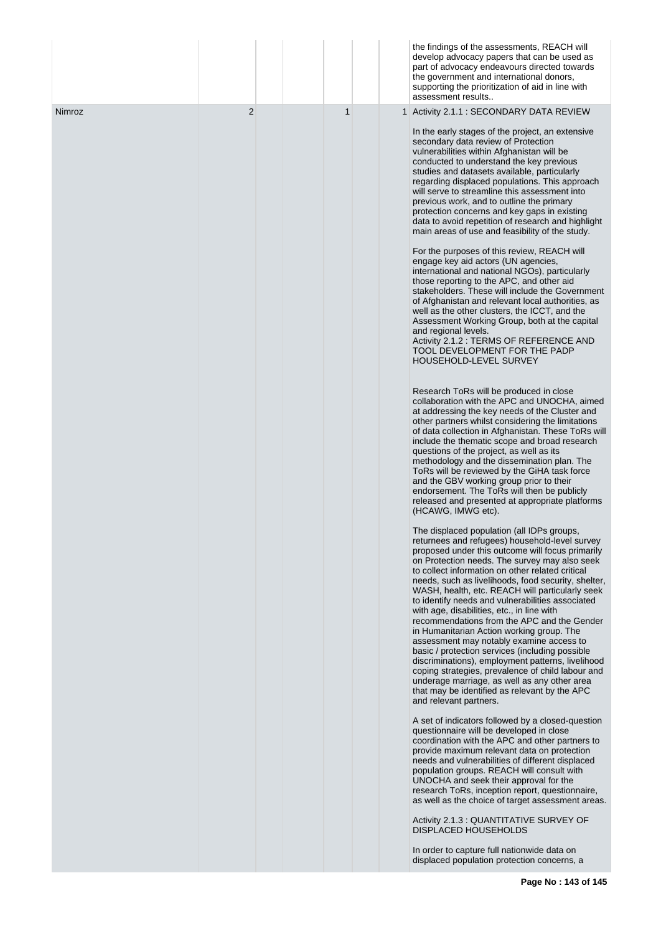|               |                |   | the findings of the assessments, REACH will<br>develop advocacy papers that can be used as<br>part of advocacy endeavours directed towards<br>the government and international donors,<br>supporting the prioritization of aid in line with<br>assessment results                                                                                                                                                                                                                                                                                                                                                                                                                                                                                                                                                                                                                                                                                                                                                                                                                                                   |
|---------------|----------------|---|---------------------------------------------------------------------------------------------------------------------------------------------------------------------------------------------------------------------------------------------------------------------------------------------------------------------------------------------------------------------------------------------------------------------------------------------------------------------------------------------------------------------------------------------------------------------------------------------------------------------------------------------------------------------------------------------------------------------------------------------------------------------------------------------------------------------------------------------------------------------------------------------------------------------------------------------------------------------------------------------------------------------------------------------------------------------------------------------------------------------|
| <b>Nimroz</b> | $\overline{2}$ | 1 | 1 Activity 2.1.1 : SECONDARY DATA REVIEW<br>In the early stages of the project, an extensive<br>secondary data review of Protection<br>vulnerabilities within Afghanistan will be<br>conducted to understand the key previous<br>studies and datasets available, particularly<br>regarding displaced populations. This approach<br>will serve to streamline this assessment into<br>previous work, and to outline the primary<br>protection concerns and key gaps in existing<br>data to avoid repetition of research and highlight<br>main areas of use and feasibility of the study.<br>For the purposes of this review, REACH will<br>engage key aid actors (UN agencies,<br>international and national NGOs), particularly<br>those reporting to the APC, and other aid<br>stakeholders. These will include the Government<br>of Afghanistan and relevant local authorities, as<br>well as the other clusters, the ICCT, and the<br>Assessment Working Group, both at the capital<br>and regional levels.<br>Activity 2.1.2 : TERMS OF REFERENCE AND<br>TOOL DEVELOPMENT FOR THE PADP<br>HOUSEHOLD-LEVEL SURVEY |
|               |                |   | Research ToRs will be produced in close<br>collaboration with the APC and UNOCHA, aimed<br>at addressing the key needs of the Cluster and<br>other partners whilst considering the limitations<br>of data collection in Afghanistan. These ToRs will<br>include the thematic scope and broad research<br>questions of the project, as well as its<br>methodology and the dissemination plan. The<br>ToRs will be reviewed by the GiHA task force<br>and the GBV working group prior to their<br>endorsement. The ToRs will then be publicly<br>released and presented at appropriate platforms<br>(HCAWG, IMWG etc).                                                                                                                                                                                                                                                                                                                                                                                                                                                                                                |
|               |                |   | The displaced population (all IDPs groups,<br>returnees and refugees) household-level survey<br>proposed under this outcome will focus primarily<br>on Protection needs. The survey may also seek<br>to collect information on other related critical<br>needs, such as livelihoods, food security, shelter,<br>WASH, health, etc. REACH will particularly seek<br>to identify needs and vulnerabilities associated<br>with age, disabilities, etc., in line with<br>recommendations from the APC and the Gender<br>in Humanitarian Action working group. The<br>assessment may notably examine access to<br>basic / protection services (including possible<br>discriminations), employment patterns, livelihood<br>coping strategies, prevalence of child labour and<br>underage marriage, as well as any other area<br>that may be identified as relevant by the APC<br>and relevant partners.                                                                                                                                                                                                                   |
|               |                |   | A set of indicators followed by a closed-question<br>questionnaire will be developed in close<br>coordination with the APC and other partners to<br>provide maximum relevant data on protection<br>needs and vulnerabilities of different displaced<br>population groups. REACH will consult with<br>UNOCHA and seek their approval for the<br>research ToRs, inception report, questionnaire,<br>as well as the choice of target assessment areas.<br>Activity 2.1.3 : QUANTITATIVE SURVEY OF<br><b>DISPLACED HOUSEHOLDS</b><br>In order to capture full nationwide data on<br>displaced population protection concerns, a                                                                                                                                                                                                                                                                                                                                                                                                                                                                                         |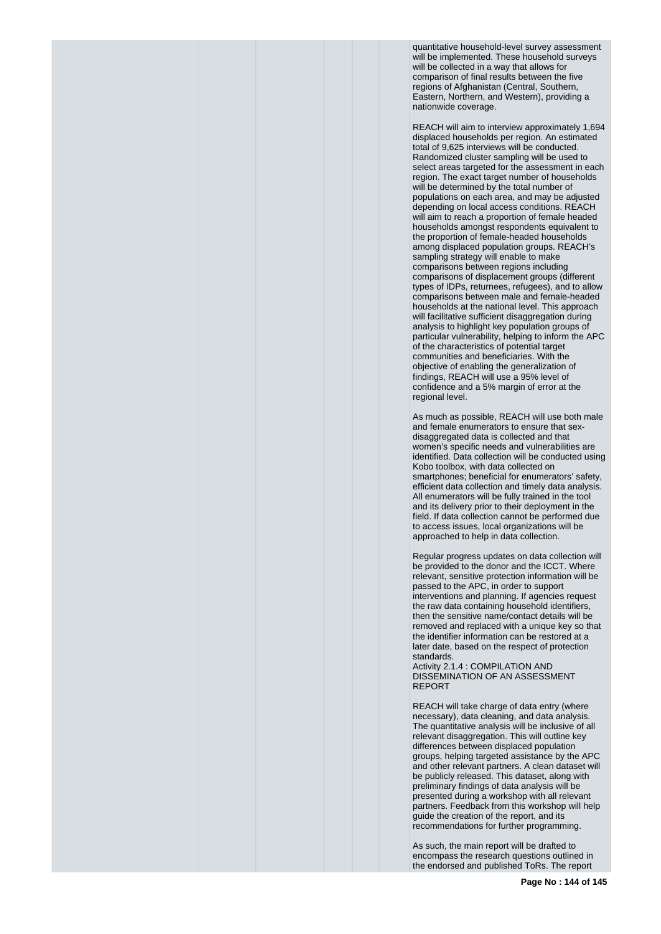quantitative household-level survey assessment will be implemented. These household surveys will be collected in a way that allows for comparison of final results between the five regions of Afghanistan (Central, Southern, Eastern, Northern, and Western), providing a nationwide coverage.

REACH will aim to interview approximately 1,694 displaced households per region. An estimated total of 9,625 interviews will be conducted. Randomized cluster sampling will be used to select areas targeted for the assessment in each region. The exact target number of households will be determined by the total number of populations on each area, and may be adjusted depending on local access conditions. REACH will aim to reach a proportion of female headed households amongst respondents equivalent to the proportion of female-headed households among displaced population groups. REACH's sampling strategy will enable to make comparisons between regions including comparisons of displacement groups (different types of IDPs, returnees, refugees), and to allow comparisons between male and female-headed households at the national level. This approach will facilitative sufficient disaggregation during analysis to highlight key population groups of particular vulnerability, helping to inform the APC of the characteristics of potential target communities and beneficiaries. With the objective of enabling the generalization of findings, REACH will use a 95% level of confidence and a 5% margin of error at the regional level.

As much as possible, REACH will use both male and female enumerators to ensure that sexdisaggregated data is collected and that women's specific needs and vulnerabilities are identified. Data collection will be conducted using Kobo toolbox, with data collected on smartphones; beneficial for enumerators' safety, efficient data collection and timely data analysis. All enumerators will be fully trained in the tool and its delivery prior to their deployment in the field. If data collection cannot be performed due to access issues, local organizations will be approached to help in data collection.

Regular progress updates on data collection will be provided to the donor and the ICCT. Where relevant, sensitive protection information will be passed to the APC, in order to support interventions and planning. If agencies request the raw data containing household identifiers, then the sensitive name/contact details will be removed and replaced with a unique key so that the identifier information can be restored at a later date, based on the respect of protection standards.

Activity 2.1.4 : COMPILATION AND DISSEMINATION OF AN ASSESSMENT REPORT

REACH will take charge of data entry (where necessary), data cleaning, and data analysis. The quantitative analysis will be inclusive of all relevant disaggregation. This will outline key differences between displaced population groups, helping targeted assistance by the APC and other relevant partners. A clean dataset will be publicly released. This dataset, along with preliminary findings of data analysis will be presented during a workshop with all relevant partners. Feedback from this workshop will help guide the creation of the report, and its recommendations for further programming.

As such, the main report will be drafted to encompass the research questions outlined in the endorsed and published ToRs. The report